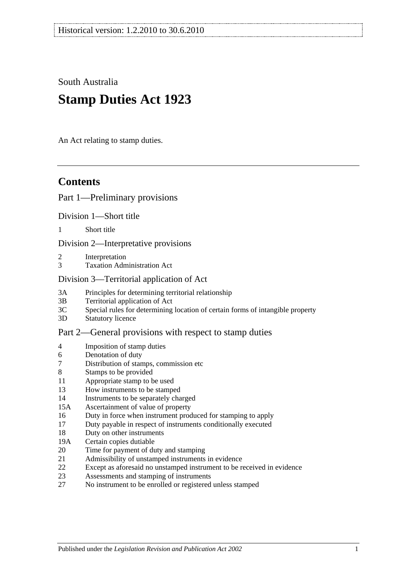South Australia

# **Stamp Duties Act 1923**

An Act relating to stamp duties.

## **Contents**

## [Part 1—Preliminary provisions](#page-6-0)

[Division 1—Short title](#page-6-1)

1 [Short title](#page-6-2)

[Division 2—Interpretative provisions](#page-6-3)

- 2 [Interpretation](#page-6-4)
- 3 [Taxation Administration Act](#page-9-0)

### [Division 3—Territorial application of Act](#page-9-1)

- 3A [Principles for determining territorial relationship](#page-9-2)
- 3B [Territorial application of Act](#page-9-3)
- 3C [Special rules for determining location of certain forms of intangible property](#page-10-0)
- 3D [Statutory licence](#page-11-0)

## [Part 2—General provisions with respect to stamp duties](#page-12-0)

- 4 [Imposition of stamp duties](#page-12-1)
- 6 [Denotation of duty](#page-12-2)
- 7 [Distribution of stamps, commission etc](#page-12-3)
- 8 [Stamps to be provided](#page-12-4)
- 11 [Appropriate stamp to be used](#page-12-5)
- 13 [How instruments to be stamped](#page-12-6)
- 14 [Instruments to be separately charged](#page-13-0)
- 15A [Ascertainment of value of property](#page-13-1)
- 16 [Duty in force when instrument produced for stamping to apply](#page-13-2)
- 17 [Duty payable in respect of instruments conditionally executed](#page-13-3)
- 18 [Duty on other instruments](#page-13-4)
- 19A [Certain copies dutiable](#page-14-0)
- 20 [Time for payment of duty and stamping](#page-14-1)
- 21 [Admissibility of unstamped instruments in evidence](#page-15-0)
- 22 [Except as aforesaid no unstamped instrument to be received in evidence](#page-15-1)
- 23 [Assessments and stamping of instruments](#page-15-2)
- 27 [No instrument to be enrolled or registered unless stamped](#page-16-0)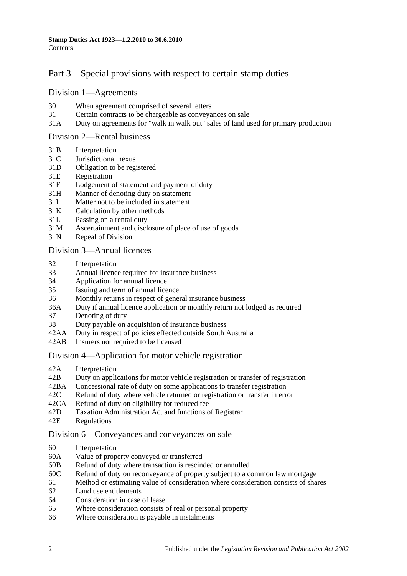## [Part 3—Special provisions with respect to certain stamp duties](#page-18-0)

#### [Division 1—Agreements](#page-18-1)

- 30 [When agreement comprised of several letters](#page-18-2)
- 31 [Certain contracts to be chargeable as conveyances on sale](#page-18-3)
- 31A [Duty on agreements for "walk in walk out" sales of land used for primary production](#page-19-0)

#### [Division 2—Rental business](#page-19-1)

- 31B [Interpretation](#page-19-2)
- 31C [Jurisdictional nexus](#page-21-0)
- 31D [Obligation to be registered](#page-21-1)
- 31E [Registration](#page-21-2)
- 31F [Lodgement of statement and payment of duty](#page-21-3)
- 31H [Manner of denoting duty on statement](#page-23-0)
- 31I [Matter not to be included in statement](#page-23-1)
- 31K [Calculation by other methods](#page-25-0)
- 31L [Passing on a rental duty](#page-25-1)
- 31M [Ascertainment and disclosure of place of use of goods](#page-26-0)
- 31N [Repeal of Division](#page-26-1)

#### [Division 3—Annual licences](#page-26-2)

- 32 [Interpretation](#page-26-3)
- 33 [Annual licence required for insurance business](#page-27-0)
- 34 [Application for annual licence](#page-27-1)
- 35 [Issuing and term of annual licence](#page-28-0)
- 36 [Monthly returns in respect of general insurance business](#page-28-1)
- 36A [Duty if annual licence application or monthly return not lodged as required](#page-28-2)
- 37 [Denoting of duty](#page-28-3)
- 38 [Duty payable on acquisition of insurance business](#page-28-4)
- 42AA [Duty in respect of policies effected outside South Australia](#page-29-0)
- 42AB [Insurers not required to be licensed](#page-29-1)

#### [Division 4—Application for motor vehicle registration](#page-30-0)

- 42A [Interpretation](#page-30-1)
- 42B [Duty on applications for motor vehicle registration or transfer of registration](#page-31-0)
- 42BA [Concessional rate of duty on some applications to transfer registration](#page-33-0)
- 42C [Refund of duty where vehicle returned or registration or transfer in error](#page-33-1)
- 42CA [Refund of duty on eligibility for reduced fee](#page-34-0)
- 42D [Taxation Administration Act and functions of Registrar](#page-34-1)
- 42E [Regulations](#page-34-2)

#### [Division 6—Conveyances and conveyances on sale](#page-34-3)

- 60 [Interpretation](#page-34-4)
- 60A [Value of property conveyed or transferred](#page-35-0)
- 60B [Refund of duty where transaction is rescinded or annulled](#page-37-0)
- 60C [Refund of duty on reconveyance of property subject to a common law mortgage](#page-37-1)
- 61 [Method or estimating value of consideration where consideration consists of shares](#page-37-2)
- 62 [Land use entitlements](#page-38-0)
- 64 [Consideration in case of lease](#page-38-1)
- 65 [Where consideration consists of real or personal property](#page-38-2)
- 66 [Where consideration is payable in instalments](#page-38-3)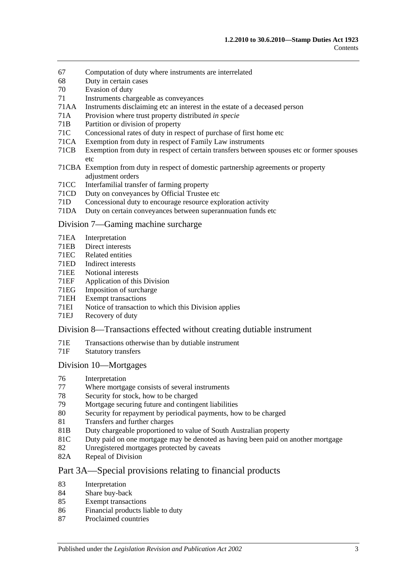- 67 [Computation of duty where instruments are interrelated](#page-39-0)
- 68 [Duty in certain cases](#page-39-1)
- 70 [Evasion of duty](#page-40-0)
- 71 [Instruments chargeable as conveyances](#page-40-1)
- 71AA [Instruments disclaiming etc an interest in the estate of a deceased person](#page-45-0)
- 71A [Provision where trust property distributed](#page-46-0) *in specie*
- 71B [Partition or division of property](#page-46-1)
- 71C [Concessional rates of duty in respect of purchase of first home etc](#page-46-2)
- 71CA [Exemption from duty in respect of Family Law instruments](#page-50-0)
- 71CB [Exemption from duty in respect of certain transfers between spouses etc or former spouses](#page-53-0)  [etc](#page-53-0)
- 71CBA [Exemption from duty in respect of domestic partnership agreements or property](#page-54-0)  [adjustment orders](#page-54-0)
- 71CC [Interfamilial transfer of farming property](#page-55-0)
- 71CD [Duty on conveyances by Official Trustee etc](#page-57-0)
- 71D [Concessional duty to encourage resource exploration activity](#page-57-1)
- 71DA [Duty on certain conveyances between superannuation funds etc](#page-59-0)

#### [Division 7—Gaming machine surcharge](#page-60-0)

- 71EA [Interpretation](#page-60-1)
- 71EB [Direct interests](#page-62-0)<br>71EC Related entities
- [Related entities](#page-62-1)
- 71ED [Indirect interests](#page-62-2)
- 71EE [Notional interests](#page-63-0)
- 71EF [Application of this Division](#page-63-1)
- 71EG [Imposition of surcharge](#page-63-2)
- 71EH [Exempt transactions](#page-64-0)
- 71EI [Notice of transaction to which this Division applies](#page-64-1)
- 71EJ [Recovery of duty](#page-65-0)

#### [Division 8—Transactions effected without creating dutiable instrument](#page-65-1)

- 71E [Transactions otherwise than by dutiable instrument](#page-65-2)
- 71F [Statutory transfers](#page-67-0)

#### [Division 10—Mortgages](#page-67-1)

- 76 [Interpretation](#page-68-0)<br>77 Where mortga
- [Where mortgage consists of several instruments](#page-68-1)
- 78 [Security for stock, how to be charged](#page-68-2)
- 79 [Mortgage securing future and contingent liabilities](#page-68-3)
- 80 [Security for repayment by periodical payments, how to be charged](#page-70-0)
- 81 [Transfers and further charges](#page-70-1)
- 81B [Duty chargeable proportioned to value of South Australian property](#page-70-2)
- 81C [Duty paid on one mortgage may be denoted as having been paid on another mortgage](#page-71-0)
- 82 [Unregistered mortgages protected by caveats](#page-72-0)
- 82A [Repeal of Division](#page-72-1)

#### [Part 3A—Special provisions relating to financial products](#page-74-0)

- 83 [Interpretation](#page-74-1)
- 84 Share [buy-back](#page-74-2)
- 85 [Exempt transactions](#page-74-3)
- 86 [Financial products liable to duty](#page-74-4)
- 87 [Proclaimed countries](#page-75-0)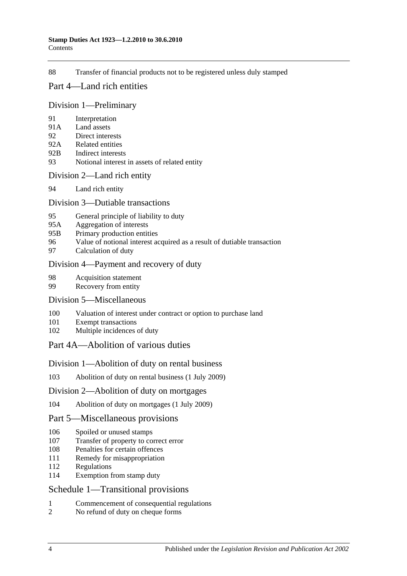88 [Transfer of financial products not to be registered unless duly stamped](#page-75-1)

### [Part 4—Land rich entities](#page-78-0)

#### [Division 1—Preliminary](#page-78-1)

- 91 [Interpretation](#page-78-2)
- 91A [Land assets](#page-80-0)
- 92 [Direct interests](#page-81-0)
- 92A [Related entities](#page-81-1)
- 92B [Indirect interests](#page-82-0)
- 93 [Notional interest in assets of related entity](#page-82-1)

#### [Division 2—Land rich entity](#page-82-2)

94 [Land rich entity](#page-82-3)

#### [Division 3—Dutiable transactions](#page-83-0)

- 95 [General principle of liability to duty](#page-83-1)
- 95A [Aggregation of interests](#page-84-0)
- 95B [Primary production entities](#page-84-1)
- 96 [Value of notional interest acquired as a result of dutiable transaction](#page-85-0)
- 97 [Calculation of duty](#page-85-1)

#### [Division 4—Payment and recovery of duty](#page-86-0)

- 98 [Acquisition statement](#page-86-1)
- 99 [Recovery from entity](#page-87-0)

#### [Division 5—Miscellaneous](#page-88-0)

- 100 [Valuation of interest under contract or option to purchase land](#page-88-1)
- 101 [Exempt transactions](#page-88-2)
- 102 [Multiple incidences of duty](#page-88-3)

## [Part 4A—Abolition of various duties](#page-90-0)

#### [Division 1—Abolition of duty on rental business](#page-90-1)

103 [Abolition of duty on rental business \(1](#page-90-2) July 2009)

#### [Division 2—Abolition of duty on mortgages](#page-90-3)

104 [Abolition of duty on mortgages \(1 July 2009\)](#page-90-4)

#### [Part 5—Miscellaneous provisions](#page-92-0)

- 106 [Spoiled or unused stamps](#page-92-1)
- 107 [Transfer of property to correct error](#page-92-2)
- 108 [Penalties for certain offences](#page-92-3)
- 111 [Remedy for misappropriation](#page-93-0)
- 112 [Regulations](#page-93-1)
- 114 [Exemption from stamp duty](#page-94-0)

## [Schedule 1—Transitional provisions](#page-96-0)

- 1 [Commencement of consequential regulations](#page-96-1)
- 2 [No refund of duty on cheque forms](#page-96-2)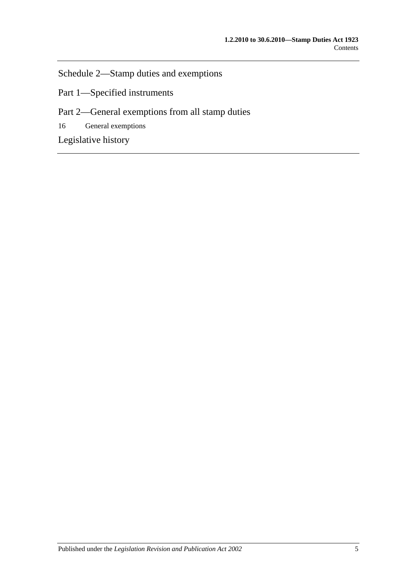[Schedule 2—Stamp duties and exemptions](#page-96-3)

Part 1—Specified instruments

Part 2—General exemptions from all stamp duties

16 [General exemptions](#page-107-0)

[Legislative history](#page-112-0)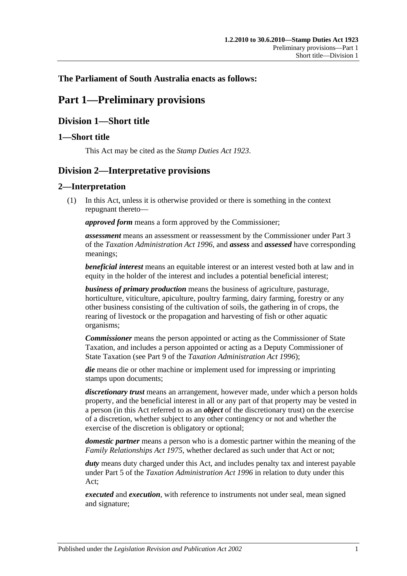## <span id="page-6-0"></span>**The Parliament of South Australia enacts as follows:**

## **Part 1—Preliminary provisions**

## <span id="page-6-1"></span>**Division 1—Short title**

## <span id="page-6-2"></span>**1—Short title**

This Act may be cited as the *Stamp Duties Act 1923*.

## <span id="page-6-3"></span>**Division 2—Interpretative provisions**

## <span id="page-6-4"></span>**2—Interpretation**

(1) In this Act, unless it is otherwise provided or there is something in the context repugnant thereto—

*approved form* means a form approved by the Commissioner;

*assessment* means an assessment or reassessment by the Commissioner under Part 3 of the *[Taxation Administration Act](http://www.legislation.sa.gov.au/index.aspx?action=legref&type=act&legtitle=Taxation%20Administration%20Act%201996) 1996*, and *assess* and *assessed* have corresponding meanings;

*beneficial interest* means an equitable interest or an interest vested both at law and in equity in the holder of the interest and includes a potential beneficial interest;

*business of primary production* means the business of agriculture, pasturage, horticulture, viticulture, apiculture, poultry farming, dairy farming, forestry or any other business consisting of the cultivation of soils, the gathering in of crops, the rearing of livestock or the propagation and harvesting of fish or other aquatic organisms;

*Commissioner* means the person appointed or acting as the Commissioner of State Taxation, and includes a person appointed or acting as a Deputy Commissioner of State Taxation (see Part 9 of the *[Taxation Administration Act](http://www.legislation.sa.gov.au/index.aspx?action=legref&type=act&legtitle=Taxation%20Administration%20Act%201996) 1996*);

*die* means die or other machine or implement used for impressing or imprinting stamps upon documents;

*discretionary trust* means an arrangement, however made, under which a person holds property, and the beneficial interest in all or any part of that property may be vested in a person (in this Act referred to as an *object* of the discretionary trust) on the exercise of a discretion, whether subject to any other contingency or not and whether the exercise of the discretion is obligatory or optional;

*domestic partner* means a person who is a domestic partner within the meaning of the *[Family Relationships Act](http://www.legislation.sa.gov.au/index.aspx?action=legref&type=act&legtitle=Family%20Relationships%20Act%201975) 1975*, whether declared as such under that Act or not;

*duty* means duty charged under this Act, and includes penalty tax and interest payable under Part 5 of the *[Taxation Administration Act](http://www.legislation.sa.gov.au/index.aspx?action=legref&type=act&legtitle=Taxation%20Administration%20Act%201996) 1996* in relation to duty under this Act;

*executed* and *execution*, with reference to instruments not under seal, mean signed and signature;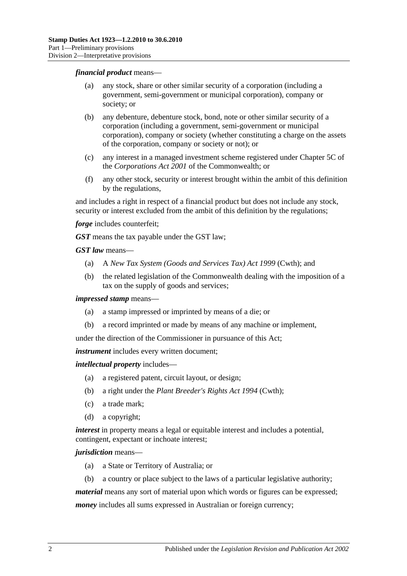#### *financial product* means—

- (a) any stock, share or other similar security of a corporation (including a government, semi-government or municipal corporation), company or society; or
- (b) any debenture, debenture stock, bond, note or other similar security of a corporation (including a government, semi-government or municipal corporation), company or society (whether constituting a charge on the assets of the corporation, company or society or not); or
- (c) any interest in a managed investment scheme registered under Chapter 5C of the *Corporations Act 2001* of the Commonwealth; or
- (f) any other stock, security or interest brought within the ambit of this definition by the regulations,

and includes a right in respect of a financial product but does not include any stock, security or interest excluded from the ambit of this definition by the regulations;

*forge* includes counterfeit;

*GST* means the tax payable under the GST law;

*GST law* means—

- (a) A *New Tax System (Goods and Services Tax) Act 1999* (Cwth); and
- (b) the related legislation of the Commonwealth dealing with the imposition of a tax on the supply of goods and services;

*impressed stamp* means—

- (a) a stamp impressed or imprinted by means of a die; or
- (b) a record imprinted or made by means of any machine or implement,

under the direction of the Commissioner in pursuance of this Act;

*instrument* includes every written document;

*intellectual property* includes—

- (a) a registered patent, circuit layout, or design;
- (b) a right under the *Plant Breeder's Rights Act 1994* (Cwth);
- (c) a trade mark;
- (d) a copyright;

*interest* in property means a legal or equitable interest and includes a potential, contingent, expectant or inchoate interest;

#### *jurisdiction* means—

- (a) a State or Territory of Australia; or
- (b) a country or place subject to the laws of a particular legislative authority;

*material* means any sort of material upon which words or figures can be expressed;

*money* includes all sums expressed in Australian or foreign currency;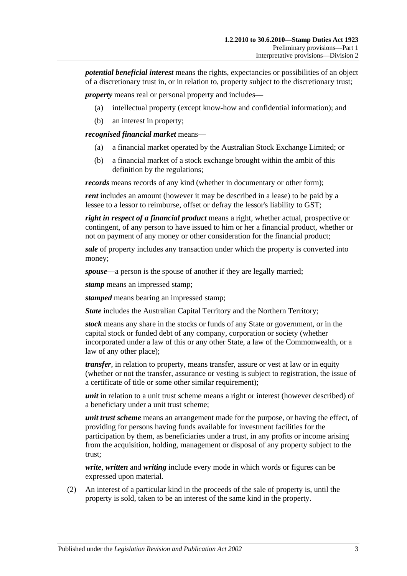*potential beneficial interest* means the rights, expectancies or possibilities of an object of a discretionary trust in, or in relation to, property subject to the discretionary trust;

*property* means real or personal property and includes—

- (a) intellectual property (except know-how and confidential information); and
- (b) an interest in property;

*recognised financial market* means—

- (a) a financial market operated by the Australian Stock Exchange Limited; or
- (b) a financial market of a stock exchange brought within the ambit of this definition by the regulations;

*records* means records of any kind (whether in documentary or other form);

*rent* includes an amount (however it may be described in a lease) to be paid by a lessee to a lessor to reimburse, offset or defray the lessor's liability to GST;

*right in respect of a financial product* means a right, whether actual, prospective or contingent, of any person to have issued to him or her a financial product, whether or not on payment of any money or other consideration for the financial product;

*sale* of property includes any transaction under which the property is converted into money;

*spouse*—a person is the spouse of another if they are legally married;

*stamp* means an impressed stamp;

*stamped* means bearing an impressed stamp;

*State* includes the Australian Capital Territory and the Northern Territory;

*stock* means any share in the stocks or funds of any State or government, or in the capital stock or funded debt of any company, corporation or society (whether incorporated under a law of this or any other State, a law of the Commonwealth, or a law of any other place);

*transfer*, in relation to property, means transfer, assure or vest at law or in equity (whether or not the transfer, assurance or vesting is subject to registration, the issue of a certificate of title or some other similar requirement);

*unit* in relation to a unit trust scheme means a right or interest (however described) of a beneficiary under a unit trust scheme;

*unit trust scheme* means an arrangement made for the purpose, or having the effect, of providing for persons having funds available for investment facilities for the participation by them, as beneficiaries under a trust, in any profits or income arising from the acquisition, holding, management or disposal of any property subject to the trust;

*write*, *written* and *writing* include every mode in which words or figures can be expressed upon material.

(2) An interest of a particular kind in the proceeds of the sale of property is, until the property is sold, taken to be an interest of the same kind in the property.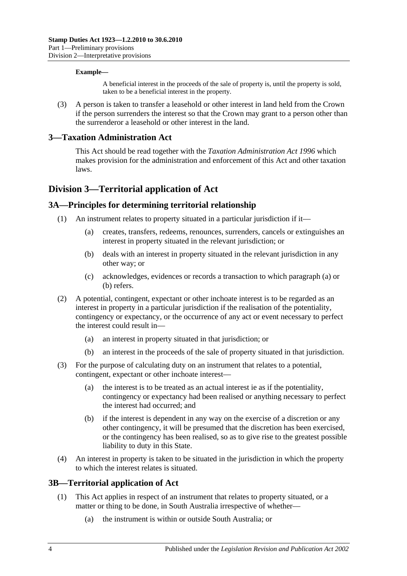#### **Example—**

A beneficial interest in the proceeds of the sale of property is, until the property is sold, taken to be a beneficial interest in the property.

(3) A person is taken to transfer a leasehold or other interest in land held from the Crown if the person surrenders the interest so that the Crown may grant to a person other than the surrenderor a leasehold or other interest in the land.

### <span id="page-9-0"></span>**3—Taxation Administration Act**

This Act should be read together with the *[Taxation Administration Act](http://www.legislation.sa.gov.au/index.aspx?action=legref&type=act&legtitle=Taxation%20Administration%20Act%201996) 1996* which makes provision for the administration and enforcement of this Act and other taxation laws.

## <span id="page-9-1"></span>**Division 3—Territorial application of Act**

## <span id="page-9-2"></span>**3A—Principles for determining territorial relationship**

- <span id="page-9-5"></span><span id="page-9-4"></span>(1) An instrument relates to property situated in a particular jurisdiction if it—
	- (a) creates, transfers, redeems, renounces, surrenders, cancels or extinguishes an interest in property situated in the relevant jurisdiction; or
	- (b) deals with an interest in property situated in the relevant jurisdiction in any other way; or
	- (c) acknowledges, evidences or records a transaction to which [paragraph](#page-9-4) (a) or [\(b\)](#page-9-5) refers.
- (2) A potential, contingent, expectant or other inchoate interest is to be regarded as an interest in property in a particular jurisdiction if the realisation of the potentiality, contingency or expectancy, or the occurrence of any act or event necessary to perfect the interest could result in—
	- (a) an interest in property situated in that jurisdiction; or
	- (b) an interest in the proceeds of the sale of property situated in that jurisdiction.
- (3) For the purpose of calculating duty on an instrument that relates to a potential, contingent, expectant or other inchoate interest-
	- (a) the interest is to be treated as an actual interest ie as if the potentiality, contingency or expectancy had been realised or anything necessary to perfect the interest had occurred; and
	- (b) if the interest is dependent in any way on the exercise of a discretion or any other contingency, it will be presumed that the discretion has been exercised, or the contingency has been realised, so as to give rise to the greatest possible liability to duty in this State.
- (4) An interest in property is taken to be situated in the jurisdiction in which the property to which the interest relates is situated.

#### <span id="page-9-3"></span>**3B—Territorial application of Act**

- (1) This Act applies in respect of an instrument that relates to property situated, or a matter or thing to be done, in South Australia irrespective of whether—
	- (a) the instrument is within or outside South Australia; or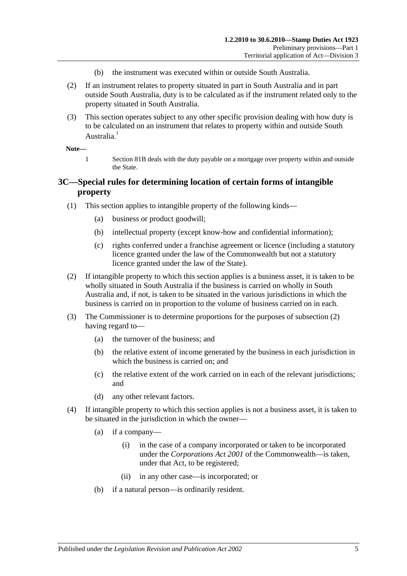- (b) the instrument was executed within or outside South Australia.
- (2) If an instrument relates to property situated in part in South Australia and in part outside South Australia, duty is to be calculated as if the instrument related only to the property situated in South Australia.
- (3) This section operates subject to any other specific provision dealing with how duty is to be calculated on an instrument that relates to property within and outside South Australia.<sup>1</sup>

#### **Note—**

1 [Section](#page-70-2) 81B deals with the duty payable on a mortgage over property within and outside the State.

## <span id="page-10-0"></span>**3C—Special rules for determining location of certain forms of intangible property**

- (1) This section applies to intangible property of the following kinds—
	- (a) business or product goodwill;
	- (b) intellectual property (except know-how and confidential information);
	- (c) rights conferred under a franchise agreement or licence (including a statutory licence granted under the law of the Commonwealth but not a statutory licence granted under the law of the State).
- <span id="page-10-1"></span>(2) If intangible property to which this section applies is a business asset, it is taken to be wholly situated in South Australia if the business is carried on wholly in South Australia and, if not, is taken to be situated in the various jurisdictions in which the business is carried on in proportion to the volume of business carried on in each.
- (3) The Commissioner is to determine proportions for the purposes of [subsection](#page-10-1) (2) having regard to—
	- (a) the turnover of the business; and
	- (b) the relative extent of income generated by the business in each jurisdiction in which the business is carried on; and
	- (c) the relative extent of the work carried on in each of the relevant jurisdictions; and
	- (d) any other relevant factors.
- (4) If intangible property to which this section applies is not a business asset, it is taken to be situated in the jurisdiction in which the owner—
	- (a) if a company—
		- (i) in the case of a company incorporated or taken to be incorporated under the *Corporations Act 2001* of the Commonwealth—is taken, under that Act, to be registered;
		- (ii) in any other case—is incorporated; or
	- (b) if a natural person—is ordinarily resident.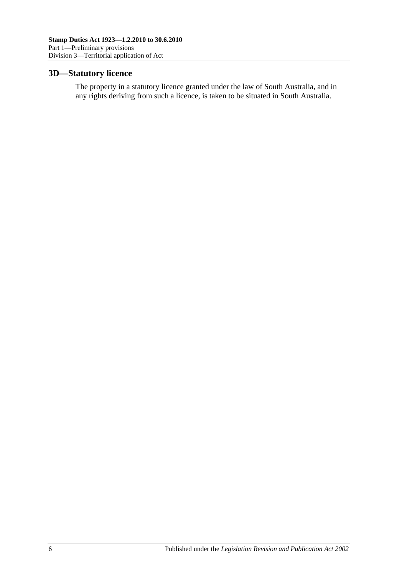## <span id="page-11-0"></span>**3D—Statutory licence**

The property in a statutory licence granted under the law of South Australia, and in any rights deriving from such a licence, is taken to be situated in South Australia.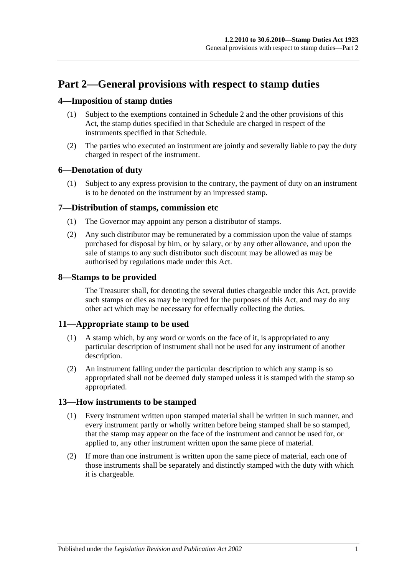## <span id="page-12-0"></span>**Part 2—General provisions with respect to stamp duties**

## <span id="page-12-1"></span>**4—Imposition of stamp duties**

- (1) Subject to the exemptions contained in [Schedule 2](#page-96-3) and the other provisions of this Act, the stamp duties specified in that Schedule are charged in respect of the instruments specified in that Schedule.
- (2) The parties who executed an instrument are jointly and severally liable to pay the duty charged in respect of the instrument.

## <span id="page-12-2"></span>**6—Denotation of duty**

(1) Subject to any express provision to the contrary, the payment of duty on an instrument is to be denoted on the instrument by an impressed stamp.

## <span id="page-12-3"></span>**7—Distribution of stamps, commission etc**

- (1) The Governor may appoint any person a distributor of stamps.
- (2) Any such distributor may be remunerated by a commission upon the value of stamps purchased for disposal by him, or by salary, or by any other allowance, and upon the sale of stamps to any such distributor such discount may be allowed as may be authorised by regulations made under this Act.

## <span id="page-12-4"></span>**8—Stamps to be provided**

The Treasurer shall, for denoting the several duties chargeable under this Act, provide such stamps or dies as may be required for the purposes of this Act, and may do any other act which may be necessary for effectually collecting the duties.

## <span id="page-12-5"></span>**11—Appropriate stamp to be used**

- (1) A stamp which, by any word or words on the face of it, is appropriated to any particular description of instrument shall not be used for any instrument of another description.
- (2) An instrument falling under the particular description to which any stamp is so appropriated shall not be deemed duly stamped unless it is stamped with the stamp so appropriated.

## <span id="page-12-6"></span>**13—How instruments to be stamped**

- (1) Every instrument written upon stamped material shall be written in such manner, and every instrument partly or wholly written before being stamped shall be so stamped, that the stamp may appear on the face of the instrument and cannot be used for, or applied to, any other instrument written upon the same piece of material.
- (2) If more than one instrument is written upon the same piece of material, each one of those instruments shall be separately and distinctly stamped with the duty with which it is chargeable.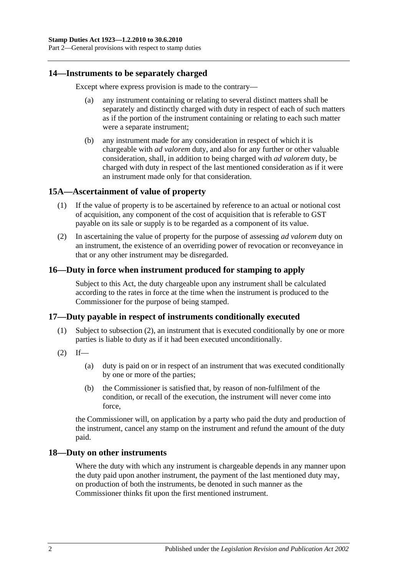Part 2—General provisions with respect to stamp duties

#### <span id="page-13-0"></span>**14—Instruments to be separately charged**

Except where express provision is made to the contrary—

- (a) any instrument containing or relating to several distinct matters shall be separately and distinctly charged with duty in respect of each of such matters as if the portion of the instrument containing or relating to each such matter were a separate instrument;
- (b) any instrument made for any consideration in respect of which it is chargeable with *ad valorem* duty, and also for any further or other valuable consideration, shall, in addition to being charged with *ad valorem* duty, be charged with duty in respect of the last mentioned consideration as if it were an instrument made only for that consideration.

### <span id="page-13-1"></span>**15A—Ascertainment of value of property**

- (1) If the value of property is to be ascertained by reference to an actual or notional cost of acquisition, any component of the cost of acquisition that is referable to GST payable on its sale or supply is to be regarded as a component of its value.
- (2) In ascertaining the value of property for the purpose of assessing *ad valorem* duty on an instrument, the existence of an overriding power of revocation or reconveyance in that or any other instrument may be disregarded.

## <span id="page-13-2"></span>**16—Duty in force when instrument produced for stamping to apply**

Subject to this Act, the duty chargeable upon any instrument shall be calculated according to the rates in force at the time when the instrument is produced to the Commissioner for the purpose of being stamped.

#### <span id="page-13-3"></span>**17—Duty payable in respect of instruments conditionally executed**

- (1) Subject to [subsection](#page-13-5) (2), an instrument that is executed conditionally by one or more parties is liable to duty as if it had been executed unconditionally.
- <span id="page-13-5"></span> $(2)$  If—
	- (a) duty is paid on or in respect of an instrument that was executed conditionally by one or more of the parties;
	- (b) the Commissioner is satisfied that, by reason of non-fulfilment of the condition, or recall of the execution, the instrument will never come into force,

the Commissioner will, on application by a party who paid the duty and production of the instrument, cancel any stamp on the instrument and refund the amount of the duty paid.

#### <span id="page-13-4"></span>**18—Duty on other instruments**

Where the duty with which any instrument is chargeable depends in any manner upon the duty paid upon another instrument, the payment of the last mentioned duty may, on production of both the instruments, be denoted in such manner as the Commissioner thinks fit upon the first mentioned instrument.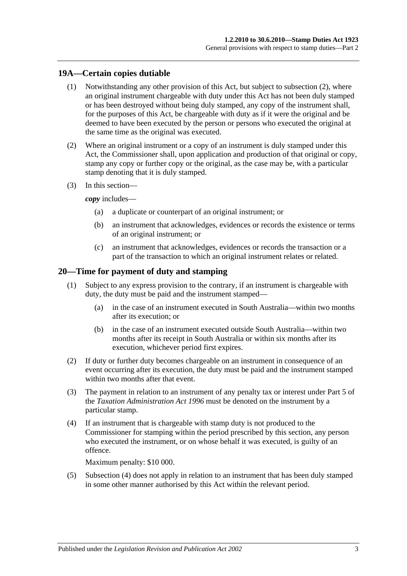## <span id="page-14-0"></span>**19A—Certain copies dutiable**

- (1) Notwithstanding any other provision of this Act, but subject to [subsection](#page-14-2) (2), where an original instrument chargeable with duty under this Act has not been duly stamped or has been destroyed without being duly stamped, any copy of the instrument shall, for the purposes of this Act, be chargeable with duty as if it were the original and be deemed to have been executed by the person or persons who executed the original at the same time as the original was executed.
- <span id="page-14-2"></span>(2) Where an original instrument or a copy of an instrument is duly stamped under this Act, the Commissioner shall, upon application and production of that original or copy, stamp any copy or further copy or the original, as the case may be, with a particular stamp denoting that it is duly stamped.
- (3) In this section—

*copy* includes—

- (a) a duplicate or counterpart of an original instrument; or
- (b) an instrument that acknowledges, evidences or records the existence or terms of an original instrument; or
- (c) an instrument that acknowledges, evidences or records the transaction or a part of the transaction to which an original instrument relates or related.

### <span id="page-14-1"></span>**20—Time for payment of duty and stamping**

- (1) Subject to any express provision to the contrary, if an instrument is chargeable with duty, the duty must be paid and the instrument stamped—
	- (a) in the case of an instrument executed in South Australia—within two months after its execution; or
	- (b) in the case of an instrument executed outside South Australia—within two months after its receipt in South Australia or within six months after its execution, whichever period first expires.
- (2) If duty or further duty becomes chargeable on an instrument in consequence of an event occurring after its execution, the duty must be paid and the instrument stamped within two months after that event.
- (3) The payment in relation to an instrument of any penalty tax or interest under Part 5 of the *[Taxation Administration Act](http://www.legislation.sa.gov.au/index.aspx?action=legref&type=act&legtitle=Taxation%20Administration%20Act%201996) 1996* must be denoted on the instrument by a particular stamp.
- <span id="page-14-3"></span>(4) If an instrument that is chargeable with stamp duty is not produced to the Commissioner for stamping within the period prescribed by this section, any person who executed the instrument, or on whose behalf it was executed, is guilty of an offence.

Maximum penalty: \$10 000.

(5) [Subsection](#page-14-3) (4) does not apply in relation to an instrument that has been duly stamped in some other manner authorised by this Act within the relevant period.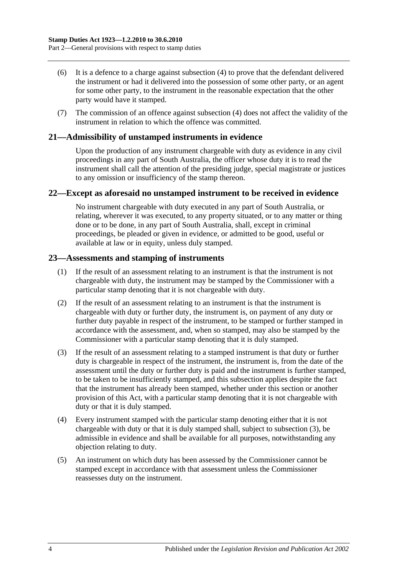- (6) It is a defence to a charge against [subsection](#page-14-3) (4) to prove that the defendant delivered the instrument or had it delivered into the possession of some other party, or an agent for some other party, to the instrument in the reasonable expectation that the other party would have it stamped.
- (7) The commission of an offence against [subsection](#page-14-3) (4) does not affect the validity of the instrument in relation to which the offence was committed.

## <span id="page-15-0"></span>**21—Admissibility of unstamped instruments in evidence**

Upon the production of any instrument chargeable with duty as evidence in any civil proceedings in any part of South Australia, the officer whose duty it is to read the instrument shall call the attention of the presiding judge, special magistrate or justices to any omission or insufficiency of the stamp thereon.

#### <span id="page-15-1"></span>**22—Except as aforesaid no unstamped instrument to be received in evidence**

No instrument chargeable with duty executed in any part of South Australia, or relating, wherever it was executed, to any property situated, or to any matter or thing done or to be done, in any part of South Australia, shall, except in criminal proceedings, be pleaded or given in evidence, or admitted to be good, useful or available at law or in equity, unless duly stamped.

### <span id="page-15-2"></span>**23—Assessments and stamping of instruments**

- (1) If the result of an assessment relating to an instrument is that the instrument is not chargeable with duty, the instrument may be stamped by the Commissioner with a particular stamp denoting that it is not chargeable with duty.
- (2) If the result of an assessment relating to an instrument is that the instrument is chargeable with duty or further duty, the instrument is, on payment of any duty or further duty payable in respect of the instrument, to be stamped or further stamped in accordance with the assessment, and, when so stamped, may also be stamped by the Commissioner with a particular stamp denoting that it is duly stamped.
- <span id="page-15-3"></span>(3) If the result of an assessment relating to a stamped instrument is that duty or further duty is chargeable in respect of the instrument, the instrument is, from the date of the assessment until the duty or further duty is paid and the instrument is further stamped, to be taken to be insufficiently stamped, and this subsection applies despite the fact that the instrument has already been stamped, whether under this section or another provision of this Act, with a particular stamp denoting that it is not chargeable with duty or that it is duly stamped.
- (4) Every instrument stamped with the particular stamp denoting either that it is not chargeable with duty or that it is duly stamped shall, subject to [subsection](#page-15-3) (3), be admissible in evidence and shall be available for all purposes, notwithstanding any objection relating to duty.
- (5) An instrument on which duty has been assessed by the Commissioner cannot be stamped except in accordance with that assessment unless the Commissioner reassesses duty on the instrument.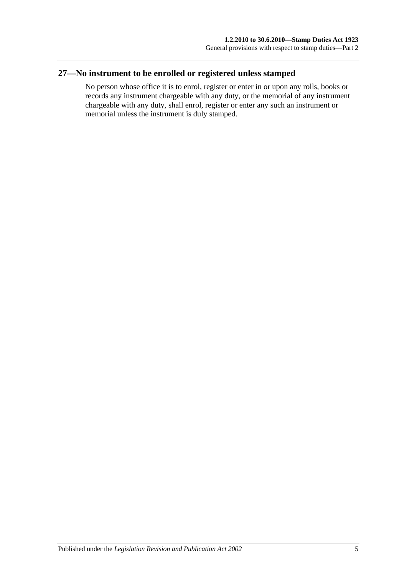## <span id="page-16-0"></span>**27—No instrument to be enrolled or registered unless stamped**

No person whose office it is to enrol, register or enter in or upon any rolls, books or records any instrument chargeable with any duty, or the memorial of any instrument chargeable with any duty, shall enrol, register or enter any such an instrument or memorial unless the instrument is duly stamped.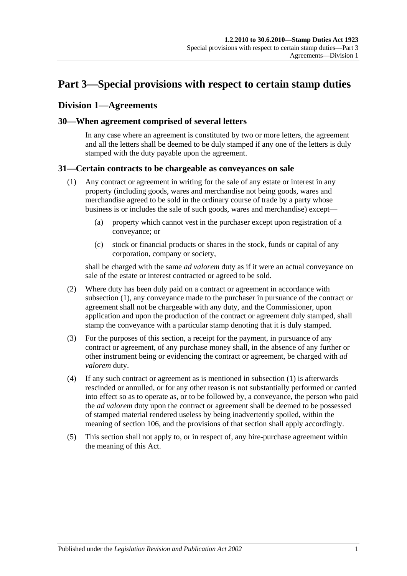## <span id="page-18-0"></span>**Part 3—Special provisions with respect to certain stamp duties**

## <span id="page-18-1"></span>**Division 1—Agreements**

### <span id="page-18-2"></span>**30—When agreement comprised of several letters**

In any case where an agreement is constituted by two or more letters, the agreement and all the letters shall be deemed to be duly stamped if any one of the letters is duly stamped with the duty payable upon the agreement.

#### <span id="page-18-4"></span><span id="page-18-3"></span>**31—Certain contracts to be chargeable as conveyances on sale**

- (1) Any contract or agreement in writing for the sale of any estate or interest in any property (including goods, wares and merchandise not being goods, wares and merchandise agreed to be sold in the ordinary course of trade by a party whose business is or includes the sale of such goods, wares and merchandise) except—
	- (a) property which cannot vest in the purchaser except upon registration of a conveyance; or
	- (c) stock or financial products or shares in the stock, funds or capital of any corporation, company or society,

shall be charged with the same *ad valorem* duty as if it were an actual conveyance on sale of the estate or interest contracted or agreed to be sold.

- (2) Where duty has been duly paid on a contract or agreement in accordance with [subsection](#page-18-4) (1), any conveyance made to the purchaser in pursuance of the contract or agreement shall not be chargeable with any duty, and the Commissioner, upon application and upon the production of the contract or agreement duly stamped, shall stamp the conveyance with a particular stamp denoting that it is duly stamped.
- (3) For the purposes of this section, a receipt for the payment, in pursuance of any contract or agreement, of any purchase money shall, in the absence of any further or other instrument being or evidencing the contract or agreement, be charged with *ad valorem* duty.
- (4) If any such contract or agreement as is mentioned in [subsection](#page-18-4) (1) is afterwards rescinded or annulled, or for any other reason is not substantially performed or carried into effect so as to operate as, or to be followed by, a conveyance, the person who paid the *ad valorem* duty upon the contract or agreement shall be deemed to be possessed of stamped material rendered useless by being inadvertently spoiled, within the meaning of [section](#page-92-1) 106, and the provisions of that section shall apply accordingly.
- (5) This section shall not apply to, or in respect of, any hire-purchase agreement within the meaning of this Act.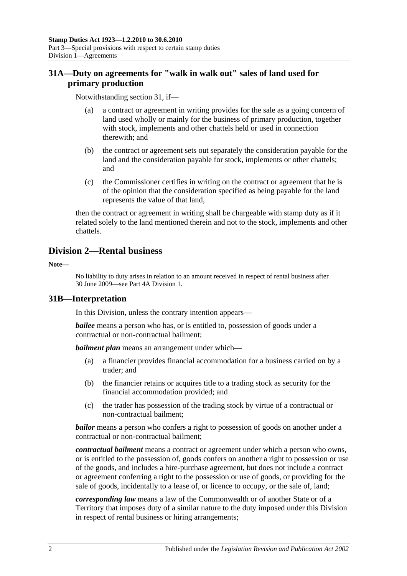## <span id="page-19-0"></span>**31A—Duty on agreements for "walk in walk out" sales of land used for primary production**

Notwithstanding [section](#page-18-3) 31, if—

- (a) a contract or agreement in writing provides for the sale as a going concern of land used wholly or mainly for the business of primary production, together with stock, implements and other chattels held or used in connection therewith; and
- (b) the contract or agreement sets out separately the consideration payable for the land and the consideration payable for stock, implements or other chattels; and
- (c) the Commissioner certifies in writing on the contract or agreement that he is of the opinion that the consideration specified as being payable for the land represents the value of that land,

then the contract or agreement in writing shall be chargeable with stamp duty as if it related solely to the land mentioned therein and not to the stock, implements and other chattels.

## <span id="page-19-1"></span>**Division 2—Rental business**

**Note—**

No liability to duty arises in relation to an amount received in respect of rental business after 30 June 2009—see [Part 4A Division 1.](#page-90-1)

## <span id="page-19-2"></span>**31B—Interpretation**

In this Division, unless the contrary intention appears—

*bailee* means a person who has, or is entitled to, possession of goods under a contractual or non-contractual bailment;

*bailment plan* means an arrangement under which—

- (a) a financier provides financial accommodation for a business carried on by a trader; and
- (b) the financier retains or acquires title to a trading stock as security for the financial accommodation provided; and
- (c) the trader has possession of the trading stock by virtue of a contractual or non-contractual bailment;

*bailor* means a person who confers a right to possession of goods on another under a contractual or non-contractual bailment;

*contractual bailment* means a contract or agreement under which a person who owns, or is entitled to the possession of, goods confers on another a right to possession or use of the goods, and includes a hire-purchase agreement, but does not include a contract or agreement conferring a right to the possession or use of goods, or providing for the sale of goods, incidentally to a lease of, or licence to occupy, or the sale of, land;

*corresponding law* means a law of the Commonwealth or of another State or of a Territory that imposes duty of a similar nature to the duty imposed under this Division in respect of rental business or hiring arrangements;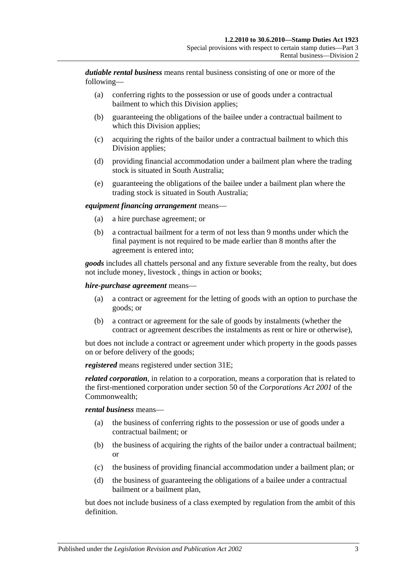*dutiable rental business* means rental business consisting of one or more of the following—

- (a) conferring rights to the possession or use of goods under a contractual bailment to which this Division applies;
- (b) guaranteeing the obligations of the bailee under a contractual bailment to which this Division applies;
- (c) acquiring the rights of the bailor under a contractual bailment to which this Division applies;
- (d) providing financial accommodation under a bailment plan where the trading stock is situated in South Australia;
- (e) guaranteeing the obligations of the bailee under a bailment plan where the trading stock is situated in South Australia;

#### *equipment financing arrangement* means—

- (a) a hire purchase agreement; or
- (b) a contractual bailment for a term of not less than 9 months under which the final payment is not required to be made earlier than 8 months after the agreement is entered into;

*goods* includes all chattels personal and any fixture severable from the realty, but does not include money, livestock , things in action or books;

#### *hire-purchase agreement* means—

- (a) a contract or agreement for the letting of goods with an option to purchase the goods; or
- (b) a contract or agreement for the sale of goods by instalments (whether the contract or agreement describes the instalments as rent or hire or otherwise),

but does not include a contract or agreement under which property in the goods passes on or before delivery of the goods;

*registered* means registered under [section](#page-21-2) 31E;

*related corporation*, in relation to a corporation, means a corporation that is related to the first-mentioned corporation under section 50 of the *Corporations Act 2001* of the Commonwealth;

#### *rental business* means—

- (a) the business of conferring rights to the possession or use of goods under a contractual bailment; or
- (b) the business of acquiring the rights of the bailor under a contractual bailment; or
- (c) the business of providing financial accommodation under a bailment plan; or
- (d) the business of guaranteeing the obligations of a bailee under a contractual bailment or a bailment plan,

but does not include business of a class exempted by regulation from the ambit of this definition.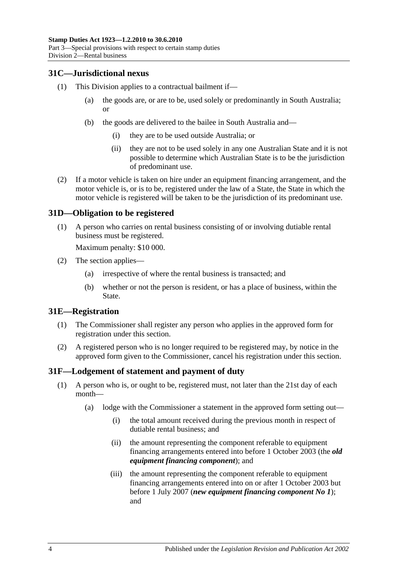## <span id="page-21-0"></span>**31C—Jurisdictional nexus**

- (1) This Division applies to a contractual bailment if—
	- (a) the goods are, or are to be, used solely or predominantly in South Australia; or
	- (b) the goods are delivered to the bailee in South Australia and—
		- (i) they are to be used outside Australia; or
		- (ii) they are not to be used solely in any one Australian State and it is not possible to determine which Australian State is to be the jurisdiction of predominant use.
- (2) If a motor vehicle is taken on hire under an equipment financing arrangement, and the motor vehicle is, or is to be, registered under the law of a State, the State in which the motor vehicle is registered will be taken to be the jurisdiction of its predominant use.

## <span id="page-21-1"></span>**31D—Obligation to be registered**

(1) A person who carries on rental business consisting of or involving dutiable rental business must be registered.

Maximum penalty: \$10 000.

- (2) The section applies—
	- (a) irrespective of where the rental business is transacted; and
	- (b) whether or not the person is resident, or has a place of business, within the State.

## <span id="page-21-2"></span>**31E—Registration**

- (1) The Commissioner shall register any person who applies in the approved form for registration under this section.
- (2) A registered person who is no longer required to be registered may, by notice in the approved form given to the Commissioner, cancel his registration under this section.

## <span id="page-21-4"></span><span id="page-21-3"></span>**31F—Lodgement of statement and payment of duty**

- (1) A person who is, or ought to be, registered must, not later than the 21st day of each month—
	- (a) lodge with the Commissioner a statement in the approved form setting out—
		- (i) the total amount received during the previous month in respect of dutiable rental business; and
		- (ii) the amount representing the component referable to equipment financing arrangements entered into before 1 October 2003 (the *old equipment financing component*); and
		- (iii) the amount representing the component referable to equipment financing arrangements entered into on or after 1 October 2003 but before 1 July 2007 (*new equipment financing component No 1*); and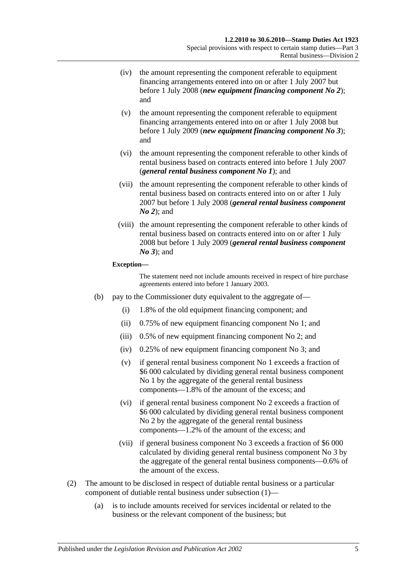- (iv) the amount representing the component referable to equipment financing arrangements entered into on or after 1 July 2007 but before 1 July 2008 (*new equipment financing component No 2*); and
- (v) the amount representing the component referable to equipment financing arrangements entered into on or after 1 July 2008 but before 1 July 2009 (*new equipment financing component No 3*); and
- (vi) the amount representing the component referable to other kinds of rental business based on contracts entered into before 1 July 2007 (*general rental business component No 1*); and
- (vii) the amount representing the component referable to other kinds of rental business based on contracts entered into on or after 1 July 2007 but before 1 July 2008 (*general rental business component No 2*); and
- (viii) the amount representing the component referable to other kinds of rental business based on contracts entered into on or after 1 July 2008 but before 1 July 2009 (*general rental business component No 3*); and

#### **Exception—**

The statement need not include amounts received in respect of hire purchase agreements entered into before 1 January 2003.

- (b) pay to the Commissioner duty equivalent to the aggregate of—
	- (i) 1.8% of the old equipment financing component; and
	- (ii) 0.75% of new equipment financing component No 1; and
	- (iii) 0.5% of new equipment financing component No 2; and
	- (iv) 0.25% of new equipment financing component No 3; and
	- (v) if general rental business component No 1 exceeds a fraction of \$6 000 calculated by dividing general rental business component No 1 by the aggregate of the general rental business components—1.8% of the amount of the excess; and
	- (vi) if general rental business component No 2 exceeds a fraction of \$6 000 calculated by dividing general rental business component No 2 by the aggregate of the general rental business components—1.2% of the amount of the excess; and
	- (vii) if general business component No 3 exceeds a fraction of \$6 000 calculated by dividing general rental business component No 3 by the aggregate of the general rental business components—0.6% of the amount of the excess.
- (2) The amount to be disclosed in respect of dutiable rental business or a particular component of dutiable rental business under [subsection](#page-21-4) (1)—
	- (a) is to include amounts received for services incidental or related to the business or the relevant component of the business; but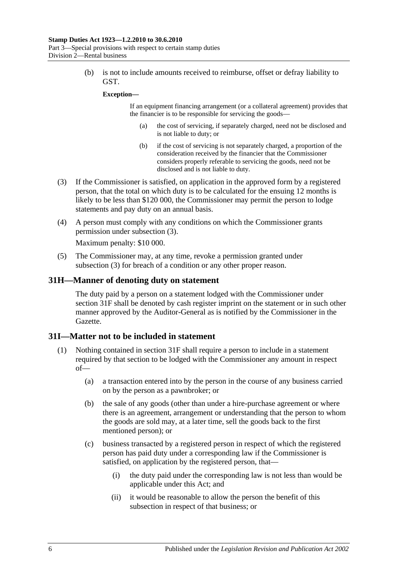(b) is not to include amounts received to reimburse, offset or defray liability to GST.

#### **Exception—**

If an equipment financing arrangement (or a collateral agreement) provides that the financier is to be responsible for servicing the goods—

- (a) the cost of servicing, if separately charged, need not be disclosed and is not liable to duty; or
- (b) if the cost of servicing is not separately charged, a proportion of the consideration received by the financier that the Commissioner considers properly referable to servicing the goods, need not be disclosed and is not liable to duty.
- <span id="page-23-2"></span>(3) If the Commissioner is satisfied, on application in the approved form by a registered person, that the total on which duty is to be calculated for the ensuing 12 months is likely to be less than \$120 000, the Commissioner may permit the person to lodge statements and pay duty on an annual basis.
- (4) A person must comply with any conditions on which the Commissioner grants permission under [subsection](#page-23-2) (3).

Maximum penalty: \$10 000.

(5) The Commissioner may, at any time, revoke a permission granted under [subsection](#page-23-2) (3) for breach of a condition or any other proper reason.

### <span id="page-23-0"></span>**31H—Manner of denoting duty on statement**

The duty paid by a person on a statement lodged with the Commissioner under [section](#page-21-3) 31F shall be denoted by cash register imprint on the statement or in such other manner approved by the Auditor-General as is notified by the Commissioner in the Gazette.

#### <span id="page-23-1"></span>**31I—Matter not to be included in statement**

- <span id="page-23-3"></span>(1) Nothing contained in [section](#page-21-3) 31F shall require a person to include in a statement required by that section to be lodged with the Commissioner any amount in respect of—
	- (a) a transaction entered into by the person in the course of any business carried on by the person as a pawnbroker; or
	- (b) the sale of any goods (other than under a hire-purchase agreement or where there is an agreement, arrangement or understanding that the person to whom the goods are sold may, at a later time, sell the goods back to the first mentioned person); or
	- (c) business transacted by a registered person in respect of which the registered person has paid duty under a corresponding law if the Commissioner is satisfied, on application by the registered person, that—
		- (i) the duty paid under the corresponding law is not less than would be applicable under this Act; and
		- (ii) it would be reasonable to allow the person the benefit of this subsection in respect of that business; or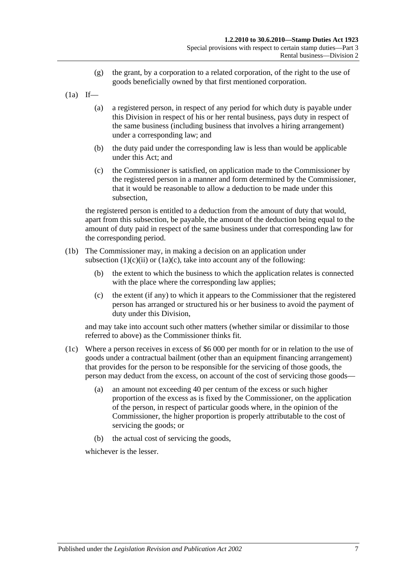- (g) the grant, by a corporation to a related corporation, of the right to the use of goods beneficially owned by that first mentioned corporation.
- $(1a)$  If—
	- (a) a registered person, in respect of any period for which duty is payable under this Division in respect of his or her rental business, pays duty in respect of the same business (including business that involves a hiring arrangement) under a corresponding law; and
	- (b) the duty paid under the corresponding law is less than would be applicable under this Act; and
	- (c) the Commissioner is satisfied, on application made to the Commissioner by the registered person in a manner and form determined by the Commissioner, that it would be reasonable to allow a deduction to be made under this subsection,

<span id="page-24-0"></span>the registered person is entitled to a deduction from the amount of duty that would, apart from this subsection, be payable, the amount of the deduction being equal to the amount of duty paid in respect of the same business under that corresponding law for the corresponding period.

- (1b) The Commissioner may, in making a decision on an application under [subsection](#page-23-3)  $(1)(c)(ii)$  or  $(1a)(c)$ , take into account any of the following:
	- (b) the extent to which the business to which the application relates is connected with the place where the corresponding law applies:
	- (c) the extent (if any) to which it appears to the Commissioner that the registered person has arranged or structured his or her business to avoid the payment of duty under this Division,

and may take into account such other matters (whether similar or dissimilar to those referred to above) as the Commissioner thinks fit.

- (1c) Where a person receives in excess of \$6 000 per month for or in relation to the use of goods under a contractual bailment (other than an equipment financing arrangement) that provides for the person to be responsible for the servicing of those goods, the person may deduct from the excess, on account of the cost of servicing those goods—
	- (a) an amount not exceeding 40 per centum of the excess or such higher proportion of the excess as is fixed by the Commissioner, on the application of the person, in respect of particular goods where, in the opinion of the Commissioner, the higher proportion is properly attributable to the cost of servicing the goods; or
	- (b) the actual cost of servicing the goods,

whichever is the lesser.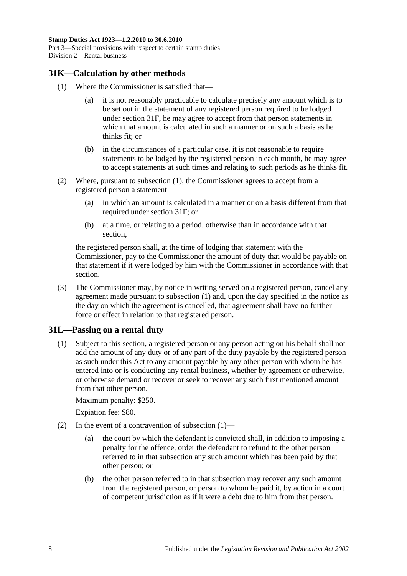## <span id="page-25-2"></span><span id="page-25-0"></span>**31K—Calculation by other methods**

- (1) Where the Commissioner is satisfied that—
	- (a) it is not reasonably practicable to calculate precisely any amount which is to be set out in the statement of any registered person required to be lodged under [section](#page-21-3) 31F, he may agree to accept from that person statements in which that amount is calculated in such a manner or on such a basis as he thinks fit; or
	- (b) in the circumstances of a particular case, it is not reasonable to require statements to be lodged by the registered person in each month, he may agree to accept statements at such times and relating to such periods as he thinks fit.
- (2) Where, pursuant to [subsection](#page-25-2) (1), the Commissioner agrees to accept from a registered person a statement—
	- (a) in which an amount is calculated in a manner or on a basis different from that required under [section](#page-21-3) 31F; or
	- (b) at a time, or relating to a period, otherwise than in accordance with that section,

the registered person shall, at the time of lodging that statement with the Commissioner, pay to the Commissioner the amount of duty that would be payable on that statement if it were lodged by him with the Commissioner in accordance with that section.

(3) The Commissioner may, by notice in writing served on a registered person, cancel any agreement made pursuant to [subsection](#page-25-2) (1) and, upon the day specified in the notice as the day on which the agreement is cancelled, that agreement shall have no further force or effect in relation to that registered person.

## <span id="page-25-3"></span><span id="page-25-1"></span>**31L—Passing on a rental duty**

(1) Subject to this section, a registered person or any person acting on his behalf shall not add the amount of any duty or of any part of the duty payable by the registered person as such under this Act to any amount payable by any other person with whom he has entered into or is conducting any rental business, whether by agreement or otherwise, or otherwise demand or recover or seek to recover any such first mentioned amount from that other person.

Maximum penalty: \$250.

Expiation fee: \$80.

- (2) In the event of a contravention of [subsection](#page-25-3)  $(1)$ 
	- (a) the court by which the defendant is convicted shall, in addition to imposing a penalty for the offence, order the defendant to refund to the other person referred to in that subsection any such amount which has been paid by that other person; or
	- (b) the other person referred to in that subsection may recover any such amount from the registered person, or person to whom he paid it, by action in a court of competent jurisdiction as if it were a debt due to him from that person.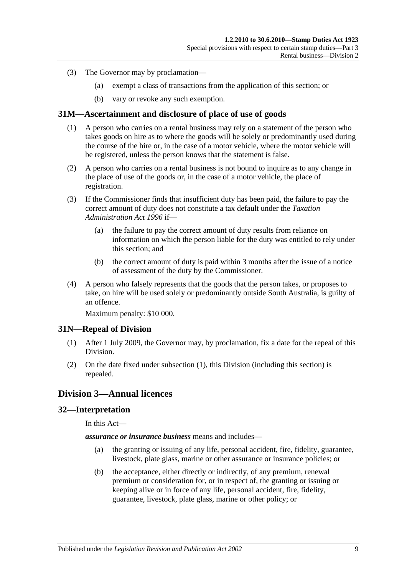- (3) The Governor may by proclamation—
	- (a) exempt a class of transactions from the application of this section; or
	- (b) vary or revoke any such exemption.

### <span id="page-26-0"></span>**31M—Ascertainment and disclosure of place of use of goods**

- (1) A person who carries on a rental business may rely on a statement of the person who takes goods on hire as to where the goods will be solely or predominantly used during the course of the hire or, in the case of a motor vehicle, where the motor vehicle will be registered, unless the person knows that the statement is false.
- (2) A person who carries on a rental business is not bound to inquire as to any change in the place of use of the goods or, in the case of a motor vehicle, the place of registration.
- (3) If the Commissioner finds that insufficient duty has been paid, the failure to pay the correct amount of duty does not constitute a tax default under the *[Taxation](http://www.legislation.sa.gov.au/index.aspx?action=legref&type=act&legtitle=Taxation%20Administration%20Act%201996)  [Administration Act](http://www.legislation.sa.gov.au/index.aspx?action=legref&type=act&legtitle=Taxation%20Administration%20Act%201996) 1996* if—
	- (a) the failure to pay the correct amount of duty results from reliance on information on which the person liable for the duty was entitled to rely under this section; and
	- (b) the correct amount of duty is paid within 3 months after the issue of a notice of assessment of the duty by the Commissioner.
- (4) A person who falsely represents that the goods that the person takes, or proposes to take, on hire will be used solely or predominantly outside South Australia, is guilty of an offence.

Maximum penalty: \$10 000.

## <span id="page-26-4"></span><span id="page-26-1"></span>**31N—Repeal of Division**

- (1) After 1 July 2009, the Governor may, by proclamation, fix a date for the repeal of this Division.
- (2) On the date fixed under [subsection](#page-26-4) (1), this Division (including this section) is repealed.

## <span id="page-26-2"></span>**Division 3—Annual licences**

### <span id="page-26-3"></span>**32—Interpretation**

In this Act—

*assurance or insurance business* means and includes—

- (a) the granting or issuing of any life, personal accident, fire, fidelity, guarantee, livestock, plate glass, marine or other assurance or insurance policies; or
- (b) the acceptance, either directly or indirectly, of any premium, renewal premium or consideration for, or in respect of, the granting or issuing or keeping alive or in force of any life, personal accident, fire, fidelity, guarantee, livestock, plate glass, marine or other policy; or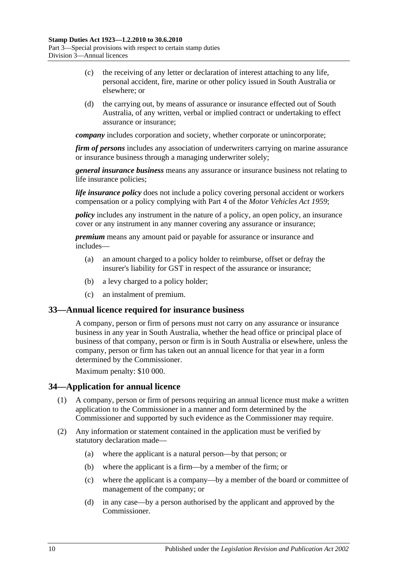- (c) the receiving of any letter or declaration of interest attaching to any life, personal accident, fire, marine or other policy issued in South Australia or elsewhere; or
- (d) the carrying out, by means of assurance or insurance effected out of South Australia, of any written, verbal or implied contract or undertaking to effect assurance or insurance;

*company* includes corporation and society, whether corporate or unincorporate;

*firm of persons* includes any association of underwriters carrying on marine assurance or insurance business through a managing underwriter solely;

*general insurance business* means any assurance or insurance business not relating to life insurance policies;

*life insurance policy* does not include a policy covering personal accident or workers compensation or a policy complying with Part 4 of the *[Motor Vehicles Act](http://www.legislation.sa.gov.au/index.aspx?action=legref&type=act&legtitle=Motor%20Vehicles%20Act%201959) 1959*;

*policy* includes any instrument in the nature of a policy, an open policy, an insurance cover or any instrument in any manner covering any assurance or insurance;

*premium* means any amount paid or payable for assurance or insurance and includes—

- (a) an amount charged to a policy holder to reimburse, offset or defray the insurer's liability for GST in respect of the assurance or insurance;
- (b) a levy charged to a policy holder;
- (c) an instalment of premium.

#### <span id="page-27-0"></span>**33—Annual licence required for insurance business**

A company, person or firm of persons must not carry on any assurance or insurance business in any year in South Australia, whether the head office or principal place of business of that company, person or firm is in South Australia or elsewhere, unless the company, person or firm has taken out an annual licence for that year in a form determined by the Commissioner.

Maximum penalty: \$10 000.

## <span id="page-27-1"></span>**34—Application for annual licence**

- (1) A company, person or firm of persons requiring an annual licence must make a written application to the Commissioner in a manner and form determined by the Commissioner and supported by such evidence as the Commissioner may require.
- (2) Any information or statement contained in the application must be verified by statutory declaration made—
	- (a) where the applicant is a natural person—by that person; or
	- (b) where the applicant is a firm—by a member of the firm; or
	- (c) where the applicant is a company—by a member of the board or committee of management of the company; or
	- (d) in any case—by a person authorised by the applicant and approved by the Commissioner.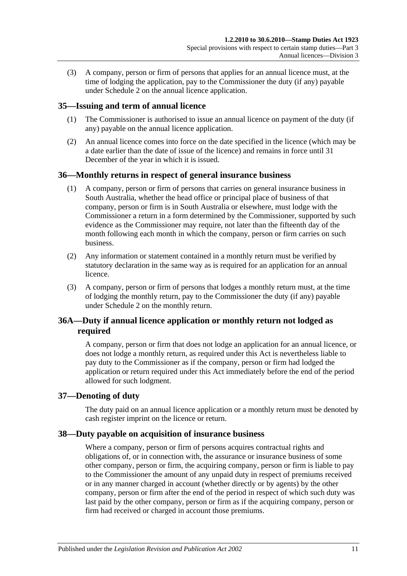(3) A company, person or firm of persons that applies for an annual licence must, at the time of lodging the application, pay to the Commissioner the duty (if any) payable under [Schedule 2](#page-96-3) on the annual licence application.

## <span id="page-28-0"></span>**35—Issuing and term of annual licence**

- (1) The Commissioner is authorised to issue an annual licence on payment of the duty (if any) payable on the annual licence application.
- (2) An annual licence comes into force on the date specified in the licence (which may be a date earlier than the date of issue of the licence) and remains in force until 31 December of the year in which it is issued.

## <span id="page-28-1"></span>**36—Monthly returns in respect of general insurance business**

- (1) A company, person or firm of persons that carries on general insurance business in South Australia, whether the head office or principal place of business of that company, person or firm is in South Australia or elsewhere, must lodge with the Commissioner a return in a form determined by the Commissioner, supported by such evidence as the Commissioner may require, not later than the fifteenth day of the month following each month in which the company, person or firm carries on such business.
- (2) Any information or statement contained in a monthly return must be verified by statutory declaration in the same way as is required for an application for an annual licence.
- (3) A company, person or firm of persons that lodges a monthly return must, at the time of lodging the monthly return, pay to the Commissioner the duty (if any) payable under [Schedule 2](#page-96-3) on the monthly return.

## <span id="page-28-2"></span>**36A—Duty if annual licence application or monthly return not lodged as required**

A company, person or firm that does not lodge an application for an annual licence, or does not lodge a monthly return, as required under this Act is nevertheless liable to pay duty to the Commissioner as if the company, person or firm had lodged the application or return required under this Act immediately before the end of the period allowed for such lodgment.

## <span id="page-28-3"></span>**37—Denoting of duty**

The duty paid on an annual licence application or a monthly return must be denoted by cash register imprint on the licence or return.

## <span id="page-28-4"></span>**38—Duty payable on acquisition of insurance business**

Where a company, person or firm of persons acquires contractual rights and obligations of, or in connection with, the assurance or insurance business of some other company, person or firm, the acquiring company, person or firm is liable to pay to the Commissioner the amount of any unpaid duty in respect of premiums received or in any manner charged in account (whether directly or by agents) by the other company, person or firm after the end of the period in respect of which such duty was last paid by the other company, person or firm as if the acquiring company, person or firm had received or charged in account those premiums.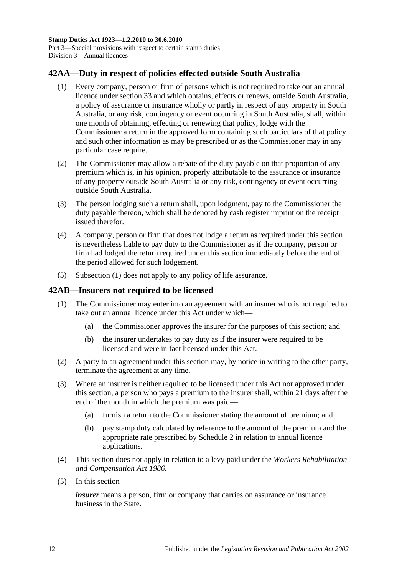## <span id="page-29-2"></span><span id="page-29-0"></span>**42AA—Duty in respect of policies effected outside South Australia**

- (1) Every company, person or firm of persons which is not required to take out an annual licence under [section](#page-27-0) 33 and which obtains, effects or renews, outside South Australia, a policy of assurance or insurance wholly or partly in respect of any property in South Australia, or any risk, contingency or event occurring in South Australia, shall, within one month of obtaining, effecting or renewing that policy, lodge with the Commissioner a return in the approved form containing such particulars of that policy and such other information as may be prescribed or as the Commissioner may in any particular case require.
- (2) The Commissioner may allow a rebate of the duty payable on that proportion of any premium which is, in his opinion, properly attributable to the assurance or insurance of any property outside South Australia or any risk, contingency or event occurring outside South Australia.
- (3) The person lodging such a return shall, upon lodgment, pay to the Commissioner the duty payable thereon, which shall be denoted by cash register imprint on the receipt issued therefor.
- (4) A company, person or firm that does not lodge a return as required under this section is nevertheless liable to pay duty to the Commissioner as if the company, person or firm had lodged the return required under this section immediately before the end of the period allowed for such lodgement.
- (5) [Subsection](#page-29-2) (1) does not apply to any policy of life assurance.

## <span id="page-29-1"></span>**42AB—Insurers not required to be licensed**

- (1) The Commissioner may enter into an agreement with an insurer who is not required to take out an annual licence under this Act under which—
	- (a) the Commissioner approves the insurer for the purposes of this section; and
	- (b) the insurer undertakes to pay duty as if the insurer were required to be licensed and were in fact licensed under this Act.
- (2) A party to an agreement under this section may, by notice in writing to the other party, terminate the agreement at any time.
- (3) Where an insurer is neither required to be licensed under this Act nor approved under this section, a person who pays a premium to the insurer shall, within 21 days after the end of the month in which the premium was paid—
	- (a) furnish a return to the Commissioner stating the amount of premium; and
	- (b) pay stamp duty calculated by reference to the amount of the premium and the appropriate rate prescribed by [Schedule 2](#page-96-3) in relation to annual licence applications.
- (4) This section does not apply in relation to a levy paid under the *[Workers Rehabilitation](http://www.legislation.sa.gov.au/index.aspx?action=legref&type=act&legtitle=Workers%20Rehabilitation%20and%20Compensation%20Act%201986)  [and Compensation Act](http://www.legislation.sa.gov.au/index.aspx?action=legref&type=act&legtitle=Workers%20Rehabilitation%20and%20Compensation%20Act%201986) 1986*.
- (5) In this section—

*insurer* means a person, firm or company that carries on assurance or insurance business in the State.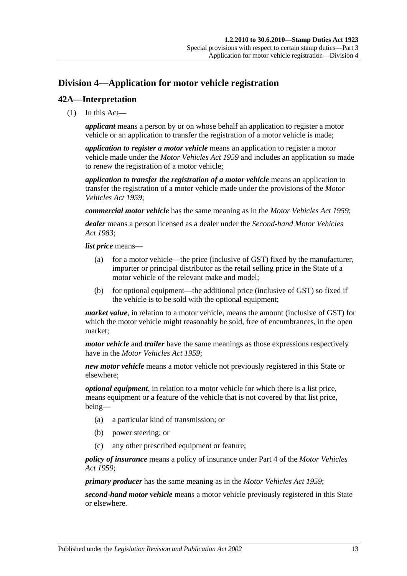## <span id="page-30-0"></span>**Division 4—Application for motor vehicle registration**

## <span id="page-30-1"></span>**42A—Interpretation**

(1) In this Act—

*applicant* means a person by or on whose behalf an application to register a motor vehicle or an application to transfer the registration of a motor vehicle is made;

*application to register a motor vehicle* means an application to register a motor vehicle made under the *[Motor Vehicles Act](http://www.legislation.sa.gov.au/index.aspx?action=legref&type=act&legtitle=Motor%20Vehicles%20Act%201959) 1959* and includes an application so made to renew the registration of a motor vehicle;

*application to transfer the registration of a motor vehicle* means an application to transfer the registration of a motor vehicle made under the provisions of the *[Motor](http://www.legislation.sa.gov.au/index.aspx?action=legref&type=act&legtitle=Motor%20Vehicles%20Act%201959)  [Vehicles Act](http://www.legislation.sa.gov.au/index.aspx?action=legref&type=act&legtitle=Motor%20Vehicles%20Act%201959) 1959*;

*commercial motor vehicle* has the same meaning as in the *[Motor Vehicles Act](http://www.legislation.sa.gov.au/index.aspx?action=legref&type=act&legtitle=Motor%20Vehicles%20Act%201959) 1959*;

*dealer* means a person licensed as a dealer under the *[Second-hand Motor Vehicles](http://www.legislation.sa.gov.au/index.aspx?action=legref&type=act&legtitle=Second-hand%20Motor%20Vehicles%20Act%201983)  Act [1983](http://www.legislation.sa.gov.au/index.aspx?action=legref&type=act&legtitle=Second-hand%20Motor%20Vehicles%20Act%201983)*;

*list price* means—

- (a) for a motor vehicle—the price (inclusive of GST) fixed by the manufacturer, importer or principal distributor as the retail selling price in the State of a motor vehicle of the relevant make and model;
- (b) for optional equipment—the additional price (inclusive of GST) so fixed if the vehicle is to be sold with the optional equipment;

*market value*, in relation to a motor vehicle, means the amount (inclusive of GST) for which the motor vehicle might reasonably be sold, free of encumbrances, in the open market;

*motor vehicle* and *trailer* have the same meanings as those expressions respectively have in the *[Motor Vehicles Act](http://www.legislation.sa.gov.au/index.aspx?action=legref&type=act&legtitle=Motor%20Vehicles%20Act%201959) 1959*;

*new motor vehicle* means a motor vehicle not previously registered in this State or elsewhere;

*optional equipment*, in relation to a motor vehicle for which there is a list price, means equipment or a feature of the vehicle that is not covered by that list price, being—

- (a) a particular kind of transmission; or
- (b) power steering; or
- (c) any other prescribed equipment or feature;

*policy of insurance* means a policy of insurance under Part 4 of the *[Motor Vehicles](http://www.legislation.sa.gov.au/index.aspx?action=legref&type=act&legtitle=Motor%20Vehicles%20Act%201959)  Act [1959](http://www.legislation.sa.gov.au/index.aspx?action=legref&type=act&legtitle=Motor%20Vehicles%20Act%201959)*;

*primary producer* has the same meaning as in the *[Motor Vehicles Act](http://www.legislation.sa.gov.au/index.aspx?action=legref&type=act&legtitle=Motor%20Vehicles%20Act%201959) 1959*;

*second-hand motor vehicle* means a motor vehicle previously registered in this State or elsewhere.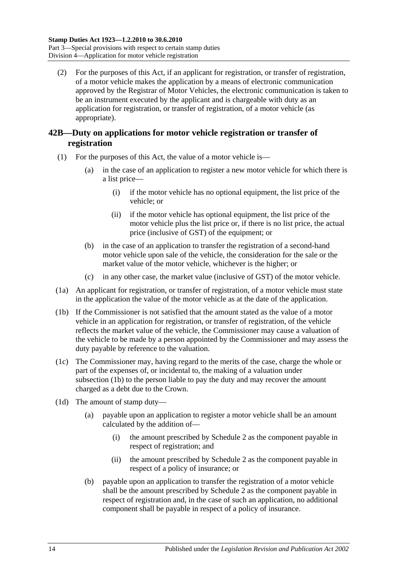(2) For the purposes of this Act, if an applicant for registration, or transfer of registration, of a motor vehicle makes the application by a means of electronic communication approved by the Registrar of Motor Vehicles, the electronic communication is taken to be an instrument executed by the applicant and is chargeable with duty as an application for registration, or transfer of registration, of a motor vehicle (as appropriate).

## <span id="page-31-0"></span>**42B—Duty on applications for motor vehicle registration or transfer of registration**

- (1) For the purposes of this Act, the value of a motor vehicle is—
	- (a) in the case of an application to register a new motor vehicle for which there is a list price—
		- (i) if the motor vehicle has no optional equipment, the list price of the vehicle; or
		- (ii) if the motor vehicle has optional equipment, the list price of the motor vehicle plus the list price or, if there is no list price, the actual price (inclusive of GST) of the equipment; or
	- (b) in the case of an application to transfer the registration of a second-hand motor vehicle upon sale of the vehicle, the consideration for the sale or the market value of the motor vehicle, whichever is the higher; or
	- (c) in any other case, the market value (inclusive of GST) of the motor vehicle.
- (1a) An applicant for registration, or transfer of registration, of a motor vehicle must state in the application the value of the motor vehicle as at the date of the application.
- <span id="page-31-1"></span>(1b) If the Commissioner is not satisfied that the amount stated as the value of a motor vehicle in an application for registration, or transfer of registration, of the vehicle reflects the market value of the vehicle, the Commissioner may cause a valuation of the vehicle to be made by a person appointed by the Commissioner and may assess the duty payable by reference to the valuation.
- (1c) The Commissioner may, having regard to the merits of the case, charge the whole or part of the expenses of, or incidental to, the making of a valuation under [subsection](#page-31-1)  $(\overline{1b})$  to the person liable to pay the duty and may recover the amount charged as a debt due to the Crown.
- <span id="page-31-2"></span>(1d) The amount of stamp duty—
	- (a) payable upon an application to register a motor vehicle shall be an amount calculated by the addition of—
		- (i) the amount prescribed by [Schedule 2](#page-96-3) as the component payable in respect of registration; and
		- (ii) the amount prescribed by [Schedule 2](#page-96-3) as the component payable in respect of a policy of insurance; or
	- (b) payable upon an application to transfer the registration of a motor vehicle shall be the amount prescribed by [Schedule 2](#page-96-3) as the component payable in respect of registration and, in the case of such an application, no additional component shall be payable in respect of a policy of insurance.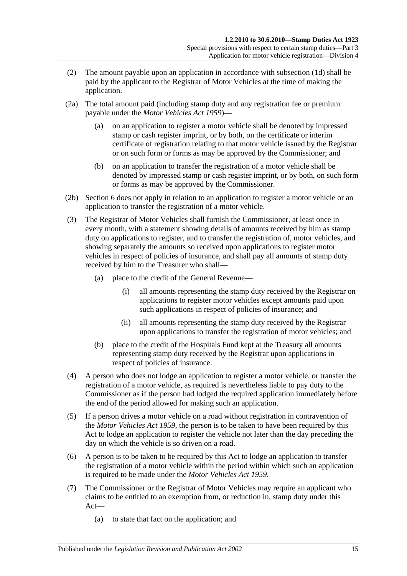- (2) The amount payable upon an application in accordance with [subsection](#page-31-2) (1d) shall be paid by the applicant to the Registrar of Motor Vehicles at the time of making the application.
- (2a) The total amount paid (including stamp duty and any registration fee or premium payable under the *[Motor Vehicles Act](http://www.legislation.sa.gov.au/index.aspx?action=legref&type=act&legtitle=Motor%20Vehicles%20Act%201959) 1959*)—
	- (a) on an application to register a motor vehicle shall be denoted by impressed stamp or cash register imprint, or by both, on the certificate or interim certificate of registration relating to that motor vehicle issued by the Registrar or on such form or forms as may be approved by the Commissioner; and
	- (b) on an application to transfer the registration of a motor vehicle shall be denoted by impressed stamp or cash register imprint, or by both, on such form or forms as may be approved by the Commissioner.
- (2b) Section 6 does not apply in relation to an application to register a motor vehicle or an application to transfer the registration of a motor vehicle.
- (3) The Registrar of Motor Vehicles shall furnish the Commissioner, at least once in every month, with a statement showing details of amounts received by him as stamp duty on applications to register, and to transfer the registration of, motor vehicles, and showing separately the amounts so received upon applications to register motor vehicles in respect of policies of insurance, and shall pay all amounts of stamp duty received by him to the Treasurer who shall—
	- (a) place to the credit of the General Revenue—
		- (i) all amounts representing the stamp duty received by the Registrar on applications to register motor vehicles except amounts paid upon such applications in respect of policies of insurance; and
		- (ii) all amounts representing the stamp duty received by the Registrar upon applications to transfer the registration of motor vehicles; and
	- (b) place to the credit of the Hospitals Fund kept at the Treasury all amounts representing stamp duty received by the Registrar upon applications in respect of policies of insurance.
- (4) A person who does not lodge an application to register a motor vehicle, or transfer the registration of a motor vehicle, as required is nevertheless liable to pay duty to the Commissioner as if the person had lodged the required application immediately before the end of the period allowed for making such an application.
- (5) If a person drives a motor vehicle on a road without registration in contravention of the *[Motor Vehicles Act](http://www.legislation.sa.gov.au/index.aspx?action=legref&type=act&legtitle=Motor%20Vehicles%20Act%201959) 1959*, the person is to be taken to have been required by this Act to lodge an application to register the vehicle not later than the day preceding the day on which the vehicle is so driven on a road.
- (6) A person is to be taken to be required by this Act to lodge an application to transfer the registration of a motor vehicle within the period within which such an application is required to be made under the *[Motor Vehicles Act](http://www.legislation.sa.gov.au/index.aspx?action=legref&type=act&legtitle=Motor%20Vehicles%20Act%201959) 1959*.
- (7) The Commissioner or the Registrar of Motor Vehicles may require an applicant who claims to be entitled to an exemption from, or reduction in, stamp duty under this Act—
	- (a) to state that fact on the application; and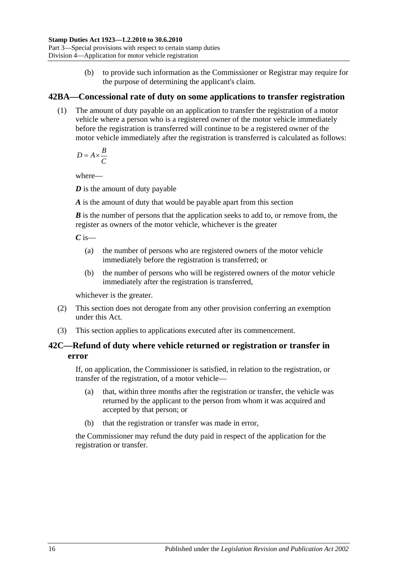(b) to provide such information as the Commissioner or Registrar may require for the purpose of determining the applicant's claim.

## <span id="page-33-0"></span>**42BA—Concessional rate of duty on some applications to transfer registration**

(1) The amount of duty payable on an application to transfer the registration of a motor vehicle where a person who is a registered owner of the motor vehicle immediately before the registration is transferred will continue to be a registered owner of the motor vehicle immediately after the registration is transferred is calculated as follows:

 $D = A \times \frac{B}{a}$ *C*  $= A \times$ 

where—

*D* is the amount of duty payable

*A* is the amount of duty that would be payable apart from this section

*B* is the number of persons that the application seeks to add to, or remove from, the register as owners of the motor vehicle, whichever is the greater

 $C$  is—

- (a) the number of persons who are registered owners of the motor vehicle immediately before the registration is transferred; or
- (b) the number of persons who will be registered owners of the motor vehicle immediately after the registration is transferred,

whichever is the greater.

- (2) This section does not derogate from any other provision conferring an exemption under this Act.
- (3) This section applies to applications executed after its commencement.

## <span id="page-33-1"></span>**42C—Refund of duty where vehicle returned or registration or transfer in error**

If, on application, the Commissioner is satisfied, in relation to the registration, or transfer of the registration, of a motor vehicle—

- (a) that, within three months after the registration or transfer, the vehicle was returned by the applicant to the person from whom it was acquired and accepted by that person; or
- (b) that the registration or transfer was made in error,

the Commissioner may refund the duty paid in respect of the application for the registration or transfer.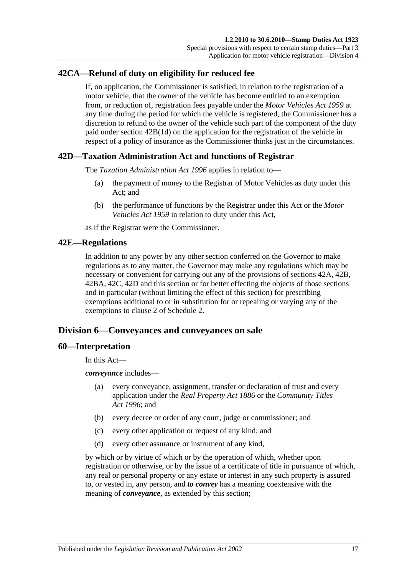## <span id="page-34-0"></span>**42CA—Refund of duty on eligibility for reduced fee**

If, on application, the Commissioner is satisfied, in relation to the registration of a motor vehicle, that the owner of the vehicle has become entitled to an exemption from, or reduction of, registration fees payable under the *[Motor Vehicles Act](http://www.legislation.sa.gov.au/index.aspx?action=legref&type=act&legtitle=Motor%20Vehicles%20Act%201959) 1959* at any time during the period for which the vehicle is registered, the Commissioner has a discretion to refund to the owner of the vehicle such part of the component of the duty paid under section [42B\(1d\)](#page-31-2) on the application for the registration of the vehicle in respect of a policy of insurance as the Commissioner thinks just in the circumstances.

## <span id="page-34-1"></span>**42D—Taxation Administration Act and functions of Registrar**

The *[Taxation Administration Act](http://www.legislation.sa.gov.au/index.aspx?action=legref&type=act&legtitle=Taxation%20Administration%20Act%201996) 1996* applies in relation to—

- (a) the payment of money to the Registrar of Motor Vehicles as duty under this Act; and
- (b) the performance of functions by the Registrar under this Act or the *[Motor](http://www.legislation.sa.gov.au/index.aspx?action=legref&type=act&legtitle=Motor%20Vehicles%20Act%201959)  [Vehicles Act](http://www.legislation.sa.gov.au/index.aspx?action=legref&type=act&legtitle=Motor%20Vehicles%20Act%201959) 1959* in relation to duty under this Act,

as if the Registrar were the Commissioner.

## <span id="page-34-2"></span>**42E—Regulations**

In addition to any power by any other section conferred on the Governor to make regulations as to any matter, the Governor may make any regulations which may be necessary or convenient for carrying out any of the provisions of [sections](#page-30-1) 42A, [42B,](#page-31-0) [42BA,](#page-33-0) [42C,](#page-33-1) [42D](#page-34-1) and this section or for better effecting the objects of those sections and in particular (without limiting the effect of this section) for prescribing exemptions additional to or in substitution for or repealing or varying any of the exemptions to clause 2 of [Schedule 2.](#page-96-3)

## <span id="page-34-3"></span>**Division 6—Conveyances and conveyances on sale**

## <span id="page-34-4"></span>**60—Interpretation**

In this Act—

*conveyance* includes—

- (a) every conveyance, assignment, transfer or declaration of trust and every application under the *[Real Property Act](http://www.legislation.sa.gov.au/index.aspx?action=legref&type=act&legtitle=Real%20Property%20Act%201886) 1886* or the *[Community Titles](http://www.legislation.sa.gov.au/index.aspx?action=legref&type=act&legtitle=Community%20Titles%20Act%201996)  Act [1996](http://www.legislation.sa.gov.au/index.aspx?action=legref&type=act&legtitle=Community%20Titles%20Act%201996)*; and
- (b) every decree or order of any court, judge or commissioner; and
- (c) every other application or request of any kind; and
- (d) every other assurance or instrument of any kind,

by which or by virtue of which or by the operation of which, whether upon registration or otherwise, or by the issue of a certificate of title in pursuance of which, any real or personal property or any estate or interest in any such property is assured to, or vested in, any person, and *to convey* has a meaning coextensive with the meaning of *conveyance*, as extended by this section;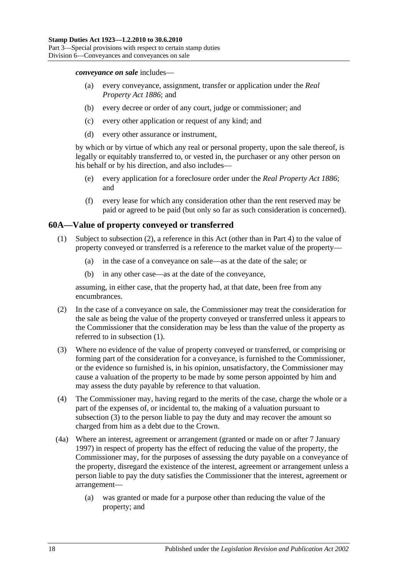*conveyance on sale* includes—

- (a) every conveyance, assignment, transfer or application under the *[Real](http://www.legislation.sa.gov.au/index.aspx?action=legref&type=act&legtitle=Real%20Property%20Act%201886)  [Property Act](http://www.legislation.sa.gov.au/index.aspx?action=legref&type=act&legtitle=Real%20Property%20Act%201886) 1886*; and
- (b) every decree or order of any court, judge or commissioner; and
- (c) every other application or request of any kind; and
- (d) every other assurance or instrument,

by which or by virtue of which any real or personal property, upon the sale thereof, is legally or equitably transferred to, or vested in, the purchaser or any other person on his behalf or by his direction, and also includes—

- (e) every application for a foreclosure order under the *[Real Property Act](http://www.legislation.sa.gov.au/index.aspx?action=legref&type=act&legtitle=Real%20Property%20Act%201886) 1886*; and
- (f) every lease for which any consideration other than the rent reserved may be paid or agreed to be paid (but only so far as such consideration is concerned).

## <span id="page-35-2"></span><span id="page-35-0"></span>**60A—Value of property conveyed or transferred**

- (1) Subject to [subsection](#page-35-1) (2), a reference in this Act (other than in [Part 4\)](#page-78-0) to the value of property conveyed or transferred is a reference to the market value of the property—
	- (a) in the case of a conveyance on sale—as at the date of the sale; or
	- (b) in any other case—as at the date of the conveyance,

assuming, in either case, that the property had, at that date, been free from any encumbrances.

- <span id="page-35-1"></span>(2) In the case of a conveyance on sale, the Commissioner may treat the consideration for the sale as being the value of the property conveyed or transferred unless it appears to the Commissioner that the consideration may be less than the value of the property as referred to in [subsection](#page-35-2) (1).
- <span id="page-35-3"></span>(3) Where no evidence of the value of property conveyed or transferred, or comprising or forming part of the consideration for a conveyance, is furnished to the Commissioner, or the evidence so furnished is, in his opinion, unsatisfactory, the Commissioner may cause a valuation of the property to be made by some person appointed by him and may assess the duty payable by reference to that valuation.
- (4) The Commissioner may, having regard to the merits of the case, charge the whole or a part of the expenses of, or incidental to, the making of a valuation pursuant to [subsection](#page-35-3) (3) to the person liable to pay the duty and may recover the amount so charged from him as a debt due to the Crown.
- (4a) Where an interest, agreement or arrangement (granted or made on or after 7 January 1997) in respect of property has the effect of reducing the value of the property, the Commissioner may, for the purposes of assessing the duty payable on a conveyance of the property, disregard the existence of the interest, agreement or arrangement unless a person liable to pay the duty satisfies the Commissioner that the interest, agreement or arrangement—
	- (a) was granted or made for a purpose other than reducing the value of the property; and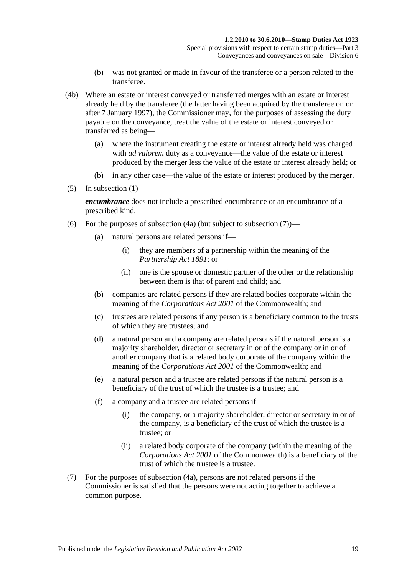- (b) was not granted or made in favour of the transferee or a person related to the transferee.
- (4b) Where an estate or interest conveyed or transferred merges with an estate or interest already held by the transferee (the latter having been acquired by the transferee on or after 7 January 1997), the Commissioner may, for the purposes of assessing the duty payable on the conveyance, treat the value of the estate or interest conveyed or transferred as being—
	- (a) where the instrument creating the estate or interest already held was charged with *ad valorem* duty as a conveyance—the value of the estate or interest produced by the merger less the value of the estate or interest already held; or
	- (b) in any other case—the value of the estate or interest produced by the merger.
- (5) In [subsection](#page-35-0)  $(1)$ —

*encumbrance* does not include a prescribed encumbrance or an encumbrance of a prescribed kind.

- <span id="page-36-1"></span>(6) For the purposes of [subsection](#page-36-0)  $(4a)$  (but subject to subsection  $(7)$ )—
	- (a) natural persons are related persons if—
		- (i) they are members of a partnership within the meaning of the *[Partnership Act](http://www.legislation.sa.gov.au/index.aspx?action=legref&type=act&legtitle=Partnership%20Act%201891) 1891*; or
		- (ii) one is the spouse or domestic partner of the other or the relationship between them is that of parent and child; and
	- (b) companies are related persons if they are related bodies corporate within the meaning of the *Corporations Act 2001* of the Commonwealth; and
	- (c) trustees are related persons if any person is a beneficiary common to the trusts of which they are trustees; and
	- (d) a natural person and a company are related persons if the natural person is a majority shareholder, director or secretary in or of the company or in or of another company that is a related body corporate of the company within the meaning of the *Corporations Act 2001* of the Commonwealth; and
	- (e) a natural person and a trustee are related persons if the natural person is a beneficiary of the trust of which the trustee is a trustee; and
	- (f) a company and a trustee are related persons if—
		- (i) the company, or a majority shareholder, director or secretary in or of the company, is a beneficiary of the trust of which the trustee is a trustee; or
		- (ii) a related body corporate of the company (within the meaning of the *Corporations Act 2001* of the Commonwealth) is a beneficiary of the trust of which the trustee is a trustee.
- <span id="page-36-0"></span>(7) For the purposes of [subsection](#page-35-1) (4a), persons are not related persons if the Commissioner is satisfied that the persons were not acting together to achieve a common purpose.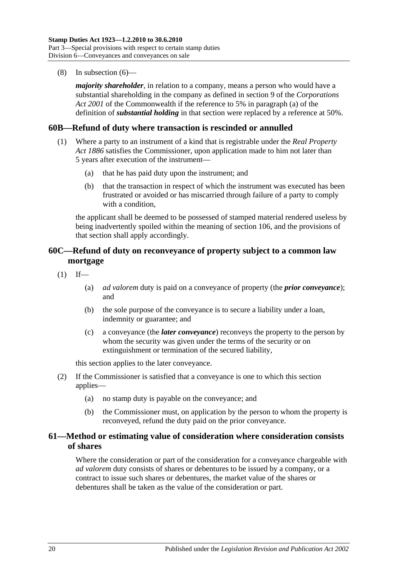(8) In [subsection](#page-36-1) (6)—

*majority shareholder*, in relation to a company, means a person who would have a substantial shareholding in the company as defined in section 9 of the *Corporations Act 2001* of the Commonwealth if the reference to 5% in paragraph (a) of the definition of *substantial holding* in that section were replaced by a reference at 50%.

### **60B—Refund of duty where transaction is rescinded or annulled**

- (1) Where a party to an instrument of a kind that is registrable under the *[Real Property](http://www.legislation.sa.gov.au/index.aspx?action=legref&type=act&legtitle=Real%20Property%20Act%201886)  Act [1886](http://www.legislation.sa.gov.au/index.aspx?action=legref&type=act&legtitle=Real%20Property%20Act%201886)* satisfies the Commissioner, upon application made to him not later than 5 years after execution of the instrument—
	- (a) that he has paid duty upon the instrument; and
	- (b) that the transaction in respect of which the instrument was executed has been frustrated or avoided or has miscarried through failure of a party to comply with a condition.

the applicant shall be deemed to be possessed of stamped material rendered useless by being inadvertently spoiled within the meaning of [section](#page-92-0) 106, and the provisions of that section shall apply accordingly.

# **60C—Refund of duty on reconveyance of property subject to a common law mortgage**

 $(1)$  If—

- (a) *ad valorem* duty is paid on a conveyance of property (the *prior conveyance*); and
- (b) the sole purpose of the conveyance is to secure a liability under a loan, indemnity or guarantee; and
- (c) a conveyance (the *later conveyance*) reconveys the property to the person by whom the security was given under the terms of the security or on extinguishment or termination of the secured liability,

this section applies to the later conveyance.

- (2) If the Commissioner is satisfied that a conveyance is one to which this section applies—
	- (a) no stamp duty is payable on the conveyance; and
	- (b) the Commissioner must, on application by the person to whom the property is reconveyed, refund the duty paid on the prior conveyance.

# **61—Method or estimating value of consideration where consideration consists of shares**

Where the consideration or part of the consideration for a conveyance chargeable with *ad valorem* duty consists of shares or debentures to be issued by a company, or a contract to issue such shares or debentures, the market value of the shares or debentures shall be taken as the value of the consideration or part.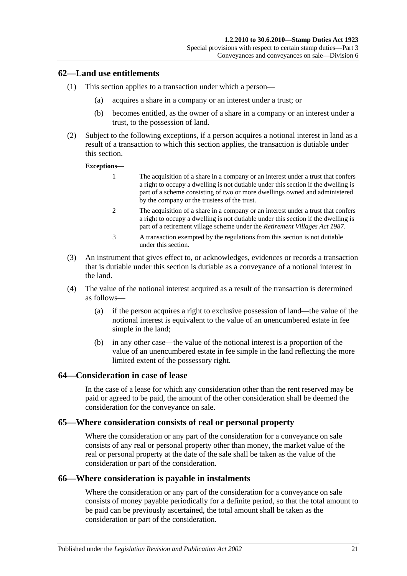## **62—Land use entitlements**

- (1) This section applies to a transaction under which a person—
	- (a) acquires a share in a company or an interest under a trust; or
	- (b) becomes entitled, as the owner of a share in a company or an interest under a trust, to the possession of land.
- (2) Subject to the following exceptions, if a person acquires a notional interest in land as a result of a transaction to which this section applies, the transaction is dutiable under this section.

#### **Exceptions—**

- 1 The acquisition of a share in a company or an interest under a trust that confers a right to occupy a dwelling is not dutiable under this section if the dwelling is part of a scheme consisting of two or more dwellings owned and administered by the company or the trustees of the trust.
- 2 The acquisition of a share in a company or an interest under a trust that confers a right to occupy a dwelling is not dutiable under this section if the dwelling is part of a retirement village scheme under the *[Retirement Villages Act](http://www.legislation.sa.gov.au/index.aspx?action=legref&type=act&legtitle=Retirement%20Villages%20Act%201987) 1987*.
- 3 A transaction exempted by the regulations from this section is not dutiable under this section.
- (3) An instrument that gives effect to, or acknowledges, evidences or records a transaction that is dutiable under this section is dutiable as a conveyance of a notional interest in the land.
- (4) The value of the notional interest acquired as a result of the transaction is determined as follows—
	- (a) if the person acquires a right to exclusive possession of land—the value of the notional interest is equivalent to the value of an unencumbered estate in fee simple in the land;
	- (b) in any other case—the value of the notional interest is a proportion of the value of an unencumbered estate in fee simple in the land reflecting the more limited extent of the possessory right.

### **64—Consideration in case of lease**

In the case of a lease for which any consideration other than the rent reserved may be paid or agreed to be paid, the amount of the other consideration shall be deemed the consideration for the conveyance on sale.

### **65—Where consideration consists of real or personal property**

Where the consideration or any part of the consideration for a conveyance on sale consists of any real or personal property other than money, the market value of the real or personal property at the date of the sale shall be taken as the value of the consideration or part of the consideration.

### **66—Where consideration is payable in instalments**

Where the consideration or any part of the consideration for a conveyance on sale consists of money payable periodically for a definite period, so that the total amount to be paid can be previously ascertained, the total amount shall be taken as the consideration or part of the consideration.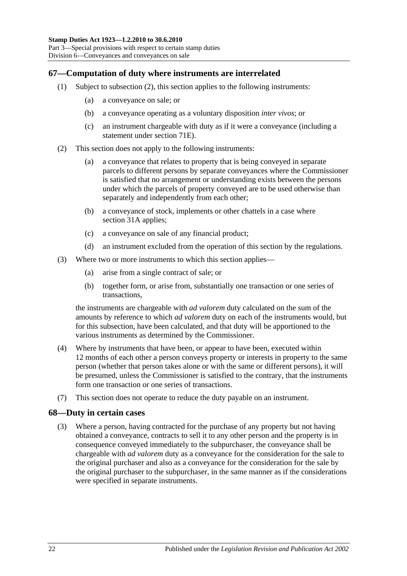# **67—Computation of duty where instruments are interrelated**

- (1) Subject to [subsection](#page-39-0) (2), this section applies to the following instruments:
	- (a) a conveyance on sale; or
	- (b) a conveyance operating as a voluntary disposition *inter vivos*; or
	- (c) an instrument chargeable with duty as if it were a conveyance (including a statement under [section](#page-65-0) 71E).
- <span id="page-39-0"></span>(2) This section does not apply to the following instruments:
	- (a) a conveyance that relates to property that is being conveyed in separate parcels to different persons by separate conveyances where the Commissioner is satisfied that no arrangement or understanding exists between the persons under which the parcels of property conveyed are to be used otherwise than separately and independently from each other;
	- (b) a conveyance of stock, implements or other chattels in a case where [section](#page-19-0) 31A applies;
	- (c) a conveyance on sale of any financial product;
	- (d) an instrument excluded from the operation of this section by the regulations.
- (3) Where two or more instruments to which this section applies—
	- (a) arise from a single contract of sale; or
	- (b) together form, or arise from, substantially one transaction or one series of transactions,

the instruments are chargeable with *ad valorem* duty calculated on the sum of the amounts by reference to which *ad valorem* duty on each of the instruments would, but for this subsection, have been calculated, and that duty will be apportioned to the various instruments as determined by the Commissioner.

- (4) Where by instruments that have been, or appear to have been, executed within 12 months of each other a person conveys property or interests in property to the same person (whether that person takes alone or with the same or different persons), it will be presumed, unless the Commissioner is satisfied to the contrary, that the instruments form one transaction or one series of transactions.
- (7) This section does not operate to reduce the duty payable on an instrument.

# **68—Duty in certain cases**

(3) Where a person, having contracted for the purchase of any property but not having obtained a conveyance, contracts to sell it to any other person and the property is in consequence conveyed immediately to the subpurchaser, the conveyance shall be chargeable with *ad valorem* duty as a conveyance for the consideration for the sale to the original purchaser and also as a conveyance for the consideration for the sale by the original purchaser to the subpurchaser, in the same manner as if the considerations were specified in separate instruments.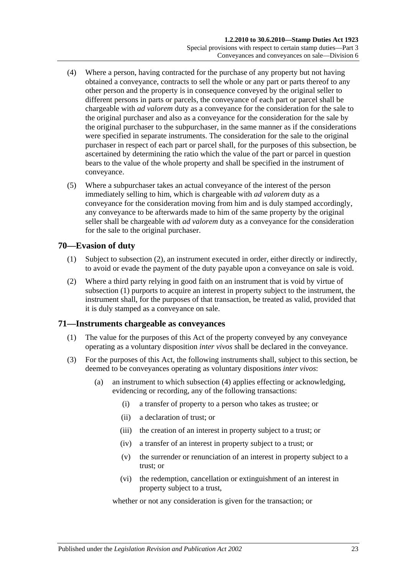- (4) Where a person, having contracted for the purchase of any property but not having obtained a conveyance, contracts to sell the whole or any part or parts thereof to any other person and the property is in consequence conveyed by the original seller to different persons in parts or parcels, the conveyance of each part or parcel shall be chargeable with *ad valorem* duty as a conveyance for the consideration for the sale to the original purchaser and also as a conveyance for the consideration for the sale by the original purchaser to the subpurchaser, in the same manner as if the considerations were specified in separate instruments. The consideration for the sale to the original purchaser in respect of each part or parcel shall, for the purposes of this subsection, be ascertained by determining the ratio which the value of the part or parcel in question bears to the value of the whole property and shall be specified in the instrument of conveyance.
- (5) Where a subpurchaser takes an actual conveyance of the interest of the person immediately selling to him, which is chargeable with *ad valorem* duty as a conveyance for the consideration moving from him and is duly stamped accordingly, any conveyance to be afterwards made to him of the same property by the original seller shall be chargeable with *ad valorem* duty as a conveyance for the consideration for the sale to the original purchaser.

# <span id="page-40-1"></span>**70—Evasion of duty**

- (1) Subject to [subsection](#page-40-0) (2), an instrument executed in order, either directly or indirectly, to avoid or evade the payment of the duty payable upon a conveyance on sale is void.
- <span id="page-40-0"></span>(2) Where a third party relying in good faith on an instrument that is void by virtue of [subsection](#page-40-1) (1) purports to acquire an interest in property subject to the instrument, the instrument shall, for the purposes of that transaction, be treated as valid, provided that it is duly stamped as a conveyance on sale.

# **71—Instruments chargeable as conveyances**

- (1) The value for the purposes of this Act of the property conveyed by any conveyance operating as a voluntary disposition *inter vivos* shall be declared in the conveyance.
- <span id="page-40-2"></span>(3) For the purposes of this Act, the following instruments shall, subject to this section, be deemed to be conveyances operating as voluntary dispositions *inter vivos*:
	- (a) an instrument to which [subsection](#page-41-0) (4) applies effecting or acknowledging, evidencing or recording, any of the following transactions:
		- (i) a transfer of property to a person who takes as trustee; or
		- (ii) a declaration of trust; or
		- (iii) the creation of an interest in property subject to a trust; or
		- (iv) a transfer of an interest in property subject to a trust; or
		- (v) the surrender or renunciation of an interest in property subject to a trust; or
		- (vi) the redemption, cancellation or extinguishment of an interest in property subject to a trust,

whether or not any consideration is given for the transaction; or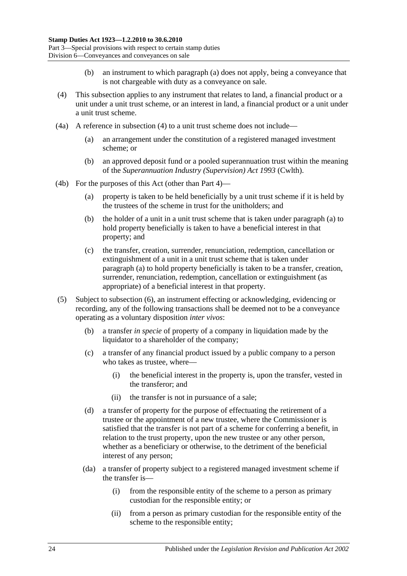- (b) an instrument to which [paragraph](#page-40-2) (a) does not apply, being a conveyance that is not chargeable with duty as a conveyance on sale.
- <span id="page-41-0"></span>(4) This subsection applies to any instrument that relates to land, a financial product or a unit under a unit trust scheme, or an interest in land, a financial product or a unit under a unit trust scheme.
- (4a) A reference in [subsection](#page-41-0) (4) to a unit trust scheme does not include—
	- (a) an arrangement under the constitution of a registered managed investment scheme; or
	- (b) an approved deposit fund or a pooled superannuation trust within the meaning of the *Superannuation Industry (Supervision) Act 1993* (Cwlth).
- <span id="page-41-1"></span>(4b) For the purposes of this Act (other than [Part 4\)](#page-78-0)—
	- (a) property is taken to be held beneficially by a unit trust scheme if it is held by the trustees of the scheme in trust for the unitholders; and
	- (b) the holder of a unit in a unit trust scheme that is taken under [paragraph](#page-41-1) (a) to hold property beneficially is taken to have a beneficial interest in that property; and
	- (c) the transfer, creation, surrender, renunciation, redemption, cancellation or extinguishment of a unit in a unit trust scheme that is taken under [paragraph](#page-41-1) (a) to hold property beneficially is taken to be a transfer, creation, surrender, renunciation, redemption, cancellation or extinguishment (as appropriate) of a beneficial interest in that property.
- <span id="page-41-3"></span><span id="page-41-2"></span>(5) Subject to [subsection](#page-43-0) (6), an instrument effecting or acknowledging, evidencing or recording, any of the following transactions shall be deemed not to be a conveyance operating as a voluntary disposition *inter vivos*:
	- (b) a transfer *in specie* of property of a company in liquidation made by the liquidator to a shareholder of the company;
	- (c) a transfer of any financial product issued by a public company to a person who takes as trustee, where—
		- (i) the beneficial interest in the property is, upon the transfer, vested in the transferor; and
		- (ii) the transfer is not in pursuance of a sale;
	- (d) a transfer of property for the purpose of effectuating the retirement of a trustee or the appointment of a new trustee, where the Commissioner is satisfied that the transfer is not part of a scheme for conferring a benefit, in relation to the trust property, upon the new trustee or any other person, whether as a beneficiary or otherwise, to the detriment of the beneficial interest of any person;
	- (da) a transfer of property subject to a registered managed investment scheme if the transfer is—
		- (i) from the responsible entity of the scheme to a person as primary custodian for the responsible entity; or
		- (ii) from a person as primary custodian for the responsible entity of the scheme to the responsible entity;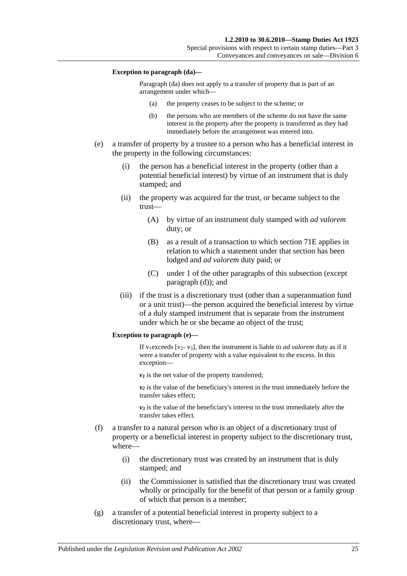#### **Exception to paragraph (da)—**

Paragraph (da) does not apply to a transfer of property that is part of an arrangement under which—

- (a) the property ceases to be subject to the scheme; or
- (b) the persons who are members of the scheme do not have the same interest in the property after the property is transferred as they had immediately before the arrangement was entered into.
- <span id="page-42-0"></span>(e) a transfer of property by a trustee to a person who has a beneficial interest in the property in the following circumstances:
	- (i) the person has a beneficial interest in the property (other than a potential beneficial interest) by virtue of an instrument that is duly stamped; and
	- (ii) the property was acquired for the trust, or became subject to the trust—
		- (A) by virtue of an instrument duly stamped with *ad valorem* duty; or
		- (B) as a result of a transaction to which section 71E applies in relation to which a statement under that section has been lodged and *ad valorem* duty paid; or
		- (C) under 1 of the other paragraphs of this subsection (except [paragraph](#page-41-2) (d)); and
	- (iii) if the trust is a discretionary trust (other than a superannuation fund or a unit trust)—the person acquired the beneficial interest by virtue of a duly stamped instrument that is separate from the instrument under which he or she became an object of the trust;

#### **Exception to paragraph (e)—**

If v<sub>1</sub>exceeds [v<sub>2</sub>- v<sub>3</sub>], then the instrument is liable to *ad valorem* duty as if it were a transfer of property with a value equivalent to the excess. In this exception—

 $v_1$  is the net value of the property transferred;

 $v_2$  is the value of the beneficiary's interest in the trust immediately before the transfer takes effect;

 $v_3$  is the value of the beneficiary's interest in the trust immediately after the transfer takes effect.

- (f) a transfer to a natural person who is an object of a discretionary trust of property or a beneficial interest in property subject to the discretionary trust, where—
	- (i) the discretionary trust was created by an instrument that is duly stamped; and
	- (ii) the Commissioner is satisfied that the discretionary trust was created wholly or principally for the benefit of that person or a family group of which that person is a member;
- (g) a transfer of a potential beneficial interest in property subject to a discretionary trust, where—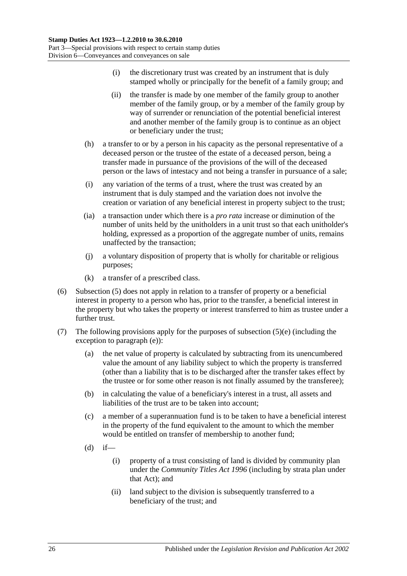- (i) the discretionary trust was created by an instrument that is duly stamped wholly or principally for the benefit of a family group; and
- (ii) the transfer is made by one member of the family group to another member of the family group, or by a member of the family group by way of surrender or renunciation of the potential beneficial interest and another member of the family group is to continue as an object or beneficiary under the trust;
- (h) a transfer to or by a person in his capacity as the personal representative of a deceased person or the trustee of the estate of a deceased person, being a transfer made in pursuance of the provisions of the will of the deceased person or the laws of intestacy and not being a transfer in pursuance of a sale;
- (i) any variation of the terms of a trust, where the trust was created by an instrument that is duly stamped and the variation does not involve the creation or variation of any beneficial interest in property subject to the trust;
- (ia) a transaction under which there is a *pro rata* increase or diminution of the number of units held by the unitholders in a unit trust so that each unitholder's holding, expressed as a proportion of the aggregate number of units, remains unaffected by the transaction;
- (j) a voluntary disposition of property that is wholly for charitable or religious purposes;
- (k) a transfer of a prescribed class.
- <span id="page-43-0"></span>(6) [Subsection](#page-41-3) (5) does not apply in relation to a transfer of property or a beneficial interest in property to a person who has, prior to the transfer, a beneficial interest in the property but who takes the property or interest transferred to him as trustee under a further trust.
- (7) The following provisions apply for the purposes of [subsection](#page-42-0)  $(5)(e)$  (including the exception to [paragraph](#page-42-0) (e)):
	- (a) the net value of property is calculated by subtracting from its unencumbered value the amount of any liability subject to which the property is transferred (other than a liability that is to be discharged after the transfer takes effect by the trustee or for some other reason is not finally assumed by the transferee);
	- (b) in calculating the value of a beneficiary's interest in a trust, all assets and liabilities of the trust are to be taken into account;
	- (c) a member of a superannuation fund is to be taken to have a beneficial interest in the property of the fund equivalent to the amount to which the member would be entitled on transfer of membership to another fund;
	- $(d)$  if—
		- (i) property of a trust consisting of land is divided by community plan under the *[Community Titles Act](http://www.legislation.sa.gov.au/index.aspx?action=legref&type=act&legtitle=Community%20Titles%20Act%201996) 1996* (including by strata plan under that Act); and
		- (ii) land subject to the division is subsequently transferred to a beneficiary of the trust; and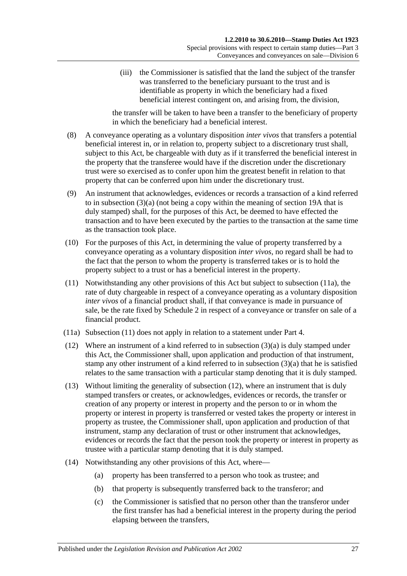(iii) the Commissioner is satisfied that the land the subject of the transfer was transferred to the beneficiary pursuant to the trust and is identifiable as property in which the beneficiary had a fixed beneficial interest contingent on, and arising from, the division,

the transfer will be taken to have been a transfer to the beneficiary of property in which the beneficiary had a beneficial interest.

- (8) A conveyance operating as a voluntary disposition *inter vivos* that transfers a potential beneficial interest in, or in relation to, property subject to a discretionary trust shall, subject to this Act, be chargeable with duty as if it transferred the beneficial interest in the property that the transferee would have if the discretion under the discretionary trust were so exercised as to confer upon him the greatest benefit in relation to that property that can be conferred upon him under the discretionary trust.
- (9) An instrument that acknowledges, evidences or records a transaction of a kind referred to in [subsection](#page-40-2) (3)(a) (not being a copy within the meaning of [section](#page-14-0) 19A that is duly stamped) shall, for the purposes of this Act, be deemed to have effected the transaction and to have been executed by the parties to the transaction at the same time as the transaction took place.
- (10) For the purposes of this Act, in determining the value of property transferred by a conveyance operating as a voluntary disposition *inter vivos*, no regard shall be had to the fact that the person to whom the property is transferred takes or is to hold the property subject to a trust or has a beneficial interest in the property.
- <span id="page-44-1"></span>(11) Notwithstanding any other provisions of this Act but subject to [subsection](#page-44-0) (11a), the rate of duty chargeable in respect of a conveyance operating as a voluntary disposition *inter vivos* of a financial product shall, if that conveyance is made in pursuance of sale, be the rate fixed by [Schedule 2](#page-96-0) in respect of a conveyance or transfer on sale of a financial product.
- <span id="page-44-0"></span>(11a) [Subsection](#page-44-1) (11) does not apply in relation to a statement under [Part 4.](#page-78-0)
- <span id="page-44-2"></span>(12) Where an instrument of a kind referred to in [subsection](#page-40-2) (3)(a) is duly stamped under this Act, the Commissioner shall, upon application and production of that instrument, stamp any other instrument of a kind referred to in [subsection](#page-40-2) (3)(a) that he is satisfied relates to the same transaction with a particular stamp denoting that it is duly stamped.
- (13) Without limiting the generality of [subsection](#page-44-2) (12), where an instrument that is duly stamped transfers or creates, or acknowledges, evidences or records, the transfer or creation of any property or interest in property and the person to or in whom the property or interest in property is transferred or vested takes the property or interest in property as trustee, the Commissioner shall, upon application and production of that instrument, stamp any declaration of trust or other instrument that acknowledges, evidences or records the fact that the person took the property or interest in property as trustee with a particular stamp denoting that it is duly stamped.
- (14) Notwithstanding any other provisions of this Act, where—
	- (a) property has been transferred to a person who took as trustee; and
	- (b) that property is subsequently transferred back to the transferor; and
	- (c) the Commissioner is satisfied that no person other than the transferor under the first transfer has had a beneficial interest in the property during the period elapsing between the transfers,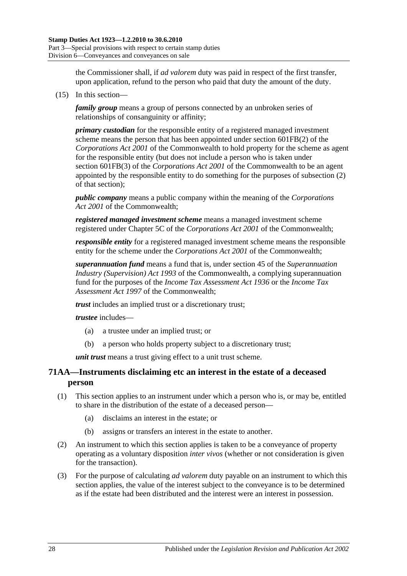the Commissioner shall, if *ad valorem* duty was paid in respect of the first transfer, upon application, refund to the person who paid that duty the amount of the duty.

<span id="page-45-0"></span>(15) In this section—

*family group* means a group of persons connected by an unbroken series of relationships of consanguinity or affinity;

*primary custodian* for the responsible entity of a registered managed investment scheme means the person that has been appointed under section 601FB(2) of the *Corporations Act 2001* of the Commonwealth to hold property for the scheme as agent for the responsible entity (but does not include a person who is taken under section 601FB(3) of the *Corporations Act 2001* of the Commonwealth to be an agent appointed by the responsible entity to do something for the purposes of subsection (2) of that section);

*public company* means a public company within the meaning of the *Corporations Act 2001* of the Commonwealth;

*registered managed investment scheme* means a managed investment scheme registered under Chapter 5C of the *Corporations Act 2001* of the Commonwealth;

*responsible entity* for a registered managed investment scheme means the responsible entity for the scheme under the *Corporations Act 2001* of the Commonwealth;

*superannuation fund* means a fund that is, under section 45 of the *Superannuation Industry (Supervision) Act 1993* of the Commonwealth, a complying superannuation fund for the purposes of the *Income Tax Assessment Act 1936* or the *Income Tax Assessment Act 1997* of the Commonwealth;

*trust* includes an implied trust or a discretionary trust;

*trustee* includes—

- (a) a trustee under an implied trust; or
- (b) a person who holds property subject to a discretionary trust;

*unit trust* means a trust giving effect to a unit trust scheme.

# **71AA—Instruments disclaiming etc an interest in the estate of a deceased person**

- (1) This section applies to an instrument under which a person who is, or may be, entitled to share in the distribution of the estate of a deceased person—
	- (a) disclaims an interest in the estate; or
	- (b) assigns or transfers an interest in the estate to another.
- (2) An instrument to which this section applies is taken to be a conveyance of property operating as a voluntary disposition *inter vivos* (whether or not consideration is given for the transaction).
- (3) For the purpose of calculating *ad valorem* duty payable on an instrument to which this section applies, the value of the interest subject to the conveyance is to be determined as if the estate had been distributed and the interest were an interest in possession.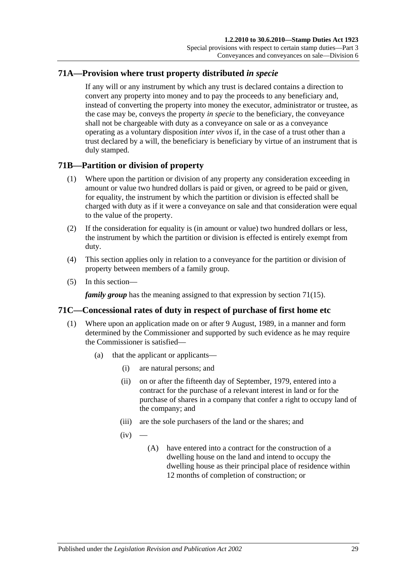# **71A—Provision where trust property distributed** *in specie*

If any will or any instrument by which any trust is declared contains a direction to convert any property into money and to pay the proceeds to any beneficiary and, instead of converting the property into money the executor, administrator or trustee, as the case may be, conveys the property *in specie* to the beneficiary, the conveyance shall not be chargeable with duty as a conveyance on sale or as a conveyance operating as a voluntary disposition *inter vivos* if, in the case of a trust other than a trust declared by a will, the beneficiary is beneficiary by virtue of an instrument that is duly stamped.

# **71B—Partition or division of property**

- (1) Where upon the partition or division of any property any consideration exceeding in amount or value two hundred dollars is paid or given, or agreed to be paid or given, for equality, the instrument by which the partition or division is effected shall be charged with duty as if it were a conveyance on sale and that consideration were equal to the value of the property.
- (2) If the consideration for equality is (in amount or value) two hundred dollars or less, the instrument by which the partition or division is effected is entirely exempt from duty.
- (4) This section applies only in relation to a conveyance for the partition or division of property between members of a family group.
- (5) In this section—

*family group* has the meaning assigned to that expression by [section](#page-45-0) 71(15).

# **71C—Concessional rates of duty in respect of purchase of first home etc**

- <span id="page-46-2"></span><span id="page-46-1"></span><span id="page-46-0"></span>(1) Where upon an application made on or after 9 August, 1989, in a manner and form determined by the Commissioner and supported by such evidence as he may require the Commissioner is satisfied—
	- (a) that the applicant or applicants—
		- (i) are natural persons; and
		- (ii) on or after the fifteenth day of September, 1979, entered into a contract for the purchase of a relevant interest in land or for the purchase of shares in a company that confer a right to occupy land of the company; and
		- (iii) are the sole purchasers of the land or the shares; and
		- $(iv)$ 
			- (A) have entered into a contract for the construction of a dwelling house on the land and intend to occupy the dwelling house as their principal place of residence within 12 months of completion of construction; or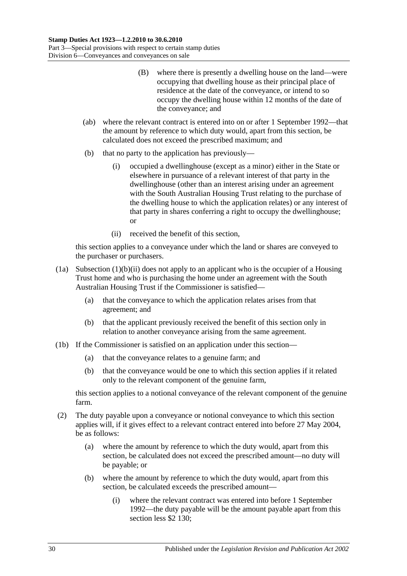- (B) where there is presently a dwelling house on the land—were occupying that dwelling house as their principal place of residence at the date of the conveyance, or intend to so occupy the dwelling house within 12 months of the date of the conveyance; and
- (ab) where the relevant contract is entered into on or after 1 September 1992—that the amount by reference to which duty would, apart from this section, be calculated does not exceed the prescribed maximum; and
- (b) that no party to the application has previously—
	- (i) occupied a dwellinghouse (except as a minor) either in the State or elsewhere in pursuance of a relevant interest of that party in the dwellinghouse (other than an interest arising under an agreement with the South Australian Housing Trust relating to the purchase of the dwelling house to which the application relates) or any interest of that party in shares conferring a right to occupy the dwellinghouse; or
	- (ii) received the benefit of this section,

<span id="page-47-0"></span>this section applies to a conveyance under which the land or shares are conveyed to the purchaser or purchasers.

- (1a) [Subsection](#page-47-0) (1)(b)(ii) does not apply to an applicant who is the occupier of a Housing Trust home and who is purchasing the home under an agreement with the South Australian Housing Trust if the Commissioner is satisfied—
	- (a) that the conveyance to which the application relates arises from that agreement; and
	- (b) that the applicant previously received the benefit of this section only in relation to another conveyance arising from the same agreement.
- (1b) If the Commissioner is satisfied on an application under this section—
	- (a) that the conveyance relates to a genuine farm; and
	- (b) that the conveyance would be one to which this section applies if it related only to the relevant component of the genuine farm,

this section applies to a notional conveyance of the relevant component of the genuine farm.

- (2) The duty payable upon a conveyance or notional conveyance to which this section applies will, if it gives effect to a relevant contract entered into before 27 May 2004, be as follows:
	- (a) where the amount by reference to which the duty would, apart from this section, be calculated does not exceed the prescribed amount—no duty will be payable; or
	- (b) where the amount by reference to which the duty would, apart from this section, be calculated exceeds the prescribed amount—
		- (i) where the relevant contract was entered into before 1 September 1992—the duty payable will be the amount payable apart from this section less \$2 130;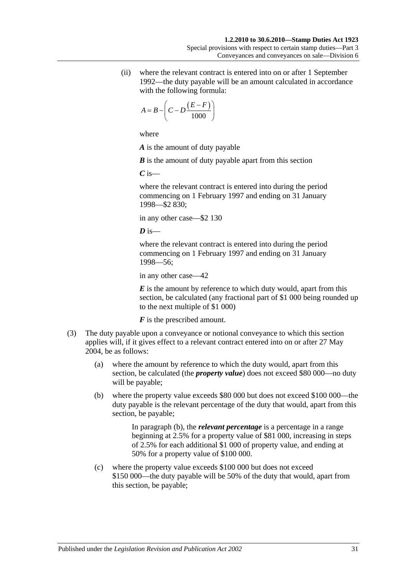(ii) where the relevant contract is entered into on or after 1 September 1992—the duty payable will be an amount calculated in accordance with the following formula:

$$
A = B - \left(C - D \frac{(E - F)}{1000}\right)
$$

where

*A* is the amount of duty payable

*B* is the amount of duty payable apart from this section

*C* is—

where the relevant contract is entered into during the period commencing on 1 February 1997 and ending on 31 January 1998—\$2 830;

in any other case—\$2 130

 $\overline{D}$  is—

where the relevant contract is entered into during the period commencing on 1 February 1997 and ending on 31 January 1998—56;

in any other case—42

*E* is the amount by reference to which duty would, apart from this section, be calculated (any fractional part of \$1 000 being rounded up to the next multiple of \$1 000)

*F* is the prescribed amount.

- <span id="page-48-1"></span><span id="page-48-0"></span>(3) The duty payable upon a conveyance or notional conveyance to which this section applies will, if it gives effect to a relevant contract entered into on or after 27 May 2004, be as follows:
	- (a) where the amount by reference to which the duty would, apart from this section, be calculated (the *property value*) does not exceed \$80 000—no duty will be payable;
	- (b) where the property value exceeds \$80 000 but does not exceed \$100 000—the duty payable is the relevant percentage of the duty that would, apart from this section, be payable;

In [paragraph](#page-48-0) (b), the *relevant percentage* is a percentage in a range beginning at 2.5% for a property value of \$81 000, increasing in steps of 2.5% for each additional \$1 000 of property value, and ending at 50% for a property value of \$100 000.

(c) where the property value exceeds \$100 000 but does not exceed \$150 000—the duty payable will be 50% of the duty that would, apart from this section, be payable;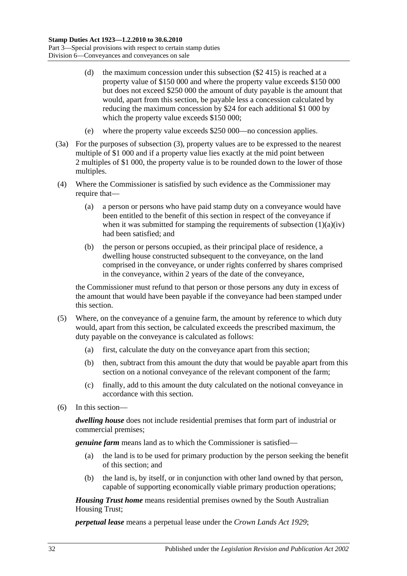- (d) the maximum concession under this subsection (\$2 415) is reached at a property value of \$150 000 and where the property value exceeds \$150 000 but does not exceed \$250 000 the amount of duty payable is the amount that would, apart from this section, be payable less a concession calculated by reducing the maximum concession by \$24 for each additional \$1 000 by which the property value exceeds \$150 000;
- (e) where the property value exceeds \$250 000—no concession applies.
- (3a) For the purposes of [subsection](#page-48-1) (3), property values are to be expressed to the nearest multiple of \$1 000 and if a property value lies exactly at the mid point between 2 multiples of \$1 000, the property value is to be rounded down to the lower of those multiples.
- (4) Where the Commissioner is satisfied by such evidence as the Commissioner may require that—
	- (a) a person or persons who have paid stamp duty on a conveyance would have been entitled to the benefit of this section in respect of the conveyance if when it was submitted for stamping the requirements of [subsection](#page-46-0)  $(1)(a)(iv)$ had been satisfied; and
	- (b) the person or persons occupied, as their principal place of residence, a dwelling house constructed subsequent to the conveyance, on the land comprised in the conveyance, or under rights conferred by shares comprised in the conveyance, within 2 years of the date of the conveyance,

the Commissioner must refund to that person or those persons any duty in excess of the amount that would have been payable if the conveyance had been stamped under this section.

- (5) Where, on the conveyance of a genuine farm, the amount by reference to which duty would, apart from this section, be calculated exceeds the prescribed maximum, the duty payable on the conveyance is calculated as follows:
	- (a) first, calculate the duty on the conveyance apart from this section;
	- (b) then, subtract from this amount the duty that would be payable apart from this section on a notional conveyance of the relevant component of the farm;
	- (c) finally, add to this amount the duty calculated on the notional conveyance in accordance with this section.
- (6) In this section—

*dwelling house* does not include residential premises that form part of industrial or commercial premises;

*genuine farm* means land as to which the Commissioner is satisfied—

- (a) the land is to be used for primary production by the person seeking the benefit of this section; and
- (b) the land is, by itself, or in conjunction with other land owned by that person, capable of supporting economically viable primary production operations;

*Housing Trust home* means residential premises owned by the South Australian Housing Trust;

*perpetual lease* means a perpetual lease under the *[Crown Lands Act](http://www.legislation.sa.gov.au/index.aspx?action=legref&type=act&legtitle=Crown%20Lands%20Act%201929) 1929*;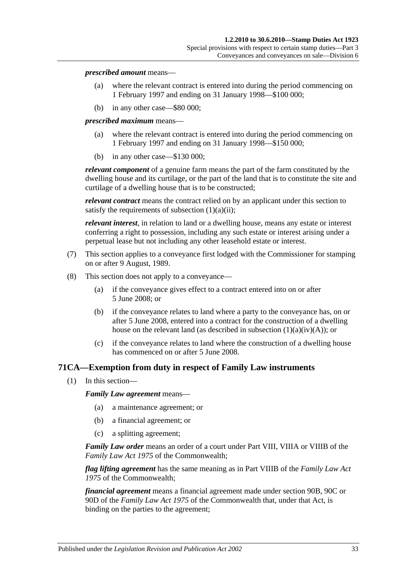#### *prescribed amount* means—

- (a) where the relevant contract is entered into during the period commencing on 1 February 1997 and ending on 31 January 1998—\$100 000;
- (b) in any other case—\$80 000;

*prescribed maximum* means—

- (a) where the relevant contract is entered into during the period commencing on 1 February 1997 and ending on 31 January 1998—\$150 000;
- (b) in any other case—\$130 000;

*relevant component* of a genuine farm means the part of the farm constituted by the dwelling house and its curtilage, or the part of the land that is to constitute the site and curtilage of a dwelling house that is to be constructed;

*relevant contract* means the contract relied on by an applicant under this section to satisfy the requirements of [subsection](#page-46-1)  $(1)(a)(ii)$ ;

*relevant interest*, in relation to land or a dwelling house, means any estate or interest conferring a right to possession, including any such estate or interest arising under a perpetual lease but not including any other leasehold estate or interest.

- (7) This section applies to a conveyance first lodged with the Commissioner for stamping on or after 9 August, 1989.
- (8) This section does not apply to a conveyance—
	- (a) if the conveyance gives effect to a contract entered into on or after 5 June 2008; or
	- (b) if the conveyance relates to land where a party to the conveyance has, on or after 5 June 2008, entered into a contract for the construction of a dwelling house on the relevant land (as described in subsection  $(1)(a)(iv)(A)$ ); or
	- (c) if the conveyance relates to land where the construction of a dwelling house has commenced on or after 5 June 2008.

# **71CA—Exemption from duty in respect of Family Law instruments**

(1) In this section—

*Family Law agreement* means—

- (a) a maintenance agreement; or
- (b) a financial agreement; or
- (c) a splitting agreement;

*Family Law order* means an order of a court under Part VIII, VIIIA or VIIIB of the *Family Law Act 1975* of the Commonwealth;

*flag lifting agreement* has the same meaning as in Part VIIIB of the *Family Law Act 1975* of the Commonwealth;

*financial agreement* means a financial agreement made under section 90B, 90C or 90D of the *Family Law Act 1975* of the Commonwealth that, under that Act, is binding on the parties to the agreement;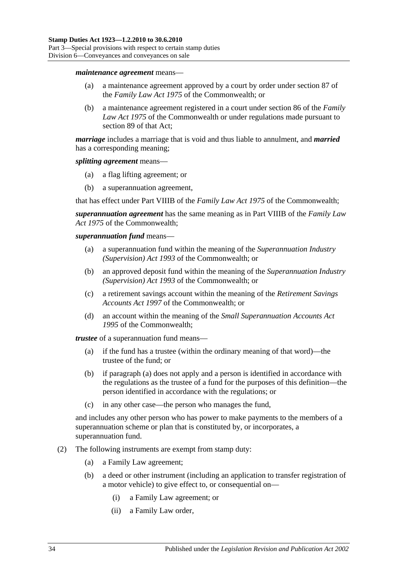#### *maintenance agreement* means—

- (a) a maintenance agreement approved by a court by order under section 87 of the *Family Law Act 1975* of the Commonwealth; or
- (b) a maintenance agreement registered in a court under section 86 of the *Family Law Act 1975* of the Commonwealth or under regulations made pursuant to section 89 of that Act;

*marriage* includes a marriage that is void and thus liable to annulment, and *married* has a corresponding meaning;

#### *splitting agreement* means—

- (a) a flag lifting agreement; or
- (b) a superannuation agreement,

that has effect under Part VIIIB of the *Family Law Act 1975* of the Commonwealth;

*superannuation agreement* has the same meaning as in Part VIIIB of the *Family Law Act 1975* of the Commonwealth;

#### *superannuation fund* means—

- (a) a superannuation fund within the meaning of the *Superannuation Industry (Supervision) Act 1993* of the Commonwealth; or
- (b) an approved deposit fund within the meaning of the *Superannuation Industry (Supervision) Act 1993* of the Commonwealth; or
- (c) a retirement savings account within the meaning of the *Retirement Savings Accounts Act 1997* of the Commonwealth; or
- (d) an account within the meaning of the *Small Superannuation Accounts Act 1995* of the Commonwealth;

<span id="page-51-0"></span>*trustee* of a superannuation fund means—

- (a) if the fund has a trustee (within the ordinary meaning of that word)—the trustee of the fund; or
- (b) if [paragraph](#page-51-0) (a) does not apply and a person is identified in accordance with the regulations as the trustee of a fund for the purposes of this definition—the person identified in accordance with the regulations; or
- (c) in any other case—the person who manages the fund,

and includes any other person who has power to make payments to the members of a superannuation scheme or plan that is constituted by, or incorporates, a superannuation fund.

- (2) The following instruments are exempt from stamp duty:
	- (a) a Family Law agreement;
	- (b) a deed or other instrument (including an application to transfer registration of a motor vehicle) to give effect to, or consequential on—
		- (i) a Family Law agreement; or
		- (ii) a Family Law order,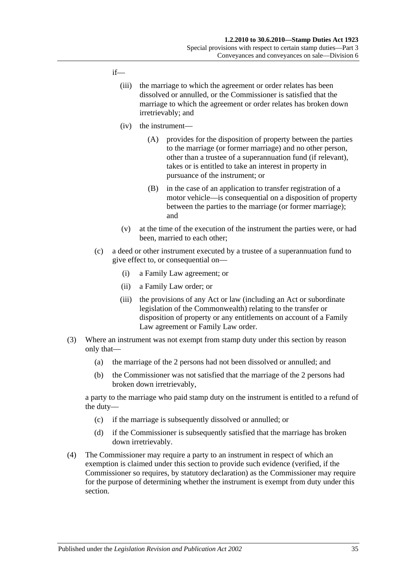### if—

- (iii) the marriage to which the agreement or order relates has been dissolved or annulled, or the Commissioner is satisfied that the marriage to which the agreement or order relates has broken down irretrievably; and
- (iv) the instrument—
	- (A) provides for the disposition of property between the parties to the marriage (or former marriage) and no other person, other than a trustee of a superannuation fund (if relevant), takes or is entitled to take an interest in property in pursuance of the instrument; or
	- (B) in the case of an application to transfer registration of a motor vehicle—is consequential on a disposition of property between the parties to the marriage (or former marriage); and
- (v) at the time of the execution of the instrument the parties were, or had been, married to each other;
- (c) a deed or other instrument executed by a trustee of a superannuation fund to give effect to, or consequential on—
	- (i) a Family Law agreement; or
	- (ii) a Family Law order; or
	- (iii) the provisions of any Act or law (including an Act or subordinate legislation of the Commonwealth) relating to the transfer or disposition of property or any entitlements on account of a Family Law agreement or Family Law order.
- (3) Where an instrument was not exempt from stamp duty under this section by reason only that—
	- (a) the marriage of the 2 persons had not been dissolved or annulled; and
	- (b) the Commissioner was not satisfied that the marriage of the 2 persons had broken down irretrievably,

a party to the marriage who paid stamp duty on the instrument is entitled to a refund of the duty—

- (c) if the marriage is subsequently dissolved or annulled; or
- (d) if the Commissioner is subsequently satisfied that the marriage has broken down irretrievably.
- (4) The Commissioner may require a party to an instrument in respect of which an exemption is claimed under this section to provide such evidence (verified, if the Commissioner so requires, by statutory declaration) as the Commissioner may require for the purpose of determining whether the instrument is exempt from duty under this section.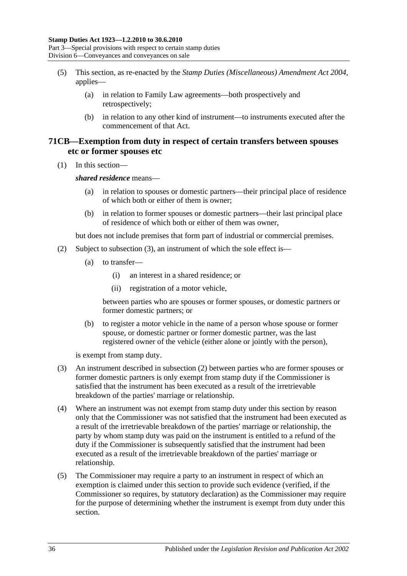Part 3—Special provisions with respect to certain stamp duties Division 6—Conveyances and conveyances on sale

- (5) This section, as re-enacted by the *[Stamp Duties \(Miscellaneous\) Amendment Act 2004](http://www.legislation.sa.gov.au/index.aspx?action=legref&type=act&legtitle=Stamp%20Duties%20(Miscellaneous)%20Amendment%20Act%202004)*, applies—
	- (a) in relation to Family Law agreements—both prospectively and retrospectively;
	- (b) in relation to any other kind of instrument—to instruments executed after the commencement of that Act.

# **71CB—Exemption from duty in respect of certain transfers between spouses etc or former spouses etc**

(1) In this section—

*shared residence* means—

- (a) in relation to spouses or domestic partners—their principal place of residence of which both or either of them is owner;
- (b) in relation to former spouses or domestic partners—their last principal place of residence of which both or either of them was owner,

but does not include premises that form part of industrial or commercial premises.

- <span id="page-53-1"></span>(2) Subject to [subsection](#page-53-0) (3), an instrument of which the sole effect is—
	- (a) to transfer—
		- (i) an interest in a shared residence; or
		- (ii) registration of a motor vehicle,

between parties who are spouses or former spouses, or domestic partners or former domestic partners; or

(b) to register a motor vehicle in the name of a person whose spouse or former spouse, or domestic partner or former domestic partner, was the last registered owner of the vehicle (either alone or jointly with the person),

is exempt from stamp duty.

- <span id="page-53-0"></span>(3) An instrument described in [subsection](#page-53-1) (2) between parties who are former spouses or former domestic partners is only exempt from stamp duty if the Commissioner is satisfied that the instrument has been executed as a result of the irretrievable breakdown of the parties' marriage or relationship.
- (4) Where an instrument was not exempt from stamp duty under this section by reason only that the Commissioner was not satisfied that the instrument had been executed as a result of the irretrievable breakdown of the parties' marriage or relationship, the party by whom stamp duty was paid on the instrument is entitled to a refund of the duty if the Commissioner is subsequently satisfied that the instrument had been executed as a result of the irretrievable breakdown of the parties' marriage or relationship.
- (5) The Commissioner may require a party to an instrument in respect of which an exemption is claimed under this section to provide such evidence (verified, if the Commissioner so requires, by statutory declaration) as the Commissioner may require for the purpose of determining whether the instrument is exempt from duty under this section.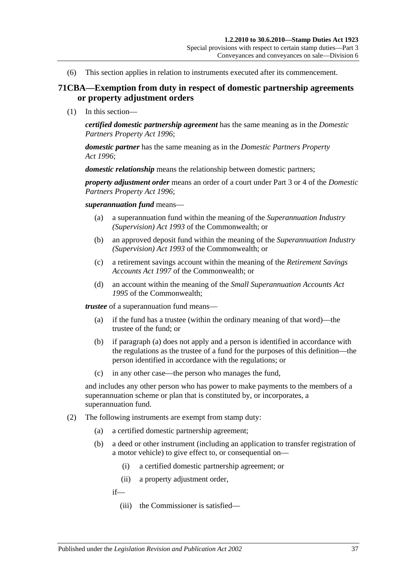(6) This section applies in relation to instruments executed after its commencement.

## **71CBA—Exemption from duty in respect of domestic partnership agreements or property adjustment orders**

(1) In this section—

*certified domestic partnership agreement* has the same meaning as in the *[Domestic](http://www.legislation.sa.gov.au/index.aspx?action=legref&type=act&legtitle=Domestic%20Partners%20Property%20Act%201996)  [Partners Property Act](http://www.legislation.sa.gov.au/index.aspx?action=legref&type=act&legtitle=Domestic%20Partners%20Property%20Act%201996) 1996*;

*domestic partner* has the same meaning as in the *[Domestic Partners Property](http://www.legislation.sa.gov.au/index.aspx?action=legref&type=act&legtitle=Domestic%20Partners%20Property%20Act%201996)  Act [1996](http://www.legislation.sa.gov.au/index.aspx?action=legref&type=act&legtitle=Domestic%20Partners%20Property%20Act%201996)*;

*domestic relationship* means the relationship between domestic partners;

*property adjustment order* means an order of a court under Part 3 or 4 of the *[Domestic](http://www.legislation.sa.gov.au/index.aspx?action=legref&type=act&legtitle=Domestic%20Partners%20Property%20Act%201996)  [Partners Property Act](http://www.legislation.sa.gov.au/index.aspx?action=legref&type=act&legtitle=Domestic%20Partners%20Property%20Act%201996) 1996*;

*superannuation fund* means—

- (a) a superannuation fund within the meaning of the *Superannuation Industry (Supervision) Act 1993* of the Commonwealth; or
- (b) an approved deposit fund within the meaning of the *Superannuation Industry (Supervision) Act 1993* of the Commonwealth; or
- (c) a retirement savings account within the meaning of the *Retirement Savings Accounts Act 1997* of the Commonwealth; or
- (d) an account within the meaning of the *Small Superannuation Accounts Act 1995* of the Commonwealth;

<span id="page-54-0"></span>*trustee* of a superannuation fund means—

- (a) if the fund has a trustee (within the ordinary meaning of that word)—the trustee of the fund; or
- (b) if [paragraph](#page-54-0) (a) does not apply and a person is identified in accordance with the regulations as the trustee of a fund for the purposes of this definition—the person identified in accordance with the regulations; or
- (c) in any other case—the person who manages the fund,

and includes any other person who has power to make payments to the members of a superannuation scheme or plan that is constituted by, or incorporates, a superannuation fund.

- (2) The following instruments are exempt from stamp duty:
	- (a) a certified domestic partnership agreement;
	- (b) a deed or other instrument (including an application to transfer registration of a motor vehicle) to give effect to, or consequential on—
		- (i) a certified domestic partnership agreement; or
		- (ii) a property adjustment order,

if—

(iii) the Commissioner is satisfied—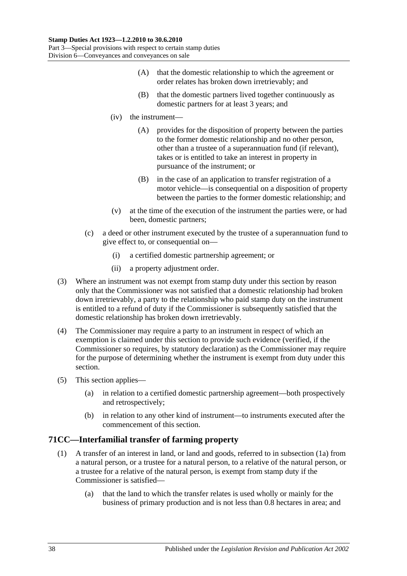- (A) that the domestic relationship to which the agreement or order relates has broken down irretrievably; and
- (B) that the domestic partners lived together continuously as domestic partners for at least 3 years; and
- (iv) the instrument—
	- (A) provides for the disposition of property between the parties to the former domestic relationship and no other person, other than a trustee of a superannuation fund (if relevant), takes or is entitled to take an interest in property in pursuance of the instrument; or
	- (B) in the case of an application to transfer registration of a motor vehicle—is consequential on a disposition of property between the parties to the former domestic relationship; and
- (v) at the time of the execution of the instrument the parties were, or had been, domestic partners;
- (c) a deed or other instrument executed by the trustee of a superannuation fund to give effect to, or consequential on—
	- (i) a certified domestic partnership agreement; or
	- (ii) a property adjustment order.
- (3) Where an instrument was not exempt from stamp duty under this section by reason only that the Commissioner was not satisfied that a domestic relationship had broken down irretrievably, a party to the relationship who paid stamp duty on the instrument is entitled to a refund of duty if the Commissioner is subsequently satisfied that the domestic relationship has broken down irretrievably.
- (4) The Commissioner may require a party to an instrument in respect of which an exemption is claimed under this section to provide such evidence (verified, if the Commissioner so requires, by statutory declaration) as the Commissioner may require for the purpose of determining whether the instrument is exempt from duty under this section.
- (5) This section applies—
	- (a) in relation to a certified domestic partnership agreement—both prospectively and retrospectively;
	- (b) in relation to any other kind of instrument—to instruments executed after the commencement of this section.

# <span id="page-55-0"></span>**71CC—Interfamilial transfer of farming property**

- (1) A transfer of an interest in land, or land and goods, referred to in [subsection](#page-56-0) (1a) from a natural person, or a trustee for a natural person, to a relative of the natural person, or a trustee for a relative of the natural person, is exempt from stamp duty if the Commissioner is satisfied—
	- (a) that the land to which the transfer relates is used wholly or mainly for the business of primary production and is not less than 0.8 hectares in area; and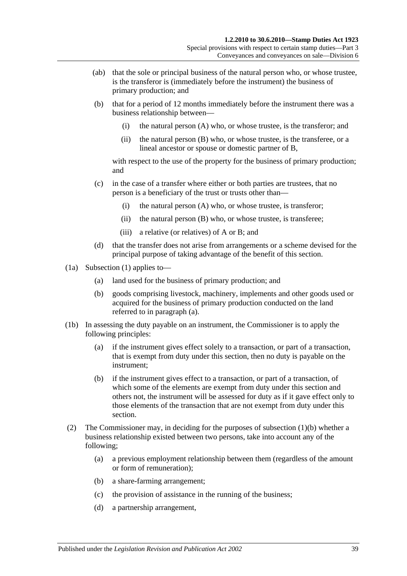- (ab) that the sole or principal business of the natural person who, or whose trustee, is the transferor is (immediately before the instrument) the business of primary production; and
- <span id="page-56-2"></span>(b) that for a period of 12 months immediately before the instrument there was a business relationship between—
	- (i) the natural person (A) who, or whose trustee, is the transferor; and
	- (ii) the natural person (B) who, or whose trustee, is the transferee, or a lineal ancestor or spouse or domestic partner of B,

with respect to the use of the property for the business of primary production; and

- (c) in the case of a transfer where either or both parties are trustees, that no person is a beneficiary of the trust or trusts other than—
	- (i) the natural person (A) who, or whose trustee, is transferor;
	- (ii) the natural person (B) who, or whose trustee, is transferee;
	- (iii) a relative (or relatives) of A or B; and
- (d) that the transfer does not arise from arrangements or a scheme devised for the principal purpose of taking advantage of the benefit of this section.
- <span id="page-56-1"></span><span id="page-56-0"></span>(1a) [Subsection](#page-55-0) (1) applies to—
	- (a) land used for the business of primary production; and
	- (b) goods comprising livestock, machinery, implements and other goods used or acquired for the business of primary production conducted on the land referred to in [paragraph](#page-56-1) (a).
- (1b) In assessing the duty payable on an instrument, the Commissioner is to apply the following principles:
	- (a) if the instrument gives effect solely to a transaction, or part of a transaction, that is exempt from duty under this section, then no duty is payable on the instrument;
	- (b) if the instrument gives effect to a transaction, or part of a transaction, of which some of the elements are exempt from duty under this section and others not, the instrument will be assessed for duty as if it gave effect only to those elements of the transaction that are not exempt from duty under this section.
- (2) The Commissioner may, in deciding for the purposes of [subsection](#page-56-2) (1)(b) whether a business relationship existed between two persons, take into account any of the following;
	- (a) a previous employment relationship between them (regardless of the amount or form of remuneration);
	- (b) a share-farming arrangement;
	- (c) the provision of assistance in the running of the business;
	- (d) a partnership arrangement,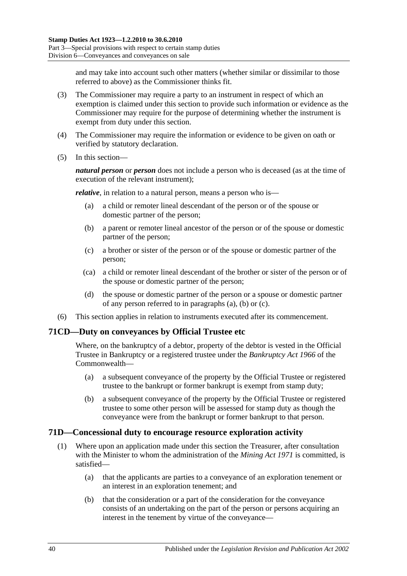and may take into account such other matters (whether similar or dissimilar to those referred to above) as the Commissioner thinks fit.

- (3) The Commissioner may require a party to an instrument in respect of which an exemption is claimed under this section to provide such information or evidence as the Commissioner may require for the purpose of determining whether the instrument is exempt from duty under this section.
- (4) The Commissioner may require the information or evidence to be given on oath or verified by statutory declaration.
- (5) In this section—

*natural person* or *person* does not include a person who is deceased (as at the time of execution of the relevant instrument);

<span id="page-57-0"></span>*relative*, in relation to a natural person, means a person who is—

- (a) a child or remoter lineal descendant of the person or of the spouse or domestic partner of the person;
- <span id="page-57-1"></span>(b) a parent or remoter lineal ancestor of the person or of the spouse or domestic partner of the person;
- <span id="page-57-2"></span>(c) a brother or sister of the person or of the spouse or domestic partner of the person;
- (ca) a child or remoter lineal descendant of the brother or sister of the person or of the spouse or domestic partner of the person;
- (d) the spouse or domestic partner of the person or a spouse or domestic partner of any person referred to in [paragraphs](#page-57-0) (a), [\(b\)](#page-57-1) or [\(c\).](#page-57-2)
- (6) This section applies in relation to instruments executed after its commencement.

# **71CD—Duty on conveyances by Official Trustee etc**

Where, on the bankruptcy of a debtor, property of the debtor is vested in the Official Trustee in Bankruptcy or a registered trustee under the *Bankruptcy Act 1966* of the Commonwealth—

- (a) a subsequent conveyance of the property by the Official Trustee or registered trustee to the bankrupt or former bankrupt is exempt from stamp duty;
- (b) a subsequent conveyance of the property by the Official Trustee or registered trustee to some other person will be assessed for stamp duty as though the conveyance were from the bankrupt or former bankrupt to that person.

### **71D—Concessional duty to encourage resource exploration activity**

- <span id="page-57-3"></span>(1) Where upon an application made under this section the Treasurer, after consultation with the Minister to whom the administration of the *[Mining Act](http://www.legislation.sa.gov.au/index.aspx?action=legref&type=act&legtitle=Mining%20Act%201971) 1971* is committed, is satisfied—
	- (a) that the applicants are parties to a conveyance of an exploration tenement or an interest in an exploration tenement; and
	- (b) that the consideration or a part of the consideration for the conveyance consists of an undertaking on the part of the person or persons acquiring an interest in the tenement by virtue of the conveyance—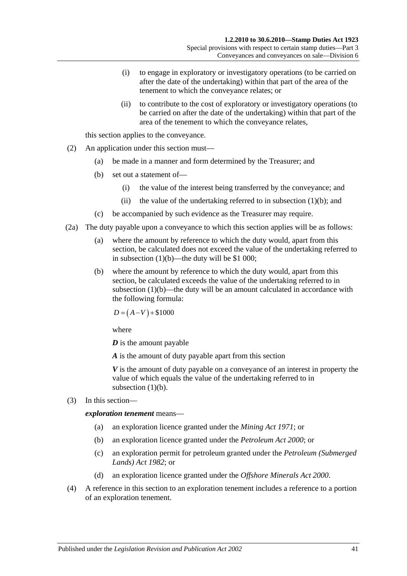- (i) to engage in exploratory or investigatory operations (to be carried on after the date of the undertaking) within that part of the area of the tenement to which the conveyance relates; or
- (ii) to contribute to the cost of exploratory or investigatory operations (to be carried on after the date of the undertaking) within that part of the area of the tenement to which the conveyance relates,

this section applies to the conveyance.

- (2) An application under this section must—
	- (a) be made in a manner and form determined by the Treasurer; and
	- (b) set out a statement of—
		- (i) the value of the interest being transferred by the conveyance; and
		- (ii) the value of the undertaking referred to in [subsection](#page-57-3)  $(1)(b)$ ; and
	- (c) be accompanied by such evidence as the Treasurer may require.
- (2a) The duty payable upon a conveyance to which this section applies will be as follows:
	- (a) where the amount by reference to which the duty would, apart from this section, be calculated does not exceed the value of the undertaking referred to in [subsection](#page-57-3)  $(1)(b)$ —the duty will be \$1 000;
	- (b) where the amount by reference to which the duty would, apart from this section, be calculated exceeds the value of the undertaking referred to in [subsection](#page-57-3) (1)(b)—the duty will be an amount calculated in accordance with the following formula:

 $D = (A-V) + $1000$ 

where

*D* is the amount payable

*A* is the amount of duty payable apart from this section

*V* is the amount of duty payable on a conveyance of an interest in property the value of which equals the value of the undertaking referred to in [subsection](#page-57-3)  $(1)(b)$ .

(3) In this section—

*exploration tenement* means—

- (a) an exploration licence granted under the *[Mining Act](http://www.legislation.sa.gov.au/index.aspx?action=legref&type=act&legtitle=Mining%20Act%201971) 1971*; or
- (b) an exploration licence granted under the *[Petroleum Act](http://www.legislation.sa.gov.au/index.aspx?action=legref&type=act&legtitle=Petroleum%20Act%202000) 2000*; or
- (c) an exploration permit for petroleum granted under the *[Petroleum \(Submerged](http://www.legislation.sa.gov.au/index.aspx?action=legref&type=act&legtitle=Petroleum%20(Submerged%20Lands)%20Act%201982)  [Lands\) Act](http://www.legislation.sa.gov.au/index.aspx?action=legref&type=act&legtitle=Petroleum%20(Submerged%20Lands)%20Act%201982) 1982*; or
- (d) an exploration licence granted under the *[Offshore Minerals Act](http://www.legislation.sa.gov.au/index.aspx?action=legref&type=act&legtitle=Offshore%20Minerals%20Act%202000) 2000*.
- (4) A reference in this section to an exploration tenement includes a reference to a portion of an exploration tenement.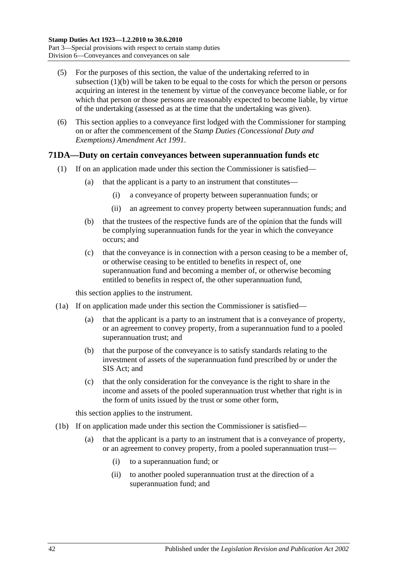- (5) For the purposes of this section, the value of the undertaking referred to in [subsection](#page-57-3) (1)(b) will be taken to be equal to the costs for which the person or persons acquiring an interest in the tenement by virtue of the conveyance become liable, or for which that person or those persons are reasonably expected to become liable, by virtue of the undertaking (assessed as at the time that the undertaking was given).
- (6) This section applies to a conveyance first lodged with the Commissioner for stamping on or after the commencement of the *[Stamp Duties \(Concessional Duty and](http://www.legislation.sa.gov.au/index.aspx?action=legref&type=act&legtitle=Stamp%20Duties%20(Concessional%20Duty%20and%20Exemptions)%20Amendment%20Act%201991)  [Exemptions\) Amendment Act](http://www.legislation.sa.gov.au/index.aspx?action=legref&type=act&legtitle=Stamp%20Duties%20(Concessional%20Duty%20and%20Exemptions)%20Amendment%20Act%201991) 1991*.

# <span id="page-59-0"></span>**71DA—Duty on certain conveyances between superannuation funds etc**

- (1) If on an application made under this section the Commissioner is satisfied—
	- (a) that the applicant is a party to an instrument that constitutes—
		- (i) a conveyance of property between superannuation funds; or
		- (ii) an agreement to convey property between superannuation funds; and
	- (b) that the trustees of the respective funds are of the opinion that the funds will be complying superannuation funds for the year in which the conveyance occurs; and
	- (c) that the conveyance is in connection with a person ceasing to be a member of, or otherwise ceasing to be entitled to benefits in respect of, one superannuation fund and becoming a member of, or otherwise becoming entitled to benefits in respect of, the other superannuation fund,

this section applies to the instrument.

- <span id="page-59-1"></span>(1a) If on application made under this section the Commissioner is satisfied—
	- (a) that the applicant is a party to an instrument that is a conveyance of property, or an agreement to convey property, from a superannuation fund to a pooled superannuation trust; and
	- (b) that the purpose of the conveyance is to satisfy standards relating to the investment of assets of the superannuation fund prescribed by or under the SIS Act; and
	- (c) that the only consideration for the conveyance is the right to share in the income and assets of the pooled superannuation trust whether that right is in the form of units issued by the trust or some other form,

this section applies to the instrument.

- <span id="page-59-2"></span>(1b) If on application made under this section the Commissioner is satisfied
	- that the applicant is a party to an instrument that is a conveyance of property, or an agreement to convey property, from a pooled superannuation trust—
		- (i) to a superannuation fund; or
		- (ii) to another pooled superannuation trust at the direction of a superannuation fund; and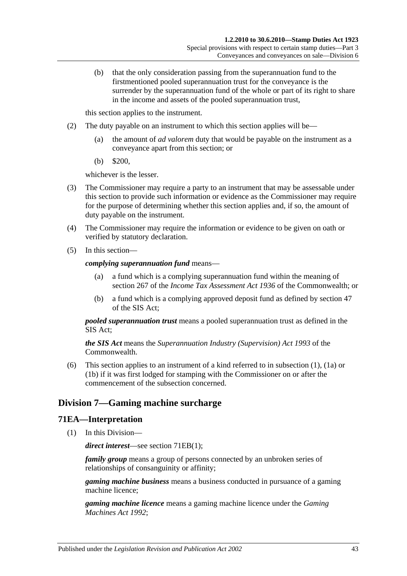(b) that the only consideration passing from the superannuation fund to the firstmentioned pooled superannuation trust for the conveyance is the surrender by the superannuation fund of the whole or part of its right to share in the income and assets of the pooled superannuation trust,

this section applies to the instrument.

- (2) The duty payable on an instrument to which this section applies will be—
	- (a) the amount of *ad valorem* duty that would be payable on the instrument as a conveyance apart from this section; or
	- (b) \$200,

whichever is the lesser.

- (3) The Commissioner may require a party to an instrument that may be assessable under this section to provide such information or evidence as the Commissioner may require for the purpose of determining whether this section applies and, if so, the amount of duty payable on the instrument.
- (4) The Commissioner may require the information or evidence to be given on oath or verified by statutory declaration.
- (5) In this section—

#### *complying superannuation fund* means—

- (a) a fund which is a complying superannuation fund within the meaning of section 267 of the *Income Tax Assessment Act 1936* of the Commonwealth; or
- (b) a fund which is a complying approved deposit fund as defined by section 47 of the SIS Act;

*pooled superannuation trust* means a pooled superannuation trust as defined in the SIS Act;

*the SIS Act* means the *Superannuation Industry (Supervision) Act 1993* of the **Commonwealth** 

(6) This section applies to an instrument of a kind referred to in [subsection](#page-59-0) (1), [\(1a\)](#page-59-1) or [\(1b\)](#page-59-2) if it was first lodged for stamping with the Commissioner on or after the commencement of the subsection concerned.

# **Division 7—Gaming machine surcharge**

### **71EA—Interpretation**

(1) In this Division—

*direct interest*—see section [71EB\(1\);](#page-62-0)

*family group* means a group of persons connected by an unbroken series of relationships of consanguinity or affinity;

*gaming machine business* means a business conducted in pursuance of a gaming machine licence;

*gaming machine licence* means a gaming machine licence under the *[Gaming](http://www.legislation.sa.gov.au/index.aspx?action=legref&type=act&legtitle=Gaming%20Machines%20Act%201992)  [Machines Act](http://www.legislation.sa.gov.au/index.aspx?action=legref&type=act&legtitle=Gaming%20Machines%20Act%201992) 1992*;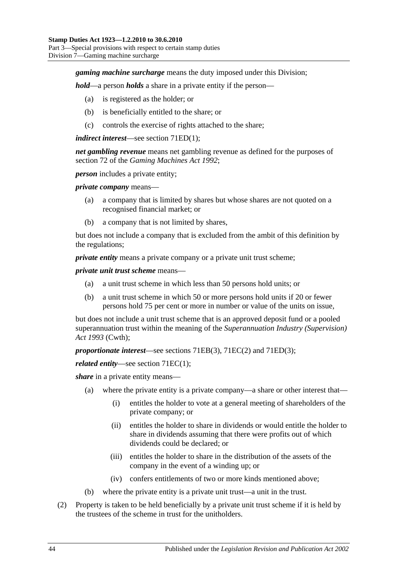### *gaming machine surcharge* means the duty imposed under this Division;

*hold*—a person *holds* a share in a private entity if the person—

- (a) is registered as the holder; or
- (b) is beneficially entitled to the share; or
- (c) controls the exercise of rights attached to the share;

#### *indirect interest*—see section [71ED\(1\);](#page-62-1)

*net gambling revenue* means net gambling revenue as defined for the purposes of section 72 of the *[Gaming Machines Act](http://www.legislation.sa.gov.au/index.aspx?action=legref&type=act&legtitle=Gaming%20Machines%20Act%201992) 1992*;

*person* includes a private entity;

*private company* means—

- (a) a company that is limited by shares but whose shares are not quoted on a recognised financial market; or
- (b) a company that is not limited by shares,

but does not include a company that is excluded from the ambit of this definition by the regulations;

*private entity* means a private company or a private unit trust scheme;

*private unit trust scheme* means—

- (a) a unit trust scheme in which less than 50 persons hold units; or
- (b) a unit trust scheme in which 50 or more persons hold units if 20 or fewer persons hold 75 per cent or more in number or value of the units on issue,

but does not include a unit trust scheme that is an approved deposit fund or a pooled superannuation trust within the meaning of the *Superannuation Industry (Supervision) Act 1993* (Cwth);

*proportionate interest*—see sections [71EB\(3\),](#page-62-2) [71EC\(2\)](#page-62-3) and [71ED\(3\);](#page-62-4)

*related entity*—see section [71EC\(1\);](#page-62-5)

*share* in a private entity means—

- (a) where the private entity is a private company—a share or other interest that—
	- (i) entitles the holder to vote at a general meeting of shareholders of the private company; or
	- (ii) entitles the holder to share in dividends or would entitle the holder to share in dividends assuming that there were profits out of which dividends could be declared; or
	- (iii) entitles the holder to share in the distribution of the assets of the company in the event of a winding up; or
	- (iv) confers entitlements of two or more kinds mentioned above;
- (b) where the private entity is a private unit trust—a unit in the trust.
- (2) Property is taken to be held beneficially by a private unit trust scheme if it is held by the trustees of the scheme in trust for the unitholders.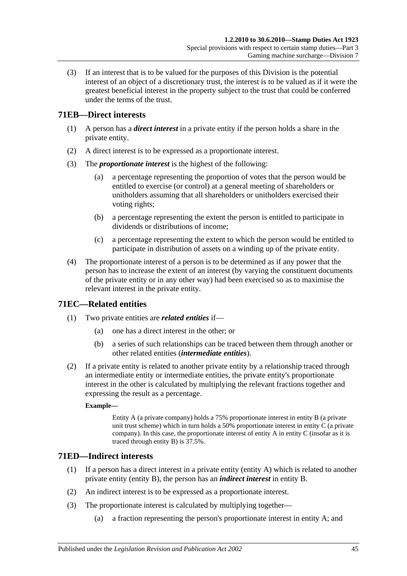(3) If an interest that is to be valued for the purposes of this Division is the potential interest of an object of a discretionary trust, the interest is to be valued as if it were the greatest beneficial interest in the property subject to the trust that could be conferred under the terms of the trust.

# <span id="page-62-0"></span>**71EB—Direct interests**

- (1) A person has a *direct interest* in a private entity if the person holds a share in the private entity.
- (2) A direct interest is to be expressed as a proportionate interest.
- <span id="page-62-2"></span>(3) The *proportionate interest* is the highest of the following:
	- (a) a percentage representing the proportion of votes that the person would be entitled to exercise (or control) at a general meeting of shareholders or unitholders assuming that all shareholders or unitholders exercised their voting rights;
	- (b) a percentage representing the extent the person is entitled to participate in dividends or distributions of income;
	- (c) a percentage representing the extent to which the person would be entitled to participate in distribution of assets on a winding up of the private entity.
- (4) The proportionate interest of a person is to be determined as if any power that the person has to increase the extent of an interest (by varying the constituent documents of the private entity or in any other way) had been exercised so as to maximise the relevant interest in the private entity.

# <span id="page-62-5"></span>**71EC—Related entities**

- (1) Two private entities are *related entities* if—
	- (a) one has a direct interest in the other; or
	- (b) a series of such relationships can be traced between them through another or other related entities (*intermediate entities*).
- <span id="page-62-3"></span>(2) If a private entity is related to another private entity by a relationship traced through an intermediate entity or intermediate entities, the private entity's proportionate interest in the other is calculated by multiplying the relevant fractions together and expressing the result as a percentage.

### **Example—**

Entity A (a private company) holds a 75% proportionate interest in entity B (a private unit trust scheme) which in turn holds a  $50\%$  proportionate interest in entity C (a private company). In this case, the proportionate interest of entity A in entity C (insofar as it is traced through entity B) is 37.5%.

# <span id="page-62-1"></span>**71ED—Indirect interests**

- (1) If a person has a direct interest in a private entity (entity A) which is related to another private entity (entity B), the person has an *indirect interest* in entity B.
- (2) An indirect interest is to be expressed as a proportionate interest.
- <span id="page-62-4"></span>(3) The proportionate interest is calculated by multiplying together—
	- (a) a fraction representing the person's proportionate interest in entity A; and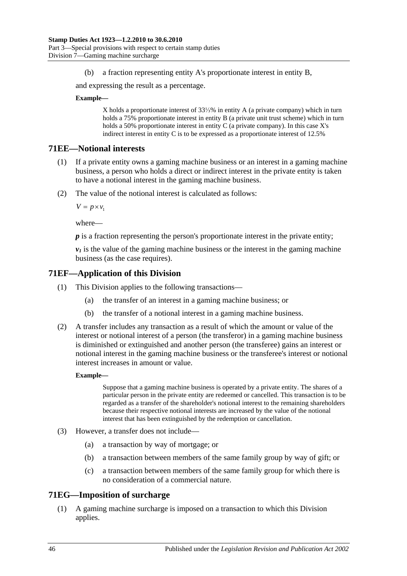(b) a fraction representing entity A's proportionate interest in entity B,

and expressing the result as a percentage.

#### **Example—**

X holds a proportionate interest of 33⅓% in entity A (a private company) which in turn holds a 75% proportionate interest in entity B (a private unit trust scheme) which in turn holds a 50% proportionate interest in entity C (a private company). In this case X's indirect interest in entity C is to be expressed as a proportionate interest of 12.5%

### **71EE—Notional interests**

- (1) If a private entity owns a gaming machine business or an interest in a gaming machine business, a person who holds a direct or indirect interest in the private entity is taken to have a notional interest in the gaming machine business.
- (2) The value of the notional interest is calculated as follows:

 $V = p \times v_1$ 

where—

*p* is a fraction representing the person's proportionate interest in the private entity;

 $v_1$  is the value of the gaming machine business or the interest in the gaming machine business (as the case requires).

### **71EF—Application of this Division**

- (1) This Division applies to the following transactions—
	- (a) the transfer of an interest in a gaming machine business; or
	- (b) the transfer of a notional interest in a gaming machine business.
- (2) A transfer includes any transaction as a result of which the amount or value of the interest or notional interest of a person (the transferor) in a gaming machine business is diminished or extinguished and another person (the transferee) gains an interest or notional interest in the gaming machine business or the transferee's interest or notional interest increases in amount or value.

#### **Example—**

Suppose that a gaming machine business is operated by a private entity. The shares of a particular person in the private entity are redeemed or cancelled. This transaction is to be regarded as a transfer of the shareholder's notional interest to the remaining shareholders because their respective notional interests are increased by the value of the notional interest that has been extinguished by the redemption or cancellation.

- (3) However, a transfer does not include—
	- (a) a transaction by way of mortgage; or
	- (b) a transaction between members of the same family group by way of gift; or
	- (c) a transaction between members of the same family group for which there is no consideration of a commercial nature.

### **71EG—Imposition of surcharge**

(1) A gaming machine surcharge is imposed on a transaction to which this Division applies.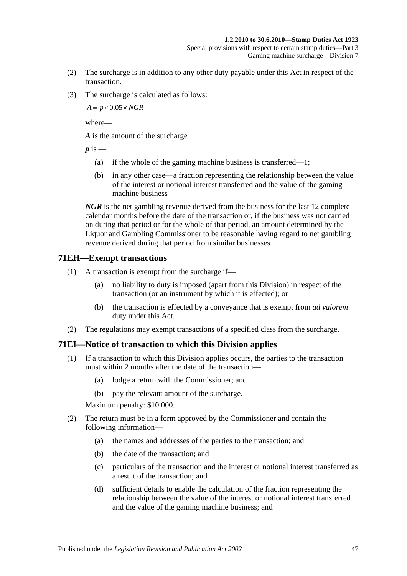- (2) The surcharge is in addition to any other duty payable under this Act in respect of the transaction.
- (3) The surcharge is calculated as follows:

 $A = p \times 0.05 \times NGR$ 

where—

*A* is the amount of the surcharge

 $p$  is  $-$ 

- (a) if the whole of the gaming machine business is transferred—1;
- (b) in any other case—a fraction representing the relationship between the value of the interest or notional interest transferred and the value of the gaming machine business

*NGR* is the net gambling revenue derived from the business for the last 12 complete calendar months before the date of the transaction or, if the business was not carried on during that period or for the whole of that period, an amount determined by the Liquor and Gambling Commissioner to be reasonable having regard to net gambling revenue derived during that period from similar businesses.

### **71EH—Exempt transactions**

- (1) A transaction is exempt from the surcharge if—
	- (a) no liability to duty is imposed (apart from this Division) in respect of the transaction (or an instrument by which it is effected); or
	- (b) the transaction is effected by a conveyance that is exempt from *ad valorem* duty under this Act.
- (2) The regulations may exempt transactions of a specified class from the surcharge.

# **71EI—Notice of transaction to which this Division applies**

- (1) If a transaction to which this Division applies occurs, the parties to the transaction must within 2 months after the date of the transaction—
	- (a) lodge a return with the Commissioner; and
	- (b) pay the relevant amount of the surcharge.

Maximum penalty: \$10 000.

- (2) The return must be in a form approved by the Commissioner and contain the following information—
	- (a) the names and addresses of the parties to the transaction; and
	- (b) the date of the transaction; and
	- (c) particulars of the transaction and the interest or notional interest transferred as a result of the transaction; and
	- (d) sufficient details to enable the calculation of the fraction representing the relationship between the value of the interest or notional interest transferred and the value of the gaming machine business; and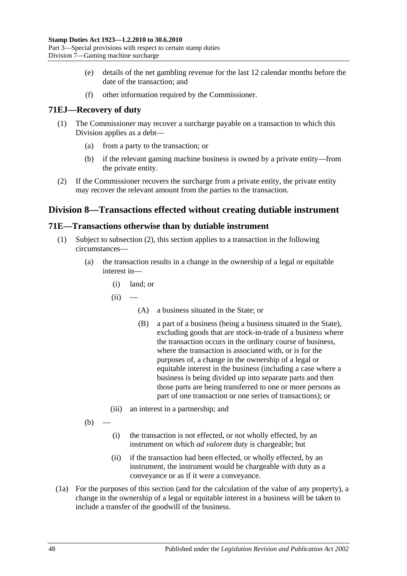- (e) details of the net gambling revenue for the last 12 calendar months before the date of the transaction; and
- (f) other information required by the Commissioner.

# **71EJ—Recovery of duty**

- (1) The Commissioner may recover a surcharge payable on a transaction to which this Division applies as a debt—
	- (a) from a party to the transaction; or
	- (b) if the relevant gaming machine business is owned by a private entity—from the private entity.
- (2) If the Commissioner recovers the surcharge from a private entity, the private entity may recover the relevant amount from the parties to the transaction.

# **Division 8—Transactions effected without creating dutiable instrument**

# <span id="page-65-0"></span>**71E—Transactions otherwise than by dutiable instrument**

- (1) Subject to [subsection](#page-66-0) (2), this section applies to a transaction in the following circumstances—
	- (a) the transaction results in a change in the ownership of a legal or equitable interest in—
		- (i) land; or
		- $(ii)$ 
			- (A) a business situated in the State; or
			- (B) a part of a business (being a business situated in the State), excluding goods that are stock-in-trade of a business where the transaction occurs in the ordinary course of business, where the transaction is associated with, or is for the purposes of, a change in the ownership of a legal or equitable interest in the business (including a case where a business is being divided up into separate parts and then those parts are being transferred to one or more persons as part of one transaction or one series of transactions); or
		- (iii) an interest in a partnership; and
	- $(b)$
- (i) the transaction is not effected, or not wholly effected, by an instrument on which *ad valorem* duty is chargeable; but
- (ii) if the transaction had been effected, or wholly effected, by an instrument, the instrument would be chargeable with duty as a conveyance or as if it were a conveyance.
- (1a) For the purposes of this section (and for the calculation of the value of any property), a change in the ownership of a legal or equitable interest in a business will be taken to include a transfer of the goodwill of the business.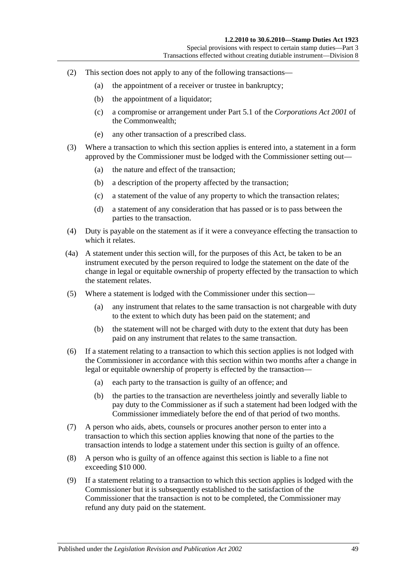- <span id="page-66-0"></span>(2) This section does not apply to any of the following transactions—
	- (a) the appointment of a receiver or trustee in bankruptcy;
	- (b) the appointment of a liquidator;
	- (c) a compromise or arrangement under Part 5.1 of the *Corporations Act 2001* of the Commonwealth;
	- (e) any other transaction of a prescribed class.
- (3) Where a transaction to which this section applies is entered into, a statement in a form approved by the Commissioner must be lodged with the Commissioner setting out—
	- (a) the nature and effect of the transaction;
	- (b) a description of the property affected by the transaction;
	- (c) a statement of the value of any property to which the transaction relates;
	- (d) a statement of any consideration that has passed or is to pass between the parties to the transaction.
- (4) Duty is payable on the statement as if it were a conveyance effecting the transaction to which it relates.
- (4a) A statement under this section will, for the purposes of this Act, be taken to be an instrument executed by the person required to lodge the statement on the date of the change in legal or equitable ownership of property effected by the transaction to which the statement relates.
- (5) Where a statement is lodged with the Commissioner under this section—
	- (a) any instrument that relates to the same transaction is not chargeable with duty to the extent to which duty has been paid on the statement; and
	- (b) the statement will not be charged with duty to the extent that duty has been paid on any instrument that relates to the same transaction.
- (6) If a statement relating to a transaction to which this section applies is not lodged with the Commissioner in accordance with this section within two months after a change in legal or equitable ownership of property is effected by the transaction—
	- (a) each party to the transaction is guilty of an offence; and
	- (b) the parties to the transaction are nevertheless jointly and severally liable to pay duty to the Commissioner as if such a statement had been lodged with the Commissioner immediately before the end of that period of two months.
- (7) A person who aids, abets, counsels or procures another person to enter into a transaction to which this section applies knowing that none of the parties to the transaction intends to lodge a statement under this section is guilty of an offence.
- (8) A person who is guilty of an offence against this section is liable to a fine not exceeding \$10 000.
- (9) If a statement relating to a transaction to which this section applies is lodged with the Commissioner but it is subsequently established to the satisfaction of the Commissioner that the transaction is not to be completed, the Commissioner may refund any duty paid on the statement.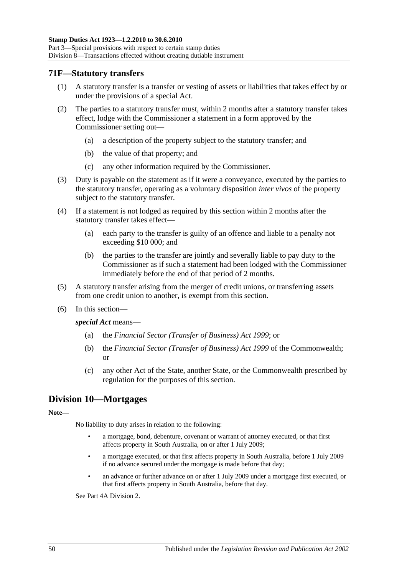### **71F—Statutory transfers**

- (1) A statutory transfer is a transfer or vesting of assets or liabilities that takes effect by or under the provisions of a special Act.
- (2) The parties to a statutory transfer must, within 2 months after a statutory transfer takes effect, lodge with the Commissioner a statement in a form approved by the Commissioner setting out—
	- (a) a description of the property subject to the statutory transfer; and
	- (b) the value of that property; and
	- (c) any other information required by the Commissioner.
- (3) Duty is payable on the statement as if it were a conveyance, executed by the parties to the statutory transfer, operating as a voluntary disposition *inter vivos* of the property subject to the statutory transfer.
- (4) If a statement is not lodged as required by this section within 2 months after the statutory transfer takes effect—
	- (a) each party to the transfer is guilty of an offence and liable to a penalty not exceeding \$10 000; and
	- (b) the parties to the transfer are jointly and severally liable to pay duty to the Commissioner as if such a statement had been lodged with the Commissioner immediately before the end of that period of 2 months.
- (5) A statutory transfer arising from the merger of credit unions, or transferring assets from one credit union to another, is exempt from this section.
- (6) In this section—

*special Act* means—

- (a) the *[Financial Sector \(Transfer of Business\) Act](http://www.legislation.sa.gov.au/index.aspx?action=legref&type=act&legtitle=Financial%20Sector%20(Transfer%20of%20Business)%20Act%201999) 1999*; or
- (b) the *Financial Sector (Transfer of Business) Act 1999* of the Commonwealth; or
- (c) any other Act of the State, another State, or the Commonwealth prescribed by regulation for the purposes of this section.

# **Division 10—Mortgages**

#### **Note—**

No liability to duty arises in relation to the following:

- a mortgage, bond, debenture, covenant or warrant of attorney executed, or that first affects property in South Australia, on or after 1 July 2009;
- a mortgage executed, or that first affects property in South Australia, before 1 July 2009 if no advance secured under the mortgage is made before that day;
- an advance or further advance on or after 1 July 2009 under a mortgage first executed, or that first affects property in South Australia, before that day.

Se[e Part 4A Division 2.](#page-90-0)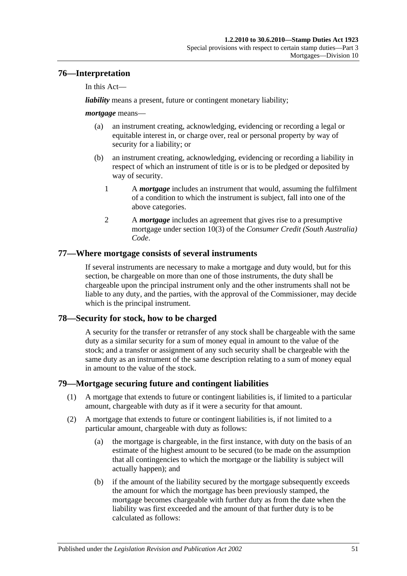# **76—Interpretation**

In this Act—

*liability* means a present, future or contingent monetary liability;

### *mortgage* means—

- (a) an instrument creating, acknowledging, evidencing or recording a legal or equitable interest in, or charge over, real or personal property by way of security for a liability; or
- (b) an instrument creating, acknowledging, evidencing or recording a liability in respect of which an instrument of title is or is to be pledged or deposited by way of security.
	- 1 A *mortgage* includes an instrument that would, assuming the fulfilment of a condition to which the instrument is subject, fall into one of the above categories.
	- 2 A *mortgage* includes an agreement that gives rise to a presumptive mortgage under section 10(3) of the *Consumer Credit (South Australia) Code*.

# **77—Where mortgage consists of several instruments**

If several instruments are necessary to make a mortgage and duty would, but for this section, be chargeable on more than one of those instruments, the duty shall be chargeable upon the principal instrument only and the other instruments shall not be liable to any duty, and the parties, with the approval of the Commissioner, may decide which is the principal instrument.

# **78—Security for stock, how to be charged**

A security for the transfer or retransfer of any stock shall be chargeable with the same duty as a similar security for a sum of money equal in amount to the value of the stock; and a transfer or assignment of any such security shall be chargeable with the same duty as an instrument of the same description relating to a sum of money equal in amount to the value of the stock.

# **79—Mortgage securing future and contingent liabilities**

- (1) A mortgage that extends to future or contingent liabilities is, if limited to a particular amount, chargeable with duty as if it were a security for that amount.
- <span id="page-68-1"></span><span id="page-68-0"></span>(2) A mortgage that extends to future or contingent liabilities is, if not limited to a particular amount, chargeable with duty as follows:
	- (a) the mortgage is chargeable, in the first instance, with duty on the basis of an estimate of the highest amount to be secured (to be made on the assumption that all contingencies to which the mortgage or the liability is subject will actually happen); and
	- (b) if the amount of the liability secured by the mortgage subsequently exceeds the amount for which the mortgage has been previously stamped, the mortgage becomes chargeable with further duty as from the date when the liability was first exceeded and the amount of that further duty is to be calculated as follows: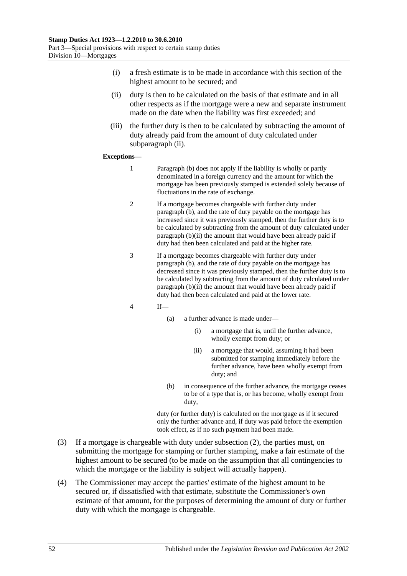- (i) a fresh estimate is to be made in accordance with this section of the highest amount to be secured; and
- <span id="page-69-0"></span>(ii) duty is then to be calculated on the basis of that estimate and in all other respects as if the mortgage were a new and separate instrument made on the date when the liability was first exceeded; and
- (iii) the further duty is then to be calculated by subtracting the amount of duty already paid from the amount of duty calculated under [subparagraph](#page-69-0) (ii).

#### **Exceptions—**

- 1 [Paragraph](#page-68-0) (b) does not apply if the liability is wholly or partly denominated in a foreign currency and the amount for which the mortgage has been previously stamped is extended solely because of fluctuations in the rate of exchange.
- 2 If a mortgage becomes chargeable with further duty under [paragraph](#page-68-0) (b), and the rate of duty payable on the mortgage has increased since it was previously stamped, then the further duty is to be calculated by subtracting from the amount of duty calculated under [paragraph](#page-69-0) (b)(ii) the amount that would have been already paid if duty had then been calculated and paid at the higher rate.
- 3 If a mortgage becomes chargeable with further duty under [paragraph](#page-68-0) (b), and the rate of duty payable on the mortgage has decreased since it was previously stamped, then the further duty is to be calculated by subtracting from the amount of duty calculated under [paragraph](#page-69-0) (b)(ii) the amount that would have been already paid if duty had then been calculated and paid at the lower rate.
- 4 If—
	- (a) a further advance is made under—
		- (i) a mortgage that is, until the further advance, wholly exempt from duty; or
		- (ii) a mortgage that would, assuming it had been submitted for stamping immediately before the further advance, have been wholly exempt from duty; and
	- (b) in consequence of the further advance, the mortgage ceases to be of a type that is, or has become, wholly exempt from duty,

duty (or further duty) is calculated on the mortgage as if it secured only the further advance and, if duty was paid before the exemption took effect, as if no such payment had been made.

- (3) If a mortgage is chargeable with duty under [subsection](#page-68-1) (2), the parties must, on submitting the mortgage for stamping or further stamping, make a fair estimate of the highest amount to be secured (to be made on the assumption that all contingencies to which the mortgage or the liability is subject will actually happen).
- (4) The Commissioner may accept the parties' estimate of the highest amount to be secured or, if dissatisfied with that estimate, substitute the Commissioner's own estimate of that amount, for the purposes of determining the amount of duty or further duty with which the mortgage is chargeable.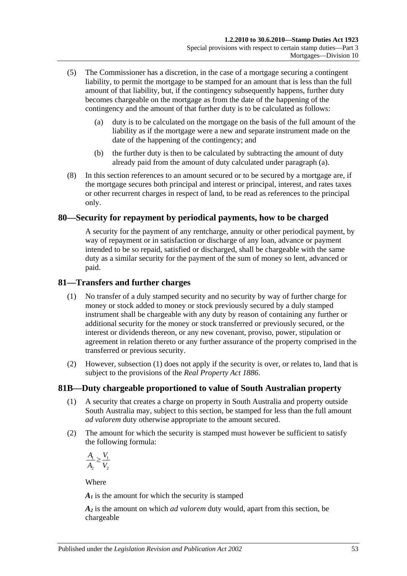- <span id="page-70-0"></span>(5) The Commissioner has a discretion, in the case of a mortgage securing a contingent liability, to permit the mortgage to be stamped for an amount that is less than the full amount of that liability, but, if the contingency subsequently happens, further duty becomes chargeable on the mortgage as from the date of the happening of the contingency and the amount of that further duty is to be calculated as follows:
	- (a) duty is to be calculated on the mortgage on the basis of the full amount of the liability as if the mortgage were a new and separate instrument made on the date of the happening of the contingency; and
	- (b) the further duty is then to be calculated by subtracting the amount of duty already paid from the amount of duty calculated under [paragraph](#page-70-0) (a).
- (8) In this section references to an amount secured or to be secured by a mortgage are, if the mortgage secures both principal and interest or principal, interest, and rates taxes or other recurrent charges in respect of land, to be read as references to the principal only.

# **80—Security for repayment by periodical payments, how to be charged**

A security for the payment of any rentcharge, annuity or other periodical payment, by way of repayment or in satisfaction or discharge of any loan, advance or payment intended to be so repaid, satisfied or discharged, shall be chargeable with the same duty as a similar security for the payment of the sum of money so lent, advanced or paid.

### <span id="page-70-1"></span>**81—Transfers and further charges**

- (1) No transfer of a duly stamped security and no security by way of further charge for money or stock added to money or stock previously secured by a duly stamped instrument shall be chargeable with any duty by reason of containing any further or additional security for the money or stock transferred or previously secured, or the interest or dividends thereon, or any new covenant, proviso, power, stipulation or agreement in relation thereto or any further assurance of the property comprised in the transferred or previous security.
- (2) However, [subsection](#page-70-1) (1) does not apply if the security is over, or relates to, land that is subject to the provisions of the *[Real Property Act](http://www.legislation.sa.gov.au/index.aspx?action=legref&type=act&legtitle=Real%20Property%20Act%201886) 1886*.

# **81B—Duty chargeable proportioned to value of South Australian property**

- (1) A security that creates a charge on property in South Australia and property outside South Australia may, subject to this section, be stamped for less than the full amount *ad valorem* duty otherwise appropriate to the amount secured.
- (2) The amount for which the security is stamped must however be sufficient to satisfy the following formula:

 $\frac{1}{1} > \frac{1}{1}$ 2 2  $A_{\!\scriptscriptstyle 1} \supset V_{\!\scriptscriptstyle 2}$  $A_2$  V ≥

Where

 $A<sub>I</sub>$  is the amount for which the security is stamped

*A2* is the amount on which *ad valorem* duty would, apart from this section, be chargeable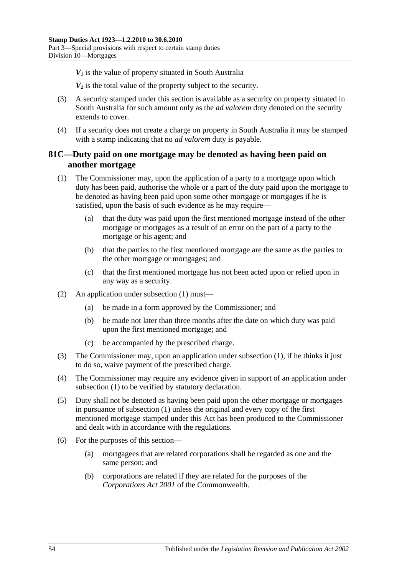$V_1$  is the value of property situated in South Australia

*V2* is the total value of the property subject to the security.

- (3) A security stamped under this section is available as a security on property situated in South Australia for such amount only as the *ad valorem* duty denoted on the security extends to cover.
- (4) If a security does not create a charge on property in South Australia it may be stamped with a stamp indicating that no *ad valorem* duty is payable.

# **81C—Duty paid on one mortgage may be denoted as having been paid on another mortgage**

- <span id="page-71-0"></span>(1) The Commissioner may, upon the application of a party to a mortgage upon which duty has been paid, authorise the whole or a part of the duty paid upon the mortgage to be denoted as having been paid upon some other mortgage or mortgages if he is satisfied, upon the basis of such evidence as he may require—
	- (a) that the duty was paid upon the first mentioned mortgage instead of the other mortgage or mortgages as a result of an error on the part of a party to the mortgage or his agent; and
	- (b) that the parties to the first mentioned mortgage are the same as the parties to the other mortgage or mortgages; and
	- (c) that the first mentioned mortgage has not been acted upon or relied upon in any way as a security.
- (2) An application under [subsection](#page-71-0) (1) must—
	- (a) be made in a form approved by the Commissioner; and
	- (b) be made not later than three months after the date on which duty was paid upon the first mentioned mortgage; and
	- (c) be accompanied by the prescribed charge.
- (3) The Commissioner may, upon an application under [subsection](#page-71-0) (1), if he thinks it just to do so, waive payment of the prescribed charge.
- (4) The Commissioner may require any evidence given in support of an application under [subsection](#page-71-0) (1) to be verified by statutory declaration.
- (5) Duty shall not be denoted as having been paid upon the other mortgage or mortgages in pursuance of [subsection](#page-71-0) (1) unless the original and every copy of the first mentioned mortgage stamped under this Act has been produced to the Commissioner and dealt with in accordance with the regulations.
- (6) For the purposes of this section—
	- (a) mortgagees that are related corporations shall be regarded as one and the same person; and
	- (b) corporations are related if they are related for the purposes of the *Corporations Act 2001* of the Commonwealth.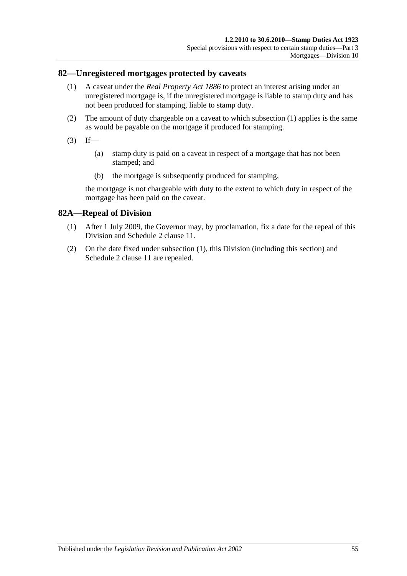### <span id="page-72-0"></span>**82—Unregistered mortgages protected by caveats**

- (1) A caveat under the *[Real Property Act](http://www.legislation.sa.gov.au/index.aspx?action=legref&type=act&legtitle=Real%20Property%20Act%201886) 1886* to protect an interest arising under an unregistered mortgage is, if the unregistered mortgage is liable to stamp duty and has not been produced for stamping, liable to stamp duty.
- (2) The amount of duty chargeable on a caveat to which [subsection](#page-72-0) (1) applies is the same as would be payable on the mortgage if produced for stamping.
- $(3)$  If—
	- (a) stamp duty is paid on a caveat in respect of a mortgage that has not been stamped; and
	- (b) the mortgage is subsequently produced for stamping,

the mortgage is not chargeable with duty to the extent to which duty in respect of the mortgage has been paid on the caveat.

## <span id="page-72-1"></span>**82A—Repeal of Division**

- (1) After 1 July 2009, the Governor may, by proclamation, fix a date for the repeal of this Division and Schedule 2 clause 11.
- (2) On the date fixed under [subsection](#page-72-1) (1), this Division (including this section) and Schedule 2 clause 11 are repealed.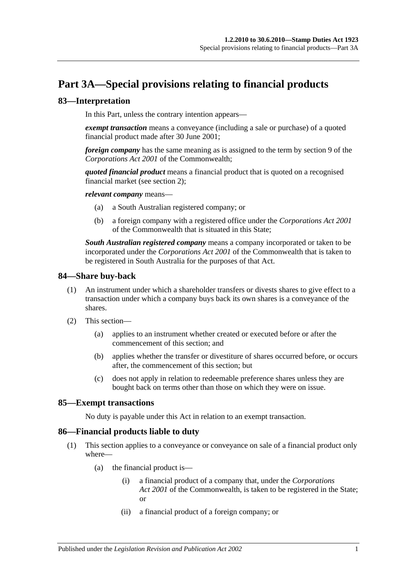# **Part 3A—Special provisions relating to financial products**

## **83—Interpretation**

In this Part, unless the contrary intention appears—

*exempt transaction* means a conveyance (including a sale or purchase) of a quoted financial product made after 30 June 2001;

*foreign company* has the same meaning as is assigned to the term by section 9 of the *Corporations Act 2001* of the Commonwealth;

*quoted financial product* means a financial product that is quoted on a recognised financial market (see [section](#page-6-0) 2);

*relevant company* means—

- (a) a South Australian registered company; or
- (b) a foreign company with a registered office under the *Corporations Act 2001* of the Commonwealth that is situated in this State;

*South Australian registered company* means a company incorporated or taken to be incorporated under the *Corporations Act 2001* of the Commonwealth that is taken to be registered in South Australia for the purposes of that Act.

### **84—Share buy-back**

- (1) An instrument under which a shareholder transfers or divests shares to give effect to a transaction under which a company buys back its own shares is a conveyance of the shares.
- (2) This section—
	- (a) applies to an instrument whether created or executed before or after the commencement of this section; and
	- (b) applies whether the transfer or divestiture of shares occurred before, or occurs after, the commencement of this section; but
	- (c) does not apply in relation to redeemable preference shares unless they are bought back on terms other than those on which they were on issue.

## **85—Exempt transactions**

No duty is payable under this Act in relation to an exempt transaction.

## <span id="page-74-0"></span>**86—Financial products liable to duty**

- (1) This section applies to a conveyance or conveyance on sale of a financial product only where—
	- (a) the financial product is—
		- (i) a financial product of a company that, under the *Corporations Act 2001* of the Commonwealth, is taken to be registered in the State; or
		- (ii) a financial product of a foreign company; or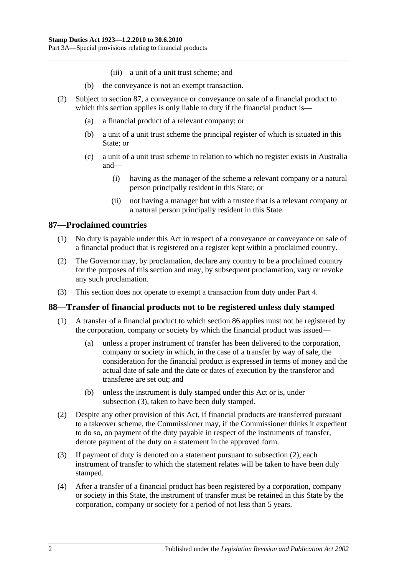- (iii) a unit of a unit trust scheme; and
- (b) the conveyance is not an exempt transaction.
- (2) Subject to [section](#page-75-0) 87, a conveyance or conveyance on sale of a financial product to which this section applies is only liable to duty if the financial product is—
	- (a) a financial product of a relevant company; or
	- (b) a unit of a unit trust scheme the principal register of which is situated in this State; or
	- (c) a unit of a unit trust scheme in relation to which no register exists in Australia and—
		- (i) having as the manager of the scheme a relevant company or a natural person principally resident in this State; or
		- (ii) not having a manager but with a trustee that is a relevant company or a natural person principally resident in this State.

## <span id="page-75-0"></span>**87—Proclaimed countries**

- (1) No duty is payable under this Act in respect of a conveyance or conveyance on sale of a financial product that is registered on a register kept within a proclaimed country.
- (2) The Governor may, by proclamation, declare any country to be a proclaimed country for the purposes of this section and may, by subsequent proclamation, vary or revoke any such proclamation.
- (3) This section does not operate to exempt a transaction from duty under [Part 4.](#page-78-0)

## **88—Transfer of financial products not to be registered unless duly stamped**

- (1) A transfer of a financial product to which [section](#page-74-0) 86 applies must not be registered by the corporation, company or society by which the financial product was issued—
	- (a) unless a proper instrument of transfer has been delivered to the corporation, company or society in which, in the case of a transfer by way of sale, the consideration for the financial product is expressed in terms of money and the actual date of sale and the date or dates of execution by the transferor and transferee are set out; and
	- (b) unless the instrument is duly stamped under this Act or is, under [subsection](#page-75-1) (3), taken to have been duly stamped.
- <span id="page-75-2"></span>(2) Despite any other provision of this Act, if financial products are transferred pursuant to a takeover scheme, the Commissioner may, if the Commissioner thinks it expedient to do so, on payment of the duty payable in respect of the instruments of transfer, denote payment of the duty on a statement in the approved form.
- <span id="page-75-1"></span>(3) If payment of duty is denoted on a statement pursuant to [subsection](#page-75-2) (2), each instrument of transfer to which the statement relates will be taken to have been duly stamped.
- (4) After a transfer of a financial product has been registered by a corporation, company or society in this State, the instrument of transfer must be retained in this State by the corporation, company or society for a period of not less than 5 years.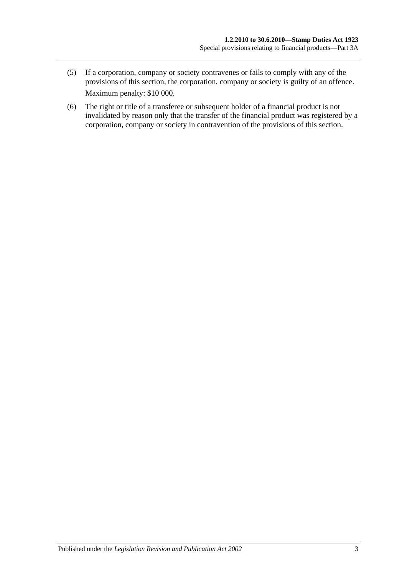- (5) If a corporation, company or society contravenes or fails to comply with any of the provisions of this section, the corporation, company or society is guilty of an offence. Maximum penalty: \$10 000.
- (6) The right or title of a transferee or subsequent holder of a financial product is not invalidated by reason only that the transfer of the financial product was registered by a corporation, company or society in contravention of the provisions of this section.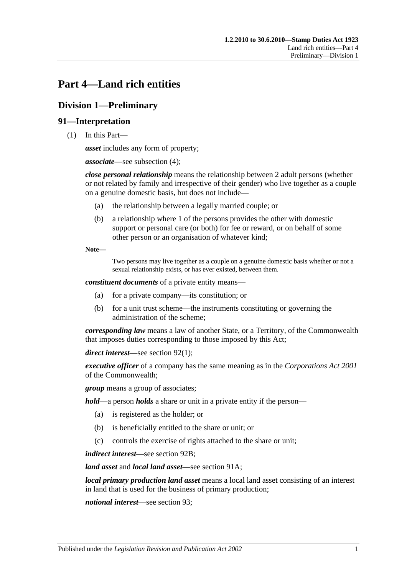# <span id="page-78-0"></span>**Part 4—Land rich entities**

# **Division 1—Preliminary**

## **91—Interpretation**

(1) In this Part—

*asset* includes any form of property;

*associate*—see [subsection](#page-80-0) (4);

*close personal relationship* means the relationship between 2 adult persons (whether or not related by family and irrespective of their gender) who live together as a couple on a genuine domestic basis, but does not include—

- (a) the relationship between a legally married couple; or
- (b) a relationship where 1 of the persons provides the other with domestic support or personal care (or both) for fee or reward, or on behalf of some other person or an organisation of whatever kind;

**Note—**

Two persons may live together as a couple on a genuine domestic basis whether or not a sexual relationship exists, or has ever existed, between them.

*constituent documents* of a private entity means—

- (a) for a private company—its constitution; or
- (b) for a unit trust scheme—the instruments constituting or governing the administration of the scheme;

*corresponding law* means a law of another State, or a Territory, of the Commonwealth that imposes duties corresponding to those imposed by this Act;

*direct interest*—see [section](#page-81-0) 92(1);

*executive officer* of a company has the same meaning as in the *Corporations Act 2001* of the Commonwealth;

*group* means a group of associates;

*hold*—a person *holds* a share or unit in a private entity if the person—

- (a) is registered as the holder; or
- (b) is beneficially entitled to the share or unit; or
- (c) controls the exercise of rights attached to the share or unit;

*indirect interest*—see [section](#page-82-0) 92B;

*land asset* and *local land asset*—see [section](#page-80-1) 91A;

*local primary production land asset* means a local land asset consisting of an interest in land that is used for the business of primary production;

*notional interest*—see [section](#page-82-1) 93;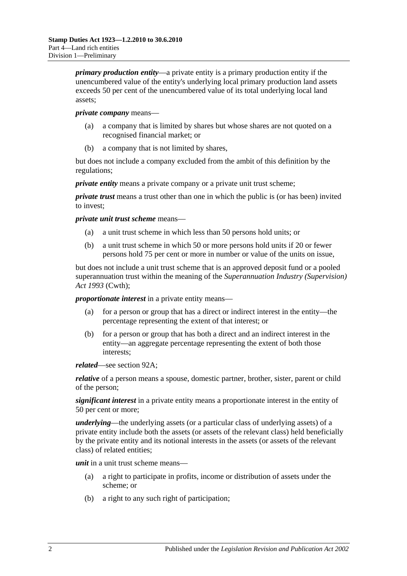*primary production entity*—a private entity is a primary production entity if the unencumbered value of the entity's underlying local primary production land assets exceeds 50 per cent of the unencumbered value of its total underlying local land assets;

### *private company* means—

- (a) a company that is limited by shares but whose shares are not quoted on a recognised financial market; or
- (b) a company that is not limited by shares,

but does not include a company excluded from the ambit of this definition by the regulations;

*private entity* means a private company or a private unit trust scheme;

*private trust* means a trust other than one in which the public is (or has been) invited to invest;

*private unit trust scheme* means—

- (a) a unit trust scheme in which less than 50 persons hold units; or
- (b) a unit trust scheme in which 50 or more persons hold units if 20 or fewer persons hold 75 per cent or more in number or value of the units on issue,

but does not include a unit trust scheme that is an approved deposit fund or a pooled superannuation trust within the meaning of the *Superannuation Industry (Supervision) Act 1993* (Cwth);

*proportionate interest* in a private entity means—

- (a) for a person or group that has a direct or indirect interest in the entity—the percentage representing the extent of that interest; or
- (b) for a person or group that has both a direct and an indirect interest in the entity—an aggregate percentage representing the extent of both those interests;

*related*—see [section](#page-81-1) 92A;

*relative* of a person means a spouse, domestic partner, brother, sister, parent or child of the person;

*significant interest* in a private entity means a proportionate interest in the entity of 50 per cent or more;

*underlying*—the underlying assets (or a particular class of underlying assets) of a private entity include both the assets (or assets of the relevant class) held beneficially by the private entity and its notional interests in the assets (or assets of the relevant class) of related entities;

*unit* in a unit trust scheme means—

- (a) a right to participate in profits, income or distribution of assets under the scheme; or
- (b) a right to any such right of participation;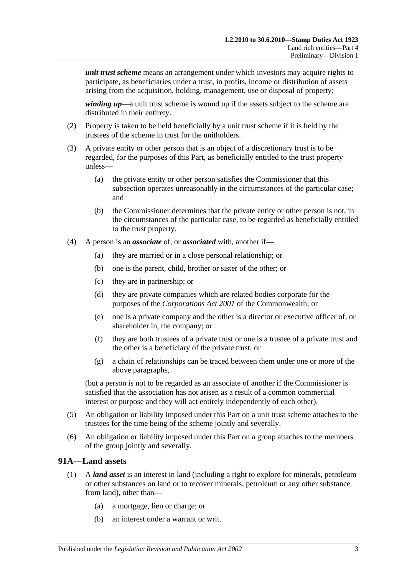*unit trust scheme* means an arrangement under which investors may acquire rights to participate, as beneficiaries under a trust, in profits, income or distribution of assets arising from the acquisition, holding, management, use or disposal of property;

*winding up*—a unit trust scheme is wound up if the assets subject to the scheme are distributed in their entirety.

- (2) Property is taken to be held beneficially by a unit trust scheme if it is held by the trustees of the scheme in trust for the unitholders.
- (3) A private entity or other person that is an object of a discretionary trust is to be regarded, for the purposes of this Part, as beneficially entitled to the trust property unless—
	- (a) the private entity or other person satisfies the Commissioner that this subsection operates unreasonably in the circumstances of the particular case; and
	- (b) the Commissioner determines that the private entity or other person is not, in the circumstances of the particular case, to be regarded as beneficially entitled to the trust property.
- <span id="page-80-0"></span>(4) A person is an *associate* of, or *associated* with, another if—
	- (a) they are married or in a close personal relationship; or
	- (b) one is the parent, child, brother or sister of the other; or
	- (c) they are in partnership; or
	- (d) they are private companies which are related bodies corporate for the purposes of the *Corporations Act 2001* of the Commonwealth; or
	- (e) one is a private company and the other is a director or executive officer of, or shareholder in, the company; or
	- (f) they are both trustees of a private trust or one is a trustee of a private trust and the other is a beneficiary of the private trust; or
	- (g) a chain of relationships can be traced between them under one or more of the above paragraphs,

(but a person is not to be regarded as an associate of another if the Commissioner is satisfied that the association has not arisen as a result of a common commercial interest or purpose and they will act entirely independently of each other).

- (5) An obligation or liability imposed under this Part on a unit trust scheme attaches to the trustees for the time being of the scheme jointly and severally.
- (6) An obligation or liability imposed under this Part on a group attaches to the members of the group jointly and severally.

### <span id="page-80-1"></span>**91A—Land assets**

- (1) A *land asset* is an interest in land (including a right to explore for minerals, petroleum or other substances on land or to recover minerals, petroleum or any other substance from land), other than—
	- (a) a mortgage, lien or charge; or
	- (b) an interest under a warrant or writ.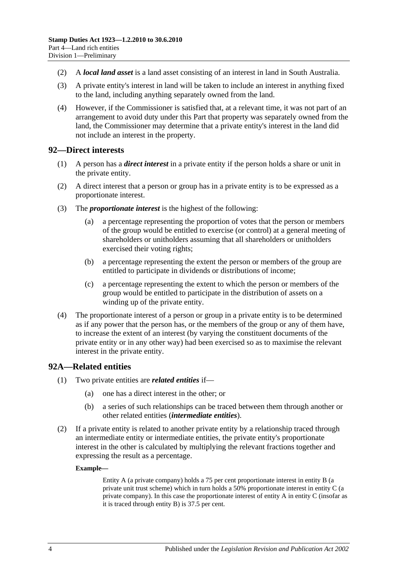- (2) A *local land asset* is a land asset consisting of an interest in land in South Australia.
- (3) A private entity's interest in land will be taken to include an interest in anything fixed to the land, including anything separately owned from the land.
- (4) However, if the Commissioner is satisfied that, at a relevant time, it was not part of an arrangement to avoid duty under this Part that property was separately owned from the land, the Commissioner may determine that a private entity's interest in the land did not include an interest in the property.

### <span id="page-81-0"></span>**92—Direct interests**

- (1) A person has a *direct interest* in a private entity if the person holds a share or unit in the private entity.
- (2) A direct interest that a person or group has in a private entity is to be expressed as a proportionate interest.
- (3) The *proportionate interest* is the highest of the following:
	- (a) a percentage representing the proportion of votes that the person or members of the group would be entitled to exercise (or control) at a general meeting of shareholders or unitholders assuming that all shareholders or unitholders exercised their voting rights;
	- (b) a percentage representing the extent the person or members of the group are entitled to participate in dividends or distributions of income;
	- (c) a percentage representing the extent to which the person or members of the group would be entitled to participate in the distribution of assets on a winding up of the private entity.
- (4) The proportionate interest of a person or group in a private entity is to be determined as if any power that the person has, or the members of the group or any of them have, to increase the extent of an interest (by varying the constituent documents of the private entity or in any other way) had been exercised so as to maximise the relevant interest in the private entity.

## <span id="page-81-1"></span>**92A—Related entities**

- (1) Two private entities are *related entities* if—
	- (a) one has a direct interest in the other; or
	- (b) a series of such relationships can be traced between them through another or other related entities (*intermediate entities*).
- (2) If a private entity is related to another private entity by a relationship traced through an intermediate entity or intermediate entities, the private entity's proportionate interest in the other is calculated by multiplying the relevant fractions together and expressing the result as a percentage.

### **Example—**

Entity A (a private company) holds a 75 per cent proportionate interest in entity B (a private unit trust scheme) which in turn holds a 50% proportionate interest in entity C (a private company). In this case the proportionate interest of entity A in entity C (insofar as it is traced through entity B) is 37.5 per cent.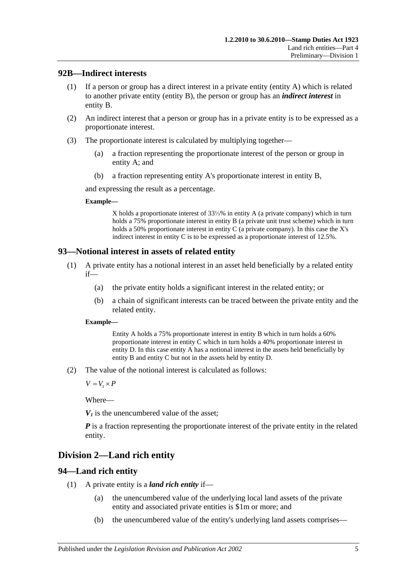## <span id="page-82-0"></span>**92B—Indirect interests**

- (1) If a person or group has a direct interest in a private entity (entity A) which is related to another private entity (entity B), the person or group has an *indirect interest* in entity B.
- (2) An indirect interest that a person or group has in a private entity is to be expressed as a proportionate interest.
- (3) The proportionate interest is calculated by multiplying together—
	- (a) a fraction representing the proportionate interest of the person or group in entity A; and
	- (b) a fraction representing entity A's proportionate interest in entity B,

and expressing the result as a percentage.

### **Example—**

X holds a proportionate interest of 33⅓% in entity A (a private company) which in turn holds a 75% proportionate interest in entity B (a private unit trust scheme) which in turn holds a 50% proportionate interest in entity C (a private company). In this case the X's indirect interest in entity C is to be expressed as a proportionate interest of 12.5%.

## <span id="page-82-1"></span>**93—Notional interest in assets of related entity**

- (1) A private entity has a notional interest in an asset held beneficially by a related entity if—
	- (a) the private entity holds a significant interest in the related entity; or
	- (b) a chain of significant interests can be traced between the private entity and the related entity.

### **Example—**

Entity A holds a 75% proportionate interest in entity B which in turn holds a 60% proportionate interest in entity C which in turn holds a 40% proportionate interest in entity D. In this case entity A has a notional interest in the assets held beneficially by entity B and entity C but not in the assets held by entity D.

(2) The value of the notional interest is calculated as follows:

 $V = V_1 \times P$ 

Where—

 $V_1$  is the unencumbered value of the asset:

*P* is a fraction representing the proportionate interest of the private entity in the related entity.

# **Division 2—Land rich entity**

## <span id="page-82-2"></span>**94—Land rich entity**

- (1) A private entity is a *land rich entity* if—
	- (a) the unencumbered value of the underlying local land assets of the private entity and associated private entities is \$1m or more; and
	- (b) the unencumbered value of the entity's underlying land assets comprises—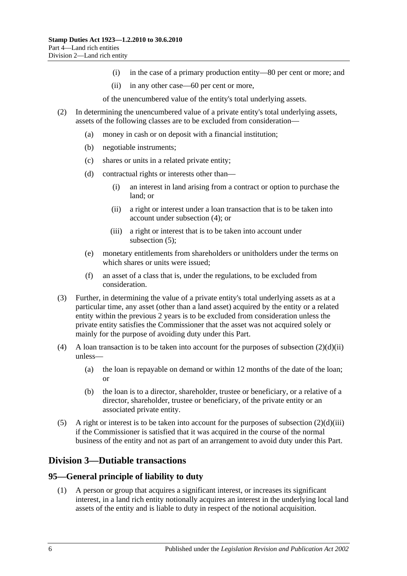- (i) in the case of a primary production entity—80 per cent or more; and
- (ii) in any other case—60 per cent or more,

of the unencumbered value of the entity's total underlying assets.

- <span id="page-83-2"></span>(2) In determining the unencumbered value of a private entity's total underlying assets, assets of the following classes are to be excluded from consideration—
	- (a) money in cash or on deposit with a financial institution;
	- (b) negotiable instruments;
	- (c) shares or units in a related private entity;
	- (d) contractual rights or interests other than—
		- (i) an interest in land arising from a contract or option to purchase the land; or
		- (ii) a right or interest under a loan transaction that is to be taken into account under [subsection](#page-83-0) (4); or
		- (iii) a right or interest that is to be taken into account under [subsection](#page-83-1) (5);
	- (e) monetary entitlements from shareholders or unitholders under the terms on which shares or units were issued;
	- (f) an asset of a class that is, under the regulations, to be excluded from consideration.
- <span id="page-83-3"></span>(3) Further, in determining the value of a private entity's total underlying assets as at a particular time, any asset (other than a land asset) acquired by the entity or a related entity within the previous 2 years is to be excluded from consideration unless the private entity satisfies the Commissioner that the asset was not acquired solely or mainly for the purpose of avoiding duty under this Part.
- <span id="page-83-0"></span>(4) A loan transaction is to be taken into account for the purposes of [subsection](#page-83-2)  $(2)(d)(ii)$ unless—
	- (a) the loan is repayable on demand or within 12 months of the date of the loan; or
	- (b) the loan is to a director, shareholder, trustee or beneficiary, or a relative of a director, shareholder, trustee or beneficiary, of the private entity or an associated private entity.
- <span id="page-83-1"></span>(5) A right or interest is to be taken into account for the purposes of [subsection](#page-83-3)  $(2)(d)(iii)$ if the Commissioner is satisfied that it was acquired in the course of the normal business of the entity and not as part of an arrangement to avoid duty under this Part.

# **Division 3—Dutiable transactions**

## **95—General principle of liability to duty**

(1) A person or group that acquires a significant interest, or increases its significant interest, in a land rich entity notionally acquires an interest in the underlying local land assets of the entity and is liable to duty in respect of the notional acquisition.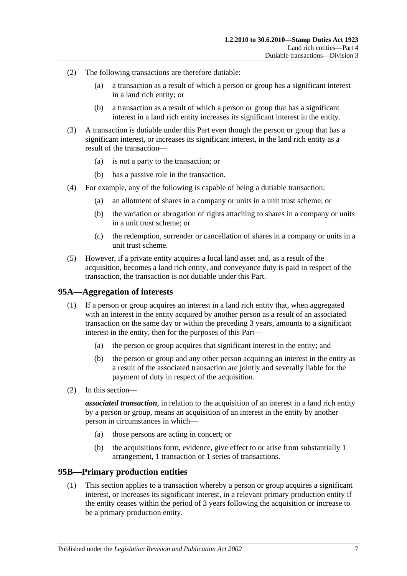- (2) The following transactions are therefore dutiable:
	- (a) a transaction as a result of which a person or group has a significant interest in a land rich entity; or
	- (b) a transaction as a result of which a person or group that has a significant interest in a land rich entity increases its significant interest in the entity.
- (3) A transaction is dutiable under this Part even though the person or group that has a significant interest, or increases its significant interest, in the land rich entity as a result of the transaction—
	- (a) is not a party to the transaction; or
	- (b) has a passive role in the transaction.
- (4) For example, any of the following is capable of being a dutiable transaction:
	- (a) an allotment of shares in a company or units in a unit trust scheme; or
	- (b) the variation or abrogation of rights attaching to shares in a company or units in a unit trust scheme; or
	- (c) the redemption, surrender or cancellation of shares in a company or units in a unit trust scheme.
- (5) However, if a private entity acquires a local land asset and, as a result of the acquisition, becomes a land rich entity, and conveyance duty is paid in respect of the transaction, the transaction is not dutiable under this Part.

### **95A—Aggregation of interests**

- (1) If a person or group acquires an interest in a land rich entity that, when aggregated with an interest in the entity acquired by another person as a result of an associated transaction on the same day or within the preceding 3 years, amounts to a significant interest in the entity, then for the purposes of this Part—
	- (a) the person or group acquires that significant interest in the entity; and
	- (b) the person or group and any other person acquiring an interest in the entity as a result of the associated transaction are jointly and severally liable for the payment of duty in respect of the acquisition.
- (2) In this section—

*associated transaction*, in relation to the acquisition of an interest in a land rich entity by a person or group, means an acquisition of an interest in the entity by another person in circumstances in which—

- (a) those persons are acting in concert; or
- (b) the acquisitions form, evidence, give effect to or arise from substantially 1 arrangement, 1 transaction or 1 series of transactions.

### <span id="page-84-0"></span>**95B—Primary production entities**

(1) This section applies to a transaction whereby a person or group acquires a significant interest, or increases its significant interest, in a relevant primary production entity if the entity ceases within the period of 3 years following the acquisition or increase to be a primary production entity.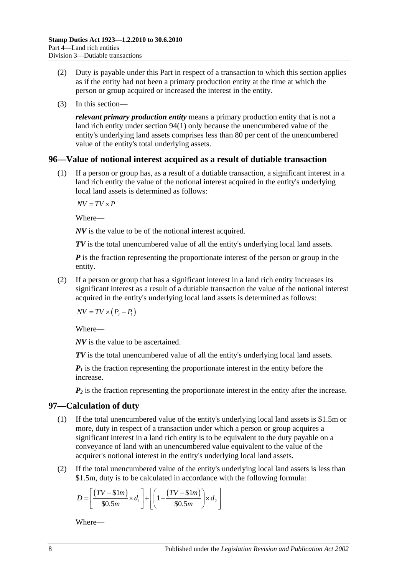- (2) Duty is payable under this Part in respect of a transaction to which this section applies as if the entity had not been a primary production entity at the time at which the person or group acquired or increased the interest in the entity.
- (3) In this section—

*relevant primary production entity* means a primary production entity that is not a land rich entity under [section](#page-82-2) 94(1) only because the unencumbered value of the entity's underlying land assets comprises less than 80 per cent of the unencumbered value of the entity's total underlying assets.

## **96—Value of notional interest acquired as a result of dutiable transaction**

(1) If a person or group has, as a result of a dutiable transaction, a significant interest in a land rich entity the value of the notional interest acquired in the entity's underlying local land assets is determined as follows:

 $\overline{AV} = \overline{TV} \times \overline{P}$ 

Where—

*NV* is the value to be of the notional interest acquired.

*TV* is the total unencumbered value of all the entity's underlying local land assets.

*P* is the fraction representing the proportionate interest of the person or group in the entity.

(2) If a person or group that has a significant interest in a land rich entity increases its significant interest as a result of a dutiable transaction the value of the notional interest acquired in the entity's underlying local land assets is determined as follows:

 $\overline{NV} = \overline{TV} \times (P_2 - P_1)$ 

Where—

*NV* is the value to be ascertained.

*TV* is the total unencumbered value of all the entity's underlying local land assets.

 $P_1$  is the fraction representing the proportionate interest in the entity before the increase.

 $P_2$  is the fraction representing the proportionate interest in the entity after the increase.

## <span id="page-85-0"></span>**97—Calculation of duty**

- (1) If the total unencumbered value of the entity's underlying local land assets is \$1.5m or more, duty in respect of a transaction under which a person or group acquires a significant interest in a land rich entity is to be equivalent to the duty payable on a conveyance of land with an unencumbered value equivalent to the value of the acquirer's notional interest in the entity's underlying local land assets.
- (2) If the total unencumbered value of the entity's underlying local land assets is less than \$1.5m, duty is to be calculated in accordance with the following formula:

$$
D = \left[ \frac{(TV - $1m)}{$30.5m} \times d_1 \right] + \left[ \left( 1 - \frac{(TV - $1m)}{$30.5m} \right) \times d_2 \right]
$$

Where—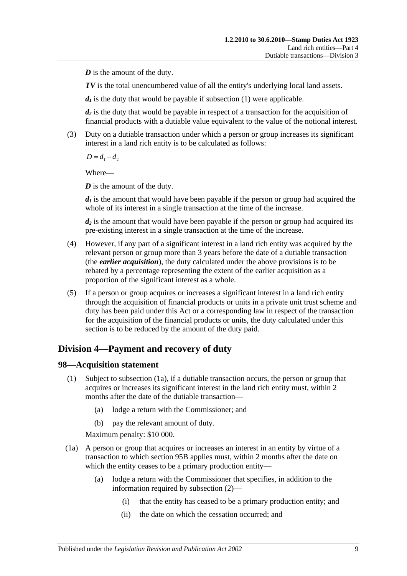*D* is the amount of the duty.

*TV* is the total unencumbered value of all the entity's underlying local land assets.

 $d_1$  is the duty that would be payable if [subsection](#page-85-0) (1) were applicable.

*d2* is the duty that would be payable in respect of a transaction for the acquisition of financial products with a dutiable value equivalent to the value of the notional interest.

(3) Duty on a dutiable transaction under which a person or group increases its significant interest in a land rich entity is to be calculated as follows:

 $D = d_1 - d_2$ 

Where—

*D* is the amount of the duty.

 $d_1$  is the amount that would have been payable if the person or group had acquired the whole of its interest in a single transaction at the time of the increase.

*d2* is the amount that would have been payable if the person or group had acquired its pre-existing interest in a single transaction at the time of the increase.

- (4) However, if any part of a significant interest in a land rich entity was acquired by the relevant person or group more than 3 years before the date of a dutiable transaction (the *earlier acquisition*), the duty calculated under the above provisions is to be rebated by a percentage representing the extent of the earlier acquisition as a proportion of the significant interest as a whole.
- (5) If a person or group acquires or increases a significant interest in a land rich entity through the acquisition of financial products or units in a private unit trust scheme and duty has been paid under this Act or a corresponding law in respect of the transaction for the acquisition of the financial products or units, the duty calculated under this section is to be reduced by the amount of the duty paid.

# **Division 4—Payment and recovery of duty**

## **98—Acquisition statement**

- (1) Subject to [subsection](#page-86-0) (1a), if a dutiable transaction occurs, the person or group that acquires or increases its significant interest in the land rich entity must, within 2 months after the date of the dutiable transaction—
	- (a) lodge a return with the Commissioner; and
	- (b) pay the relevant amount of duty.

Maximum penalty: \$10 000.

- <span id="page-86-0"></span>(1a) A person or group that acquires or increases an interest in an entity by virtue of a transaction to which [section](#page-84-0) 95B applies must, within 2 months after the date on which the entity ceases to be a primary production entity—
	- (a) lodge a return with the Commissioner that specifies, in addition to the information required by [subsection](#page-87-0) (2)—
		- (i) that the entity has ceased to be a primary production entity; and
		- (ii) the date on which the cessation occurred; and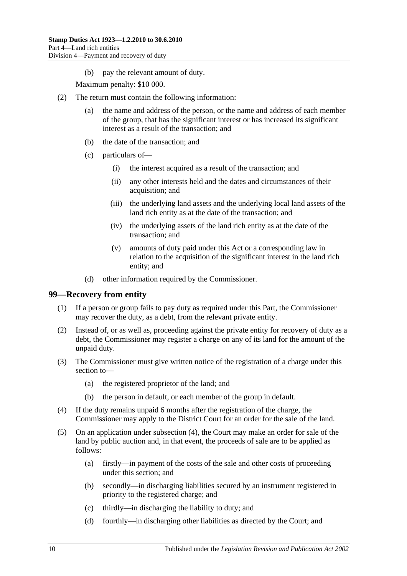(b) pay the relevant amount of duty.

Maximum penalty: \$10 000.

- <span id="page-87-0"></span>(2) The return must contain the following information:
	- (a) the name and address of the person, or the name and address of each member of the group, that has the significant interest or has increased its significant interest as a result of the transaction; and
	- (b) the date of the transaction; and
	- (c) particulars of—
		- (i) the interest acquired as a result of the transaction; and
		- (ii) any other interests held and the dates and circumstances of their acquisition; and
		- (iii) the underlying land assets and the underlying local land assets of the land rich entity as at the date of the transaction; and
		- (iv) the underlying assets of the land rich entity as at the date of the transaction; and
		- (v) amounts of duty paid under this Act or a corresponding law in relation to the acquisition of the significant interest in the land rich entity; and
	- (d) other information required by the Commissioner.

### **99—Recovery from entity**

- (1) If a person or group fails to pay duty as required under this Part, the Commissioner may recover the duty, as a debt, from the relevant private entity.
- (2) Instead of, or as well as, proceeding against the private entity for recovery of duty as a debt, the Commissioner may register a charge on any of its land for the amount of the unpaid duty.
- (3) The Commissioner must give written notice of the registration of a charge under this section to—
	- (a) the registered proprietor of the land; and
	- (b) the person in default, or each member of the group in default.
- <span id="page-87-1"></span>(4) If the duty remains unpaid 6 months after the registration of the charge, the Commissioner may apply to the District Court for an order for the sale of the land.
- (5) On an application under [subsection](#page-87-1) (4), the Court may make an order for sale of the land by public auction and, in that event, the proceeds of sale are to be applied as follows:
	- (a) firstly—in payment of the costs of the sale and other costs of proceeding under this section; and
	- (b) secondly—in discharging liabilities secured by an instrument registered in priority to the registered charge; and
	- (c) thirdly—in discharging the liability to duty; and
	- (d) fourthly—in discharging other liabilities as directed by the Court; and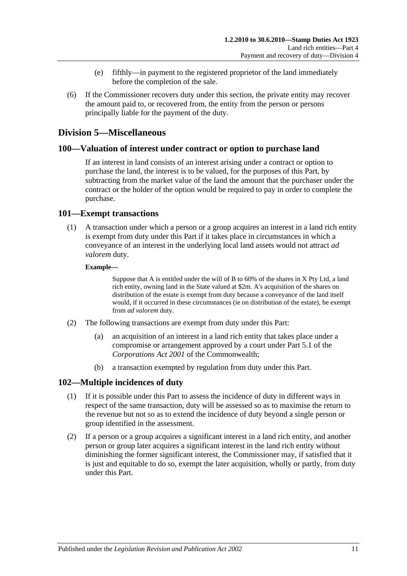- (e) fifthly—in payment to the registered proprietor of the land immediately before the completion of the sale.
- (6) If the Commissioner recovers duty under this section, the private entity may recover the amount paid to, or recovered from, the entity from the person or persons principally liable for the payment of the duty.

## **Division 5—Miscellaneous**

### **100—Valuation of interest under contract or option to purchase land**

If an interest in land consists of an interest arising under a contract or option to purchase the land, the interest is to be valued, for the purposes of this Part, by subtracting from the market value of the land the amount that the purchaser under the contract or the holder of the option would be required to pay in order to complete the purchase.

### **101—Exempt transactions**

(1) A transaction under which a person or a group acquires an interest in a land rich entity is exempt from duty under this Part if it takes place in circumstances in which a conveyance of an interest in the underlying local land assets would not attract *ad valorem* duty.

### **Example—**

Suppose that A is entitled under the will of B to 60% of the shares in X Pty Ltd, a land rich entity, owning land in the State valued at \$2m. A's acquisition of the shares on distribution of the estate is exempt from duty because a conveyance of the land itself would, if it occurred in these circumstances (ie on distribution of the estate), be exempt from *ad valorem* duty.

- (2) The following transactions are exempt from duty under this Part:
	- (a) an acquisition of an interest in a land rich entity that takes place under a compromise or arrangement approved by a court under Part 5.1 of the *Corporations Act 2001* of the Commonwealth;
	- (b) a transaction exempted by regulation from duty under this Part.

## **102—Multiple incidences of duty**

- (1) If it is possible under this Part to assess the incidence of duty in different ways in respect of the same transaction, duty will be assessed so as to maximise the return to the revenue but not so as to extend the incidence of duty beyond a single person or group identified in the assessment.
- (2) If a person or a group acquires a significant interest in a land rich entity, and another person or group later acquires a significant interest in the land rich entity without diminishing the former significant interest, the Commissioner may, if satisfied that it is just and equitable to do so, exempt the later acquisition, wholly or partly, from duty under this Part.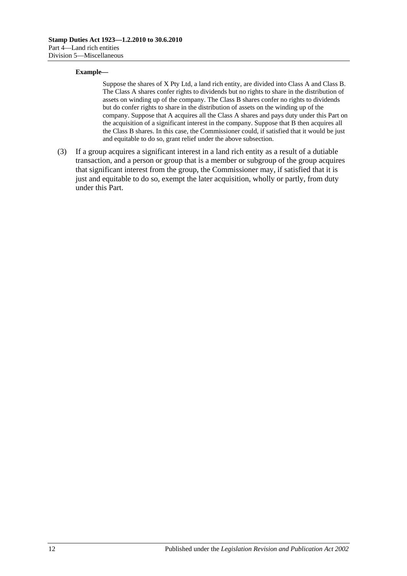#### **Example—**

Suppose the shares of X Pty Ltd, a land rich entity, are divided into Class A and Class B. The Class A shares confer rights to dividends but no rights to share in the distribution of assets on winding up of the company. The Class B shares confer no rights to dividends but do confer rights to share in the distribution of assets on the winding up of the company. Suppose that A acquires all the Class A shares and pays duty under this Part on the acquisition of a significant interest in the company. Suppose that B then acquires all the Class B shares. In this case, the Commissioner could, if satisfied that it would be just and equitable to do so, grant relief under the above subsection.

(3) If a group acquires a significant interest in a land rich entity as a result of a dutiable transaction, and a person or group that is a member or subgroup of the group acquires that significant interest from the group, the Commissioner may, if satisfied that it is just and equitable to do so, exempt the later acquisition, wholly or partly, from duty under this Part.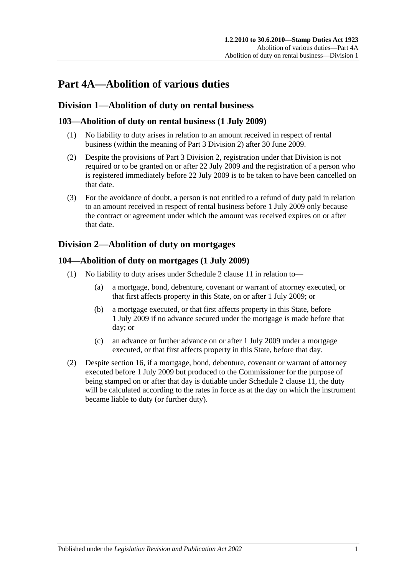# **Part 4A—Abolition of various duties**

# **Division 1—Abolition of duty on rental business**

## **103—Abolition of duty on rental business (1 July 2009)**

- (1) No liability to duty arises in relation to an amount received in respect of rental business (within the meaning of [Part 3 Division 2\)](#page-19-0) after 30 June 2009.
- (2) Despite the provisions of [Part 3 Division 2,](#page-19-0) registration under that Division is not required or to be granted on or after 22 July 2009 and the registration of a person who is registered immediately before 22 July 2009 is to be taken to have been cancelled on that date.
- (3) For the avoidance of doubt, a person is not entitled to a refund of duty paid in relation to an amount received in respect of rental business before 1 July 2009 only because the contract or agreement under which the amount was received expires on or after that date.

# <span id="page-90-0"></span>**Division 2—Abolition of duty on mortgages**

## **104—Abolition of duty on mortgages (1 July 2009)**

- (1) No liability to duty arises under Schedule 2 clause 11 in relation to—
	- (a) a mortgage, bond, debenture, covenant or warrant of attorney executed, or that first affects property in this State, on or after 1 July 2009; or
	- (b) a mortgage executed, or that first affects property in this State, before 1 July 2009 if no advance secured under the mortgage is made before that day; or
	- (c) an advance or further advance on or after 1 July 2009 under a mortgage executed, or that first affects property in this State, before that day.
- (2) Despite [section](#page-13-0) 16, if a mortgage, bond, debenture, covenant or warrant of attorney executed before 1 July 2009 but produced to the Commissioner for the purpose of being stamped on or after that day is dutiable under Schedule 2 clause 11, the duty will be calculated according to the rates in force as at the day on which the instrument became liable to duty (or further duty).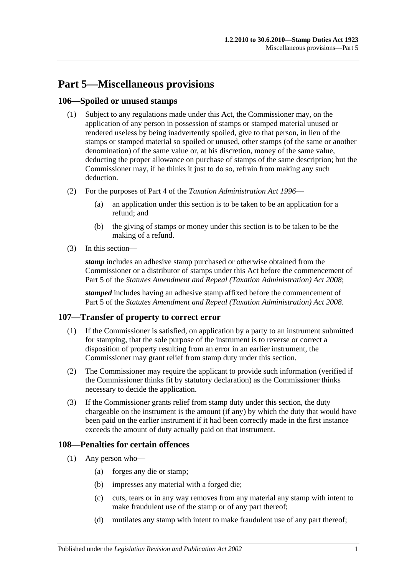# **Part 5—Miscellaneous provisions**

## **106—Spoiled or unused stamps**

- (1) Subject to any regulations made under this Act, the Commissioner may, on the application of any person in possession of stamps or stamped material unused or rendered useless by being inadvertently spoiled, give to that person, in lieu of the stamps or stamped material so spoiled or unused, other stamps (of the same or another denomination) of the same value or, at his discretion, money of the same value, deducting the proper allowance on purchase of stamps of the same description; but the Commissioner may, if he thinks it just to do so, refrain from making any such deduction.
- (2) For the purposes of Part 4 of the *[Taxation Administration Act](http://www.legislation.sa.gov.au/index.aspx?action=legref&type=act&legtitle=Taxation%20Administration%20Act%201996) 1996*
	- (a) an application under this section is to be taken to be an application for a refund; and
	- (b) the giving of stamps or money under this section is to be taken to be the making of a refund.
- (3) In this section—

*stamp* includes an adhesive stamp purchased or otherwise obtained from the Commissioner or a distributor of stamps under this Act before the commencement of Part 5 of the *[Statutes Amendment and Repeal \(Taxation Administration\) Act 2008](http://www.legislation.sa.gov.au/index.aspx?action=legref&type=act&legtitle=Statutes%20Amendment%20and%20Repeal%20(Taxation%20Administration)%20Act%202008)*;

*stamped* includes having an adhesive stamp affixed before the commencement of Part 5 of the *[Statutes Amendment and Repeal \(Taxation Administration\) Act 2008](http://www.legislation.sa.gov.au/index.aspx?action=legref&type=act&legtitle=Statutes%20Amendment%20and%20Repeal%20(Taxation%20Administration)%20Act%202008)*.

# **107—Transfer of property to correct error**

- (1) If the Commissioner is satisfied, on application by a party to an instrument submitted for stamping, that the sole purpose of the instrument is to reverse or correct a disposition of property resulting from an error in an earlier instrument, the Commissioner may grant relief from stamp duty under this section.
- (2) The Commissioner may require the applicant to provide such information (verified if the Commissioner thinks fit by statutory declaration) as the Commissioner thinks necessary to decide the application.
- (3) If the Commissioner grants relief from stamp duty under this section, the duty chargeable on the instrument is the amount (if any) by which the duty that would have been paid on the earlier instrument if it had been correctly made in the first instance exceeds the amount of duty actually paid on that instrument.

## **108—Penalties for certain offences**

- <span id="page-92-0"></span>(1) Any person who—
	- (a) forges any die or stamp;
	- (b) impresses any material with a forged die;
	- (c) cuts, tears or in any way removes from any material any stamp with intent to make fraudulent use of the stamp or of any part thereof;
	- (d) mutilates any stamp with intent to make fraudulent use of any part thereof;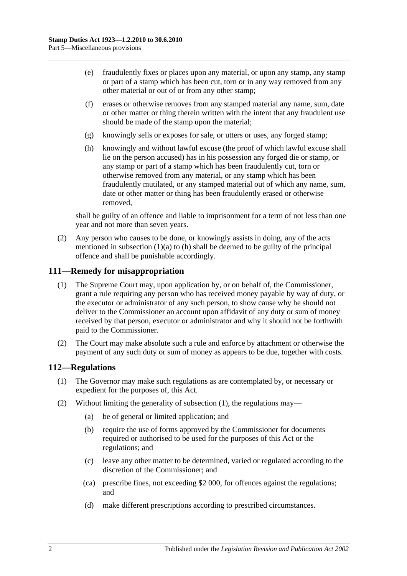- (e) fraudulently fixes or places upon any material, or upon any stamp, any stamp or part of a stamp which has been cut, torn or in any way removed from any other material or out of or from any other stamp;
- (f) erases or otherwise removes from any stamped material any name, sum, date or other matter or thing therein written with the intent that any fraudulent use should be made of the stamp upon the material;
- (g) knowingly sells or exposes for sale, or utters or uses, any forged stamp;
- <span id="page-93-0"></span>(h) knowingly and without lawful excuse (the proof of which lawful excuse shall lie on the person accused) has in his possession any forged die or stamp, or any stamp or part of a stamp which has been fraudulently cut, torn or otherwise removed from any material, or any stamp which has been fraudulently mutilated, or any stamped material out of which any name, sum, date or other matter or thing has been fraudulently erased or otherwise removed,

shall be guilty of an offence and liable to imprisonment for a term of not less than one year and not more than seven years.

(2) Any person who causes to be done, or knowingly assists in doing, any of the acts mentioned in [subsection](#page-92-0)  $(1)(a)$  to  $(h)$  shall be deemed to be guilty of the principal offence and shall be punishable accordingly.

### **111—Remedy for misappropriation**

- (1) The Supreme Court may, upon application by, or on behalf of, the Commissioner, grant a rule requiring any person who has received money payable by way of duty, or the executor or administrator of any such person, to show cause why he should not deliver to the Commissioner an account upon affidavit of any duty or sum of money received by that person, executor or administrator and why it should not be forthwith paid to the Commissioner.
- (2) The Court may make absolute such a rule and enforce by attachment or otherwise the payment of any such duty or sum of money as appears to be due, together with costs.

## <span id="page-93-1"></span>**112—Regulations**

- (1) The Governor may make such regulations as are contemplated by, or necessary or expedient for the purposes of, this Act.
- (2) Without limiting the generality of [subsection](#page-93-1) (1), the regulations may—
	- (a) be of general or limited application; and
	- (b) require the use of forms approved by the Commissioner for documents required or authorised to be used for the purposes of this Act or the regulations; and
	- (c) leave any other matter to be determined, varied or regulated according to the discretion of the Commissioner; and
	- (ca) prescribe fines, not exceeding \$2 000, for offences against the regulations; and
	- (d) make different prescriptions according to prescribed circumstances.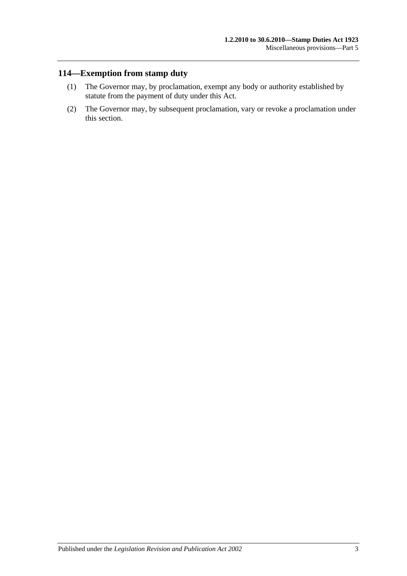# **114—Exemption from stamp duty**

- (1) The Governor may, by proclamation, exempt any body or authority established by statute from the payment of duty under this Act.
- (2) The Governor may, by subsequent proclamation, vary or revoke a proclamation under this section.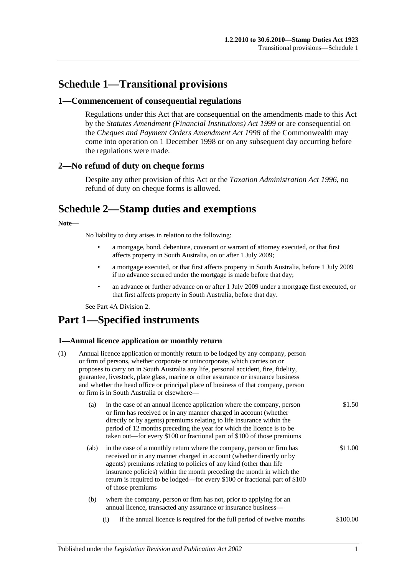# **Schedule 1—Transitional provisions**

### **1—Commencement of consequential regulations**

Regulations under this Act that are consequential on the amendments made to this Act by the *[Statutes Amendment \(Financial Institutions\) Act](http://www.legislation.sa.gov.au/index.aspx?action=legref&type=act&legtitle=Statutes%20Amendment%20(Financial%20Institutions)%20Act%201999) 1999* or are consequential on the *Cheques and Payment Orders Amendment Act 1998* of the Commonwealth may come into operation on 1 December 1998 or on any subsequent day occurring before the regulations were made.

### **2—No refund of duty on cheque forms**

Despite any other provision of this Act or the *[Taxation Administration Act](http://www.legislation.sa.gov.au/index.aspx?action=legref&type=act&legtitle=Taxation%20Administration%20Act%201996) 1996*, no refund of duty on cheque forms is allowed.

# **Schedule 2—Stamp duties and exemptions**

### **Note—**

No liability to duty arises in relation to the following:

- a mortgage, bond, debenture, covenant or warrant of attorney executed, or that first affects property in South Australia, on or after 1 July 2009;
- a mortgage executed, or that first affects property in South Australia, before 1 July 2009 if no advance secured under the mortgage is made before that day;
- an advance or further advance on or after 1 July 2009 under a mortgage first executed, or that first affects property in South Australia, before that day.

Se[e Part 4A Division 2.](#page-90-0)

# **Part 1—Specified instruments**

### **1—Annual licence application or monthly return**

| (1) | Annual licence application or monthly return to be lodged by any company, person<br>or firm of persons, whether corporate or unincorporate, which carries on or<br>proposes to carry on in South Australia any life, personal accident, fire, fidelity,<br>guarantee, livestock, plate glass, marine or other assurance or insurance business<br>and whether the head office or principal place of business of that company, person<br>or firm is in South Australia or elsewhere- |                                                                                                                                                                                                                                                                                                                                                                                                  |          |  |
|-----|------------------------------------------------------------------------------------------------------------------------------------------------------------------------------------------------------------------------------------------------------------------------------------------------------------------------------------------------------------------------------------------------------------------------------------------------------------------------------------|--------------------------------------------------------------------------------------------------------------------------------------------------------------------------------------------------------------------------------------------------------------------------------------------------------------------------------------------------------------------------------------------------|----------|--|
|     | (a)                                                                                                                                                                                                                                                                                                                                                                                                                                                                                | in the case of an annual licence application where the company, person<br>or firm has received or in any manner charged in account (whether<br>directly or by agents) premiums relating to life insurance within the<br>period of 12 months preceding the year for which the licence is to be<br>taken out—for every \$100 or fractional part of \$100 of those premiums                         | \$1.50   |  |
|     | (ab)                                                                                                                                                                                                                                                                                                                                                                                                                                                                               | in the case of a monthly return where the company, person or firm has<br>received or in any manner charged in account (whether directly or by<br>agents) premiums relating to policies of any kind (other than life<br>insurance policies) within the month preceding the month in which the<br>return is required to be lodged—for every \$100 or fractional part of \$100<br>of those premiums | \$11.00  |  |
|     | (b)                                                                                                                                                                                                                                                                                                                                                                                                                                                                                | where the company, person or firm has not, prior to applying for an<br>annual licence, transacted any assurance or insurance business-                                                                                                                                                                                                                                                           |          |  |
|     |                                                                                                                                                                                                                                                                                                                                                                                                                                                                                    | if the annual licence is required for the full period of twelve months<br>(i)                                                                                                                                                                                                                                                                                                                    | \$100.00 |  |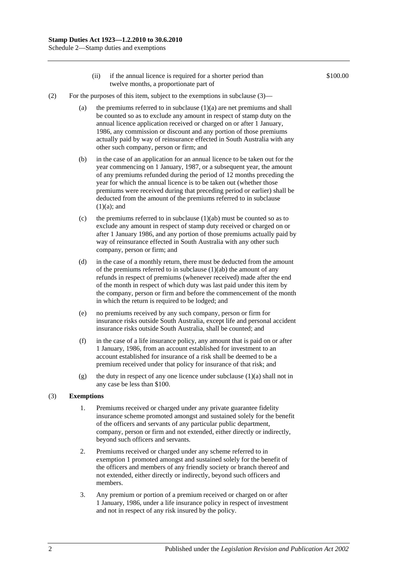- (ii) if the annual licence is required for a shorter period than twelve months, a proportionate part of
- (2) For the purposes of this item, subject to the exemptions in subclause  $(3)$ 
	- (a) the premiums referred to in subclause  $(1)(a)$  are net premiums and shall be counted so as to exclude any amount in respect of stamp duty on the annual licence application received or charged on or after 1 January, 1986, any commission or discount and any portion of those premiums actually paid by way of reinsurance effected in South Australia with any other such company, person or firm; and
	- (b) in the case of an application for an annual licence to be taken out for the year commencing on 1 January, 1987, or a subsequent year, the amount of any premiums refunded during the period of 12 months preceding the year for which the annual licence is to be taken out (whether those premiums were received during that preceding period or earlier) shall be deducted from the amount of the premiums referred to in subclause  $(1)(a)$ ; and
	- (c) the premiums referred to in subclause  $(1)(ab)$  must be counted so as to exclude any amount in respect of stamp duty received or charged on or after 1 January 1986, and any portion of those premiums actually paid by way of reinsurance effected in South Australia with any other such company, person or firm; and
	- (d) in the case of a monthly return, there must be deducted from the amount of the premiums referred to in subclause (1)(ab) the amount of any refunds in respect of premiums (whenever received) made after the end of the month in respect of which duty was last paid under this item by the company, person or firm and before the commencement of the month in which the return is required to be lodged; and
	- (e) no premiums received by any such company, person or firm for insurance risks outside South Australia, except life and personal accident insurance risks outside South Australia, shall be counted; and
	- (f) in the case of a life insurance policy, any amount that is paid on or after 1 January, 1986, from an account established for investment to an account established for insurance of a risk shall be deemed to be a premium received under that policy for insurance of that risk; and
	- (g) the duty in respect of any one licence under subclause (1)(a) shall not in any case be less than \$100.

#### (3) **Exemptions**

- 1. Premiums received or charged under any private guarantee fidelity insurance scheme promoted amongst and sustained solely for the benefit of the officers and servants of any particular public department, company, person or firm and not extended, either directly or indirectly, beyond such officers and servants.
- 2. Premiums received or charged under any scheme referred to in exemption 1 promoted amongst and sustained solely for the benefit of the officers and members of any friendly society or branch thereof and not extended, either directly or indirectly, beyond such officers and members.
- 3. Any premium or portion of a premium received or charged on or after 1 January, 1986, under a life insurance policy in respect of investment and not in respect of any risk insured by the policy.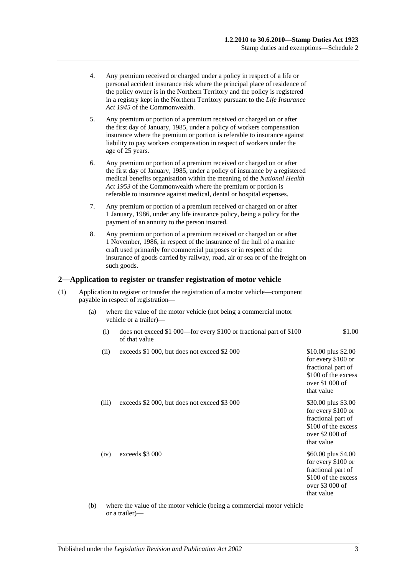- 4. Any premium received or charged under a policy in respect of a life or personal accident insurance risk where the principal place of residence of the policy owner is in the Northern Territory and the policy is registered in a registry kept in the Northern Territory pursuant to the *Life Insurance Act 1945* of the Commonwealth.
- 5. Any premium or portion of a premium received or charged on or after the first day of January, 1985, under a policy of workers compensation insurance where the premium or portion is referable to insurance against liability to pay workers compensation in respect of workers under the age of 25 years.
- 6. Any premium or portion of a premium received or charged on or after the first day of January, 1985, under a policy of insurance by a registered medical benefits organisation within the meaning of the *National Health Act 1953* of the Commonwealth where the premium or portion is referable to insurance against medical, dental or hospital expenses.
- 7. Any premium or portion of a premium received or charged on or after 1 January, 1986, under any life insurance policy, being a policy for the payment of an annuity to the person insured.
- 8. Any premium or portion of a premium received or charged on or after 1 November, 1986, in respect of the insurance of the hull of a marine craft used primarily for commercial purposes or in respect of the insurance of goods carried by railway, road, air or sea or of the freight on such goods.

### **2—Application to register or transfer registration of motor vehicle**

- (1) Application to register or transfer the registration of a motor vehicle—component payable in respect of registration—
	- (a) where the value of the motor vehicle (not being a commercial motor vehicle or a trailer)—
		- (i) does not exceed \$1 000—for every \$100 or fractional part of \$100 of that value
		- (ii) exceeds \$1,000, but does not exceed \$2,000 \$10.00 plus \$2.00

\$1.00

| exceeds \$2 000, but does not exceed \$3 000<br>(iii)<br>over $$2000$ of<br>that value<br>exceeds \$3 000<br>(iv)<br>fractional part of<br>over \$3 000 of<br>that value | (11) | execcus \$1 000, but does not execcu \$2 000 | $\psi$ 10.00 pius $\psi$ 2.00<br>for every \$100 or<br>fractional part of<br>\$100 of the excess<br>over $$1000$ of<br>that value |
|--------------------------------------------------------------------------------------------------------------------------------------------------------------------------|------|----------------------------------------------|-----------------------------------------------------------------------------------------------------------------------------------|
|                                                                                                                                                                          |      |                                              | \$30.00 plus \$3.00<br>for every \$100 or<br>fractional part of<br>\$100 of the excess                                            |
|                                                                                                                                                                          |      |                                              | \$60.00 plus \$4.00<br>for every \$100 or<br>\$100 of the excess                                                                  |

#### (b) where the value of the motor vehicle (being a commercial motor vehicle or a trailer)—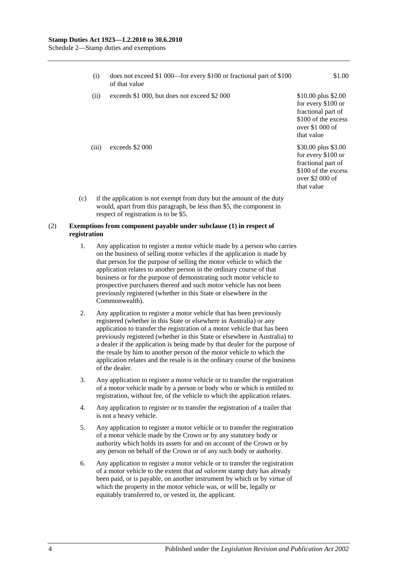Schedule 2—Stamp duties and exemptions

| (i)   | does not exceed \$1 000—for every \$100 or fractional part of \$100<br>of that value | \$1.00                                                                                                                   |
|-------|--------------------------------------------------------------------------------------|--------------------------------------------------------------------------------------------------------------------------|
| (ii)  | exceeds \$1 000, but does not exceed \$2 000                                         | \$10.00 plus \$2.00<br>for every \$100 or<br>fractional part of<br>\$100 of the excess<br>over $$1,000$ of<br>that value |
| (iii) | exceeds \$2 000                                                                      | \$30.00 plus \$3.00<br>for every \$100 or<br>fractional part of<br>\$100 of the excess<br>over \$2 000 of<br>that value  |

(c) if the application is not exempt from duty but the amount of the duty would, apart from this paragraph, be less than \$5, the component in respect of registration is to be \$5.

#### (2) **Exemptions from component payable under subclause (1) in respect of registration**

- 1. Any application to register a motor vehicle made by a person who carries on the business of selling motor vehicles if the application is made by that person for the purpose of selling the motor vehicle to which the application relates to another person in the ordinary course of that business or for the purpose of demonstrating such motor vehicle to prospective purchasers thereof and such motor vehicle has not been previously registered (whether in this State or elsewhere in the Commonwealth).
- 2. Any application to register a motor vehicle that has been previously registered (whether in this State or elsewhere in Australia) or any application to transfer the registration of a motor vehicle that has been previously registered (whether in this State or elsewhere in Australia) to a dealer if the application is being made by that dealer for the purpose of the resale by him to another person of the motor vehicle to which the application relates and the resale is in the ordinary course of the business of the dealer.
- 3. Any application to register a motor vehicle or to transfer the registration of a motor vehicle made by a person or body who or which is entitled to registration, without fee, of the vehicle to which the application relates.
- 4. Any application to register or to transfer the registration of a trailer that is not a heavy vehicle.
- 5. Any application to register a motor vehicle or to transfer the registration of a motor vehicle made by the Crown or by any statutory body or authority which holds its assets for and on account of the Crown or by any person on behalf of the Crown or of any such body or authority.
- 6. Any application to register a motor vehicle or to transfer the registration of a motor vehicle to the extent that *ad valorem* stamp duty has already been paid, or is payable, on another instrument by which or by virtue of which the property in the motor vehicle was, or will be, legally or equitably transferred to, or vested in, the applicant.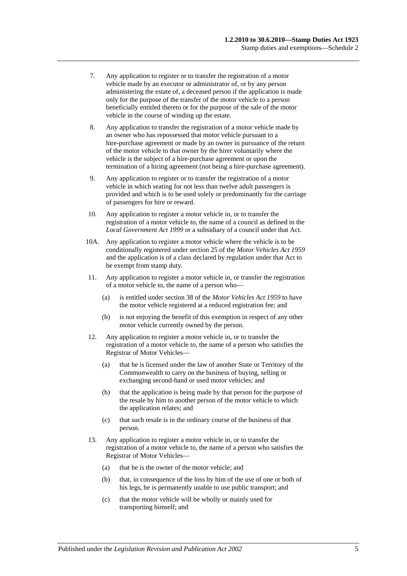- 7. Any application to register or to transfer the registration of a motor vehicle made by an executor or administrator of, or by any person administering the estate of, a deceased person if the application is made only for the purpose of the transfer of the motor vehicle to a person beneficially entitled thereto or for the purpose of the sale of the motor vehicle in the course of winding up the estate.
- 8. Any application to transfer the registration of a motor vehicle made by an owner who has repossessed that motor vehicle pursuant to a hire-purchase agreement or made by an owner in pursuance of the return of the motor vehicle to that owner by the hirer voluntarily where the vehicle is the subject of a hire-purchase agreement or upon the termination of a hiring agreement (not being a hire-purchase agreement).
- 9. Any application to register or to transfer the registration of a motor vehicle in which seating for not less than twelve adult passengers is provided and which is to be used solely or predominantly for the carriage of passengers for hire or reward.
- 10. Any application to register a motor vehicle in, or to transfer the registration of a motor vehicle to, the name of a council as defined in the *[Local Government Act](http://www.legislation.sa.gov.au/index.aspx?action=legref&type=act&legtitle=Local%20Government%20Act%201999) 1999* or a subsidiary of a council under that Act.
- 10A. Any application to register a motor vehicle where the vehicle is to be conditionally registered under section 25 of the *[Motor Vehicles Act](http://www.legislation.sa.gov.au/index.aspx?action=legref&type=act&legtitle=Motor%20Vehicles%20Act%201959) 1959* and the application is of a class declared by regulation under that Act to be exempt from stamp duty.
- 11. Any application to register a motor vehicle in, or transfer the registration of a motor vehicle to, the name of a person who—
	- (a) is entitled under section 38 of the *[Motor Vehicles Act](http://www.legislation.sa.gov.au/index.aspx?action=legref&type=act&legtitle=Motor%20Vehicles%20Act%201959) 1959* to have the motor vehicle registered at a reduced registration fee; and
	- (b) is not enjoying the benefit of this exemption in respect of any other motor vehicle currently owned by the person.
- 12. Any application to register a motor vehicle in, or to transfer the registration of a motor vehicle to, the name of a person who satisfies the Registrar of Motor Vehicles—
	- (a) that he is licensed under the law of another State or Territory of the Commonwealth to carry on the business of buying, selling or exchanging second-hand or used motor vehicles; and
	- (b) that the application is being made by that person for the purpose of the resale by him to another person of the motor vehicle to which the application relates; and
	- (c) that such resale is in the ordinary course of the business of that person.
- 13. Any application to register a motor vehicle in, or to transfer the registration of a motor vehicle to, the name of a person who satisfies the Registrar of Motor Vehicles—
	- (a) that he is the owner of the motor vehicle; and
	- (b) that, in consequence of the loss by him of the use of one or both of his legs, he is permanently unable to use public transport; and
	- (c) that the motor vehicle will be wholly or mainly used for transporting himself; and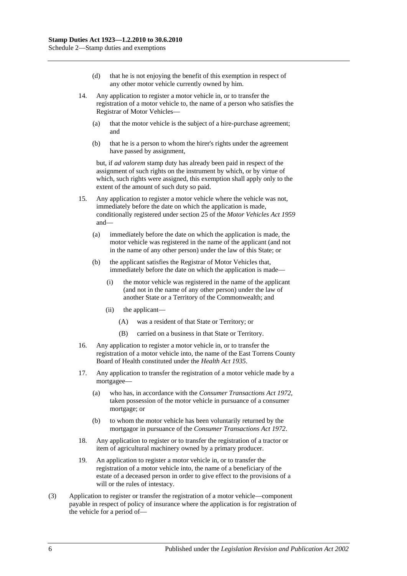- (d) that he is not enjoying the benefit of this exemption in respect of any other motor vehicle currently owned by him.
- 14. Any application to register a motor vehicle in, or to transfer the registration of a motor vehicle to, the name of a person who satisfies the Registrar of Motor Vehicles—
	- (a) that the motor vehicle is the subject of a hire-purchase agreement; and
	- (b) that he is a person to whom the hirer's rights under the agreement have passed by assignment,

but, if *ad valorem* stamp duty has already been paid in respect of the assignment of such rights on the instrument by which, or by virtue of which, such rights were assigned, this exemption shall apply only to the extent of the amount of such duty so paid.

- 15. Any application to register a motor vehicle where the vehicle was not, immediately before the date on which the application is made, conditionally registered under section 25 of the *[Motor Vehicles Act](http://www.legislation.sa.gov.au/index.aspx?action=legref&type=act&legtitle=Motor%20Vehicles%20Act%201959) 1959* and—
	- (a) immediately before the date on which the application is made, the motor vehicle was registered in the name of the applicant (and not in the name of any other person) under the law of this State; or
	- (b) the applicant satisfies the Registrar of Motor Vehicles that, immediately before the date on which the application is made—
		- (i) the motor vehicle was registered in the name of the applicant (and not in the name of any other person) under the law of another State or a Territory of the Commonwealth; and
		- (ii) the applicant—
			- (A) was a resident of that State or Territory; or
			- (B) carried on a business in that State or Territory.
- 16. Any application to register a motor vehicle in, or to transfer the registration of a motor vehicle into, the name of the East Torrens County Board of Health constituted under the *[Health Act](http://www.legislation.sa.gov.au/index.aspx?action=legref&type=act&legtitle=Health%20Act%201935) 1935*.
- 17. Any application to transfer the registration of a motor vehicle made by a mortgagee—
	- (a) who has, in accordance with the *[Consumer Transactions Act](http://www.legislation.sa.gov.au/index.aspx?action=legref&type=act&legtitle=Consumer%20Transactions%20Act%201972) 1972*, taken possession of the motor vehicle in pursuance of a consumer mortgage; or
	- (b) to whom the motor vehicle has been voluntarily returned by the mortgagor in pursuance of the *[Consumer Transactions Act](http://www.legislation.sa.gov.au/index.aspx?action=legref&type=act&legtitle=Consumer%20Transactions%20Act%201972) 1972*.
- 18. Any application to register or to transfer the registration of a tractor or item of agricultural machinery owned by a primary producer.
- 19. An application to register a motor vehicle in, or to transfer the registration of a motor vehicle into, the name of a beneficiary of the estate of a deceased person in order to give effect to the provisions of a will or the rules of intestacy.
- (3) Application to register or transfer the registration of a motor vehicle—component payable in respect of policy of insurance where the application is for registration of the vehicle for a period of—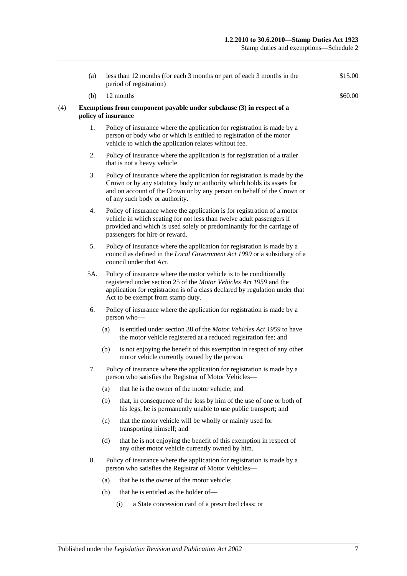Stamp duties and exemptions—Schedule 2

|     | (a) | less than 12 months (for each 3 months or part of each 3 months in the<br>period of registration)                                                                                                                                                               | \$15.00 |  |
|-----|-----|-----------------------------------------------------------------------------------------------------------------------------------------------------------------------------------------------------------------------------------------------------------------|---------|--|
|     | (b) | 12 months                                                                                                                                                                                                                                                       | \$60.00 |  |
| (4) |     | Exemptions from component payable under subclause (3) in respect of a<br>policy of insurance                                                                                                                                                                    |         |  |
|     | 1.  | Policy of insurance where the application for registration is made by a<br>person or body who or which is entitled to registration of the motor<br>vehicle to which the application relates without fee.                                                        |         |  |
|     | 2.  | Policy of insurance where the application is for registration of a trailer<br>that is not a heavy vehicle.                                                                                                                                                      |         |  |
|     | 3.  | Policy of insurance where the application for registration is made by the<br>Crown or by any statutory body or authority which holds its assets for<br>and on account of the Crown or by any person on behalf of the Crown or<br>of any such body or authority. |         |  |
|     | 4.  | Policy of insurance where the application is for registration of a motor<br>vehicle in which seating for not less than twelve adult passengers if<br>provided and which is used solely or predominantly for the carriage of<br>passengers for hire or reward.   |         |  |
|     | 5.  | Policy of insurance where the application for registration is made by a<br>council as defined in the Local Government Act 1999 or a subsidiary of a<br>council under that Act.                                                                                  |         |  |
|     | 5A. | Policy of insurance where the motor vehicle is to be conditionally<br>registered under section 25 of the Motor Vehicles Act 1959 and the<br>application for registration is of a class declared by regulation under that<br>Act to be exempt from stamp duty.   |         |  |
|     | 6.  | Policy of insurance where the application for registration is made by a<br>person who-                                                                                                                                                                          |         |  |
|     |     | is entitled under section 38 of the <i>Motor Vehicles Act 1959</i> to have<br>(a)<br>the motor vehicle registered at a reduced registration fee; and                                                                                                            |         |  |
|     |     | (b)<br>is not enjoying the benefit of this exemption in respect of any other<br>motor vehicle currently owned by the person.                                                                                                                                    |         |  |
|     | 7.  | Policy of insurance where the application for registration is made by a<br>person who satisfies the Registrar of Motor Vehicles—                                                                                                                                |         |  |
|     |     | that he is the owner of the motor vehicle; and<br>(a)                                                                                                                                                                                                           |         |  |
|     |     | that, in consequence of the loss by him of the use of one or both of<br>(b)<br>his legs, he is permanently unable to use public transport; and                                                                                                                  |         |  |
|     |     | that the motor vehicle will be wholly or mainly used for<br>(c)<br>transporting himself; and                                                                                                                                                                    |         |  |
|     |     | (d)<br>that he is not enjoying the benefit of this exemption in respect of<br>any other motor vehicle currently owned by him.                                                                                                                                   |         |  |
|     | 8.  | Policy of insurance where the application for registration is made by a<br>person who satisfies the Registrar of Motor Vehicles-                                                                                                                                |         |  |
|     |     | that he is the owner of the motor vehicle;<br>(a)                                                                                                                                                                                                               |         |  |
|     |     | that he is entitled as the holder of—<br>(b)                                                                                                                                                                                                                    |         |  |
|     |     | a State concession card of a prescribed class; or<br>(i)                                                                                                                                                                                                        |         |  |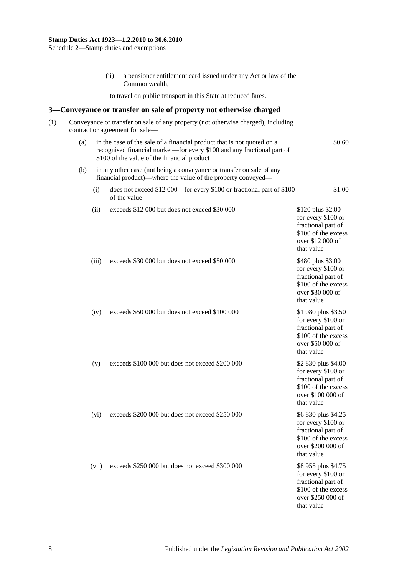(ii) a pensioner entitlement card issued under any Act or law of the Commonwealth, to travel on public transport in this State at reduced fares. **3—Conveyance or transfer on sale of property not otherwise charged** (1) Conveyance or transfer on sale of any property (not otherwise charged), including contract or agreement for sale— (a) in the case of the sale of a financial product that is not quoted on a recognised financial market—for every \$100 and any fractional part of \$100 of the value of the financial product \$0.60 (b) in any other case (not being a conveyance or transfer on sale of any financial product)—where the value of the property conveyed— (i) does not exceed \$12 000—for every \$100 or fractional part of \$100 of the value \$1.00 (ii) exceeds \$12 000 but does not exceed \$30 000 \$120 plus \$2.00 for every \$100 or fractional part of \$100 of the excess over \$12 000 of that value (iii) exceeds \$30 000 but does not exceed \$50 000 \$480 plus \$3.00 for every \$100 or fractional part of \$100 of the excess over \$30 000 of that value (iv) exceeds \$50 000 but does not exceed \$100 000 \$1 080 plus \$3.50 for every \$100 or fractional part of \$100 of the excess over \$50 000 of that value (v) exceeds \$100 000 but does not exceed \$200 000 \$2 830 plus \$4.00 for every \$100 or fractional part of \$100 of the excess over \$100 000 of that value (vi) exceeds \$200 000 but does not exceed \$250 000 \$6 830 plus \$4.25 for every \$100 or fractional part of \$100 of the excess over \$200 000 of that value (vii) exceeds \$250 000 but does not exceed \$300 000 \$8 955 plus \$4.75 for every \$100 or fractional part of \$100 of the excess over \$250 000 of that value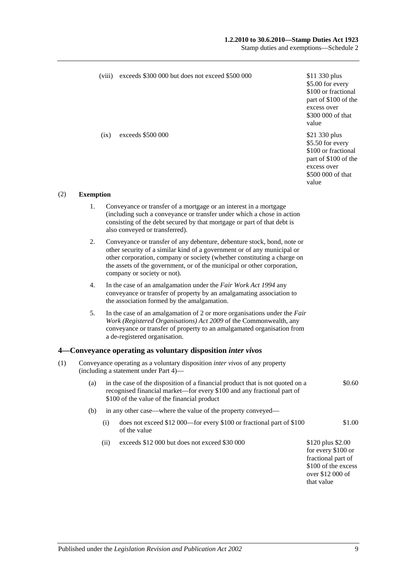### **1.2.2010 to 30.6.2010—Stamp Duties Act 1923**

Stamp duties and exemptions—Schedule 2

|     |                  | (viii) | exceeds \$300 000 but does not exceed \$500 000                                                                                                                                                                                                                                                                                         | \$11 330 plus<br>\$5.00 for every<br>\$100 or fractional<br>part of \$100 of the<br>excess over<br>\$300 000 of that<br>value |
|-----|------------------|--------|-----------------------------------------------------------------------------------------------------------------------------------------------------------------------------------------------------------------------------------------------------------------------------------------------------------------------------------------|-------------------------------------------------------------------------------------------------------------------------------|
|     |                  | (ix)   | exceeds \$500 000                                                                                                                                                                                                                                                                                                                       | \$21 330 plus<br>\$5.50 for every<br>\$100 or fractional<br>part of \$100 of the<br>excess over<br>\$500 000 of that<br>value |
| (2) | <b>Exemption</b> |        |                                                                                                                                                                                                                                                                                                                                         |                                                                                                                               |
|     | 1.               |        | Conveyance or transfer of a mortgage or an interest in a mortgage<br>(including such a conveyance or transfer under which a chose in action<br>consisting of the debt secured by that mortgage or part of that debt is<br>also conveyed or transferred).                                                                                |                                                                                                                               |
|     | 2.               |        | Conveyance or transfer of any debenture, debenture stock, bond, note or<br>other security of a similar kind of a government or of any municipal or<br>other corporation, company or society (whether constituting a charge on<br>the assets of the government, or of the municipal or other corporation,<br>company or society or not). |                                                                                                                               |
|     | 4.               |        | In the case of an amalgamation under the Fair Work Act 1994 any<br>conveyance or transfer of property by an amalgamating association to<br>the association formed by the amalgamation.                                                                                                                                                  |                                                                                                                               |
|     | 5.               |        | In the case of an amalgamation of 2 or more organisations under the Fair<br>Work (Registered Organisations) Act 2009 of the Commonwealth, any<br>conveyance or transfer of property to an amalgamated organisation from<br>a de-registered organisation.                                                                                |                                                                                                                               |
|     |                  |        | 4—Conveyance operating as voluntary disposition <i>inter vivos</i>                                                                                                                                                                                                                                                                      |                                                                                                                               |
| (1) |                  |        | Conveyance operating as a voluntary disposition <i>inter vivos</i> of any property<br>(including a statement under Part 4)-                                                                                                                                                                                                             |                                                                                                                               |
|     | (a)              |        | in the case of the disposition of a financial product that is not quoted on a<br>recognised financial market—for every \$100 and any fractional part of<br>\$100 of the value of the financial product                                                                                                                                  | \$0.60                                                                                                                        |
|     | (b)              |        | in any other case—where the value of the property conveyed—                                                                                                                                                                                                                                                                             |                                                                                                                               |
|     |                  | (i)    | does not exceed \$12 000—for every \$100 or fractional part of \$100<br>of the value                                                                                                                                                                                                                                                    | \$1.00                                                                                                                        |
|     |                  | (ii)   | exceeds \$12 000 but does not exceed \$30 000                                                                                                                                                                                                                                                                                           | \$120 plus \$2.00<br>for every \$100 or<br>fractional part of<br>\$100 of the excess<br>over \$12 000 of<br>that value        |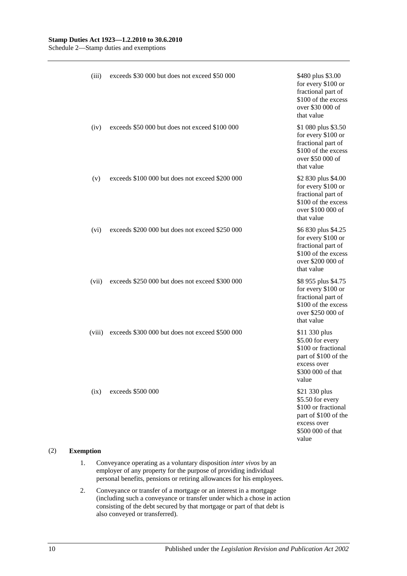Schedule 2—Stamp duties and exemptions

| (iii)  | exceeds \$30 000 but does not exceed \$50 000   | \$480 plus \$3.00<br>for every \$100 or<br>fractional part of<br>\$100 of the excess<br>over \$30 000 of<br>that value        |
|--------|-------------------------------------------------|-------------------------------------------------------------------------------------------------------------------------------|
| (iv)   | exceeds \$50 000 but does not exceed \$100 000  | \$1 080 plus \$3.50<br>for every \$100 or<br>fractional part of<br>\$100 of the excess<br>over \$50 000 of<br>that value      |
| (v)    | exceeds \$100 000 but does not exceed \$200 000 | \$2 830 plus \$4.00<br>for every \$100 or<br>fractional part of<br>\$100 of the excess<br>over \$100 000 of<br>that value     |
| (vi)   | exceeds \$200 000 but does not exceed \$250 000 | \$6 830 plus \$4.25<br>for every \$100 or<br>fractional part of<br>\$100 of the excess<br>over \$200 000 of<br>that value     |
| (vii)  | exceeds \$250 000 but does not exceed \$300 000 | \$8 955 plus \$4.75<br>for every \$100 or<br>fractional part of<br>\$100 of the excess<br>over \$250 000 of<br>that value     |
| (viii) | exceeds \$300 000 but does not exceed \$500 000 | \$11 330 plus<br>\$5.00 for every<br>\$100 or fractional<br>part of \$100 of the<br>excess over<br>\$300 000 of that<br>value |
| (ix)   | exceeds \$500 000                               | \$21 330 plus<br>\$5.50 for every<br>\$100 or fractional<br>part of \$100 of the<br>excess over<br>\$500 000 of that<br>value |

### (2) **Exemption**

- 1. Conveyance operating as a voluntary disposition *inter vivos* by an employer of any property for the purpose of providing individual personal benefits, pensions or retiring allowances for his employees.
- 2. Conveyance or transfer of a mortgage or an interest in a mortgage (including such a conveyance or transfer under which a chose in action consisting of the debt secured by that mortgage or part of that debt is also conveyed or transferred).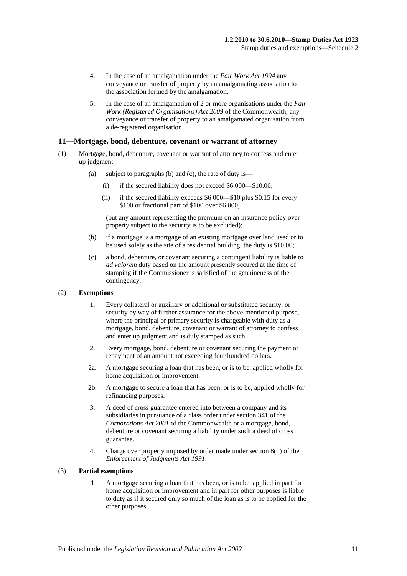- 4. In the case of an amalgamation under the *[Fair Work Act](http://www.legislation.sa.gov.au/index.aspx?action=legref&type=act&legtitle=Fair%20Work%20Act%201994) 1994* any conveyance or transfer of property by an amalgamating association to the association formed by the amalgamation.
- 5. In the case of an amalgamation of 2 or more organisations under the *[Fair](http://www.legislation.sa.gov.au/index.aspx?action=legref&type=act&legtitle=Fair%20Work%20(Registered%20Organisations)%20Act%202009)  [Work \(Registered Organisations\) Act](http://www.legislation.sa.gov.au/index.aspx?action=legref&type=act&legtitle=Fair%20Work%20(Registered%20Organisations)%20Act%202009) 2009* of the Commonwealth, any conveyance or transfer of property to an amalgamated organisation from a de-registered organisation.

### **11—Mortgage, bond, debenture, covenant or warrant of attorney**

- (1) Mortgage, bond, debenture, covenant or warrant of attorney to confess and enter up judgment—
	- (a) subject to paragraphs (b) and (c), the rate of duty is—
		- (i) if the secured liability does not exceed \$6 000—\$10.00;
		- (ii) if the secured liability exceeds \$6 000—\$10 plus \$0.15 for every \$100 or fractional part of \$100 over \$6 000,

(but any amount representing the premium on an insurance policy over property subject to the security is to be excluded);

- (b) if a mortgage is a mortgage of an existing mortgage over land used or to be used solely as the site of a residential building, the duty is \$10.00;
- (c) a bond, debenture, or covenant securing a contingent liability is liable to *ad valorem* duty based on the amount presently secured at the time of stamping if the Commissioner is satisfied of the genuineness of the contingency.

#### (2) **Exemptions**

- 1. Every collateral or auxiliary or additional or substituted security, or security by way of further assurance for the above-mentioned purpose, where the principal or primary security is chargeable with duty as a mortgage, bond, debenture, covenant or warrant of attorney to confess and enter up judgment and is duly stamped as such.
- 2. Every mortgage, bond, debenture or covenant securing the payment or repayment of an amount not exceeding four hundred dollars.
- 2a. A mortgage securing a loan that has been, or is to be, applied wholly for home acquisition or improvement.
- 2b. A mortgage to secure a loan that has been, or is to be, applied wholly for refinancing purposes.
- 3. A deed of cross guarantee entered into between a company and its subsidiaries in pursuance of a class order under section 341 of the *Corporations Act 2001* of the Commonwealth or a mortgage, bond, debenture or covenant securing a liability under such a deed of cross guarantee.
- 4. Charge over property imposed by order made under section 8(1) of the *[Enforcement of Judgments Act](http://www.legislation.sa.gov.au/index.aspx?action=legref&type=act&legtitle=Enforcement%20of%20Judgments%20Act%201991) 1991*.

### (3) **Partial exemptions**

1 A mortgage securing a loan that has been, or is to be, applied in part for home acquisition or improvement and in part for other purposes is liable to duty as if it secured only so much of the loan as is to be applied for the other purposes.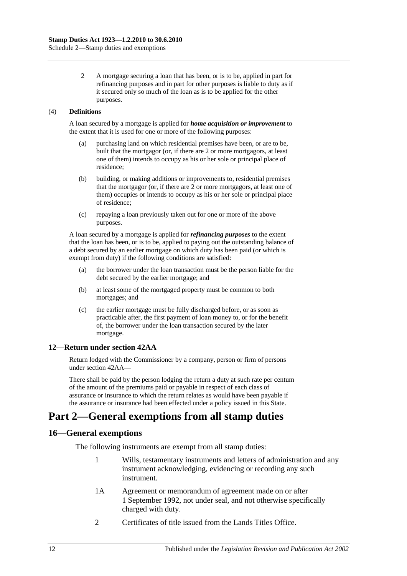Schedule 2—Stamp duties and exemptions

2 A mortgage securing a loan that has been, or is to be, applied in part for refinancing purposes and in part for other purposes is liable to duty as if it secured only so much of the loan as is to be applied for the other purposes.

### (4) **Definitions**

A loan secured by a mortgage is applied for *home acquisition or improvement* to the extent that it is used for one or more of the following purposes:

- (a) purchasing land on which residential premises have been, or are to be, built that the mortgagor (or, if there are 2 or more mortgagors, at least one of them) intends to occupy as his or her sole or principal place of residence;
- (b) building, or making additions or improvements to, residential premises that the mortgagor (or, if there are 2 or more mortgagors, at least one of them) occupies or intends to occupy as his or her sole or principal place of residence;
- (c) repaying a loan previously taken out for one or more of the above purposes.

A loan secured by a mortgage is applied for *refinancing purposes* to the extent that the loan has been, or is to be, applied to paying out the outstanding balance of a debt secured by an earlier mortgage on which duty has been paid (or which is exempt from duty) if the following conditions are satisfied:

- (a) the borrower under the loan transaction must be the person liable for the debt secured by the earlier mortgage; and
- (b) at least some of the mortgaged property must be common to both mortgages; and
- (c) the earlier mortgage must be fully discharged before, or as soon as practicable after, the first payment of loan money to, or for the benefit of, the borrower under the loan transaction secured by the later mortgage.

### **12—Return under section 42AA**

Return lodged with the Commissioner by a company, person or firm of persons under [section](#page-29-0) 42AA—

There shall be paid by the person lodging the return a duty at such rate per centum of the amount of the premiums paid or payable in respect of each class of assurance or insurance to which the return relates as would have been payable if the assurance or insurance had been effected under a policy issued in this State.

# **Part 2—General exemptions from all stamp duties**

### **16—General exemptions**

The following instruments are exempt from all stamp duties:

- 1 Wills, testamentary instruments and letters of administration and any instrument acknowledging, evidencing or recording any such instrument.
- 1A Agreement or memorandum of agreement made on or after 1 September 1992, not under seal, and not otherwise specifically charged with duty.
- 2 Certificates of title issued from the Lands Titles Office.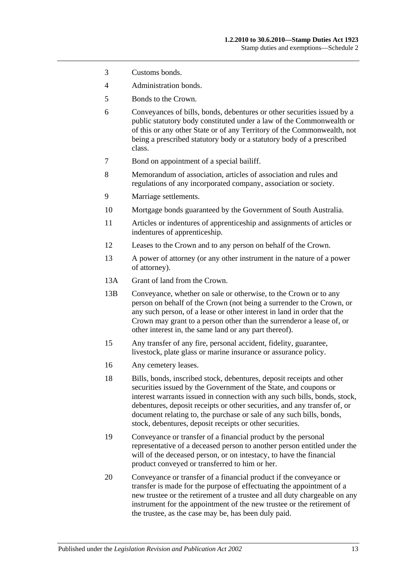- 3 Customs bonds.
- 4 Administration bonds.
- 5 Bonds to the Crown.
- 6 Conveyances of bills, bonds, debentures or other securities issued by a public statutory body constituted under a law of the Commonwealth or of this or any other State or of any Territory of the Commonwealth, not being a prescribed statutory body or a statutory body of a prescribed class.
- 7 Bond on appointment of a special bailiff.
- 8 Memorandum of association, articles of association and rules and regulations of any incorporated company, association or society.
- 9 Marriage settlements.
- 10 Mortgage bonds guaranteed by the Government of South Australia.
- 11 Articles or indentures of apprenticeship and assignments of articles or indentures of apprenticeship.
- 12 Leases to the Crown and to any person on behalf of the Crown.
- 13 A power of attorney (or any other instrument in the nature of a power of attorney).
- 13A Grant of land from the Crown.
- 13B Conveyance, whether on sale or otherwise, to the Crown or to any person on behalf of the Crown (not being a surrender to the Crown, or any such person, of a lease or other interest in land in order that the Crown may grant to a person other than the surrenderor a lease of, or other interest in, the same land or any part thereof).
- 15 Any transfer of any fire, personal accident, fidelity, guarantee, livestock, plate glass or marine insurance or assurance policy.
- 16 Any cemetery leases.
- 18 Bills, bonds, inscribed stock, debentures, deposit receipts and other securities issued by the Government of the State, and coupons or interest warrants issued in connection with any such bills, bonds, stock, debentures, deposit receipts or other securities, and any transfer of, or document relating to, the purchase or sale of any such bills, bonds, stock, debentures, deposit receipts or other securities.
- 19 Conveyance or transfer of a financial product by the personal representative of a deceased person to another person entitled under the will of the deceased person, or on intestacy, to have the financial product conveyed or transferred to him or her.
- 20 Conveyance or transfer of a financial product if the conveyance or transfer is made for the purpose of effectuating the appointment of a new trustee or the retirement of a trustee and all duty chargeable on any instrument for the appointment of the new trustee or the retirement of the trustee, as the case may be, has been duly paid.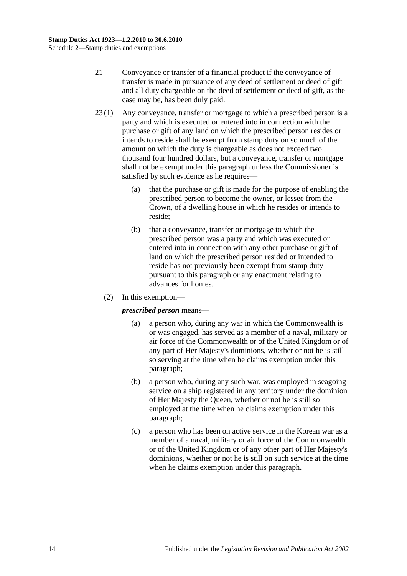- 21 Conveyance or transfer of a financial product if the conveyance of transfer is made in pursuance of any deed of settlement or deed of gift and all duty chargeable on the deed of settlement or deed of gift, as the case may be, has been duly paid.
- 23 (1) Any conveyance, transfer or mortgage to which a prescribed person is a party and which is executed or entered into in connection with the purchase or gift of any land on which the prescribed person resides or intends to reside shall be exempt from stamp duty on so much of the amount on which the duty is chargeable as does not exceed two thousand four hundred dollars, but a conveyance, transfer or mortgage shall not be exempt under this paragraph unless the Commissioner is satisfied by such evidence as he requires—
	- (a) that the purchase or gift is made for the purpose of enabling the prescribed person to become the owner, or lessee from the Crown, of a dwelling house in which he resides or intends to reside;
	- (b) that a conveyance, transfer or mortgage to which the prescribed person was a party and which was executed or entered into in connection with any other purchase or gift of land on which the prescribed person resided or intended to reside has not previously been exempt from stamp duty pursuant to this paragraph or any enactment relating to advances for homes.
	- (2) In this exemption—

### <span id="page-109-0"></span>*prescribed person* means—

- (a) a person who, during any war in which the Commonwealth is or was engaged, has served as a member of a naval, military or air force of the Commonwealth or of the United Kingdom or of any part of Her Majesty's dominions, whether or not he is still so serving at the time when he claims exemption under this paragraph;
- <span id="page-109-1"></span>(b) a person who, during any such war, was employed in seagoing service on a ship registered in any territory under the dominion of Her Majesty the Queen, whether or not he is still so employed at the time when he claims exemption under this paragraph;
- <span id="page-109-2"></span>(c) a person who has been on active service in the Korean war as a member of a naval, military or air force of the Commonwealth or of the United Kingdom or of any other part of Her Majesty's dominions, whether or not he is still on such service at the time when he claims exemption under this paragraph.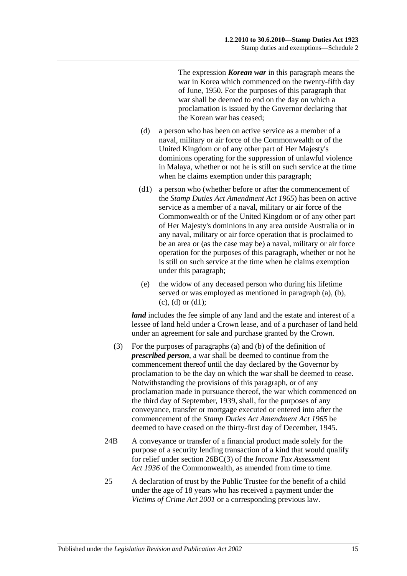The expression *Korean war* in this paragraph means the war in Korea which commenced on the twenty-fifth day of June, 1950. For the purposes of this paragraph that war shall be deemed to end on the day on which a proclamation is issued by the Governor declaring that the Korean war has ceased;

- <span id="page-110-0"></span>(d) a person who has been on active service as a member of a naval, military or air force of the Commonwealth or of the United Kingdom or of any other part of Her Majesty's dominions operating for the suppression of unlawful violence in Malaya, whether or not he is still on such service at the time when he claims exemption under this paragraph;
- <span id="page-110-1"></span>(d1) a person who (whether before or after the commencement of the *[Stamp Duties Act Amendment Act](http://www.legislation.sa.gov.au/index.aspx?action=legref&type=act&legtitle=Stamp%20Duties%20Act%20Amendment%20Act%201965) 1965*) has been on active service as a member of a naval, military or air force of the Commonwealth or of the United Kingdom or of any other part of Her Majesty's dominions in any area outside Australia or in any naval, military or air force operation that is proclaimed to be an area or (as the case may be) a naval, military or air force operation for the purposes of this paragraph, whether or not he is still on such service at the time when he claims exemption under this paragraph;
- (e) the widow of any deceased person who during his lifetime served or was employed as mentioned in [paragraph](#page-109-0) (a), [\(b\),](#page-109-1)  $(c)$ ,  $(d)$  or  $(d1)$ ;

*land* includes the fee simple of any land and the estate and interest of a lessee of land held under a Crown lease, and of a purchaser of land held under an agreement for sale and purchase granted by the Crown.

- (3) For the purposes of [paragraphs](#page-109-0) (a) and [\(b\)](#page-109-1) of the definition of *prescribed person*, a war shall be deemed to continue from the commencement thereof until the day declared by the Governor by proclamation to be the day on which the war shall be deemed to cease. Notwithstanding the provisions of this paragraph, or of any proclamation made in pursuance thereof, the war which commenced on the third day of September, 1939, shall, for the purposes of any conveyance, transfer or mortgage executed or entered into after the commencement of the *[Stamp Duties Act Amendment Act](http://www.legislation.sa.gov.au/index.aspx?action=legref&type=act&legtitle=Stamp%20Duties%20Act%20Amendment%20Act%201965) 1965* be deemed to have ceased on the thirty-first day of December, 1945.
- 24B A conveyance or transfer of a financial product made solely for the purpose of a security lending transaction of a kind that would qualify for relief under section 26BC(3) of the *Income Tax Assessment*  Act 1936 of the Commonwealth, as amended from time to time.
- 25 A declaration of trust by the Public Trustee for the benefit of a child under the age of 18 years who has received a payment under the *[Victims of Crime Act](http://www.legislation.sa.gov.au/index.aspx?action=legref&type=act&legtitle=Victims%20of%20Crime%20Act%202001) 2001* or a corresponding previous law.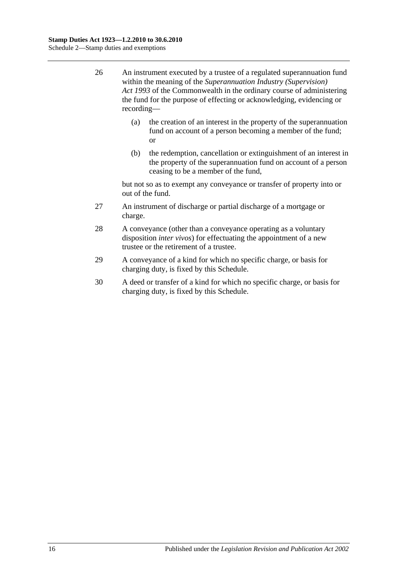- 26 An instrument executed by a trustee of a regulated superannuation fund within the meaning of the *Superannuation Industry (Supervision) Act 1993* of the Commonwealth in the ordinary course of administering the fund for the purpose of effecting or acknowledging, evidencing or recording—
	- (a) the creation of an interest in the property of the superannuation fund on account of a person becoming a member of the fund; or
	- (b) the redemption, cancellation or extinguishment of an interest in the property of the superannuation fund on account of a person ceasing to be a member of the fund,

but not so as to exempt any conveyance or transfer of property into or out of the fund.

- 27 An instrument of discharge or partial discharge of a mortgage or charge.
- 28 A conveyance (other than a conveyance operating as a voluntary disposition *inter vivos*) for effectuating the appointment of a new trustee or the retirement of a trustee.
- 29 A conveyance of a kind for which no specific charge, or basis for charging duty, is fixed by this Schedule.
- 30 A deed or transfer of a kind for which no specific charge, or basis for charging duty, is fixed by this Schedule.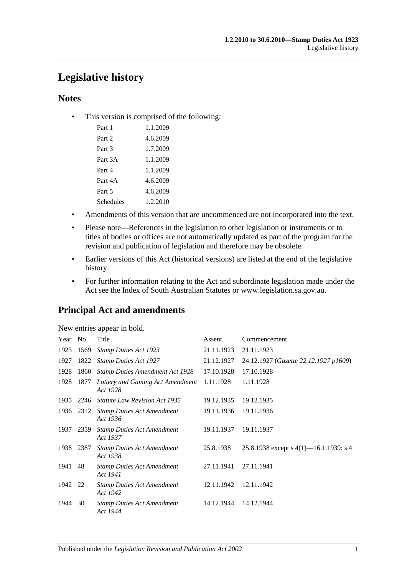# **Legislative history**

## **Notes**

• This version is comprised of the following:

| Part 1    | 1.1.2009 |
|-----------|----------|
| Part 2    | 4.6.2009 |
| Part 3    | 1.7.2009 |
| Part 3A   | 1.1.2009 |
| Part 4    | 1.1.2009 |
| Part 4A   | 4.6.2009 |
| Part 5    | 4.6.2009 |
| Schedules | 1.2.2010 |

- Amendments of this version that are uncommenced are not incorporated into the text.
- Please note—References in the legislation to other legislation or instruments or to titles of bodies or offices are not automatically updated as part of the program for the revision and publication of legislation and therefore may be obsolete.
- Earlier versions of this Act (historical versions) are listed at the end of the legislative history.
- For further information relating to the Act and subordinate legislation made under the Act see the Index of South Australian Statutes or www.legislation.sa.gov.au.

## **Principal Act and amendments**

| New entries appear in bold. |  |  |  |  |  |
|-----------------------------|--|--|--|--|--|
|-----------------------------|--|--|--|--|--|

| Year    | N <sub>0</sub> | Title                                         | Assent     | Commencement                              |
|---------|----------------|-----------------------------------------------|------------|-------------------------------------------|
| 1923    | 1569           | <b>Stamp Duties Act 1923</b>                  | 21.11.1923 | 21.11.1923                                |
| 1927    | 1822           | <b>Stamp Duties Act 1927</b>                  | 21.12.1927 | 24.12.1927 (Gazette 22.12.1927 p1609)     |
| 1928    | 1860           | <b>Stamp Duties Amendment Act 1928</b>        | 17.10.1928 | 17.10.1928                                |
| 1928    | 1877           | Lottery and Gaming Act Amendment<br>Act 1928  | 1.11.1928  | 1.11.1928                                 |
| 1935    | 2246           | Statute Law Revision Act 1935                 | 19.12.1935 | 19.12.1935                                |
|         | 1936 2312      | <b>Stamp Duties Act Amendment</b><br>Act 1936 | 19.11.1936 | 19.11.1936                                |
| 1937    | 2359           | <b>Stamp Duties Act Amendment</b><br>Act 1937 | 19.11.1937 | 19.11.1937                                |
| 1938    | 2387           | <b>Stamp Duties Act Amendment</b><br>Act 1938 | 25.8.1938  | 25.8.1938 except s $4(1)$ —16.1.1939: s 4 |
| 1941    | 48             | <b>Stamp Duties Act Amendment</b><br>Act 1941 | 27.11.1941 | 27.11.1941                                |
| 1942 22 |                | <b>Stamp Duties Act Amendment</b><br>Act 1942 | 12.11.1942 | 12.11.1942                                |
| 1944    | 30             | <b>Stamp Duties Act Amendment</b><br>Act 1944 | 14.12.1944 | 14.12.1944                                |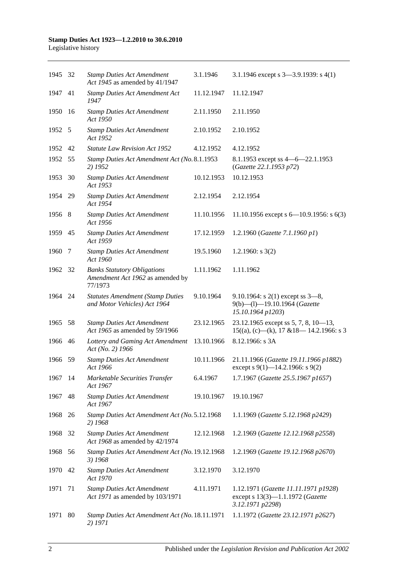# **Stamp Duties Act 1923—1.2.2010 to 30.6.2010**

| Legislative history |  |  |  |
|---------------------|--|--|--|
|---------------------|--|--|--|

| 1945 32 |    | <b>Stamp Duties Act Amendment</b><br>Act 1945 as amended by 41/1947               | 3.1.1946   | 3.1.1946 except s $3-3.9.1939$ : s $4(1)$                                                    |
|---------|----|-----------------------------------------------------------------------------------|------------|----------------------------------------------------------------------------------------------|
| 1947    | 41 | <b>Stamp Duties Act Amendment Act</b><br>1947                                     | 11.12.1947 | 11.12.1947                                                                                   |
| 1950    | 16 | <b>Stamp Duties Act Amendment</b><br>Act 1950                                     | 2.11.1950  | 2.11.1950                                                                                    |
| 1952 5  |    | <b>Stamp Duties Act Amendment</b><br>Act 1952                                     | 2.10.1952  | 2.10.1952                                                                                    |
| 1952    | 42 | <b>Statute Law Revision Act 1952</b>                                              | 4.12.1952  | 4.12.1952                                                                                    |
| 1952    | 55 | Stamp Duties Act Amendment Act (No. 8.1.1953<br>2) 1952                           |            | 8.1.1953 except ss $4 - 6 - 22.1.1953$<br>(Gazette 22.1.1953 p72)                            |
| 1953    | 30 | <b>Stamp Duties Act Amendment</b><br>Act 1953                                     | 10.12.1953 | 10.12.1953                                                                                   |
| 1954 29 |    | <b>Stamp Duties Act Amendment</b><br>Act 1954                                     | 2.12.1954  | 2.12.1954                                                                                    |
| 1956 8  |    | <b>Stamp Duties Act Amendment</b><br>Act 1956                                     | 11.10.1956 | 11.10.1956 except s $6-10.9.1956$ : s $6(3)$                                                 |
| 1959    | 45 | <b>Stamp Duties Act Amendment</b><br>Act 1959                                     | 17.12.1959 | 1.2.1960 (Gazette 7.1.1960 p1)                                                               |
| 1960    | 7  | <b>Stamp Duties Act Amendment</b><br>Act 1960                                     | 19.5.1960  | 1.2.1960: $s$ 3(2)                                                                           |
| 1962 32 |    | <b>Banks Statutory Obligations</b><br>Amendment Act 1962 as amended by<br>77/1973 | 1.11.1962  | 1.11.1962                                                                                    |
| 1964 24 |    | <b>Statutes Amendment (Stamp Duties</b><br>and Motor Vehicles) Act 1964           | 9.10.1964  | 9.10.1964: s $2(1)$ except ss $3-8$ ,<br>9(b)-(l)-19.10.1964 (Gazette<br>15.10.1964 p1203)   |
| 1965    | 58 | <b>Stamp Duties Act Amendment</b><br>Act 1965 as amended by 59/1966               | 23.12.1965 | 23.12.1965 except ss 5, 7, 8, 10-13,<br>$15((a), (c)$ —(k), 17 & 18—14.2.1966: s 3           |
| 1966    | 46 | Lottery and Gaming Act Amendment<br>Act (No. 2) 1966                              | 13.10.1966 | 8.12.1966: s 3A                                                                              |
| 1966    | 59 | <b>Stamp Duties Act Amendment</b><br>Act 1966                                     | 10.11.1966 | 21.11.1966 (Gazette 19.11.1966 p1882)<br>except s 9(1)-14.2.1966: s 9(2)                     |
| 1967 14 |    | Marketable Securities Transfer<br>Act 1967                                        | 6.4.1967   | 1.7.1967 (Gazette 25.5.1967 p1657)                                                           |
| 1967    | 48 | <b>Stamp Duties Act Amendment</b><br>Act 1967                                     | 19.10.1967 | 19.10.1967                                                                                   |
| 1968    | 26 | Stamp Duties Act Amendment Act (No. 5.12.1968<br>2) 1968                          |            | 1.1.1969 (Gazette 5.12.1968 p2429)                                                           |
| 1968    | 32 | <b>Stamp Duties Act Amendment</b><br>Act 1968 as amended by 42/1974               | 12.12.1968 | 1.2.1969 (Gazette 12.12.1968 p2558)                                                          |
| 1968    | 56 | Stamp Duties Act Amendment Act (No. 19.12.1968<br>3) 1968                         |            | 1.2.1969 (Gazette 19.12.1968 p2670)                                                          |
| 1970    | 42 | <b>Stamp Duties Act Amendment</b><br>Act 1970                                     | 3.12.1970  | 3.12.1970                                                                                    |
| 1971    | 71 | <b>Stamp Duties Act Amendment</b><br>Act 1971 as amended by 103/1971              | 4.11.1971  | 1.12.1971 (Gazette 11.11.1971 p1928)<br>except s 13(3)-1.1.1972 (Gazette<br>3.12.1971 p2298) |
| 1971    | 80 | Stamp Duties Act Amendment Act (No. 18.11.1971<br>2) 1971                         |            | 1.1.1972 (Gazette 23.12.1971 p2627)                                                          |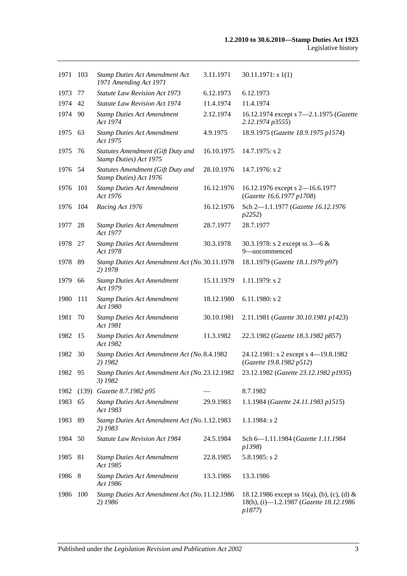| 1971    | 103   | <b>Stamp Duties Act Amendment Act</b><br>1971 Amending Act 1971    | 3.11.1971  | 30.11.1971: s1(1)                                                                                |
|---------|-------|--------------------------------------------------------------------|------------|--------------------------------------------------------------------------------------------------|
| 1973    | 77    | <b>Statute Law Revision Act 1973</b>                               | 6.12.1973  | 6.12.1973                                                                                        |
| 1974    | 42    | <b>Statute Law Revision Act 1974</b>                               | 11.4.1974  | 11.4.1974                                                                                        |
| 1974    | -90   | <b>Stamp Duties Act Amendment</b><br>Act 1974                      | 2.12.1974  | 16.12.1974 except s 7-2.1.1975 (Gazette<br>2.12.1974 p3555)                                      |
| 1975    | 63    | <b>Stamp Duties Act Amendment</b><br>Act 1975                      | 4.9.1975   | 18.9.1975 (Gazette 18.9.1975 p1574)                                                              |
| 1975    | -76   | Statutes Amendment (Gift Duty and<br>Stamp Duties) Act 1975        | 16.10.1975 | 14.7.1975: s 2                                                                                   |
| 1976 54 |       | <b>Statutes Amendment (Gift Duty and</b><br>Stamp Duties) Act 1976 | 28.10.1976 | 14.7.1976: s 2                                                                                   |
| 1976    | 101   | <b>Stamp Duties Act Amendment</b><br>Act 1976                      | 16.12.1976 | 16.12.1976 except s 2-16.6.1977<br>(Gazette 16.6.1977 p1708)                                     |
| 1976    | 104   | Racing Act 1976                                                    | 16.12.1976 | Sch 2-1.1.1977 (Gazette 16.12.1976<br>p2252)                                                     |
| 1977 28 |       | <b>Stamp Duties Act Amendment</b><br>Act 1977                      | 28.7.1977  | 28.7.1977                                                                                        |
| 1978    | - 27  | <b>Stamp Duties Act Amendment</b><br>Act 1978                      | 30.3.1978  | 30.3.1978: s 2 except ss $3-6 &$<br>9-uncommenced                                                |
| 1978 89 |       | Stamp Duties Act Amendment Act (No. 30.11.1978)<br>2) 1978         |            | 18.1.1979 (Gazette 18.1.1979 p97)                                                                |
| 1979    | 66    | <b>Stamp Duties Act Amendment</b><br>Act 1979                      | 15.11.1979 | $1.11.1979$ : s 2                                                                                |
| 1980    | 111   | <b>Stamp Duties Act Amendment</b><br>Act 1980                      | 18.12.1980 | 6.11.1980: s 2                                                                                   |
| 1981    | 70    | <b>Stamp Duties Act Amendment</b><br>Act 1981                      | 30.10.1981 | 2.11.1981 (Gazette 30.10.1981 p1423)                                                             |
| 1982    | -15   | <b>Stamp Duties Act Amendment</b><br>Act 1982                      | 11.3.1982  | 22.3.1982 (Gazette 18.3.1982 p857)                                                               |
| 1982    | 30    | Stamp Duties Act Amendment Act (No. 8.4.1982<br>2) 1982            |            | 24.12.1981: s 2 except s 4-19.8.1982<br>(Gazette 19.8.1982 p512)                                 |
| 1982 95 |       | Stamp Duties Act Amendment Act (No. 23.12.1982<br>3) 1982          |            | 23.12.1982 (Gazette 23.12.1982 p1935)                                                            |
| 1982    | (139) | Gazette 8.7.1982 p95                                               |            | 8.7.1982                                                                                         |
| 1983    | 65    | <b>Stamp Duties Act Amendment</b><br>Act 1983                      | 29.9.1983  | 1.1.1984 (Gazette 24.11.1983 p1515)                                                              |
| 1983    | 89    | Stamp Duties Act Amendment Act (No. 1.12.1983<br>2) 1983           |            | $1.1.1984$ : s 2                                                                                 |
| 1984 50 |       | Statute Law Revision Act 1984                                      | 24.5.1984  | Sch 6-1.11.1984 (Gazette 1.11.1984<br>p1398)                                                     |
| 1985    | 81    | <b>Stamp Duties Act Amendment</b><br>Act 1985                      | 22.8.1985  | 5.8.1985: s 2                                                                                    |
| 1986 8  |       | <b>Stamp Duties Act Amendment</b><br>Act 1986                      | 13.3.1986  | 13.3.1986                                                                                        |
| 1986    | 100   | Stamp Duties Act Amendment Act (No. 11.12.1986<br>2) 1986          |            | 18.12.1986 except ss 16(a), (b), (c), (d) &<br>18(h), (i)-1.2.1987 (Gazette 18.12.1986<br>p1877) |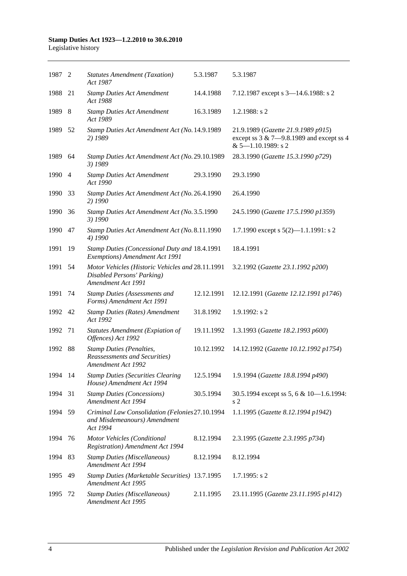## **Stamp Duties Act 1923—1.2.2010 to 30.6.2010**

Legislative history

| 1987 2  |    | <b>Statutes Amendment (Taxation)</b><br>Act 1987                                                     | 5.3.1987   | 5.3.1987                                                                                                      |
|---------|----|------------------------------------------------------------------------------------------------------|------------|---------------------------------------------------------------------------------------------------------------|
| 1988    | 21 | <b>Stamp Duties Act Amendment</b><br>Act 1988                                                        | 14.4.1988  | 7.12.1987 except s 3-14.6.1988: s 2                                                                           |
| 1989    | 8  | <b>Stamp Duties Act Amendment</b><br>Act 1989                                                        | 16.3.1989  | $1.2.1988$ : s 2                                                                                              |
| 1989 52 |    | Stamp Duties Act Amendment Act (No. 14.9.1989<br>2) 1989                                             |            | 21.9.1989 (Gazette 21.9.1989 p915)<br>except ss $3 & 7 - 9.8.1989$ and except ss 4<br>$& 5 - 1.10.1989$ : s 2 |
| 1989    | 64 | Stamp Duties Act Amendment Act (No. 29.10.1989<br>3) 1989                                            |            | 28.3.1990 (Gazette 15.3.1990 p729)                                                                            |
| 1990 4  |    | <b>Stamp Duties Act Amendment</b><br>Act 1990                                                        | 29.3.1990  | 29.3.1990                                                                                                     |
| 1990    | 33 | Stamp Duties Act Amendment Act (No. 26.4.1990<br>2) 1990                                             |            | 26.4.1990                                                                                                     |
| 1990    | 36 | Stamp Duties Act Amendment Act (No. 3.5.1990<br>3) 1990                                              |            | 24.5.1990 (Gazette 17.5.1990 p1359)                                                                           |
| 1990    | 47 | Stamp Duties Act Amendment Act (No. 8.11.1990<br>4) 1990                                             |            | 1.7.1990 except s $5(2)$ —1.1.1991: s 2                                                                       |
| 1991    | 19 | Stamp Duties (Concessional Duty and 18.4.1991<br>Exemptions) Amendment Act 1991                      |            | 18.4.1991                                                                                                     |
| 1991    | 54 | Motor Vehicles (Historic Vehicles and 28.11.1991<br>Disabled Persons' Parking)<br>Amendment Act 1991 |            | 3.2.1992 (Gazette 23.1.1992 p200)                                                                             |
| 1991    | 74 | <b>Stamp Duties (Assessments and</b><br>Forms) Amendment Act 1991                                    | 12.12.1991 | 12.12.1991 (Gazette 12.12.1991 p1746)                                                                         |
| 1992 42 |    | <b>Stamp Duties (Rates) Amendment</b><br>Act 1992                                                    | 31.8.1992  | $1.9.1992$ : s 2                                                                                              |
| 1992    | 71 | <b>Statutes Amendment (Expiation of</b><br>Offences) Act 1992                                        | 19.11.1992 | 1.3.1993 (Gazette 18.2.1993 p600)                                                                             |
| 1992 88 |    | <b>Stamp Duties (Penalties,</b><br>Reassessments and Securities)<br>Amendment Act 1992               | 10.12.1992 | 14.12.1992 (Gazette 10.12.1992 p1754)                                                                         |
| 1994 14 |    | <b>Stamp Duties (Securities Clearing</b><br>House) Amendment Act 1994                                | 12.5.1994  | 1.9.1994 (Gazette 18.8.1994 p490)                                                                             |
| 1994    | 31 | <b>Stamp Duties (Concessions)</b><br>Amendment Act 1994                                              | 30.5.1994  | 30.5.1994 except ss 5, 6 & 10-1.6.1994:<br>s <sub>2</sub>                                                     |
| 1994    | 59 | Criminal Law Consolidation (Felonies27.10.1994<br>and Misdemeanours) Amendment<br>Act 1994           |            | 1.1.1995 (Gazette 8.12.1994 p1942)                                                                            |
| 1994    | 76 | Motor Vehicles (Conditional<br><b>Registration</b> ) Amendment Act 1994                              | 8.12.1994  | 2.3.1995 (Gazette 2.3.1995 p734)                                                                              |
| 1994    | 83 | <b>Stamp Duties (Miscellaneous)</b><br>Amendment Act 1994                                            | 8.12.1994  | 8.12.1994                                                                                                     |
| 1995    | 49 | Stamp Duties (Marketable Securities) 13.7.1995<br>Amendment Act 1995                                 |            | 1.7.1995: s2                                                                                                  |
| 1995    | 72 | <b>Stamp Duties (Miscellaneous)</b><br>Amendment Act 1995                                            | 2.11.1995  | 23.11.1995 (Gazette 23.11.1995 p1412)                                                                         |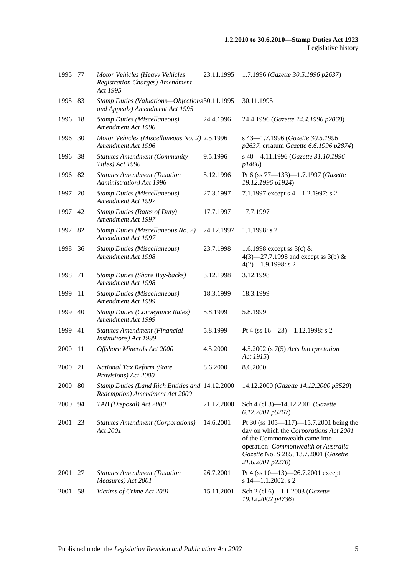| 1995        | -77 | Motor Vehicles (Heavy Vehicles<br><b>Registration Charges)</b> Amendment<br>Act 1995 | 23.11.1995 | 1.7.1996 (Gazette 30.5.1996 p2637)                                                                                                                                                                                          |
|-------------|-----|--------------------------------------------------------------------------------------|------------|-----------------------------------------------------------------------------------------------------------------------------------------------------------------------------------------------------------------------------|
| 1995        | 83  | Stamp Duties (Valuations-Objections 30.11.1995<br>and Appeals) Amendment Act 1995    |            | 30.11.1995                                                                                                                                                                                                                  |
| 1996        | 18  | <b>Stamp Duties (Miscellaneous)</b><br>Amendment Act 1996                            | 24.4.1996  | 24.4.1996 (Gazette 24.4.1996 p2068)                                                                                                                                                                                         |
| 1996        | 30  | Motor Vehicles (Miscellaneous No. 2) 2.5.1996<br>Amendment Act 1996                  |            | s 43-1.7.1996 (Gazette 30.5.1996<br>p2637, erratum Gazette 6.6.1996 p2874)                                                                                                                                                  |
| 1996        | 38  | <b>Statutes Amendment (Community</b><br>Titles) Act 1996                             | 9.5.1996   | s 40-4.11.1996 (Gazette 31.10.1996<br>p1460)                                                                                                                                                                                |
| 1996        | 82  | <b>Statutes Amendment (Taxation</b><br>Administration) Act 1996                      | 5.12.1996  | Pt 6 (ss 77-133)-1.7.1997 (Gazette<br>19.12.1996 p1924)                                                                                                                                                                     |
| 1997        | 20  | <b>Stamp Duties (Miscellaneous)</b><br>Amendment Act 1997                            | 27.3.1997  | 7.1.1997 except s 4-1.2.1997: s 2                                                                                                                                                                                           |
| 1997        | 42  | <b>Stamp Duties (Rates of Duty)</b><br>Amendment Act 1997                            | 17.7.1997  | 17.7.1997                                                                                                                                                                                                                   |
| 1997        | 82  | Stamp Duties (Miscellaneous No. 2)<br>Amendment Act 1997                             | 24.12.1997 | $1.1.1998$ : s 2                                                                                                                                                                                                            |
| 1998        | 36  | <b>Stamp Duties (Miscellaneous)</b><br>Amendment Act 1998                            | 23.7.1998  | 1.6.1998 except ss $3(c)$ &<br>4(3)–27.7.1998 and except ss 3(b) &<br>$4(2)$ -1.9.1998: s 2                                                                                                                                 |
| 1998        | 71  | <b>Stamp Duties (Share Buy-backs)</b><br>Amendment Act 1998                          | 3.12.1998  | 3.12.1998                                                                                                                                                                                                                   |
| 1999        | -11 | <b>Stamp Duties (Miscellaneous)</b><br>Amendment Act 1999                            | 18.3.1999  | 18.3.1999                                                                                                                                                                                                                   |
| 1999        | 40  | <b>Stamp Duties (Conveyance Rates)</b><br>Amendment Act 1999                         | 5.8.1999   | 5.8.1999                                                                                                                                                                                                                    |
| 1999        | 41  | Statutes Amendment (Financial<br>Institutions) Act 1999                              | 5.8.1999   | Pt 4 (ss $16 - 23$ )-1.12.1998: s 2                                                                                                                                                                                         |
| 2000        | 11  | Offshore Minerals Act 2000                                                           | 4.5.2000   | $4.5.2002$ (s $7(5)$ Acts Interpretation<br>Act 1915)                                                                                                                                                                       |
| 2000        | 21  | National Tax Reform (State<br>Provisions) Act 2000                                   | 8.6.2000   | 8.6.2000                                                                                                                                                                                                                    |
| 2000 80     |     | Stamp Duties (Land Rich Entities and 14.12.2000<br>Redemption) Amendment Act 2000    |            | 14.12.2000 (Gazette 14.12.2000 p3520)                                                                                                                                                                                       |
| <b>2000</b> | 94  | TAB (Disposal) Act 2000                                                              | 21.12.2000 | Sch 4 (cl 3)-14.12.2001 (Gazette<br>6.12.2001 p5267)                                                                                                                                                                        |
| 2001        | 23  | <b>Statutes Amendment (Corporations)</b><br>Act 2001                                 | 14.6.2001  | Pt 30 (ss $105 - 117$ )-15.7.2001 being the<br>day on which the Corporations Act 2001<br>of the Commonwealth came into<br>operation: Commonwealth of Australia<br>Gazette No. S 285, 13.7.2001 (Gazette<br>21.6.2001 p2270) |
| 2001        | 27  | <b>Statutes Amendment (Taxation</b><br>Measures) Act 2001                            | 26.7.2001  | Pt 4 (ss $10-13$ )-26.7.2001 except<br>s $14 - 1.1.2002$ : s 2                                                                                                                                                              |
| 2001        | 58  | Victims of Crime Act 2001                                                            | 15.11.2001 | Sch 2 (cl 6)-1.1.2003 (Gazette<br>19.12.2002 p4736)                                                                                                                                                                         |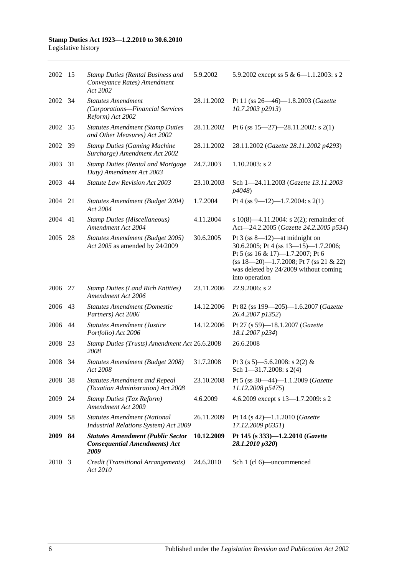| 2002 15 |     | <b>Stamp Duties (Rental Business and</b><br>Conveyance Rates) Amendment<br>Act 2002      | 5.9.2002   | 5.9.2002 except ss $5 & 6 - 1.1.2003$ : s 2                                                                                                                                                                         |
|---------|-----|------------------------------------------------------------------------------------------|------------|---------------------------------------------------------------------------------------------------------------------------------------------------------------------------------------------------------------------|
| 2002 34 |     | <b>Statutes Amendment</b><br>(Corporations-Financial Services<br>Reform) Act 2002        | 28.11.2002 | Pt 11 (ss $26 - 46$ )-1.8.2003 ( <i>Gazette</i><br>10.7.2003 p2913)                                                                                                                                                 |
| 2002    | 35  | <b>Statutes Amendment (Stamp Duties</b><br>and Other Measures) Act 2002                  | 28.11.2002 | Pt 6 (ss $15-27$ )-28.11.2002: s 2(1)                                                                                                                                                                               |
| 2002    | -39 | <b>Stamp Duties (Gaming Machine</b><br>Surcharge) Amendment Act 2002                     | 28.11.2002 | 28.11.2002 (Gazette 28.11.2002 p4293)                                                                                                                                                                               |
| 2003    | 31  | <b>Stamp Duties (Rental and Mortgage</b><br>Duty) Amendment Act 2003                     | 24.7.2003  | $1.10.2003$ : s 2                                                                                                                                                                                                   |
| 2003    | 44  | <b>Statute Law Revision Act 2003</b>                                                     | 23.10.2003 | Sch 1-24.11.2003 (Gazette 13.11.2003<br>p4048)                                                                                                                                                                      |
| 2004    | 21  | Statutes Amendment (Budget 2004)<br>Act 2004                                             | 1.7.2004   | Pt 4 (ss 9-12)-1.7.2004: s 2(1)                                                                                                                                                                                     |
| 2004    | 41  | <b>Stamp Duties (Miscellaneous)</b><br>Amendment Act 2004                                | 4.11.2004  | s $10(8)$ —4.11.2004: s $2(2)$ ; remainder of<br>Act-24.2.2005 (Gazette 24.2.2005 p534)                                                                                                                             |
| 2005    | 28  | Statutes Amendment (Budget 2005)<br>Act 2005 as amended by 24/2009                       | 30.6.2005  | Pt $3$ (ss 8—12)—at midnight on<br>30.6.2005; Pt 4 (ss 13-15)-1.7.2006;<br>Pt 5 (ss 16 & 17)-1.7.2007; Pt 6<br>$(ss 18-20)$ -1.7.2008; Pt 7 (ss 21 & 22)<br>was deleted by 24/2009 without coming<br>into operation |
| 2006    | 27  | <b>Stamp Duties (Land Rich Entities)</b><br>Amendment Act 2006                           | 23.11.2006 | 22.9.2006: s 2                                                                                                                                                                                                      |
| 2006    | 43  | <b>Statutes Amendment (Domestic</b><br>Partners) Act 2006                                | 14.12.2006 | Pt 82 (ss 199-205)-1.6.2007 (Gazette<br>26.4.2007 p1352)                                                                                                                                                            |
| 2006    | 44  | <b>Statutes Amendment (Justice</b><br>Portfolio) Act 2006                                | 14.12.2006 | Pt 27 (s 59)-18.1.2007 (Gazette<br>18.1.2007 p234)                                                                                                                                                                  |
| 2008    | 23  | Stamp Duties (Trusts) Amendment Act 26.6.2008<br>2008                                    |            | 26.6.2008                                                                                                                                                                                                           |
| 2008    | 34  | Statutes Amendment (Budget 2008)<br>Act 2008                                             | 31.7.2008  | Pt 3 (s 5)—5.6.2008: s 2(2) &<br>Sch $1 - 31.7.2008$ : s 2(4)                                                                                                                                                       |
| 2008 38 |     | <b>Statutes Amendment and Repeal</b><br>(Taxation Administration) Act 2008               | 23.10.2008 | Pt 5 (ss 30-44)-1.1.2009 (Gazette<br>11.12.2008 p5475)                                                                                                                                                              |
| 2009    | 24  | <b>Stamp Duties (Tax Reform)</b><br>Amendment Act 2009                                   | 4.6.2009   | 4.6.2009 except s 13-1.7.2009: s 2                                                                                                                                                                                  |
| 2009    | 58  | <b>Statutes Amendment (National</b><br>Industrial Relations System) Act 2009             | 26.11.2009 | Pt 14 (s 42)-1.1.2010 (Gazette<br>17.12.2009 p6351)                                                                                                                                                                 |
| 2009    | 84  | <b>Statutes Amendment (Public Sector</b><br><b>Consequential Amendments) Act</b><br>2009 | 10.12.2009 | Pt 145 (s 333)-1.2.2010 (Gazette<br>28.1.2010 p320)                                                                                                                                                                 |
| 2010 3  |     | Credit (Transitional Arrangements)<br>Act 2010                                           | 24.6.2010  | Sch 1 (cl 6)—uncommenced                                                                                                                                                                                            |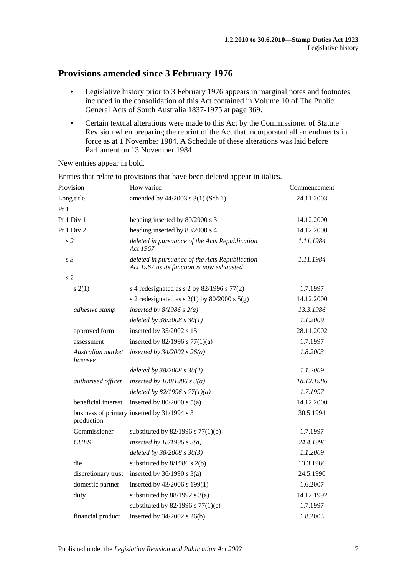## **Provisions amended since 3 February 1976**

- Legislative history prior to 3 February 1976 appears in marginal notes and footnotes included in the consolidation of this Act contained in Volume 10 of The Public General Acts of South Australia 1837-1975 at page 369.
- Certain textual alterations were made to this Act by the Commissioner of Statute Revision when preparing the reprint of the Act that incorporated all amendments in force as at 1 November 1984. A Schedule of these alterations was laid before Parliament on 13 November 1984.

New entries appear in bold.

| Provision                     | How varied                                                                                  | Commencement |  |
|-------------------------------|---------------------------------------------------------------------------------------------|--------------|--|
| Long title                    | amended by 44/2003 s 3(1) (Sch 1)                                                           | 24.11.2003   |  |
| Pt1                           |                                                                                             |              |  |
| Pt 1 Div 1                    | heading inserted by 80/2000 s 3                                                             | 14.12.2000   |  |
| Pt 1 Div 2                    | heading inserted by 80/2000 s 4                                                             | 14.12.2000   |  |
| s <sub>2</sub>                | deleted in pursuance of the Acts Republication<br>Act 1967                                  | 1.11.1984    |  |
| s <sub>3</sub>                | deleted in pursuance of the Acts Republication<br>Act 1967 as its function is now exhausted | 1.11.1984    |  |
| s <sub>2</sub>                |                                                                                             |              |  |
| s(2(1))                       | s 4 redesignated as s 2 by $82/1996$ s $77(2)$                                              | 1.7.1997     |  |
|                               | s 2 redesignated as s $2(1)$ by $80/2000$ s $5(g)$                                          | 14.12.2000   |  |
| adhesive stamp                | inserted by $8/1986$ s $2(a)$                                                               | 13.3.1986    |  |
|                               | deleted by $38/2008 s 30(1)$                                                                | 1.1.2009     |  |
| approved form                 | inserted by 35/2002 s 15                                                                    | 28.11.2002   |  |
| assessment                    | inserted by $82/1996$ s $77(1)(a)$                                                          | 1.7.1997     |  |
| Australian market<br>licensee | inserted by $34/2002$ s $26(a)$                                                             | 1.8.2003     |  |
|                               | deleted by $38/2008 s 30(2)$                                                                | 1.1.2009     |  |
| authorised officer            | inserted by $100/1986$ s $3(a)$                                                             | 18.12.1986   |  |
|                               | deleted by $82/1996 s 77(1)(a)$                                                             | 1.7.1997     |  |
| beneficial interest           | inserted by $80/2000$ s $5(a)$                                                              | 14.12.2000   |  |
| production                    | business of primary inserted by 31/1994 s 3                                                 | 30.5.1994    |  |
| Commissioner                  | substituted by $82/1996$ s $77(1)(b)$                                                       | 1.7.1997     |  |
| <b>CUFS</b>                   | inserted by $18/1996 s 3(a)$                                                                | 24.4.1996    |  |
|                               | deleted by 38/2008 s 30(3)                                                                  | 1.1.2009     |  |
| die                           | substituted by $8/1986$ s $2(b)$                                                            | 13.3.1986    |  |
| discretionary trust           | inserted by $36/1990$ s $3(a)$                                                              | 24.5.1990    |  |
| domestic partner              | inserted by 43/2006 s 199(1)                                                                | 1.6.2007     |  |
| duty                          | substituted by $88/1992$ s $3(a)$                                                           | 14.12.1992   |  |
|                               | substituted by $82/1996$ s $77(1)(c)$                                                       | 1.7.1997     |  |
| financial product             | inserted by $34/2002$ s $26(b)$                                                             | 1.8.2003     |  |
|                               |                                                                                             |              |  |

Entries that relate to provisions that have been deleted appear in italics.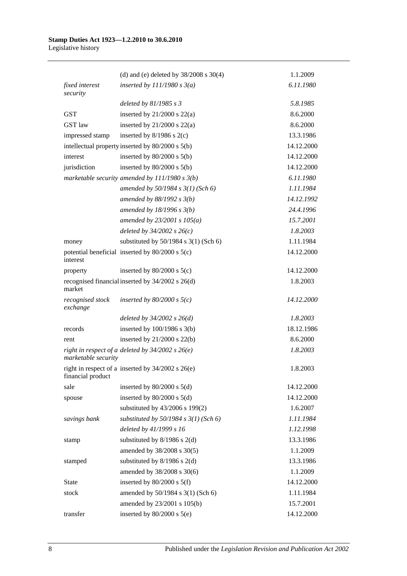|                              | (d) and (e) deleted by $38/2008$ s $30(4)$            | 1.1.2009   |
|------------------------------|-------------------------------------------------------|------------|
| <i>fixed interest</i>        | inserted by $111/1980 s 3(a)$                         | 6.11.1980  |
| security                     |                                                       |            |
|                              | deleted by $81/1985 s 3$                              | 5.8.1985   |
| <b>GST</b>                   | inserted by $21/2000$ s $22(a)$                       | 8.6.2000   |
| GST law                      | inserted by $21/2000$ s $22(a)$                       | 8.6.2000   |
| impressed stamp              | inserted by $8/1986$ s 2(c)                           | 13.3.1986  |
|                              | intellectual property inserted by 80/2000 s 5(b)      | 14.12.2000 |
| interest                     | inserted by $80/2000$ s $5(b)$                        | 14.12.2000 |
| jurisdiction                 | inserted by $80/2000$ s $5(b)$                        | 14.12.2000 |
|                              | marketable security amended by $111/1980 s 3(b)$      | 6.11.1980  |
|                              | amended by 50/1984 s 3(1) (Sch 6)                     | 1.11.1984  |
|                              | amended by $88/1992$ s $3(b)$                         | 14.12.1992 |
|                              | amended by $18/1996$ s $3(b)$                         | 24.4.1996  |
|                              | amended by $23/2001 s 105(a)$                         | 15.7.2001  |
|                              | deleted by $34/2002$ s $26(c)$                        | 1.8.2003   |
| money                        | substituted by $50/1984$ s $3(1)$ (Sch 6)             | 1.11.1984  |
| interest                     | potential beneficial inserted by $80/2000$ s $5(c)$   | 14.12.2000 |
| property                     | inserted by $80/2000$ s $5(c)$                        | 14.12.2000 |
| market                       | recognised financial inserted by 34/2002 s 26(d)      | 1.8.2003   |
| recognised stock<br>exchange | inserted by $80/2000$ s $5(c)$                        | 14.12.2000 |
|                              | deleted by $34/2002$ s $26(d)$                        | 1.8.2003   |
| records                      | inserted by $100/1986$ s $3(b)$                       | 18.12.1986 |
| rent                         | inserted by $21/2000$ s $22(b)$                       | 8.6.2000   |
|                              | right in respect of a deleted by $34/2002$ s $26(e)$  | 1.8.2003   |
| marketable security          |                                                       |            |
| financial product            | right in respect of a inserted by $34/2002$ s $26(e)$ | 1.8.2003   |
| sale                         | inserted by $80/2000$ s $5(d)$                        | 14.12.2000 |
| spouse                       | inserted by $80/2000$ s $5(d)$                        | 14.12.2000 |
|                              | substituted by 43/2006 s 199(2)                       | 1.6.2007   |
| savings bank                 | substituted by $50/1984$ s $3(1)$ (Sch 6)             | 1.11.1984  |
|                              | deleted by 41/1999 s 16                               | 1.12.1998  |
| stamp                        | substituted by $8/1986$ s $2(d)$                      | 13.3.1986  |
|                              | amended by 38/2008 s 30(5)                            | 1.1.2009   |
| stamped                      | substituted by $8/1986$ s $2(d)$                      | 13.3.1986  |
|                              | amended by 38/2008 s 30(6)                            | 1.1.2009   |
| State                        | inserted by $80/2000$ s $5(f)$                        | 14.12.2000 |
| stock                        | amended by 50/1984 s 3(1) (Sch 6)                     | 1.11.1984  |
|                              | amended by 23/2001 s 105(b)                           | 15.7.2001  |
| transfer                     | inserted by $80/2000$ s $5(e)$                        | 14.12.2000 |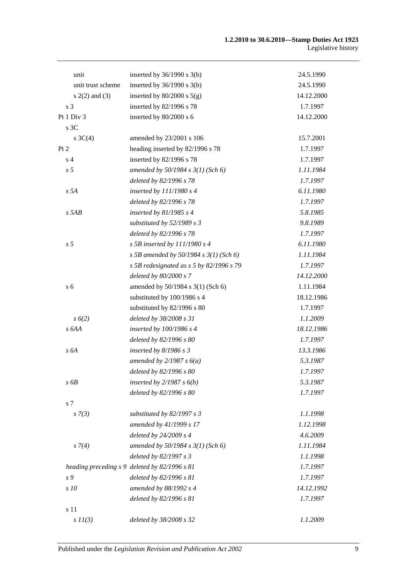| unit               | inserted by $36/1990$ s $3(b)$                | 24.5.1990  |
|--------------------|-----------------------------------------------|------------|
| unit trust scheme  | inserted by $36/1990$ s $3(b)$                | 24.5.1990  |
| $s(2(2)$ and $(3)$ | inserted by $80/2000$ s $5(g)$                | 14.12.2000 |
| s <sub>3</sub>     | inserted by 82/1996 s 78                      | 1.7.1997   |
| Pt 1 Div 3         | inserted by 80/2000 s 6                       | 14.12.2000 |
| s 3C               |                                               |            |
| s $3C(4)$          | amended by 23/2001 s 106                      | 15.7.2001  |
| Pt 2               | heading inserted by 82/1996 s 78              | 1.7.1997   |
| s <sub>4</sub>     | inserted by 82/1996 s 78                      | 1.7.1997   |
| s <sub>5</sub>     | amended by $50/1984$ s $3(1)$ (Sch 6)         | 1.11.1984  |
|                    | deleted by 82/1996 s 78                       | 1.7.1997   |
| s 5A               | inserted by 111/1980 s 4                      | 6.11.1980  |
|                    | deleted by 82/1996 s 78                       | 1.7.1997   |
| $s$ 5AB            | inserted by $81/1985$ s 4                     | 5.8.1985   |
|                    | substituted by 52/1989 s 3                    | 9.8.1989   |
|                    | deleted by 82/1996 s 78                       | 1.7.1997   |
| s <sub>5</sub>     | s 5B inserted by $111/1980$ s 4               | 6.11.1980  |
|                    | s 5B amended by 50/1984 s $3(1)$ (Sch 6)      | 1.11.1984  |
|                    | s 5B redesignated as $s$ 5 by 82/1996 s 79    | 1.7.1997   |
|                    | deleted by 80/2000 s 7                        | 14.12.2000 |
| s <sub>6</sub>     | amended by 50/1984 s 3(1) (Sch 6)             | 1.11.1984  |
|                    | substituted by 100/1986 s 4                   | 18.12.1986 |
|                    | substituted by 82/1996 s 80                   | 1.7.1997   |
| s(6(2)             | deleted by 38/2008 s 31                       | 1.1.2009   |
| s 6AA              | inserted by 100/1986 s 4                      | 18.12.1986 |
|                    | deleted by 82/1996 s 80                       | 1.7.1997   |
| s 6A               | inserted by $8/1986 s3$                       | 13.3.1986  |
|                    | amended by $2/1987 s 6(a)$                    | 5.3.1987   |
|                    | deleted by 82/1996 s 80                       | 1.7.1997   |
| s6B                | inserted by $2/1987 s 6(b)$                   | 5.3.1987   |
|                    | deleted by 82/1996 s 80                       | 1.7.1997   |
| s 7                |                                               |            |
| $s \, 7(3)$        | substituted by $82/1997 s 3$                  | 1.1.1998   |
|                    | amended by 41/1999 s 17                       | 1.12.1998  |
|                    |                                               |            |
|                    | deleted by 24/2009 s 4                        | 4.6.2009   |
| $s \, 7(4)$        | amended by $50/1984$ s $3(1)$ (Sch 6)         | 1.11.1984  |
|                    | deleted by 82/1997 s 3                        | 1.1.1998   |
|                    | heading preceding s 9 deleted by 82/1996 s 81 | 1.7.1997   |
| s 9                | deleted by 82/1996 s 81                       | 1.7.1997   |
| s 10               | amended by 88/1992 s 4                        | 14.12.1992 |
|                    | deleted by 82/1996 s 81                       | 1.7.1997   |
| s 11               |                                               |            |
| $s$ $11(3)$        | deleted by 38/2008 s 32                       | 1.1.2009   |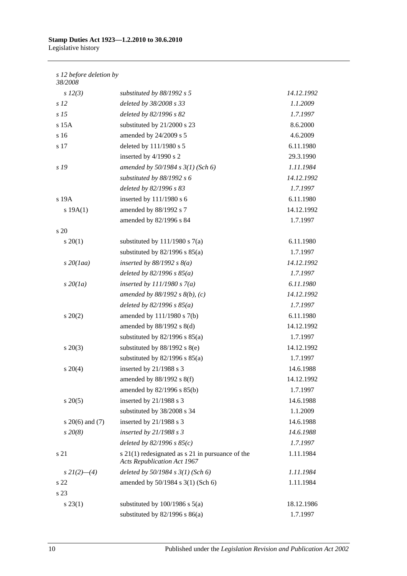#### *s 12 before deletion by*

| 38/2008             |                                                                                            |            |
|---------------------|--------------------------------------------------------------------------------------------|------------|
| $s\ 12(3)$          | substituted by $88/1992$ s 5                                                               | 14.12.1992 |
| s <sub>12</sub>     | deleted by 38/2008 s 33                                                                    | 1.1.2009   |
| s <sub>15</sub>     | deleted by 82/1996 s 82                                                                    | 1.7.1997   |
| $s$ 15 $A$          | substituted by 21/2000 s 23                                                                | 8.6.2000   |
| s 16                | amended by 24/2009 s 5                                                                     | 4.6.2009   |
| s 17                | deleted by 111/1980 s 5                                                                    | 6.11.1980  |
|                     | inserted by 4/1990 s 2                                                                     | 29.3.1990  |
| s 19                | amended by $50/1984$ s $3(1)$ (Sch 6)                                                      | 1.11.1984  |
|                     | substituted by $88/1992 s 6$                                                               | 14.12.1992 |
|                     | deleted by 82/1996 s 83                                                                    | 1.7.1997   |
| s 19A               | inserted by 111/1980 s 6                                                                   | 6.11.1980  |
| s 19A(1)            | amended by 88/1992 s 7                                                                     | 14.12.1992 |
|                     | amended by 82/1996 s 84                                                                    | 1.7.1997   |
| $\frac{1}{20}$      |                                                                                            |            |
| $s \ 20(1)$         | substituted by $111/1980$ s $7(a)$                                                         | 6.11.1980  |
|                     | substituted by $82/1996$ s $85(a)$                                                         | 1.7.1997   |
| $s$ 20(1aa)         | inserted by $88/1992 s 8(a)$                                                               | 14.12.1992 |
|                     | deleted by $82/1996 s 85(a)$                                                               | 1.7.1997   |
| $s\,20(1a)$         | inserted by $111/1980 s 7(a)$                                                              | 6.11.1980  |
|                     | amended by $88/1992$ s $8(b)$ , (c)                                                        | 14.12.1992 |
|                     | deleted by $82/1996 s 85(a)$                                                               | 1.7.1997   |
| $s\ 20(2)$          | amended by 111/1980 s 7(b)                                                                 | 6.11.1980  |
|                     | amended by $88/1992$ s $8(d)$                                                              | 14.12.1992 |
|                     | substituted by $82/1996$ s $85(a)$                                                         | 1.7.1997   |
| $s\,20(3)$          | substituted by $88/1992$ s $8(e)$                                                          | 14.12.1992 |
|                     | substituted by $82/1996$ s $85(a)$                                                         | 1.7.1997   |
| $s \ 20(4)$         | inserted by 21/1988 s 3                                                                    | 14.6.1988  |
|                     | amended by $88/1992$ s $8(f)$                                                              | 14.12.1992 |
|                     | amended by 82/1996 s 85(b)                                                                 | 1.7.1997   |
| $s \, 20(5)$        | inserted by 21/1988 s 3                                                                    | 14.6.1988  |
|                     | substituted by 38/2008 s 34                                                                | 1.1.2009   |
| s $20(6)$ and $(7)$ | inserted by 21/1988 s 3                                                                    | 14.6.1988  |
| $s\,20(8)$          | inserted by $21/1988 s 3$                                                                  | 14.6.1988  |
|                     | deleted by $82/1996 s 85(c)$                                                               | 1.7.1997   |
| s 21                | $s$ 21(1) redesignated as $s$ 21 in pursuance of the<br><b>Acts Republication Act 1967</b> | 1.11.1984  |
| $s\,2I(2)$ —(4)     | deleted by $50/1984$ s $3(1)$ (Sch 6)                                                      | 1.11.1984  |
| s 22                | amended by 50/1984 s 3(1) (Sch 6)                                                          | 1.11.1984  |
| s 23                |                                                                                            |            |
| $s\,23(1)$          | substituted by $100/1986$ s $5(a)$                                                         | 18.12.1986 |
|                     | substituted by $82/1996$ s $86(a)$                                                         | 1.7.1997   |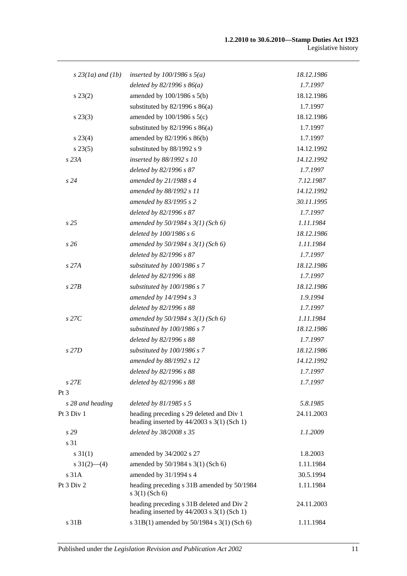| $s$ 23(1a) and (1b)       | inserted by $100/1986$ s $5(a)$                                                           | 18.12.1986 |
|---------------------------|-------------------------------------------------------------------------------------------|------------|
|                           | deleted by $82/1996 s 86(a)$                                                              | 1.7.1997   |
| $s\,23(2)$                | amended by 100/1986 s 5(b)                                                                | 18.12.1986 |
|                           | substituted by $82/1996$ s $86(a)$                                                        | 1.7.1997   |
| $s\,23(3)$                | amended by $100/1986$ s $5(c)$                                                            | 18.12.1986 |
|                           | substituted by $82/1996$ s $86(a)$                                                        | 1.7.1997   |
| $s\,23(4)$                | amended by 82/1996 s 86(b)                                                                | 1.7.1997   |
| $s\,23(5)$                | substituted by 88/1992 s 9                                                                | 14.12.1992 |
| s 23A                     | inserted by 88/1992 s 10                                                                  | 14.12.1992 |
|                           | deleted by 82/1996 s 87                                                                   | 1.7.1997   |
| s24                       | amended by 21/1988 s 4                                                                    | 7.12.1987  |
|                           | amended by 88/1992 s 11                                                                   | 14.12.1992 |
|                           | amended by 83/1995 s 2                                                                    | 30.11.1995 |
|                           | deleted by 82/1996 s 87                                                                   | 1.7.1997   |
| s25                       | amended by $50/1984$ s $3(1)$ (Sch 6)                                                     | 1.11.1984  |
|                           | deleted by 100/1986 s 6                                                                   | 18.12.1986 |
| s 26                      | amended by $50/1984$ s $3(1)$ (Sch 6)                                                     | 1.11.1984  |
|                           | deleted by 82/1996 s 87                                                                   | 1.7.1997   |
| s 27A                     | substituted by 100/1986 s 7                                                               | 18.12.1986 |
|                           | deleted by 82/1996 s 88                                                                   | 1.7.1997   |
| $s$ 27 $B$                | substituted by 100/1986 s 7                                                               | 18.12.1986 |
|                           | amended by 14/1994 s 3                                                                    | 1.9.1994   |
|                           | deleted by 82/1996 s 88                                                                   | 1.7.1997   |
| $s$ 27 $C$                | amended by 50/1984 s 3(1) (Sch 6)                                                         | 1.11.1984  |
|                           | substituted by 100/1986 s 7                                                               | 18.12.1986 |
|                           | deleted by 82/1996 s 88                                                                   | 1.7.1997   |
| s 27D                     | substituted by 100/1986 s 7                                                               | 18.12.1986 |
|                           | amended by 88/1992 s 12                                                                   | 14.12.1992 |
|                           | deleted by 82/1996 s 88                                                                   | 1.7.1997   |
| $s$ 27 $E$                | deleted by 82/1996 s 88                                                                   | 1.7.1997   |
| Pt <sub>3</sub>           |                                                                                           |            |
| s 28 and heading          | deleted by $81/1985 s 5$                                                                  | 5.8.1985   |
| Pt 3 Div 1                | heading preceding s 29 deleted and Div 1<br>heading inserted by $44/2003$ s 3(1) (Sch 1)  | 24.11.2003 |
| s29                       | deleted by 38/2008 s 35                                                                   | 1.1.2009   |
| s 31                      |                                                                                           |            |
| $s \, 31(1)$              | amended by 34/2002 s 27                                                                   | 1.8.2003   |
| $s \frac{31(2) - (4)}{2}$ | amended by 50/1984 s 3(1) (Sch 6)                                                         | 1.11.1984  |
| s 31A                     | amended by 31/1994 s 4                                                                    | 30.5.1994  |
| Pt 3 Div 2                | heading preceding s 31B amended by 50/1984<br>$s \ 3(1)$ (Sch 6)                          | 1.11.1984  |
|                           | heading preceding s 31B deleted and Div 2<br>heading inserted by $44/2003$ s 3(1) (Sch 1) | 24.11.2003 |
| s 31B                     | s 31B(1) amended by 50/1984 s 3(1) (Sch 6)                                                | 1.11.1984  |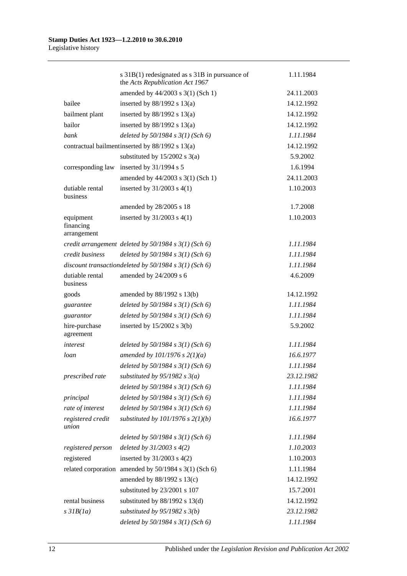|                                       | s 31B(1) redesignated as s 31B in pursuance of<br>the Acts Republication Act 1967 | 1.11.1984  |
|---------------------------------------|-----------------------------------------------------------------------------------|------------|
|                                       | amended by 44/2003 s 3(1) (Sch 1)                                                 | 24.11.2003 |
| bailee                                | inserted by $88/1992$ s $13(a)$                                                   | 14.12.1992 |
| bailment plant                        | inserted by $88/1992$ s $13(a)$                                                   | 14.12.1992 |
| bailor                                | inserted by $88/1992$ s $13(a)$                                                   | 14.12.1992 |
| bank                                  | deleted by 50/1984 s 3(1) (Sch 6)                                                 | 1.11.1984  |
|                                       | contractual bailment inserted by 88/1992 s 13(a)                                  | 14.12.1992 |
|                                       | substituted by $15/2002$ s $3(a)$                                                 | 5.9.2002   |
| corresponding law                     | inserted by 31/1994 s 5                                                           | 1.6.1994   |
|                                       | amended by 44/2003 s 3(1) (Sch 1)                                                 | 24.11.2003 |
| dutiable rental<br>business           | inserted by $31/2003$ s $4(1)$                                                    | 1.10.2003  |
|                                       | amended by 28/2005 s 18                                                           | 1.7.2008   |
| equipment<br>financing<br>arrangement | inserted by $31/2003$ s $4(1)$                                                    | 1.10.2003  |
|                                       | credit arrangement deleted by $50/1984$ s $3(1)$ (Sch 6)                          | 1.11.1984  |
| credit business                       | deleted by $50/1984 s 3(1)$ (Sch 6)                                               | 1.11.1984  |
|                                       | discount transactiondeleted by $50/1984$ s $3(1)$ (Sch 6)                         | 1.11.1984  |
| dutiable rental<br>business           | amended by 24/2009 s 6                                                            | 4.6.2009   |
| goods                                 | amended by 88/1992 s 13(b)                                                        | 14.12.1992 |
| guarantee                             | deleted by $50/1984$ s $3(1)$ (Sch 6)                                             | 1.11.1984  |
| guarantor                             | deleted by $50/1984 s 3(1)$ (Sch 6)                                               | 1.11.1984  |
| hire-purchase<br>agreement            | inserted by $15/2002$ s 3(b)                                                      | 5.9.2002   |
| interest                              | deleted by $50/1984$ s $3(1)$ (Sch 6)                                             | 1.11.1984  |
| loan                                  | amended by $101/1976$ s $2(1)(a)$                                                 | 16.6.1977  |
|                                       | deleted by $50/1984$ s $3(1)$ (Sch 6)                                             | 1.11.1984  |
| prescribed rate                       | substituted by $95/1982 s 3(a)$                                                   | 23.12.1982 |
|                                       | deleted by $50/1984$ s $3(1)$ (Sch 6)                                             | 1.11.1984  |
| principal                             | deleted by $50/1984 s 3(1)$ (Sch 6)                                               | 1.11.1984  |
| rate of interest                      | deleted by $50/1984$ s $3(1)$ (Sch 6)                                             | 1.11.1984  |
| registered credit<br>union            | substituted by $101/1976$ s $2(1)(b)$                                             | 16.6.1977  |
|                                       | deleted by $50/1984$ s $3(1)$ (Sch 6)                                             | 1.11.1984  |
| registered person                     | deleted by $31/2003$ s $4(2)$                                                     | 1.10.2003  |
| registered                            | inserted by $31/2003$ s $4(2)$                                                    | 1.10.2003  |
|                                       | related corporation amended by 50/1984 s 3(1) (Sch 6)                             | 1.11.1984  |
|                                       | amended by 88/1992 s 13(c)                                                        | 14.12.1992 |
|                                       | substituted by 23/2001 s 107                                                      | 15.7.2001  |
| rental business                       | substituted by $88/1992$ s $13(d)$                                                | 14.12.1992 |
| $s$ 31 $B(1a)$                        | substituted by $95/1982$ s $3(b)$                                                 | 23.12.1982 |
|                                       | deleted by $50/1984$ s $3(1)$ (Sch 6)                                             | 1.11.1984  |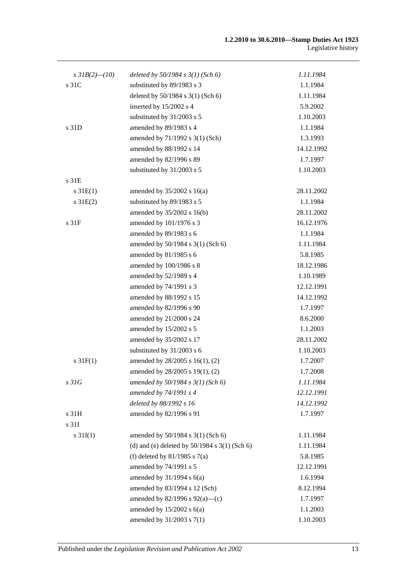| s $3IB(2)$ - (10) | deleted by $50/1984$ s $3(1)$ (Sch 6)             | 1.11.1984  |
|-------------------|---------------------------------------------------|------------|
| s 31C             | substituted by 89/1983 s 3                        | 1.1.1984   |
|                   | deleted by 50/1984 s 3(1) (Sch 6)                 | 1.11.1984  |
|                   | inserted by 15/2002 s 4                           | 5.9.2002   |
|                   | substituted by 31/2003 s 5                        | 1.10.2003  |
| s 31D             | amended by 89/1983 s 4                            | 1.1.1984   |
|                   | amended by 71/1992 s 3(1) (Sch)                   | 1.3.1993   |
|                   | amended by 88/1992 s 14                           | 14.12.1992 |
|                   | amended by 82/1996 s 89                           | 1.7.1997   |
|                   | substituted by 31/2003 s 5                        | 1.10.2003  |
| s 31E             |                                                   |            |
| $s \, 31E(1)$     | amended by $35/2002$ s 16(a)                      | 28.11.2002 |
| $s \, 31E(2)$     | substituted by 89/1983 s 5                        | 1.1.1984   |
|                   | amended by 35/2002 s 16(b)                        | 28.11.2002 |
| s <sub>31F</sub>  | amended by 101/1976 s 3                           | 16.12.1976 |
|                   | amended by 89/1983 s 6                            | 1.1.1984   |
|                   | amended by 50/1984 s 3(1) (Sch 6)                 | 1.11.1984  |
|                   | amended by 81/1985 s 6                            | 5.8.1985   |
|                   | amended by 100/1986 s 8                           | 18.12.1986 |
|                   | amended by 52/1989 s 4                            | 1.10.1989  |
|                   | amended by 74/1991 s 3                            | 12.12.1991 |
|                   | amended by 88/1992 s 15                           | 14.12.1992 |
|                   | amended by 82/1996 s 90                           | 1.7.1997   |
|                   | amended by 21/2000 s 24                           | 8.6.2000   |
|                   | amended by 15/2002 s 5                            | 1.1.2003   |
|                   | amended by 35/2002 s 17                           | 28.11.2002 |
|                   | substituted by 31/2003 s 6                        | 1.10.2003  |
| $s \, 31F(1)$     | amended by 28/2005 s 16(1), (2)                   | 1.7.2007   |
|                   | amended by 28/2005 s 19(1), (2)                   | 1.7.2008   |
| s31G              | amended by $50/1984$ s $3(1)$ (Sch 6)             | 1.11.1984  |
|                   | amended by 74/1991 s 4                            | 12.12.1991 |
|                   | deleted by 88/1992 s 16                           | 14.12.1992 |
| s 31H             | amended by 82/1996 s 91                           | 1.7.1997   |
| s 31I             |                                                   |            |
| $s \, 31I(1)$     | amended by 50/1984 s 3(1) (Sch 6)                 | 1.11.1984  |
|                   | (d) and (e) deleted by $50/1984$ s $3(1)$ (Sch 6) | 1.11.1984  |
|                   | (f) deleted by $81/1985$ s $7(a)$                 | 5.8.1985   |
|                   | amended by 74/1991 s 5                            | 12.12.1991 |
|                   | amended by $31/1994$ s $6(a)$                     | 1.6.1994   |
|                   | amended by 83/1994 s 12 (Sch)                     | 8.12.1994  |
|                   | amended by $82/1996$ s $92(a)$ —(c)               | 1.7.1997   |
|                   | amended by $15/2002$ s $6(a)$                     | 1.1.2003   |
|                   | amended by 31/2003 s 7(1)                         | 1.10.2003  |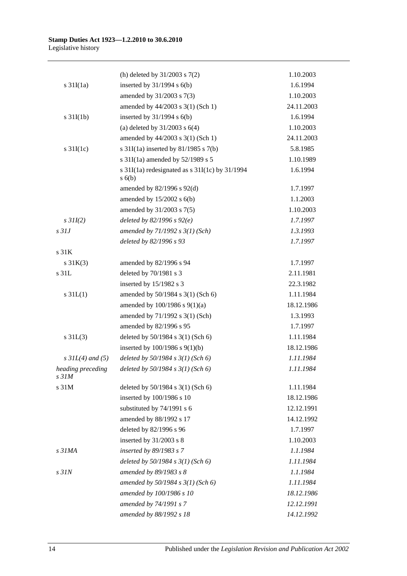|                                       | (h) deleted by $31/2003$ s $7(2)$                            | 1.10.2003  |
|---------------------------------------|--------------------------------------------------------------|------------|
| $s \frac{31I(1a)}{2}$                 | inserted by $31/1994$ s $6(b)$                               | 1.6.1994   |
|                                       | amended by 31/2003 s 7(3)                                    | 1.10.2003  |
|                                       | amended by 44/2003 s 3(1) (Sch 1)                            | 24.11.2003 |
| $s \frac{31I(1b)}{2}$                 | inserted by $31/1994$ s $6(b)$                               | 1.6.1994   |
|                                       | (a) deleted by $31/2003$ s $6(4)$                            | 1.10.2003  |
|                                       | amended by 44/2003 s 3(1) (Sch 1)                            | 24.11.2003 |
| s $31I(1c)$                           | s $31I(1a)$ inserted by $81/1985$ s $7(b)$                   | 5.8.1985   |
|                                       | s 31I(1a) amended by 52/1989 s 5                             | 1.10.1989  |
|                                       | s $31I(1a)$ redesignated as s $31I(1c)$ by $31/1994$<br>s(6) | 1.6.1994   |
|                                       | amended by 82/1996 s 92(d)                                   | 1.7.1997   |
|                                       | amended by $15/2002$ s $6(b)$                                | 1.1.2003   |
|                                       | amended by 31/2003 s 7(5)                                    | 1.10.2003  |
| $s$ 31I(2)                            | deleted by $82/1996 s 92(e)$                                 | 1.7.1997   |
| s <sub>31J</sub>                      | amended by $71/1992 s 3(1) (Sch)$                            | 1.3.1993   |
|                                       | deleted by 82/1996 s 93                                      | 1.7.1997   |
| s <sub>31K</sub>                      |                                                              |            |
| $s \, 31K(3)$                         | amended by 82/1996 s 94                                      | 1.7.1997   |
| s 31L                                 | deleted by 70/1981 s 3                                       | 2.11.1981  |
|                                       | inserted by 15/1982 s 3                                      | 22.3.1982  |
| $s$ 31 $L(1)$                         | amended by 50/1984 s 3(1) (Sch 6)                            | 1.11.1984  |
|                                       | amended by $100/1986$ s $9(1)(a)$                            | 18.12.1986 |
|                                       | amended by 71/1992 s 3(1) (Sch)                              | 1.3.1993   |
|                                       | amended by 82/1996 s 95                                      | 1.7.1997   |
| $s \, 31L(3)$                         | deleted by 50/1984 s 3(1) (Sch 6)                            | 1.11.1984  |
|                                       | inserted by $100/1986$ s $9(1)(b)$                           | 18.12.1986 |
| $s \, 3IL(4)$ and (5)                 | deleted by $50/1984$ s $3(1)$ (Sch 6)                        | 1.11.1984  |
| heading preceding<br>s <sub>31M</sub> | deleted by $50/1984$ s $3(1)$ (Sch 6)                        | 1.11.1984  |
| s 31M                                 | deleted by 50/1984 s 3(1) (Sch 6)                            | 1.11.1984  |
|                                       | inserted by 100/1986 s 10                                    | 18.12.1986 |
|                                       | substituted by 74/1991 s 6                                   | 12.12.1991 |
|                                       | amended by 88/1992 s 17                                      | 14.12.1992 |
|                                       | deleted by 82/1996 s 96                                      | 1.7.1997   |
|                                       | inserted by 31/2003 s 8                                      | 1.10.2003  |
| s <sub>31MA</sub>                     | inserted by 89/1983 s 7                                      | 1.1.1984   |
|                                       | deleted by $50/1984$ s $3(1)$ (Sch 6)                        | 1.11.1984  |
| $s$ $31N$                             | amended by 89/1983 s 8                                       | 1.1.1984   |
|                                       | amended by $50/1984$ s $3(1)$ (Sch 6)                        | 1.11.1984  |
|                                       | amended by 100/1986 s 10                                     | 18.12.1986 |
|                                       | amended by 74/1991 s 7                                       | 12.12.1991 |
|                                       | amended by 88/1992 s 18                                      | 14.12.1992 |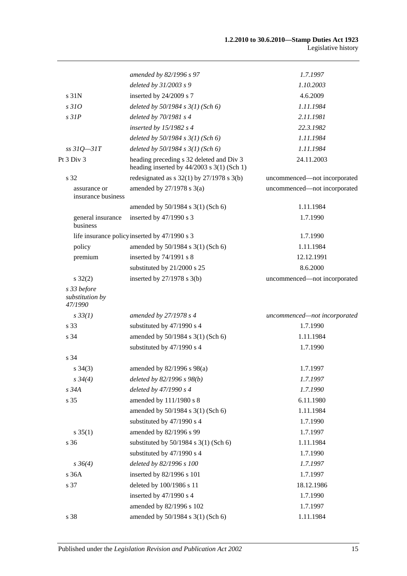|                                           | amended by 82/1996 s 97                                                                  | 1.7.1997                     |
|-------------------------------------------|------------------------------------------------------------------------------------------|------------------------------|
|                                           | deleted by 31/2003 s 9                                                                   | 1.10.2003                    |
| s <sub>31N</sub>                          | inserted by 24/2009 s 7                                                                  | 4.6.2009                     |
| s310                                      | deleted by $50/1984$ s $3(1)$ (Sch 6)                                                    | 1.11.1984                    |
| $s$ 31 $P$                                | deleted by $70/1981 s4$                                                                  | 2.11.1981                    |
|                                           | inserted by $15/1982$ s 4                                                                | 22.3.1982                    |
|                                           | deleted by $50/1984$ s $3(1)$ (Sch 6)                                                    | 1.11.1984                    |
| $ss31Q - 31T$                             | deleted by $50/1984$ s $3(1)$ (Sch 6)                                                    | 1.11.1984                    |
| Pt 3 Div 3                                | heading preceding s 32 deleted and Div 3<br>heading inserted by $44/2003$ s 3(1) (Sch 1) | 24.11.2003                   |
| s 32                                      | redesignated as $s$ 32(1) by 27/1978 $s$ 3(b)                                            | uncommenced-not incorporated |
| assurance or<br>insurance business        | amended by $27/1978$ s $3(a)$                                                            | uncommenced-not incorporated |
|                                           | amended by 50/1984 s 3(1) (Sch 6)                                                        | 1.11.1984                    |
| general insurance<br>business             | inserted by 47/1990 s 3                                                                  | 1.7.1990                     |
|                                           | life insurance policy inserted by 47/1990 s 3                                            | 1.7.1990                     |
| policy                                    | amended by 50/1984 s 3(1) (Sch 6)                                                        | 1.11.1984                    |
| premium                                   | inserted by 74/1991 s 8                                                                  | 12.12.1991                   |
|                                           | substituted by 21/2000 s 25                                                              | 8.6.2000                     |
| $s \, 32(2)$                              | inserted by $27/1978$ s 3(b)                                                             | uncommenced-not incorporated |
| s 33 before<br>substitution by<br>47/1990 |                                                                                          |                              |
| $s \, 33(1)$                              | amended by $27/1978 s 4$                                                                 | uncommenced-not incorporated |
| s 33                                      | substituted by 47/1990 s 4                                                               | 1.7.1990                     |
| s 34                                      | amended by 50/1984 s 3(1) (Sch 6)                                                        | 1.11.1984                    |
|                                           | substituted by 47/1990 s 4                                                               | 1.7.1990                     |
| s 34                                      |                                                                                          |                              |
| $s \; 34(3)$                              | amended by 82/1996 s 98(a)                                                               | 1.7.1997                     |
| $s \, 34(4)$                              | deleted by 82/1996 s 98(b)                                                               | 1.7.1997                     |
| s 34A                                     | deleted by 47/1990 s 4                                                                   | 1.7.1990                     |
| s 35                                      | amended by 111/1980 s 8                                                                  | 6.11.1980                    |
|                                           | amended by 50/1984 s 3(1) (Sch 6)                                                        | 1.11.1984                    |
|                                           | substituted by 47/1990 s 4                                                               | 1.7.1990                     |
| $s \, 35(1)$                              | amended by 82/1996 s 99                                                                  | 1.7.1997                     |
| s 36                                      | substituted by $50/1984$ s $3(1)$ (Sch 6)                                                | 1.11.1984                    |
|                                           | substituted by 47/1990 s 4                                                               | 1.7.1990                     |
| $s \, 36(4)$                              | deleted by 82/1996 s 100                                                                 | 1.7.1997                     |
| s 36A                                     | inserted by 82/1996 s 101                                                                | 1.7.1997                     |
| s 37                                      | deleted by 100/1986 s 11                                                                 | 18.12.1986                   |
|                                           | inserted by 47/1990 s 4                                                                  | 1.7.1990                     |
|                                           | amended by 82/1996 s 102                                                                 | 1.7.1997                     |
| s 38                                      | amended by 50/1984 s 3(1) (Sch 6)                                                        | 1.11.1984                    |
|                                           |                                                                                          |                              |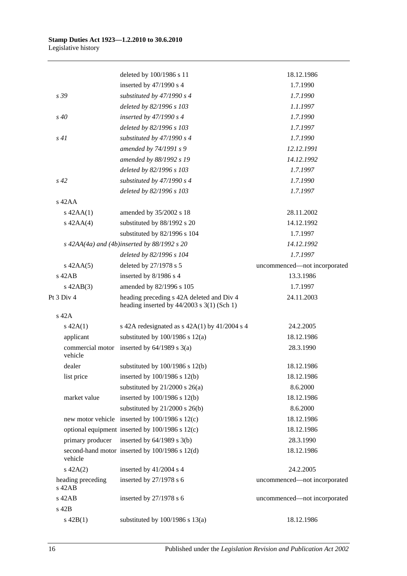|                               | deleted by 100/1986 s 11                                                                  | 18.12.1986                   |
|-------------------------------|-------------------------------------------------------------------------------------------|------------------------------|
|                               | inserted by 47/1990 s 4                                                                   | 1.7.1990                     |
| s 39                          | substituted by $47/1990 s 4$                                                              | 1.7.1990                     |
|                               | deleted by 82/1996 s 103                                                                  | 1.1.1997                     |
| $s\,40$                       | inserted by $47/1990 s 4$                                                                 | 1.7.1990                     |
|                               | deleted by 82/1996 s 103                                                                  | 1.7.1997                     |
| s41                           | substituted by $47/1990 s 4$                                                              | 1.7.1990                     |
|                               | amended by 74/1991 s 9                                                                    | 12.12.1991                   |
|                               | amended by 88/1992 s 19                                                                   | 14.12.1992                   |
|                               | deleted by 82/1996 s 103                                                                  | 1.7.1997                     |
| $s\,42$                       | substituted by $47/1990 s 4$                                                              | 1.7.1990                     |
|                               | deleted by 82/1996 s 103                                                                  | 1.7.1997                     |
| $s$ 42AA                      |                                                                                           |                              |
| $s$ 42AA $(1)$                | amended by 35/2002 s 18                                                                   | 28.11.2002                   |
| $s$ 42AA(4)                   | substituted by 88/1992 s 20                                                               | 14.12.1992                   |
|                               | substituted by 82/1996 s 104                                                              | 1.7.1997                     |
|                               | $s$ 42AA(4a) and (4b)inserted by 88/1992 s 20                                             | 14.12.1992                   |
|                               | deleted by 82/1996 s 104                                                                  | 1.7.1997                     |
|                               | deleted by 27/1978 s 5                                                                    | uncommenced-not incorporated |
| $s$ 42AA $(5)$<br>$s$ 42 $AB$ | inserted by 8/1986 s 4                                                                    | 13.3.1986                    |
|                               |                                                                                           |                              |
| $s$ 42AB $(3)$<br>Pt 3 Div 4  | amended by 82/1996 s 105                                                                  | 1.7.1997                     |
|                               | heading preceding s 42A deleted and Div 4<br>heading inserted by $44/2003$ s 3(1) (Sch 1) | 24.11.2003                   |
| $s$ 42A                       |                                                                                           |                              |
| $s\ 42A(1)$                   | s 42A redesignated as $s$ 42A(1) by 41/2004 s 4                                           | 24.2.2005                    |
| applicant                     | substituted by $100/1986$ s $12(a)$                                                       | 18.12.1986                   |
| vehicle                       | commercial motor inserted by $64/1989$ s $3(a)$                                           | 28.3.1990                    |
| dealer                        | substituted by $100/1986$ s $12(b)$                                                       | 18.12.1986                   |
| list price                    | inserted by $100/1986$ s $12(b)$                                                          | 18.12.1986                   |
|                               | substituted by $21/2000$ s $26(a)$                                                        | 8.6.2000                     |
| market value                  | inserted by $100/1986$ s $12(b)$                                                          | 18.12.1986                   |
|                               | substituted by $21/2000$ s $26(b)$                                                        | 8.6.2000                     |
|                               | new motor vehicle inserted by 100/1986 s 12(c)                                            | 18.12.1986                   |
|                               | optional equipment inserted by 100/1986 s 12(c)                                           | 18.12.1986                   |
| primary producer              | inserted by $64/1989$ s $3(b)$                                                            | 28.3.1990                    |
| vehicle                       | second-hand motor inserted by 100/1986 s 12(d)                                            | 18.12.1986                   |
| $s\ 42A(2)$                   | inserted by 41/2004 s 4                                                                   | 24.2.2005                    |
| heading preceding<br>$s$ 42AB | inserted by 27/1978 s 6                                                                   | uncommenced-not incorporated |
| s 42AB                        | inserted by $27/1978$ s 6                                                                 | uncommenced-not incorporated |
| s 42B                         |                                                                                           |                              |
| $s\ 42B(1)$                   | substituted by $100/1986$ s $13(a)$                                                       | 18.12.1986                   |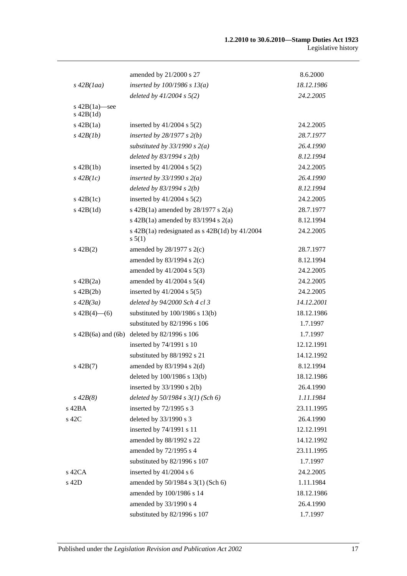|                                    | amended by 21/2000 s 27                                        | 8.6.2000   |
|------------------------------------|----------------------------------------------------------------|------------|
| $s\,42B(1aa)$                      | inserted by $100/1986$ s $13(a)$                               | 18.12.1986 |
|                                    | deleted by $41/2004$ s $5(2)$                                  | 24.2.2005  |
| s $42B(1a)$ —see<br>$s$ 42B $(1d)$ |                                                                |            |
| $s$ 42B $(1a)$                     | inserted by $41/2004$ s $5(2)$                                 | 24.2.2005  |
| $s\,42B(1b)$                       | inserted by $28/1977 s 2(b)$                                   | 28.7.1977  |
|                                    | substituted by $33/1990 s 2(a)$                                | 26.4.1990  |
|                                    | deleted by $83/1994 s 2(b)$                                    | 8.12.1994  |
| $s\ 42B(1b)$                       | inserted by $41/2004$ s $5(2)$                                 | 24.2.2005  |
| $s\,42B(lc)$                       | inserted by $33/1990 s 2(a)$                                   | 26.4.1990  |
|                                    | deleted by $83/1994 s 2(b)$                                    | 8.12.1994  |
| $s\ 42B(1c)$                       | inserted by $41/2004$ s $5(2)$                                 | 24.2.2005  |
| $s$ 42B $(1d)$                     | s 42B(1a) amended by $28/1977$ s $2(a)$                        | 28.7.1977  |
|                                    | s 42B(1a) amended by 83/1994 s 2(a)                            | 8.12.1994  |
|                                    | s $42B(1a)$ redesignated as s $42B(1d)$ by $41/2004$<br>s 5(1) | 24.2.2005  |
| $s\ 42B(2)$                        | amended by $28/1977$ s $2(c)$                                  | 28.7.1977  |
|                                    | amended by $83/1994$ s $2(c)$                                  | 8.12.1994  |
|                                    | amended by 41/2004 s 5(3)                                      | 24.2.2005  |
| $s\ 42B(2a)$                       | amended by $41/2004$ s $5(4)$                                  | 24.2.2005  |
| $s\ 42B(2b)$                       | inserted by $41/2004$ s $5(5)$                                 | 24.2.2005  |
| $s\,42B(3a)$                       | deleted by 94/2000 Sch 4 cl 3                                  | 14.12.2001 |
| s $42B(4)$ - (6)                   | substituted by $100/1986$ s $13(b)$                            | 18.12.1986 |
|                                    | substituted by 82/1996 s 106                                   | 1.7.1997   |
| $s\ 42B(6a)$ and $(6b)$            | deleted by 82/1996 s 106                                       | 1.7.1997   |
|                                    | inserted by 74/1991 s 10                                       | 12.12.1991 |
|                                    | substituted by 88/1992 s 21                                    | 14.12.1992 |
| $s\ 42B(7)$                        | amended by $83/1994$ s 2(d)                                    | 8.12.1994  |
|                                    | deleted by 100/1986 s 13(b)                                    | 18.12.1986 |
|                                    | inserted by $33/1990$ s 2(b)                                   | 26.4.1990  |
| $s\,42B(8)$                        | deleted by $50/1984$ s $3(1)$ (Sch 6)                          | 1.11.1984  |
| s 42BA                             | inserted by 72/1995 s 3                                        | 23.11.1995 |
| s 42C                              | deleted by 33/1990 s 3                                         | 26.4.1990  |
|                                    | inserted by 74/1991 s 11                                       | 12.12.1991 |
|                                    | amended by 88/1992 s 22                                        | 14.12.1992 |
|                                    | amended by 72/1995 s 4                                         | 23.11.1995 |
|                                    | substituted by 82/1996 s 107                                   | 1.7.1997   |
| s 42CA                             | inserted by 41/2004 s 6                                        | 24.2.2005  |
| s 42D                              | amended by 50/1984 s 3(1) (Sch 6)                              | 1.11.1984  |
|                                    | amended by 100/1986 s 14                                       | 18.12.1986 |
|                                    | amended by 33/1990 s 4                                         | 26.4.1990  |
|                                    | substituted by 82/1996 s 107                                   | 1.7.1997   |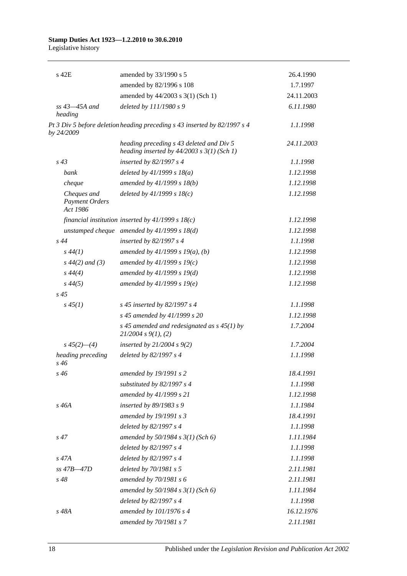### **Stamp Duties Act 1923—1.2.2010 to 30.6.2010**

Legislative history

| s 42E                                            | amended by 33/1990 s 5                                                                     | 26.4.1990  |
|--------------------------------------------------|--------------------------------------------------------------------------------------------|------------|
|                                                  | amended by 82/1996 s 108                                                                   | 1.7.1997   |
|                                                  | amended by 44/2003 s 3(1) (Sch 1)                                                          | 24.11.2003 |
| $ss$ 43 $-45A$ and<br>heading                    | deleted by 111/1980 s 9                                                                    | 6.11.1980  |
| by 24/2009                                       | Pt 3 Div 5 before deletion heading preceding s 43 inserted by 82/1997 s 4                  | 1.1.1998   |
|                                                  | heading preceding s 43 deleted and Div 5<br>heading inserted by $44/2003$ s $3(1)$ (Sch 1) | 24.11.2003 |
| $s\,43$                                          | inserted by $82/1997 s 4$                                                                  | 1.1.1998   |
| bank                                             | deleted by $41/1999 s 18(a)$                                                               | 1.12.1998  |
| cheque                                           | amended by 41/1999 s 18(b)                                                                 | 1.12.1998  |
| Cheques and<br><b>Payment Orders</b><br>Act 1986 | deleted by $41/1999 s 18(c)$                                                               | 1.12.1998  |
|                                                  | financial institution inserted by $41/1999 s 18(c)$                                        | 1.12.1998  |
|                                                  | unstamped cheque amended by $41/1999 s 18(d)$                                              | 1.12.1998  |
| s44                                              | inserted by $82/1997 s 4$                                                                  | 1.1.1998   |
| $s\,44(1)$                                       | amended by $41/1999 s 19(a)$ , (b)                                                         | 1.12.1998  |
| $s\,44(2)$ and (3)                               | amended by $41/1999 s 19(c)$                                                               | 1.12.1998  |
| $s\,44(4)$                                       | amended by 41/1999 s 19(d)                                                                 | 1.12.1998  |
| $s\,44(5)$                                       | amended by 41/1999 s 19(e)                                                                 | 1.12.1998  |
| $s\,45$                                          |                                                                                            |            |
| $s\,45(1)$                                       | s 45 inserted by 82/1997 s 4                                                               | 1.1.1998   |
|                                                  | s 45 amended by 41/1999 s 20                                                               | 1.12.1998  |
|                                                  | s 45 amended and redesignated as $s$ 45(1) by<br>$21/2004$ s $9(1)$ , (2)                  | 1.7.2004   |
| $s\,45(2)$ —(4)                                  | inserted by $21/2004 s 9(2)$                                                               | 1.7.2004   |
| heading preceding<br>$s\,46$                     | deleted by 82/1997 s 4                                                                     | 1.1.1998   |
| $s\,46$                                          | amended by 19/1991 s 2                                                                     | 18.4.1991  |
|                                                  | substituted by $82/1997 s 4$                                                               | 1.1.1998   |
|                                                  | amended by 41/1999 s 21                                                                    | 1.12.1998  |
| s 46A                                            | inserted by 89/1983 s 9                                                                    | 1.1.1984   |
|                                                  | amended by 19/1991 s 3                                                                     | 18.4.1991  |
|                                                  | deleted by 82/1997 s 4                                                                     | 1.1.1998   |
| $s\,47$                                          | amended by $50/1984 s 3(1)$ (Sch 6)                                                        | 1.11.1984  |
|                                                  | deleted by 82/1997 s 4                                                                     | 1.1.1998   |
| $s\,47A$                                         | deleted by 82/1997 s 4                                                                     | 1.1.1998   |
| $ss$ 47B $-47D$                                  | deleted by 70/1981 s 5                                                                     | 2.11.1981  |
| $s\,48$                                          | amended by $70/1981 s$ 6                                                                   | 2.11.1981  |
|                                                  | amended by 50/1984 s 3(1) (Sch 6)                                                          | 1.11.1984  |
|                                                  | deleted by 82/1997 s 4                                                                     | 1.1.1998   |
| s 48A                                            | amended by 101/1976 s 4                                                                    | 16.12.1976 |
|                                                  | amended by 70/1981 s 7                                                                     | 2.11.1981  |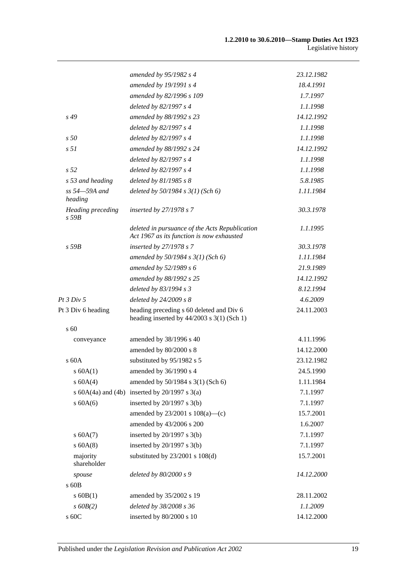|                                        | amended by $95/1982$ s 4                                                                    | 23.12.1982 |
|----------------------------------------|---------------------------------------------------------------------------------------------|------------|
|                                        | amended by 19/1991 s 4                                                                      | 18.4.1991  |
|                                        | amended by 82/1996 s 109                                                                    | 1.7.1997   |
|                                        | deleted by 82/1997 s 4                                                                      | 1.1.1998   |
| $s\,49$                                | amended by 88/1992 s 23                                                                     | 14.12.1992 |
|                                        | deleted by 82/1997 s 4                                                                      | 1.1.1998   |
| s50                                    | deleted by 82/1997 s 4                                                                      | 1.1.1998   |
| s <sub>51</sub>                        | amended by 88/1992 s 24                                                                     | 14.12.1992 |
|                                        | deleted by 82/1997 s 4                                                                      | 1.1.1998   |
| s <sub>52</sub>                        | deleted by 82/1997 s 4                                                                      | 1.1.1998   |
| s 53 and heading                       | deleted by $81/1985 s 8$                                                                    | 5.8.1985   |
| ss 54-59A and<br>heading               | deleted by $50/1984$ s $3(1)$ (Sch 6)                                                       | 1.11.1984  |
| <b>Heading preceding</b><br>$s$ 59 $B$ | inserted by $27/1978 s 7$                                                                   | 30.3.1978  |
|                                        | deleted in pursuance of the Acts Republication<br>Act 1967 as its function is now exhausted | 1.1.1995   |
| $s$ 59 $B$                             | inserted by 27/1978 s 7                                                                     | 30.3.1978  |
|                                        | amended by $50/1984 s 3(1)$ (Sch 6)                                                         | 1.11.1984  |
|                                        | amended by 52/1989 s 6                                                                      | 21.9.1989  |
|                                        | amended by 88/1992 s 25                                                                     | 14.12.1992 |
|                                        | deleted by 83/1994 s 3                                                                      | 8.12.1994  |
| <i>Pt 3 Div 5</i>                      | deleted by $24/2009 s 8$                                                                    | 4.6.2009   |
| Pt 3 Div 6 heading                     | heading preceding s 60 deleted and Div 6<br>heading inserted by $44/2003$ s 3(1) (Sch 1)    | 24.11.2003 |
| $s\,60$                                |                                                                                             |            |
| conveyance                             | amended by 38/1996 s 40                                                                     | 4.11.1996  |
|                                        | amended by 80/2000 s 8                                                                      | 14.12.2000 |
| s 60A                                  | substituted by 95/1982 s 5                                                                  | 23.12.1982 |
| $s$ 60A(1)                             | amended by 36/1990 s 4                                                                      | 24.5.1990  |
| s 60A(4)                               | amended by 50/1984 s 3(1) (Sch 6)                                                           | 1.11.1984  |
|                                        | s $60A(4a)$ and $(4b)$ inserted by $20/1997$ s $3(a)$                                       | 7.1.1997   |
| $s$ 60A(6)                             | inserted by $20/1997$ s $3(b)$                                                              | 7.1.1997   |
|                                        | amended by 23/2001 s 108(a)-(c)                                                             | 15.7.2001  |
|                                        | amended by 43/2006 s 200                                                                    | 1.6.2007   |
| s 60A(7)                               | inserted by $20/1997$ s $3(b)$                                                              | 7.1.1997   |
| $s$ 60A(8)                             | inserted by $20/1997$ s $3(b)$                                                              | 7.1.1997   |
| majority<br>shareholder                | substituted by $23/2001$ s $108(d)$                                                         | 15.7.2001  |
| spouse                                 | deleted by 80/2000 s 9                                                                      | 14.12.2000 |
| s 60B                                  |                                                                                             |            |
| $s$ 60B(1)                             | amended by 35/2002 s 19                                                                     | 28.11.2002 |
| $s$ 60 $B(2)$                          | deleted by 38/2008 s 36                                                                     | 1.1.2009   |
| s 60C                                  | inserted by 80/2000 s 10                                                                    | 14.12.2000 |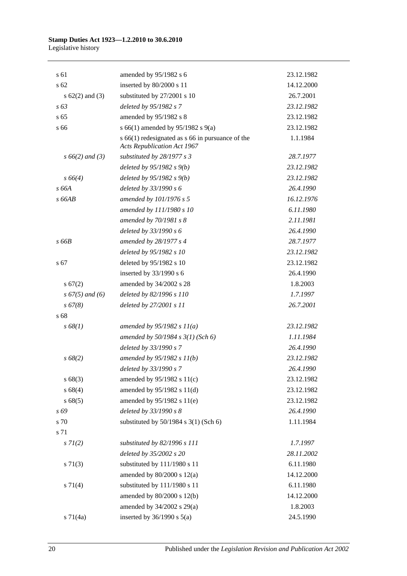| s 61                | amended by 95/1982 s 6                                                                     | 23.12.1982 |
|---------------------|--------------------------------------------------------------------------------------------|------------|
| s 62                | inserted by 80/2000 s 11                                                                   | 14.12.2000 |
| s $62(2)$ and $(3)$ | substituted by 27/2001 s 10                                                                | 26.7.2001  |
| s 63                | deleted by 95/1982 s 7                                                                     | 23.12.1982 |
| s <sub>65</sub>     | amended by 95/1982 s 8                                                                     | 23.12.1982 |
| s 66                | s 66(1) amended by 95/1982 s 9(a)                                                          | 23.12.1982 |
|                     | $s$ 66(1) redesignated as $s$ 66 in pursuance of the<br><b>Acts Republication Act 1967</b> | 1.1.1984   |
| $s\,66(2)$ and (3)  | substituted by 28/1977 s 3                                                                 | 28.7.1977  |
|                     | deleted by $95/1982 s(9)$                                                                  | 23.12.1982 |
| $s\,66(4)$          | deleted by $95/1982 s(9)$                                                                  | 23.12.1982 |
| s 66A               | deleted by 33/1990 s 6                                                                     | 26.4.1990  |
| $s$ 66AB            | amended by 101/1976 s 5                                                                    | 16.12.1976 |
|                     | amended by 111/1980 s 10                                                                   | 6.11.1980  |
|                     | amended by 70/1981 s 8                                                                     | 2.11.1981  |
|                     | deleted by $33/1990 s 6$                                                                   | 26.4.1990  |
| s 66B               | amended by 28/1977 s 4                                                                     | 28.7.1977  |
|                     | deleted by 95/1982 s 10                                                                    | 23.12.1982 |
| s 67                | deleted by 95/1982 s 10                                                                    | 23.12.1982 |
|                     | inserted by 33/1990 s 6                                                                    | 26.4.1990  |
| s 67(2)             | amended by 34/2002 s 28                                                                    | 1.8.2003   |
| $s\,67(5)$ and (6)  | deleted by 82/1996 s 110                                                                   | 1.7.1997   |
| s 67(8)             | deleted by 27/2001 s 11                                                                    | 26.7.2001  |
| s 68                |                                                                                            |            |
| s 68(1)             | amended by $95/1982 s 11(a)$                                                               | 23.12.1982 |
|                     | amended by $50/1984 s 3(1)$ (Sch 6)                                                        | 1.11.1984  |
|                     | deleted by 33/1990 s 7                                                                     | 26.4.1990  |
| $s\,68(2)$          | amended by $95/1982 s 11(b)$                                                               | 23.12.1982 |
|                     | deleted by 33/1990 s 7                                                                     | 26.4.1990  |
| s 68(3)             | amended by 95/1982 s 11(c)                                                                 | 23.12.1982 |
| s68(4)              | amended by 95/1982 s 11(d)                                                                 | 23.12.1982 |
| s68(5)              | amended by 95/1982 s 11(e)                                                                 | 23.12.1982 |
| s 69                | deleted by 33/1990 s 8                                                                     | 26.4.1990  |
| s 70                | substituted by 50/1984 s 3(1) (Sch 6)                                                      | 1.11.1984  |
| s 71                |                                                                                            |            |
| $s \, 7l(2)$        | substituted by 82/1996 s 111                                                               | 1.7.1997   |
|                     | deleted by 35/2002 s 20                                                                    | 28.11.2002 |
| $s \, 71(3)$        | substituted by 111/1980 s 11                                                               | 6.11.1980  |
|                     | amended by $80/2000$ s $12(a)$                                                             | 14.12.2000 |
| $s \, 71(4)$        | substituted by 111/1980 s 11                                                               | 6.11.1980  |
|                     | amended by 80/2000 s 12(b)                                                                 | 14.12.2000 |
|                     | amended by 34/2002 s 29(a)                                                                 | 1.8.2003   |
| $s \, 71(4a)$       | inserted by $36/1990$ s $5(a)$                                                             | 24.5.1990  |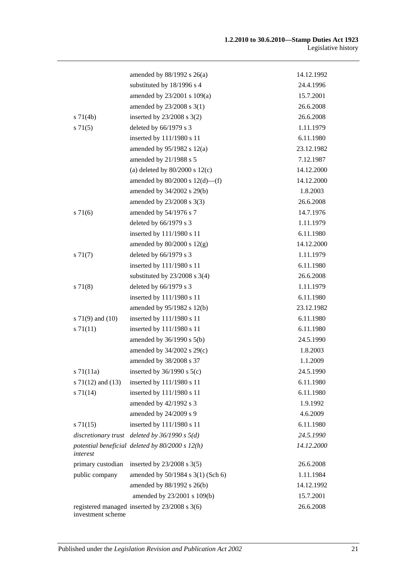|                       | amended by $88/1992$ s $26(a)$                    | 14.12.1992 |
|-----------------------|---------------------------------------------------|------------|
|                       | substituted by 18/1996 s 4                        | 24.4.1996  |
|                       | amended by 23/2001 s 109(a)                       | 15.7.2001  |
|                       | amended by 23/2008 s 3(1)                         | 26.6.2008  |
| $s \, 71(4b)$         | inserted by $23/2008$ s $3(2)$                    | 26.6.2008  |
| $s \, 71(5)$          | deleted by 66/1979 s 3                            | 1.11.1979  |
|                       | inserted by 111/1980 s 11                         | 6.11.1980  |
|                       | amended by $95/1982$ s $12(a)$                    | 23.12.1982 |
|                       | amended by 21/1988 s 5                            | 7.12.1987  |
|                       | (a) deleted by $80/2000$ s $12(c)$                | 14.12.2000 |
|                       | amended by $80/2000$ s $12(d)$ —(f)               | 14.12.2000 |
|                       | amended by 34/2002 s 29(b)                        | 1.8.2003   |
|                       | amended by 23/2008 s 3(3)                         | 26.6.2008  |
| s 71(6)               | amended by 54/1976 s 7                            | 14.7.1976  |
|                       | deleted by 66/1979 s 3                            | 1.11.1979  |
|                       | inserted by 111/1980 s 11                         | 6.11.1980  |
|                       | amended by $80/2000$ s $12(g)$                    | 14.12.2000 |
| $s \, 71(7)$          | deleted by 66/1979 s 3                            | 1.11.1979  |
|                       | inserted by 111/1980 s 11                         | 6.11.1980  |
|                       | substituted by $23/2008$ s 3(4)                   | 26.6.2008  |
| s 71(8)               | deleted by 66/1979 s 3                            | 1.11.1979  |
|                       | inserted by 111/1980 s 11                         | 6.11.1980  |
|                       | amended by 95/1982 s 12(b)                        | 23.12.1982 |
| s $71(9)$ and $(10)$  | inserted by 111/1980 s 11                         | 6.11.1980  |
| $s \, 71(11)$         | inserted by 111/1980 s 11                         | 6.11.1980  |
|                       | amended by $36/1990$ s $5(b)$                     | 24.5.1990  |
|                       | amended by 34/2002 s 29(c)                        | 1.8.2003   |
|                       | amended by 38/2008 s 37                           | 1.1.2009   |
| $s \, 71(11a)$        | inserted by $36/1990$ s $5(c)$                    | 24.5.1990  |
| s $71(12)$ and $(13)$ | inserted by 111/1980 s 11                         | 6.11.1980  |
| s 71(14)              | inserted by 111/1980 s 11                         | 6.11.1980  |
|                       | amended by 42/1992 s 3                            | 1.9.1992   |
|                       | amended by 24/2009 s 9                            | 4.6.2009   |
| $s \, 71(15)$         | inserted by 111/1980 s 11                         | 6.11.1980  |
|                       | discretionary trust deleted by $36/1990 s 5(d)$   | 24.5.1990  |
| interest              | potential beneficial deleted by $80/2000 s 12(h)$ | 14.12.2000 |
| primary custodian     | inserted by $23/2008$ s $3(5)$                    | 26.6.2008  |
| public company        | amended by 50/1984 s 3(1) (Sch 6)                 | 1.11.1984  |
|                       | amended by 88/1992 s 26(b)                        | 14.12.1992 |
|                       | amended by 23/2001 s 109(b)                       | 15.7.2001  |
| investment scheme     | registered managed inserted by 23/2008 s 3(6)     | 26.6.2008  |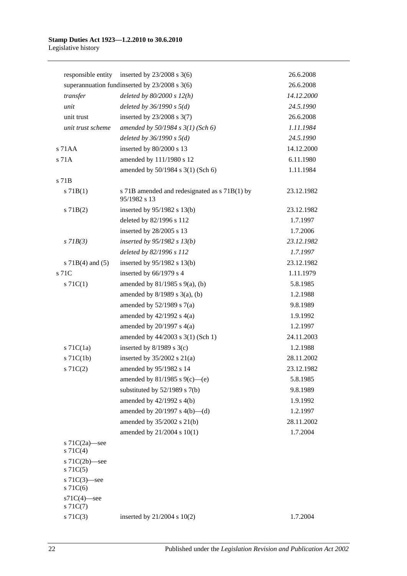|                                   | responsible entity inserted by $23/2008$ s 3(6)               | 26.6.2008  |
|-----------------------------------|---------------------------------------------------------------|------------|
|                                   | superannuation fundinserted by 23/2008 s 3(6)                 | 26.6.2008  |
| transfer                          | deleted by $80/2000 s 12(h)$                                  | 14.12.2000 |
| unit                              | deleted by $36/1990 s 5(d)$                                   | 24.5.1990  |
| unit trust                        | inserted by $23/2008$ s $3(7)$                                | 26.6.2008  |
| unit trust scheme                 | amended by $50/1984$ s $3(1)$ (Sch 6)                         | 1.11.1984  |
|                                   | deleted by $36/1990 s 5(d)$                                   | 24.5.1990  |
| s 71AA                            | inserted by 80/2000 s 13                                      | 14.12.2000 |
| s 71A                             | amended by 111/1980 s 12                                      | 6.11.1980  |
|                                   | amended by 50/1984 s 3(1) (Sch 6)                             | 1.11.1984  |
| s 71B                             |                                                               |            |
| s 71B(1)                          | s 71B amended and redesignated as s 71B(1) by<br>95/1982 s 13 | 23.12.1982 |
| $s$ 71B(2)                        | inserted by $95/1982$ s 13(b)                                 | 23.12.1982 |
|                                   | deleted by 82/1996 s 112                                      | 1.7.1997   |
|                                   | inserted by 28/2005 s 13                                      | 1.7.2006   |
| $s$ 71 $B(3)$                     | inserted by $95/1982$ s $13(b)$                               | 23.12.1982 |
|                                   | deleted by 82/1996 s 112                                      | 1.7.1997   |
| s $71B(4)$ and $(5)$              | inserted by $95/1982$ s 13(b)                                 | 23.12.1982 |
| s 71C                             | inserted by 66/1979 s 4                                       | 1.11.1979  |
| $s \, 71C(1)$                     | amended by $81/1985$ s $9(a)$ , (b)                           | 5.8.1985   |
|                                   | amended by $8/1989$ s $3(a)$ , (b)                            | 1.2.1988   |
|                                   | amended by $52/1989$ s $7(a)$                                 | 9.8.1989   |
|                                   | amended by $42/1992$ s $4(a)$                                 | 1.9.1992   |
|                                   | amended by $20/1997$ s $4(a)$                                 | 1.2.1997   |
|                                   | amended by 44/2003 s 3(1) (Sch 1)                             | 24.11.2003 |
| $s$ 71 $C(1a)$                    | inserted by $8/1989$ s 3(c)                                   | 1.2.1988   |
| $s$ 71 $C(1b)$                    | inserted by $35/2002$ s $21(a)$                               | 28.11.2002 |
| $s \, 71C(2)$                     | amended by 95/1982 s 14                                       | 23.12.1982 |
|                                   | amended by 81/1985 s 9(c)—(e)                                 | 5.8.1985   |
|                                   | substituted by $52/1989$ s $7(b)$                             | 9.8.1989   |
|                                   | amended by 42/1992 s 4(b)                                     | 1.9.1992   |
|                                   | amended by $20/1997$ s $4(b)$ —(d)                            | 1.2.1997   |
|                                   | amended by 35/2002 s 21(b)                                    | 28.11.2002 |
|                                   | amended by 21/2004 s 10(1)                                    | 1.7.2004   |
| s $71C(2a)$ —see<br>$s \, 71C(4)$ |                                                               |            |
| s $71C(2b)$ -see<br>$s$ 71 $C(5)$ |                                                               |            |
| s $71C(3)$ -see<br>$s$ 71 $C(6)$  |                                                               |            |
| $s71C(4)$ -see<br>$s \, 71C(7)$   |                                                               |            |
| $s \, 71C(3)$                     | inserted by $21/2004$ s $10(2)$                               | 1.7.2004   |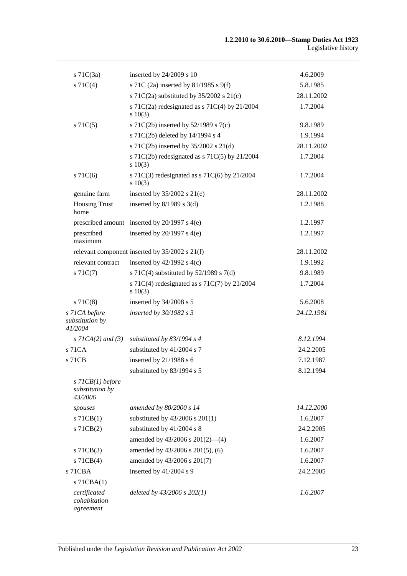| $s$ 71 $C(3a)$                                      | inserted by 24/2009 s 10                                      | 4.6.2009   |
|-----------------------------------------------------|---------------------------------------------------------------|------------|
| $s \, 71C(4)$                                       | s 71C (2a) inserted by 81/1985 s 9(f)                         | 5.8.1985   |
|                                                     | s 71C(2a) substituted by $35/2002$ s 21(c)                    | 28.11.2002 |
|                                                     | s 71C(2a) redesignated as s 71C(4) by $21/2004$<br>$s\ 10(3)$ | 1.7.2004   |
| $s \, 71C(5)$                                       | s 71C(2b) inserted by 52/1989 s 7(c)                          | 9.8.1989   |
|                                                     | s 71C(2b) deleted by 14/1994 s 4                              | 1.9.1994   |
|                                                     | s 71C(2b) inserted by 35/2002 s 21(d)                         | 28.11.2002 |
|                                                     | s 71C(2b) redesignated as s 71C(5) by $21/2004$               | 1.7.2004   |
|                                                     | s 10(3)                                                       |            |
| $s$ 71 $C(6)$                                       | s 71C(3) redesignated as s 71C(6) by $21/2004$<br>s 10(3)     | 1.7.2004   |
| genuine farm                                        | inserted by $35/2002$ s $21(e)$                               | 28.11.2002 |
| <b>Housing Trust</b><br>home                        | inserted by $8/1989$ s 3(d)                                   | 1.2.1988   |
|                                                     | prescribed amount inserted by 20/1997 s 4(e)                  | 1.2.1997   |
| prescribed<br>maximum                               | inserted by $20/1997$ s $4(e)$                                | 1.2.1997   |
|                                                     | relevant component inserted by $35/2002$ s $21(f)$            | 28.11.2002 |
| relevant contract                                   | inserted by $42/1992$ s $4(c)$                                | 1.9.1992   |
| $s \, 71C(7)$                                       | s 71C(4) substituted by $52/1989$ s 7(d)                      | 9.8.1989   |
|                                                     | s 71C(4) redesignated as s 71C(7) by $21/2004$<br>s 10(3)     | 1.7.2004   |
| $s$ 71 $C(8)$                                       | inserted by 34/2008 s 5                                       | 5.6.2008   |
| s 71CA before<br>substitution by<br>41/2004         | inserted by $30/1982$ s 3                                     | 24.12.1981 |
| s $7ICA(2)$ and $(3)$                               | substituted by $83/1994$ s 4                                  | 8.12.1994  |
| s 71CA                                              | substituted by 41/2004 s 7                                    | 24.2.2005  |
| s 71CB                                              | inserted by 21/1988 s 6                                       | 7.12.1987  |
|                                                     | substituted by 83/1994 s 5                                    | 8.12.1994  |
| $s$ 71 $CB(1)$ before<br>substitution by<br>43/2006 |                                                               |            |
| spouses                                             | amended by 80/2000 s 14                                       | 14.12.2000 |
| $s$ 71CB(1)                                         | substituted by $43/2006$ s $201(1)$                           | 1.6.2007   |
| $s$ 71CB $(2)$                                      | substituted by 41/2004 s 8                                    | 24.2.2005  |
|                                                     | amended by $43/2006$ s $201(2)$ —(4)                          | 1.6.2007   |
| $s$ 71 $CB(3)$                                      | amended by 43/2006 s 201(5), (6)                              | 1.6.2007   |
| $s$ 71 $CB(4)$                                      | amended by 43/2006 s 201(7)                                   | 1.6.2007   |
| s 71CBA                                             | inserted by 41/2004 s 9                                       | 24.2.2005  |
| $s$ 71CBA $(1)$                                     |                                                               |            |
| certificated<br>cohabitation<br>agreement           | deleted by $43/2006$ s $202(1)$                               | 1.6.2007   |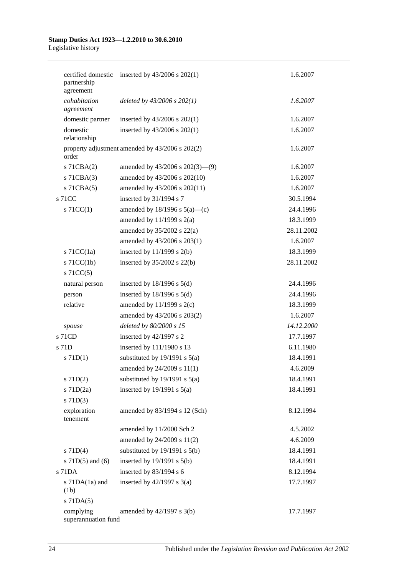| partnership<br>agreement         | certified domestic inserted by 43/2006 s 202(1) | 1.6.2007   |
|----------------------------------|-------------------------------------------------|------------|
| cohabitation<br>agreement        | deleted by $43/2006$ s $202(1)$                 | 1.6.2007   |
| domestic partner                 | inserted by $43/2006$ s $202(1)$                | 1.6.2007   |
| domestic<br>relationship         | inserted by $43/2006$ s $202(1)$                | 1.6.2007   |
| order                            | property adjustment amended by 43/2006 s 202(2) | 1.6.2007   |
| s 71CBA(2)                       | amended by $43/2006$ s $202(3)$ —(9)            | 1.6.2007   |
| $s$ 71CBA $(3)$                  | amended by 43/2006 s 202(10)                    | 1.6.2007   |
| $s$ 71CBA $(5)$                  | amended by 43/2006 s 202(11)                    | 1.6.2007   |
| s 71CC                           | inserted by 31/1994 s 7                         | 30.5.1994  |
| $\vert$ s 71CC(1)                | amended by $18/1996$ s $5(a)$ —(c)              | 24.4.1996  |
|                                  | amended by $11/1999$ s $2(a)$                   | 18.3.1999  |
|                                  | amended by $35/2002$ s $22(a)$                  | 28.11.2002 |
|                                  | amended by 43/2006 s 203(1)                     | 1.6.2007   |
| $s$ 71CC(1a)                     | inserted by $11/1999$ s $2(b)$                  | 18.3.1999  |
| $s$ 71CC(1b)                     | inserted by $35/2002$ s $22(b)$                 | 28.11.2002 |
| $s$ 71CC(5)                      |                                                 |            |
| natural person                   | inserted by $18/1996$ s $5(d)$                  | 24.4.1996  |
| person                           | inserted by $18/1996$ s $5(d)$                  | 24.4.1996  |
| relative                         | amended by $11/1999$ s $2(c)$                   | 18.3.1999  |
|                                  | amended by 43/2006 s 203(2)                     | 1.6.2007   |
| spouse                           | deleted by 80/2000 s 15                         | 14.12.2000 |
| s 71CD                           | inserted by 42/1997 s 2                         | 17.7.1997  |
| s 71D                            | inserted by 111/1980 s 13                       | 6.11.1980  |
| $s$ 71D(1)                       | substituted by $19/1991$ s $5(a)$               | 18.4.1991  |
|                                  | amended by 24/2009 s 11(1)                      | 4.6.2009   |
| $s$ 71D(2)                       | substituted by $19/1991$ s $5(a)$               | 18.4.1991  |
| $s$ 71D $(2a)$                   | inserted by $19/1991$ s $5(a)$                  | 18.4.1991  |
| $s$ 71D(3)                       |                                                 |            |
| exploration<br>tenement          | amended by 83/1994 s 12 (Sch)                   | 8.12.1994  |
|                                  | amended by 11/2000 Sch 2                        | 4.5.2002   |
|                                  | amended by 24/2009 s 11(2)                      | 4.6.2009   |
| $s$ 71D(4)                       | substituted by $19/1991$ s $5(b)$               | 18.4.1991  |
| s $71D(5)$ and $(6)$             | inserted by $19/1991$ s $5(b)$                  | 18.4.1991  |
| s 71DA                           | inserted by 83/1994 s 6                         | 8.12.1994  |
| s $71DA(1a)$ and<br>(1b)         | inserted by $42/1997$ s $3(a)$                  | 17.7.1997  |
| $s$ 71DA $(5)$                   |                                                 |            |
| complying<br>superannuation fund | amended by 42/1997 s 3(b)                       | 17.7.1997  |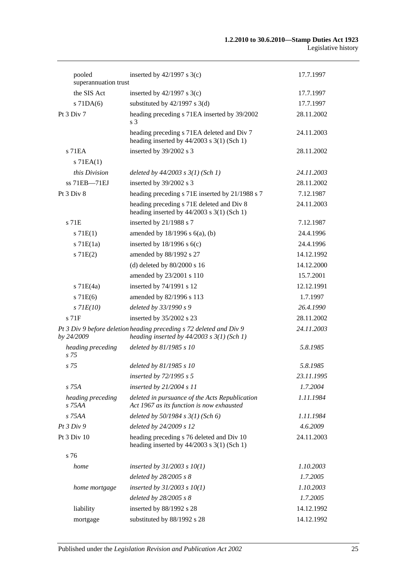| pooled<br>superannuation trust | inserted by $42/1997$ s 3(c)                                                                                          | 17.7.1997  |
|--------------------------------|-----------------------------------------------------------------------------------------------------------------------|------------|
| the SIS Act                    | inserted by $42/1997$ s 3(c)                                                                                          | 17.7.1997  |
| $s$ 71DA $(6)$                 | substituted by $42/1997$ s 3(d)                                                                                       | 17.7.1997  |
| Pt 3 Div 7                     | heading preceding s 71EA inserted by 39/2002<br>s 3                                                                   | 28.11.2002 |
|                                | heading preceding s 71EA deleted and Div 7<br>heading inserted by $44/2003$ s 3(1) (Sch 1)                            | 24.11.2003 |
| s 71 EA                        | inserted by 39/2002 s 3                                                                                               | 28.11.2002 |
| $s$ 71EA $(1)$                 |                                                                                                                       |            |
| this Division                  | deleted by $44/2003$ s $3(1)$ (Sch 1)                                                                                 | 24.11.2003 |
| $ss$ 71EB $-71E$ J             | inserted by 39/2002 s 3                                                                                               | 28.11.2002 |
| Pt 3 Div 8                     | heading preceding s 71E inserted by 21/1988 s 7                                                                       | 7.12.1987  |
|                                | heading preceding s 71E deleted and Div 8<br>heading inserted by $44/2003$ s 3(1) (Sch 1)                             | 24.11.2003 |
| $s$ 71 $E$                     | inserted by 21/1988 s 7                                                                                               | 7.12.1987  |
| s 71E(1)                       | amended by $18/1996$ s $6(a)$ , (b)                                                                                   | 24.4.1996  |
| $s$ 71 $E(1a)$                 | inserted by $18/1996$ s $6(c)$                                                                                        | 24.4.1996  |
| s 71E(2)                       | amended by 88/1992 s 27                                                                                               | 14.12.1992 |
|                                | (d) deleted by $80/2000$ s 16                                                                                         | 14.12.2000 |
|                                | amended by 23/2001 s 110                                                                                              | 15.7.2001  |
| $s$ 71E(4a)                    | inserted by 74/1991 s 12                                                                                              | 12.12.1991 |
| s 71E(6)                       | amended by 82/1996 s 113                                                                                              | 1.7.1997   |
| $s$ 71 $E(10)$                 | deleted by 33/1990 s 9                                                                                                | 26.4.1990  |
| $s$ 71 $F$                     | inserted by 35/2002 s 23                                                                                              | 28.11.2002 |
| by 24/2009                     | Pt 3 Div 9 before deletion heading preceding s 72 deleted and Div 9<br>heading inserted by $44/2003$ s $3(1)$ (Sch 1) | 24.11.2003 |
| heading preceding<br>s 75      | deleted by 81/1985 s 10                                                                                               | 5.8.1985   |
| s 75                           | deleted by 81/1985 s 10                                                                                               | 5.8.1985   |
|                                | inserted by $72/1995 s 5$                                                                                             | 23.11.1995 |
| s 75A                          | inserted by $21/2004 s 11$                                                                                            | 1.7.2004   |
| heading preceding<br>$s$ 75AA  | deleted in pursuance of the Acts Republication<br>Act 1967 as its function is now exhausted                           | 1.11.1984  |
| s 75AA                         | deleted by $50/1984$ s $3(1)$ (Sch 6)                                                                                 | 1.11.1984  |
| Pt3 Div9                       | deleted by 24/2009 s 12                                                                                               | 4.6.2009   |
| Pt 3 Div 10                    | heading preceding s 76 deleted and Div 10<br>heading inserted by $44/2003$ s 3(1) (Sch 1)                             | 24.11.2003 |
| s 76                           |                                                                                                                       |            |
| home                           | inserted by $31/2003$ s $10(1)$                                                                                       | 1.10.2003  |
|                                | deleted by 28/2005 s 8                                                                                                | 1.7.2005   |
| home mortgage                  | inserted by $31/2003$ s $10(1)$                                                                                       | 1.10.2003  |
|                                | deleted by 28/2005 s 8                                                                                                | 1.7.2005   |
| liability                      | inserted by 88/1992 s 28                                                                                              | 14.12.1992 |
| mortgage                       | substituted by 88/1992 s 28                                                                                           | 14.12.1992 |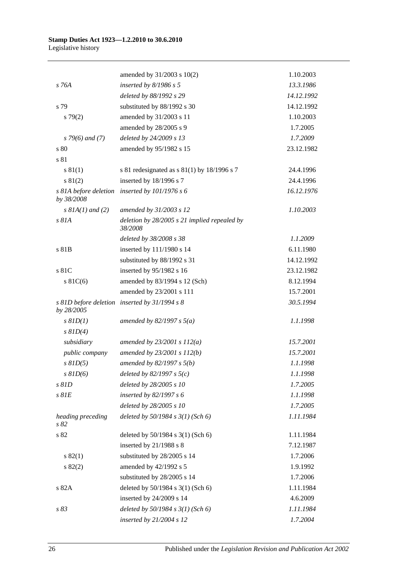|                           | amended by 31/2003 s 10(2)                                | 1.10.2003  |
|---------------------------|-----------------------------------------------------------|------------|
| s 76A                     | inserted by $8/1986$ s 5                                  | 13.3.1986  |
|                           | deleted by 88/1992 s 29                                   | 14.12.1992 |
| s 79                      | substituted by 88/1992 s 30                               | 14.12.1992 |
| $s \, 79(2)$              | amended by 31/2003 s 11                                   | 1.10.2003  |
|                           | amended by 28/2005 s 9                                    | 1.7.2005   |
| $s$ 79(6) and (7)         | deleted by 24/2009 s 13                                   | 1.7.2009   |
| s 80                      | amended by 95/1982 s 15                                   | 23.12.1982 |
| s 81                      |                                                           |            |
| s 81(1)                   | s 81 redesignated as $s$ 81(1) by 18/1996 s 7             | 24.4.1996  |
| s 81(2)                   | inserted by 18/1996 s 7                                   | 24.4.1996  |
| by 38/2008                | s 81A before deletion inserted by 101/1976 s 6            | 16.12.1976 |
| $s$ 81A(1) and (2)        | amended by 31/2003 s 12                                   | 1.10.2003  |
| s 81A                     | deletion by $28/2005$ s 21 implied repealed by<br>38/2008 |            |
|                           | deleted by 38/2008 s 38                                   | 1.1.2009   |
| s 81B                     | inserted by 111/1980 s 14                                 | 6.11.1980  |
|                           | substituted by 88/1992 s 31                               | 14.12.1992 |
| s 81C                     | inserted by 95/1982 s 16                                  | 23.12.1982 |
| $s \, 81C(6)$             | amended by 83/1994 s 12 (Sch)                             | 8.12.1994  |
|                           | amended by 23/2001 s 111                                  | 15.7.2001  |
| by 28/2005                | s 81D before deletion inserted by 31/1994 s 8             | 30.5.1994  |
| $s$ $81D(1)$              | amended by 82/1997 s $5(a)$                               | 1.1.1998   |
| $s$ $81D(4)$              |                                                           |            |
| subsidiary                | amended by $23/2001 s 112(a)$                             | 15.7.2001  |
| public company            | amended by 23/2001 s 112(b)                               | 15.7.2001  |
| $s$ $81D(5)$              | amended by $82/1997 s 5(b)$                               | 1.1.1998   |
| $s$ $81D(6)$              | deleted by $82/1997 s 5(c)$                               | 1.1.1998   |
| s 81D                     | deleted by 28/2005 s 10                                   | 1.7.2005   |
| $s$ $81E$                 | inserted by 82/1997 s 6                                   | 1.1.1998   |
|                           | deleted by 28/2005 s 10                                   | 1.7.2005   |
| heading preceding<br>s 82 | deleted by $50/1984$ s $3(1)$ (Sch 6)                     | 1.11.1984  |
| s 82                      | deleted by 50/1984 s 3(1) (Sch 6)                         | 1.11.1984  |
|                           | inserted by 21/1988 s 8                                   | 7.12.1987  |
| s 82(1)                   | substituted by 28/2005 s 14                               | 1.7.2006   |
| s 82(2)                   | amended by 42/1992 s 5                                    | 1.9.1992   |
|                           | substituted by 28/2005 s 14                               | 1.7.2006   |
| s 82A                     | deleted by 50/1984 s 3(1) (Sch 6)                         | 1.11.1984  |
|                           | inserted by 24/2009 s 14                                  | 4.6.2009   |
| s 83                      | deleted by $50/1984$ s $3(1)$ (Sch 6)                     | 1.11.1984  |
|                           | inserted by 21/2004 s 12                                  | 1.7.2004   |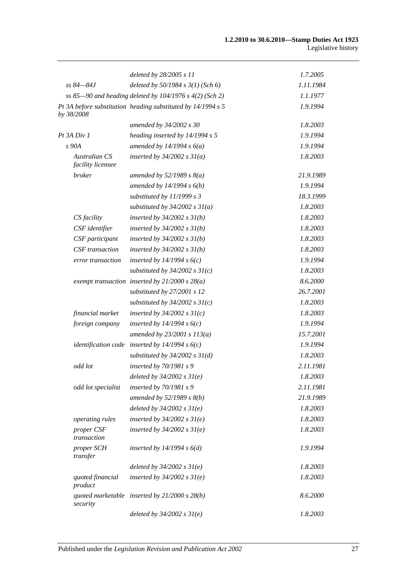|                                           | deleted by 28/2005 s 11                                      | 1.7.2005  |
|-------------------------------------------|--------------------------------------------------------------|-----------|
| $ss 84 - 84J$                             | deleted by 50/1984 s 3(1) (Sch 6)                            | 1.11.1984 |
|                                           | ss 85-90 and heading deleted by 104/1976 s 4(2) (Sch 2)      | 1.1.1977  |
| by 38/2008                                | Pt 3A before substitution heading substituted by 14/1994 s 5 | 1.9.1994  |
|                                           | amended by 34/2002 s 30                                      | 1.8.2003  |
| Pt 3A Div 1                               | heading inserted by 14/1994 s 5                              | 1.9.1994  |
| s 90A                                     | amended by $14/1994 s 6(a)$                                  | 1.9.1994  |
| <b>Australian CS</b><br>facility licensee | inserted by $34/2002$ s $31(a)$                              | 1.8.2003  |
| broker                                    | amended by $52/1989 s 8(a)$                                  | 21.9.1989 |
|                                           | amended by $14/1994 s 6(b)$                                  | 1.9.1994  |
|                                           | substituted by 11/1999 s 3                                   | 18.3.1999 |
|                                           | substituted by $34/2002$ s $31(a)$                           | 1.8.2003  |
| CS facility                               | inserted by $34/2002$ s $31(b)$                              | 1.8.2003  |
| CSF identifier                            | inserted by $34/2002$ s $31(b)$                              | 1.8.2003  |
| CSF participant                           | inserted by $34/2002$ s $31(b)$                              | 1.8.2003  |
| CSF transaction                           | inserted by $34/2002$ s $31(b)$                              | 1.8.2003  |
| error transaction                         | inserted by $14/1994 s 6(c)$                                 | 1.9.1994  |
|                                           | substituted by $34/2002$ s $31(c)$                           | 1.8.2003  |
|                                           | exempt transaction inserted by $21/2000 s 28(a)$             | 8.6.2000  |
|                                           | substituted by 27/2001 s 12                                  | 26.7.2001 |
|                                           | substituted by $34/2002$ s $31(c)$                           | 1.8.2003  |
| financial market                          | inserted by $34/2002$ s $31(c)$                              | 1.8.2003  |
| foreign company                           | inserted by $14/1994 s 6(c)$                                 | 1.9.1994  |
|                                           | amended by $23/2001 s 113(a)$                                | 15.7.2001 |
|                                           | identification code inserted by $14/1994 s 6(c)$             | 1.9.1994  |
|                                           | substituted by $34/2002$ s $31(d)$                           | 1.8.2003  |
| odd lot                                   | inserted by 70/1981 s 9                                      | 2.11.1981 |
|                                           | deleted by $34/2002$ s $31(e)$                               | 1.8.2003  |
| odd lot specialist                        | inserted by $70/1981 s$ 9                                    | 2.11.1981 |
|                                           | amended by 52/1989 s 8(b)                                    | 21.9.1989 |
|                                           | deleted by $34/2002 s 31(e)$                                 | 1.8.2003  |
| operating rules                           | inserted by $34/2002$ s $31(e)$                              | 1.8.2003  |
| proper CSF<br>transaction                 | inserted by $34/2002$ s $31(e)$                              | 1.8.2003  |
| proper SCH<br>transfer                    | inserted by $14/1994 s 6(d)$                                 | 1.9.1994  |
|                                           | deleted by $34/2002 s 31(e)$                                 | 1.8.2003  |
| quoted financial<br>product               | inserted by $34/2002$ s $31(e)$                              | 1.8.2003  |
| security                                  | quoted marketable inserted by $21/2000 s 28(b)$              | 8.6.2000  |
|                                           | deleted by $34/2002$ s $31(e)$                               | 1.8.2003  |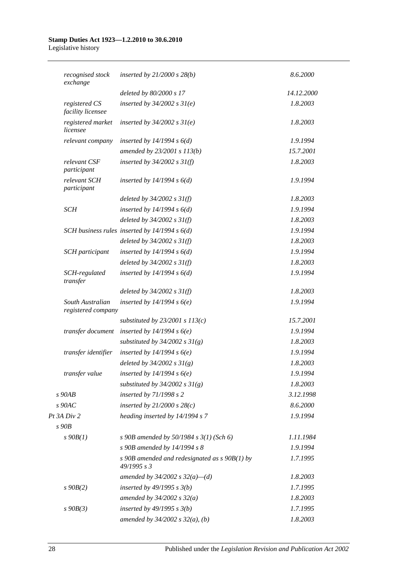| recognised stock<br>exchange           | inserted by $21/2000$ s $28(b)$                                | 8.6.2000   |
|----------------------------------------|----------------------------------------------------------------|------------|
|                                        | deleted by 80/2000 s 17                                        | 14.12.2000 |
| registered CS<br>facility licensee     | inserted by $34/2002$ s $31(e)$                                | 1.8.2003   |
| registered market<br>licensee          | inserted by $34/2002$ s $31(e)$                                | 1.8.2003   |
| relevant company                       | inserted by $14/1994 s 6(d)$                                   | 1.9.1994   |
|                                        | amended by 23/2001 s 113(b)                                    | 15.7.2001  |
| relevant CSF<br>participant            | inserted by $34/2002$ s $31(f)$                                | 1.8.2003   |
| relevant SCH<br>participant            | inserted by $14/1994 s 6(d)$                                   | 1.9.1994   |
|                                        | deleted by $34/2002$ s $31(f)$                                 | 1.8.2003   |
| <b>SCH</b>                             | inserted by $14/1994 s 6(d)$                                   | 1.9.1994   |
|                                        | deleted by $34/2002 s 31(f)$                                   | 1.8.2003   |
|                                        | SCH business rules inserted by $14/1994 s 6(d)$                | 1.9.1994   |
|                                        | deleted by $34/2002$ s $31(f)$                                 | 1.8.2003   |
| <b>SCH</b> participant                 | inserted by $14/1994 s 6(d)$                                   | 1.9.1994   |
|                                        | deleted by $34/2002$ s $31(f)$                                 | 1.8.2003   |
| SCH-regulated<br>transfer              | inserted by $14/1994 s 6(d)$                                   | 1.9.1994   |
|                                        | deleted by $34/2002$ s $31(f)$                                 | 1.8.2003   |
| South Australian<br>registered company | inserted by $14/1994 s6(e)$                                    | 1.9.1994   |
|                                        | substituted by $23/2001$ s $113(c)$                            | 15.7.2001  |
| transfer document                      | inserted by $14/1994 s6(e)$                                    | 1.9.1994   |
|                                        | substituted by $34/2002$ s $31(g)$                             | 1.8.2003   |
| transfer identifier                    | inserted by $14/1994 s6(e)$                                    | 1.9.1994   |
|                                        | deleted by $34/2002 s 31(g)$                                   | 1.8.2003   |
| transfer value                         | inserted by $14/1994 s6(e)$                                    | 1.9.1994   |
|                                        | substituted by $34/2002$ s $31(g)$                             | 1.8.2003   |
| $s$ 90AB                               | inserted by 71/1998 s 2                                        | 3.12.1998  |
| $s$ 90AC                               | inserted by $21/2000$ s $28(c)$                                | 8.6.2000   |
| Pt 3A Div 2                            | heading inserted by 14/1994 s 7                                | 1.9.1994   |
| $s$ 90 $B$                             |                                                                |            |
| $s\,90B(1)$                            | s 90B amended by 50/1984 s $3(1)$ (Sch 6)                      | 1.11.1984  |
|                                        | s 90B amended by 14/1994 s 8                                   | 1.9.1994   |
|                                        | s 90B amended and redesignated as $s$ 90B(1) by<br>49/1995 s 3 | 1.7.1995   |
|                                        | amended by $34/2002$ s $32(a)$ -(d)                            | 1.8.2003   |
| $s\,90B(2)$                            | inserted by $49/1995 s 3(b)$                                   | 1.7.1995   |
|                                        | amended by $34/2002$ s $32(a)$                                 | 1.8.2003   |
| $s\,90B(3)$                            | inserted by $49/1995$ s $3(b)$                                 | 1.7.1995   |
|                                        | amended by $34/2002$ s $32(a)$ , (b)                           | 1.8.2003   |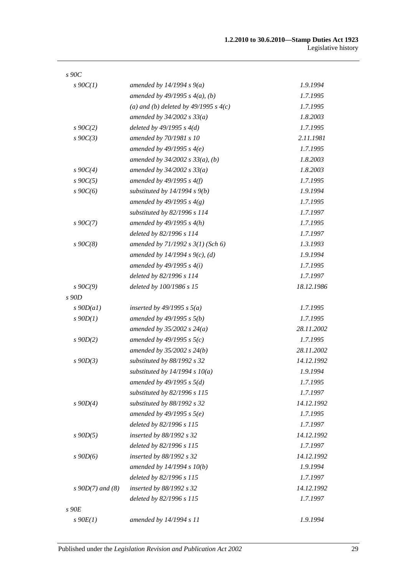| $s\,90C$           |                                         |            |
|--------------------|-----------------------------------------|------------|
| $s \cdot 90C(1)$   | amended by $14/1994 s 9(a)$             | 1.9.1994   |
|                    | amended by $49/1995 s 4(a)$ , (b)       | 1.7.1995   |
|                    | (a) and (b) deleted by $49/1995 s 4(c)$ | 1.7.1995   |
|                    | amended by $34/2002 s 33(a)$            | 1.8.2003   |
| $s \, 90C(2)$      | deleted by $49/1995 s 4(d)$             | 1.7.1995   |
| $s\,90C(3)$        | amended by 70/1981 s 10                 | 2.11.1981  |
|                    | amended by $49/1995 s 4(e)$             | 1.7.1995   |
|                    | amended by $34/2002$ s $33(a)$ , (b)    | 1.8.2003   |
| $s \, 90C(4)$      | amended by $34/2002 s 33(a)$            | 1.8.2003   |
| $s\,90C(5)$        | amended by $49/1995 s 4(f)$             | 1.7.1995   |
| $s\,90C(6)$        | substituted by $14/1994 s 9(b)$         | 1.9.1994   |
|                    | amended by 49/1995 s $4(g)$             | 1.7.1995   |
|                    | substituted by 82/1996 s 114            | 1.7.1997   |
| $s \, 90C(7)$      | amended by $49/1995 s 4(h)$             | 1.7.1995   |
|                    | deleted by 82/1996 s 114                | 1.7.1997   |
| $s\,90C(8)$        | amended by $71/1992$ s $3(1)$ (Sch 6)   | 1.3.1993   |
|                    | amended by 14/1994 s 9(c), (d)          | 1.9.1994   |
|                    | amended by $49/1995 s 4(i)$             | 1.7.1995   |
|                    | deleted by 82/1996 s 114                | 1.7.1997   |
| $s \, 90C(9)$      | deleted by 100/1986 s 15                | 18.12.1986 |
| $s$ 90D            |                                         |            |
| $s$ 90D(a1)        | inserted by 49/1995 s $5(a)$            | 1.7.1995   |
| $s$ 90 $D(1)$      | amended by $49/1995 s 5(b)$             | 1.7.1995   |
|                    | amended by $35/2002 s 24(a)$            | 28.11.2002 |
| $s\,90D(2)$        | amended by 49/1995 s $5(c)$             | 1.7.1995   |
|                    | amended by $35/2002$ s $24(b)$          | 28.11.2002 |
| $s$ 90D(3)         | substituted by 88/1992 s 32             | 14.12.1992 |
|                    | substituted by $14/1994 s 10(a)$        | 1.9.1994   |
|                    | amended by $49/1995 s 5(d)$             | 1.7.1995   |
|                    | substituted by 82/1996 s 115            | 1.7.1997   |
| $s\ 90D(4)$        | substituted by 88/1992 s 32             | 14.12.1992 |
|                    | amended by $49/1995 s 5(e)$             | 1.7.1995   |
|                    | deleted by 82/1996 s 115                | 1.7.1997   |
| $s$ 90 $D(5)$      | inserted by 88/1992 s 32                | 14.12.1992 |
|                    | deleted by 82/1996 s 115                | 1.7.1997   |
| $s\,90D(6)$        | inserted by 88/1992 s 32                | 14.12.1992 |
|                    | amended by $14/1994 s 10(b)$            | 1.9.1994   |
|                    | deleted by 82/1996 s 115                | 1.7.1997   |
| s $90D(7)$ and (8) | inserted by 88/1992 s 32                | 14.12.1992 |
|                    | deleted by 82/1996 s 115                | 1.7.1997   |
| s90E               |                                         |            |
| $s\ 90E(1)$        | amended by 14/1994 s 11                 | 1.9.1994   |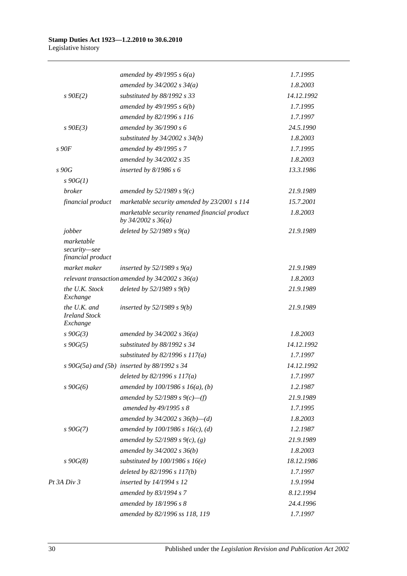|                                                  | amended by 49/1995 s $6(a)$                                             | 1.7.1995   |
|--------------------------------------------------|-------------------------------------------------------------------------|------------|
|                                                  | amended by $34/2002$ s $34(a)$                                          | 1.8.2003   |
| $s\ 90E(2)$                                      | substituted by 88/1992 s 33                                             | 14.12.1992 |
|                                                  | amended by $49/1995 s 6(b)$                                             | 1.7.1995   |
|                                                  | amended by 82/1996 s 116                                                | 1.7.1997   |
| $s\ 90E(3)$                                      | amended by 36/1990 s 6                                                  | 24.5.1990  |
|                                                  | substituted by $34/2002$ s $34(b)$                                      | 1.8.2003   |
| s90F                                             | amended by 49/1995 s 7                                                  | 1.7.1995   |
|                                                  | amended by 34/2002 s 35                                                 | 1.8.2003   |
| s 90G                                            | inserted by $8/1986 s 6$                                                | 13.3.1986  |
| $s \, 90G(1)$                                    |                                                                         |            |
| <b>broker</b>                                    | amended by $52/1989 s 9(c)$                                             | 21.9.1989  |
| financial product                                | marketable security amended by 23/2001 s 114                            | 15.7.2001  |
|                                                  | marketable security renamed financial product<br>by $34/2002$ s $36(a)$ | 1.8.2003   |
| jobber                                           | deleted by $52/1989 s 9(a)$                                             | 21.9.1989  |
| marketable<br>security-see<br>financial product  |                                                                         |            |
| market maker                                     | inserted by $52/1989$ s $9(a)$                                          | 21.9.1989  |
|                                                  | relevant transaction amended by $34/2002$ s $36(a)$                     | 1.8.2003   |
| the U.K. Stock<br>Exchange                       | deleted by $52/1989 s 9(b)$                                             | 21.9.1989  |
| the U.K. and<br><b>Ireland Stock</b><br>Exchange | inserted by $52/1989 s 9(b)$                                            | 21.9.1989  |
| $s \, 90G(3)$                                    | amended by $34/2002 s 36(a)$                                            | 1.8.2003   |
| $s\,90G(5)$                                      | substituted by 88/1992 s 34                                             | 14.12.1992 |
|                                                  | substituted by $82/1996$ s $117(a)$                                     | 1.7.1997   |
|                                                  | $s\ 90G(5a)$ and $(5b)$ inserted by 88/1992 s 34                        | 14.12.1992 |
|                                                  | deleted by $82/1996 s 117(a)$                                           | 1.7.1997   |
| $s\,90G(6)$                                      | amended by $100/1986$ s $16(a)$ , (b)                                   | 1.2.1987   |
|                                                  | amended by 52/1989 s $9(c)$ —(f)                                        | 21.9.1989  |
|                                                  | amended by 49/1995 s 8                                                  | 1.7.1995   |
|                                                  | amended by $34/2002$ s $36(b)$ —(d)                                     | 1.8.2003   |
| $s\,90G(7)$                                      | amended by $100/1986$ s $16(c)$ , (d)                                   | 1.2.1987   |
|                                                  | amended by 52/1989 s 9(c), (g)                                          | 21.9.1989  |
|                                                  | amended by $34/2002 s 36(b)$                                            | 1.8.2003   |
| $s\,90G(8)$                                      | substituted by $100/1986$ s $16(e)$                                     | 18.12.1986 |
|                                                  | deleted by 82/1996 s 117(b)                                             | 1.7.1997   |
| Pt 3A Div 3                                      | inserted by 14/1994 s 12                                                | 1.9.1994   |
|                                                  | amended by 83/1994 s 7                                                  | 8.12.1994  |
|                                                  | amended by 18/1996 s 8                                                  | 24.4.1996  |
|                                                  | amended by 82/1996 ss 118, 119                                          | 1.7.1997   |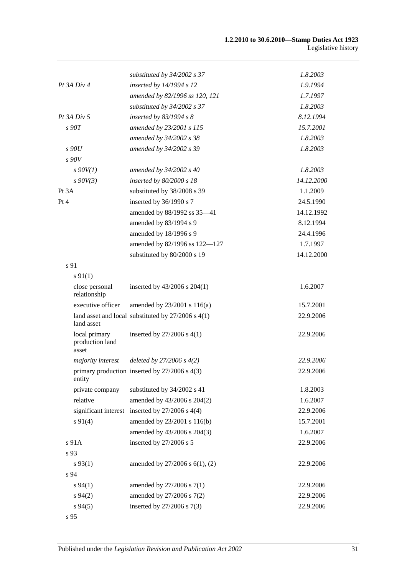|                                           | substituted by 34/2002 s 37                            | 1.8.2003   |
|-------------------------------------------|--------------------------------------------------------|------------|
| $Pt$ 3A $Div$ 4                           | inserted by 14/1994 s 12                               | 1.9.1994   |
|                                           | amended by 82/1996 ss 120, 121                         | 1.7.1997   |
|                                           | substituted by $34/2002$ s 37                          | 1.8.2003   |
| $Pt$ 3A $Div$ 5                           | inserted by $83/1994 s 8$                              | 8.12.1994  |
| s90T                                      | amended by 23/2001 s 115                               | 15.7.2001  |
|                                           | amended by 34/2002 s 38                                | 1.8.2003   |
| s90U                                      | amended by 34/2002 s 39                                | 1.8.2003   |
| s90V                                      |                                                        |            |
| $s$ 90V(1)                                | amended by 34/2002 s 40                                | 1.8.2003   |
| $s\,90V(3)$                               | inserted by 80/2000 s 18                               | 14.12.2000 |
| Pt 3A                                     | substituted by 38/2008 s 39                            | 1.1.2009   |
| Pt 4                                      | inserted by 36/1990 s 7                                | 24.5.1990  |
|                                           | amended by 88/1992 ss 35-41                            | 14.12.1992 |
|                                           | amended by 83/1994 s 9                                 | 8.12.1994  |
|                                           | amended by 18/1996 s 9                                 | 24.4.1996  |
|                                           | amended by 82/1996 ss 122-127                          | 1.7.1997   |
|                                           | substituted by 80/2000 s 19                            | 14.12.2000 |
| s 91                                      |                                                        |            |
| $s\,91(1)$                                |                                                        |            |
| close personal<br>relationship            | inserted by 43/2006 s 204(1)                           | 1.6.2007   |
| executive officer                         | amended by 23/2001 s 116(a)                            | 15.7.2001  |
| land asset                                | land asset and local substituted by $27/2006$ s $4(1)$ | 22.9.2006  |
| local primary<br>production land<br>asset | inserted by $27/2006$ s $4(1)$                         | 22.9.2006  |
| majority interest                         | deleted by $27/2006 s 4(2)$                            | 22.9.2006  |
| entity                                    | primary production inserted by 27/2006 s 4(3)          | 22.9.2006  |
| private company                           | substituted by 34/2002 s 41                            | 1.8.2003   |
| relative                                  | amended by 43/2006 s 204(2)                            | 1.6.2007   |
|                                           | significant interest inserted by $27/2006$ s $4(4)$    | 22.9.2006  |
| $s\ 91(4)$                                | amended by 23/2001 s 116(b)                            | 15.7.2001  |
|                                           | amended by 43/2006 s 204(3)                            | 1.6.2007   |
| s 91A                                     | inserted by 27/2006 s 5                                | 22.9.2006  |
| s 93                                      |                                                        |            |
| $s\,93(1)$                                | amended by $27/2006$ s $6(1)$ , (2)                    | 22.9.2006  |
| s 94                                      |                                                        |            |
| $s\,94(1)$                                | amended by 27/2006 s 7(1)                              | 22.9.2006  |
| $s\,94(2)$                                | amended by 27/2006 s 7(2)                              | 22.9.2006  |
| $s\,94(5)$                                | inserted by 27/2006 s 7(3)                             | 22.9.2006  |
| s 95                                      |                                                        |            |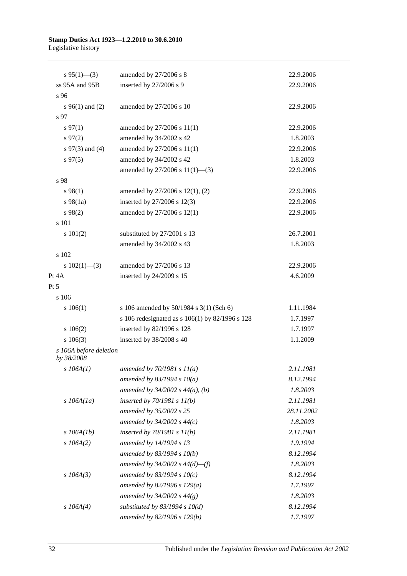| $s\,95(1)$ —(3)                      | amended by 27/2006 s 8                          | 22.9.2006  |
|--------------------------------------|-------------------------------------------------|------------|
| ss 95A and 95B                       | inserted by 27/2006 s 9                         | 22.9.2006  |
| s 96                                 |                                                 |            |
| $s\,96(1)$ and (2)                   | amended by 27/2006 s 10                         | 22.9.2006  |
| s 97                                 |                                                 |            |
| $s\,97(1)$                           | amended by 27/2006 s 11(1)                      | 22.9.2006  |
| $s\,97(2)$                           | amended by 34/2002 s 42                         | 1.8.2003   |
| s $97(3)$ and (4)                    | amended by 27/2006 s 11(1)                      | 22.9.2006  |
| $s\,97(5)$                           | amended by 34/2002 s 42                         | 1.8.2003   |
|                                      | amended by 27/2006 s 11(1)-(3)                  | 22.9.2006  |
| s 98                                 |                                                 |            |
| s 98(1)                              | amended by 27/2006 s 12(1), (2)                 | 22.9.2006  |
| $s\,98(1a)$                          | inserted by 27/2006 s 12(3)                     | 22.9.2006  |
| s 98(2)                              | amended by 27/2006 s 12(1)                      | 22.9.2006  |
| s 101                                |                                                 |            |
| s 101(2)                             | substituted by 27/2001 s 13                     | 26.7.2001  |
|                                      | amended by 34/2002 s 43                         | 1.8.2003   |
| s 102                                |                                                 |            |
| s $102(1)$ —(3)                      | amended by 27/2006 s 13                         | 22.9.2006  |
| Pt 4A                                | inserted by 24/2009 s 15                        | 4.6.2009   |
| Pt 5                                 |                                                 |            |
| s 106                                |                                                 |            |
| s 106(1)                             | s 106 amended by 50/1984 s 3(1) (Sch 6)         | 1.11.1984  |
|                                      | s 106 redesignated as s 106(1) by 82/1996 s 128 | 1.7.1997   |
| 106(2)                               | inserted by 82/1996 s 128                       | 1.7.1997   |
| s 106(3)                             | inserted by 38/2008 s 40                        | 1.1.2009   |
| s 106A before deletion<br>by 38/2008 |                                                 |            |
| $s$ 106A(1)                          | amended by $70/1981 s 11(a)$                    | 2.11.1981  |
|                                      | amended by 83/1994 s $10(a)$                    | 8.12.1994  |
|                                      | amended by $34/2002$ s $44(a)$ , (b)            | 1.8.2003   |
| $s$ 106A(1a)                         | inserted by $70/1981 s 11(b)$                   | 2.11.1981  |
|                                      | amended by 35/2002 s 25                         | 28.11.2002 |
|                                      | amended by $34/2002$ s $44(c)$                  | 1.8.2003   |
| $s$ 106A(1b)                         | inserted by $70/1981 s 11(b)$                   | 2.11.1981  |
| $s$ 106A(2)                          | amended by 14/1994 s 13                         | 1.9.1994   |
|                                      | amended by 83/1994 s 10(b)                      | 8.12.1994  |
|                                      | amended by $34/2002$ s $44(d)$ —(f)             | 1.8.2003   |
| $s$ 106A(3)                          | amended by 83/1994 s $10(c)$                    | 8.12.1994  |
|                                      | amended by 82/1996 s 129(a)                     | 1.7.1997   |
|                                      | amended by $34/2002 s 44(g)$                    | 1.8.2003   |
| $s$ 106A(4)                          | substituted by $83/1994$ s $10(d)$              | 8.12.1994  |
|                                      | amended by 82/1996 s 129(b)                     | 1.7.1997   |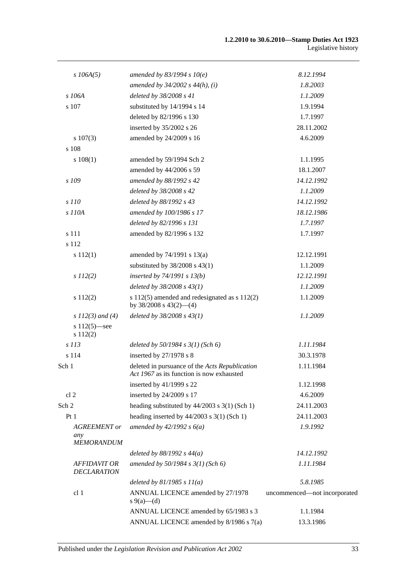| $s$ 106A(5)                                     | amended by $83/1994 s 10(e)$                                                                | 8.12.1994                    |
|-------------------------------------------------|---------------------------------------------------------------------------------------------|------------------------------|
|                                                 | amended by $34/2002$ s $44(h)$ , (i)                                                        | 1.8.2003                     |
| s 106A                                          | deleted by 38/2008 s 41                                                                     | 1.1.2009                     |
| s 107                                           | substituted by 14/1994 s 14                                                                 | 1.9.1994                     |
|                                                 | deleted by 82/1996 s 130                                                                    | 1.7.1997                     |
|                                                 | inserted by 35/2002 s 26                                                                    | 28.11.2002                   |
| $s\ 107(3)$                                     | amended by 24/2009 s 16                                                                     | 4.6.2009                     |
| s 108                                           |                                                                                             |                              |
| 108(1)                                          | amended by 59/1994 Sch 2                                                                    | 1.1.1995                     |
|                                                 | amended by 44/2006 s 59                                                                     | 18.1.2007                    |
| s 109                                           | amended by 88/1992 s 42                                                                     | 14.12.1992                   |
|                                                 | deleted by 38/2008 s 42                                                                     | 1.1.2009                     |
| s 110                                           | deleted by 88/1992 s 43                                                                     | 14.12.1992                   |
| s 110A                                          | amended by 100/1986 s 17                                                                    | 18.12.1986                   |
|                                                 | deleted by 82/1996 s 131                                                                    | 1.7.1997                     |
| s 111                                           | amended by 82/1996 s 132                                                                    | 1.7.1997                     |
| s 112                                           |                                                                                             |                              |
| s 112(1)                                        | amended by $74/1991$ s $13(a)$                                                              | 12.12.1991                   |
|                                                 | substituted by $38/2008$ s $43(1)$                                                          | 1.1.2009                     |
| $s\ 112(2)$                                     | inserted by $74/1991 s 13(b)$                                                               | 12.12.1991                   |
|                                                 | deleted by 38/2008 s 43(1)                                                                  | 1.1.2009                     |
| s 112(2)                                        | s $112(5)$ amended and redesignated as s $112(2)$<br>by 38/2008 s 43(2)-(4)                 | 1.1.2009                     |
| s $112(3)$ and (4)                              | deleted by $38/2008$ s $43(1)$                                                              | 1.1.2009                     |
| s $112(5)$ —see<br>s 112(2)                     |                                                                                             |                              |
| s 113                                           | deleted by $50/1984$ s $3(1)$ (Sch 6)                                                       | 1.11.1984                    |
| s 114                                           | inserted by 27/1978 s 8                                                                     | 30.3.1978                    |
| Sch 1                                           | deleted in pursuance of the Acts Republication<br>Act 1967 as its function is now exhausted | 1.11.1984                    |
|                                                 | inserted by 41/1999 s 22                                                                    | 1.12.1998                    |
| cl <sub>2</sub>                                 | inserted by 24/2009 s 17                                                                    | 4.6.2009                     |
| Sch 2                                           | heading substituted by $44/2003$ s 3(1) (Sch 1)                                             | 24.11.2003                   |
| Pt1                                             | heading inserted by $44/2003$ s 3(1) (Sch 1)                                                | 24.11.2003                   |
| <b>AGREEMENT</b> or<br>any<br><b>MEMORANDUM</b> | amended by $42/1992 s 6(a)$                                                                 | 1.9.1992                     |
|                                                 | deleted by $88/1992 s 44(a)$                                                                | 14.12.1992                   |
| <b>AFFIDAVIT OR</b>                             | amended by $50/1984$ s $3(1)$ (Sch 6)                                                       | 1.11.1984                    |
| <b>DECLARATION</b>                              |                                                                                             |                              |
|                                                 | deleted by $81/1985 s 11(a)$                                                                | 5.8.1985                     |
| cl 1                                            | ANNUAL LICENCE amended by 27/1978<br>s 9(a)—(d)                                             | uncommenced-not incorporated |
|                                                 | ANNUAL LICENCE amended by 65/1983 s 3                                                       | 1.1.1984                     |
|                                                 | ANNUAL LICENCE amended by 8/1986 s 7(a)                                                     | 13.3.1986                    |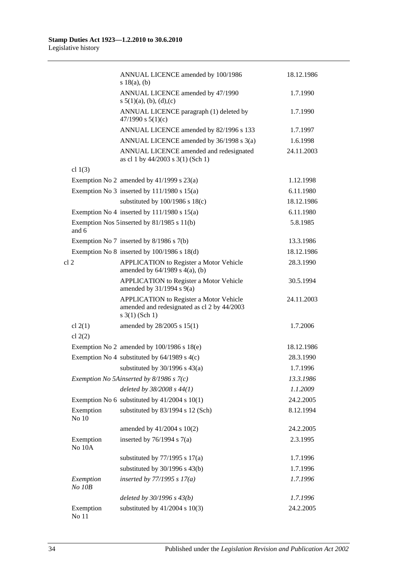|                        | ANNUAL LICENCE amended by 100/1986<br>s 18(a), (b)                                                                   | 18.12.1986 |
|------------------------|----------------------------------------------------------------------------------------------------------------------|------------|
|                        | ANNUAL LICENCE amended by 47/1990<br>s $5(1)(a)$ , (b), (d), (c)                                                     | 1.7.1990   |
|                        | ANNUAL LICENCE paragraph (1) deleted by<br>47/1990 s $5(1)(c)$                                                       | 1.7.1990   |
|                        | ANNUAL LICENCE amended by 82/1996 s 133                                                                              | 1.7.1997   |
|                        | ANNUAL LICENCE amended by 36/1998 s 3(a)                                                                             | 1.6.1998   |
|                        | ANNUAL LICENCE amended and redesignated<br>as cl 1 by 44/2003 s 3(1) (Sch 1)                                         | 24.11.2003 |
| cl $1(3)$              |                                                                                                                      |            |
|                        | Exemption No 2 amended by $41/1999$ s $23(a)$                                                                        | 1.12.1998  |
|                        | Exemption No 3 inserted by $111/1980$ s $15(a)$                                                                      | 6.11.1980  |
|                        | substituted by $100/1986$ s $18(c)$                                                                                  | 18.12.1986 |
|                        | Exemption No 4 inserted by $111/1980$ s $15(a)$                                                                      | 6.11.1980  |
| and 6                  | Exemption Nos 5 inserted by 81/1985 s 11(b)                                                                          | 5.8.1985   |
|                        | Exemption No 7 inserted by $8/1986$ s $7(b)$                                                                         | 13.3.1986  |
|                        | Exemption No $8$ inserted by 100/1986 s 18(d)                                                                        | 18.12.1986 |
| cl <sub>2</sub>        | <b>APPLICATION</b> to Register a Motor Vehicle<br>amended by $64/1989$ s $4(a)$ , (b)                                | 28.3.1990  |
|                        | <b>APPLICATION</b> to Register a Motor Vehicle<br>amended by $31/1994$ s $9(a)$                                      | 30.5.1994  |
|                        | <b>APPLICATION</b> to Register a Motor Vehicle<br>amended and redesignated as cl 2 by 44/2003<br>$s \; 3(1)$ (Sch 1) | 24.11.2003 |
| cl $2(1)$<br>cl $2(2)$ | amended by 28/2005 s 15(1)                                                                                           | 1.7.2006   |
|                        | Exemption No 2 amended by $100/1986$ s $18(e)$                                                                       | 18.12.1986 |
|                        | Exemption No 4 substituted by $64/1989$ s $4(c)$                                                                     | 28.3.1990  |
|                        | substituted by $30/1996$ s $43(a)$                                                                                   | 1.7.1996   |
|                        | Exemption No 5Ainserted by $8/1986$ s $7(c)$                                                                         | 13.3.1986  |
|                        | deleted by 38/2008 s 44(1)                                                                                           | 1.1.2009   |
|                        | Exemption No 6 substituted by $41/2004$ s 10(1)                                                                      | 24.2.2005  |
| Exemption<br>No 10     | substituted by 83/1994 s 12 (Sch)                                                                                    | 8.12.1994  |
|                        | amended by 41/2004 s 10(2)                                                                                           | 24.2.2005  |
| Exemption<br>No 10A    | inserted by $76/1994$ s $7(a)$                                                                                       | 2.3.1995   |
|                        | substituted by $77/1995$ s $17(a)$                                                                                   | 1.7.1996   |
|                        | substituted by $30/1996$ s $43(b)$                                                                                   | 1.7.1996   |
| Exemption<br>No 10B    | inserted by $77/1995 s 17(a)$                                                                                        | 1.7.1996   |
|                        | deleted by $30/1996 s 43(b)$                                                                                         | 1.7.1996   |
| Exemption<br>No 11     | substituted by $41/2004$ s $10(3)$                                                                                   | 24.2.2005  |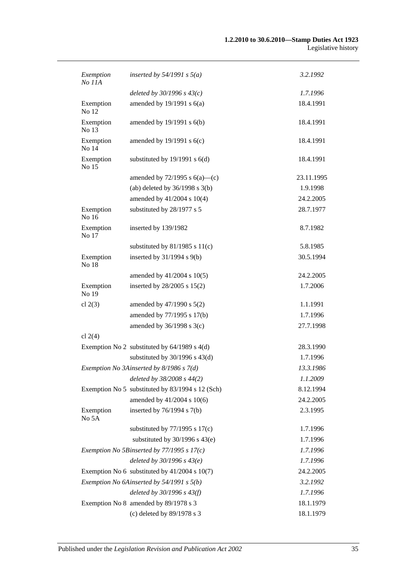| Exemption<br>No 11A | inserted by $54/1991$ s $5(a)$                   | 3.2.1992   |
|---------------------|--------------------------------------------------|------------|
|                     | deleted by $30/1996 s 43(c)$                     | 1.7.1996   |
| Exemption<br>No 12  | amended by $19/1991$ s $6(a)$                    | 18.4.1991  |
| Exemption<br>No 13  | amended by 19/1991 s 6(b)                        | 18.4.1991  |
| Exemption<br>No 14  | amended by $19/1991$ s $6(c)$                    | 18.4.1991  |
| Exemption<br>No 15  | substituted by $19/1991$ s $6(d)$                | 18.4.1991  |
|                     | amended by $72/1995$ s $6(a)$ —(c)               | 23.11.1995 |
|                     | (ab) deleted by $36/1998$ s $3(b)$               | 1.9.1998   |
|                     | amended by 41/2004 s 10(4)                       | 24.2.2005  |
| Exemption<br>No 16  | substituted by 28/1977 s 5                       | 28.7.1977  |
| Exemption<br>No 17  | inserted by 139/1982                             | 8.7.1982   |
|                     | substituted by $81/1985$ s $11(c)$               | 5.8.1985   |
| Exemption<br>No 18  | inserted by $31/1994$ s $9(b)$                   | 30.5.1994  |
|                     | amended by 41/2004 s 10(5)                       | 24.2.2005  |
| Exemption<br>No 19  | inserted by 28/2005 s 15(2)                      | 1.7.2006   |
| cl $2(3)$           | amended by $47/1990$ s $5(2)$                    | 1.1.1991   |
|                     | amended by 77/1995 s 17(b)                       | 1.7.1996   |
|                     | amended by $36/1998$ s $3(c)$                    | 27.7.1998  |
| cl $2(4)$           |                                                  |            |
|                     | Exemption No 2 substituted by $64/1989$ s $4(d)$ | 28.3.1990  |
|                     | substituted by $30/1996$ s $43(d)$               | 1.7.1996   |
|                     | Exemption No 3Ainserted by 8/1986 s 7(d)         | 13.3.1986  |
|                     | deleted by 38/2008 s 44(2)                       | 1.1.2009   |
|                     | Exemption No 5 substituted by 83/1994 s 12 (Sch) | 8.12.1994  |
|                     | amended by 41/2004 s 10(6)                       | 24.2.2005  |
| Exemption<br>No 5A  | inserted by $76/1994$ s $7(b)$                   | 2.3.1995   |
|                     | substituted by $77/1995$ s $17(c)$               | 1.7.1996   |
|                     | substituted by $30/1996$ s $43(e)$               | 1.7.1996   |
|                     | Exemption No 5Binserted by $77/1995$ s $17(c)$   | 1.7.1996   |
|                     | deleted by $30/1996 s 43(e)$                     | 1.7.1996   |
|                     | Exemption No 6 substituted by $41/2004$ s 10(7)  | 24.2.2005  |
|                     | Exemption No 6Ainserted by 54/1991 s 5(b)        | 3.2.1992   |
|                     | deleted by 30/1996 s 43(f)                       | 1.7.1996   |
|                     | Exemption No 8 amended by 89/1978 s 3            | 18.1.1979  |
|                     | (c) deleted by 89/1978 s 3                       | 18.1.1979  |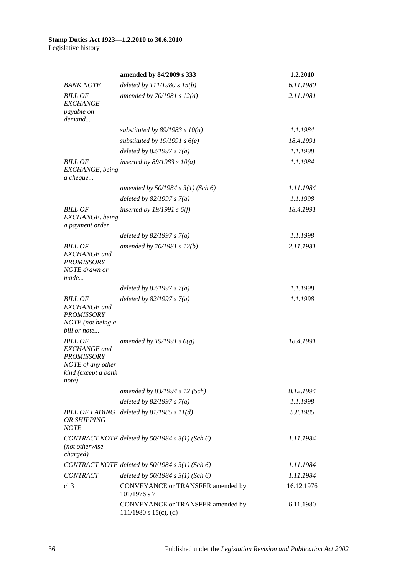|                                                                                                                 | amended by 84/2009 s 333                                        | 1.2.2010   |
|-----------------------------------------------------------------------------------------------------------------|-----------------------------------------------------------------|------------|
| <b>BANK NOTE</b>                                                                                                | deleted by 111/1980 s 15(b)                                     | 6.11.1980  |
| <b>BILL OF</b><br><b>EXCHANGE</b><br>payable on<br>demand                                                       | amended by $70/1981 s 12(a)$                                    | 2.11.1981  |
|                                                                                                                 | substituted by $89/1983$ s $10(a)$                              | 1.1.1984   |
|                                                                                                                 | substituted by 19/1991 s $6(e)$                                 | 18.4.1991  |
|                                                                                                                 | deleted by $82/1997 s 7(a)$                                     | 1.1.1998   |
| <b>BILL OF</b><br>EXCHANGE, being<br>a cheque                                                                   | inserted by $89/1983$ s $10(a)$                                 | 1.1.1984   |
|                                                                                                                 | amended by $50/1984$ s $3(1)$ (Sch 6)                           | 1.11.1984  |
|                                                                                                                 | deleted by $82/1997 s 7(a)$                                     | 1.1.1998   |
| <b>BILL OF</b><br>EXCHANGE, being<br>a payment order                                                            | inserted by $19/1991 s 6(f)$                                    | 18.4.1991  |
|                                                                                                                 | deleted by $82/1997 s 7(a)$                                     | 1.1.1998   |
| <b>BILL OF</b><br><b>EXCHANGE</b> and<br><b>PROMISSORY</b><br>NOTE drawn or<br>made                             | amended by $70/1981 s 12(b)$                                    | 2.11.1981  |
|                                                                                                                 | deleted by $82/1997 s 7(a)$                                     | 1.1.1998   |
| <b>BILL OF</b><br><b>EXCHANGE</b> and<br><b>PROMISSORY</b><br>NOTE (not being a<br>bill or note                 | deleted by $82/1997 s 7(a)$                                     | 1.1.1998   |
| <b>BILL OF</b><br><b>EXCHANGE</b> and<br><b>PROMISSORY</b><br>NOTE of any other<br>kind (except a bank<br>note) | amended by 19/1991 s $6(g)$                                     | 18.4.1991  |
|                                                                                                                 | amended by 83/1994 s 12 (Sch)                                   | 8.12.1994  |
|                                                                                                                 | deleted by $82/1997 s 7(a)$                                     | 1.1.1998   |
| OR SHIPPING<br><b>NOTE</b>                                                                                      | BILL OF LADING deleted by $81/1985 s 11(d)$                     | 5.8.1985   |
| (not otherwise<br>charged)                                                                                      | CONTRACT NOTE deleted by $50/1984$ s $3(1)$ (Sch 6)             | 1.11.1984  |
|                                                                                                                 | CONTRACT NOTE deleted by 50/1984 s 3(1) (Sch 6)                 | 1.11.1984  |
| <b>CONTRACT</b>                                                                                                 | deleted by $50/1984$ s $3(1)$ (Sch 6)                           | 1.11.1984  |
| cl <sub>3</sub>                                                                                                 | CONVEYANCE or TRANSFER amended by<br>101/1976 s 7               | 16.12.1976 |
|                                                                                                                 | CONVEYANCE or TRANSFER amended by<br>$111/1980$ s $15(c)$ , (d) | 6.11.1980  |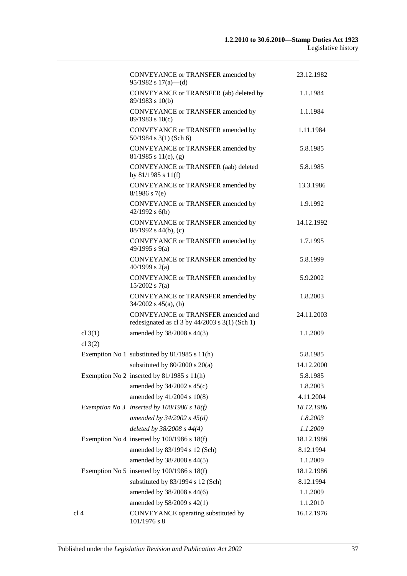|                        | CONVEYANCE or TRANSFER amended by<br>$95/1982$ s $17(a)$ —(d)                              | 23.12.1982 |
|------------------------|--------------------------------------------------------------------------------------------|------------|
|                        | CONVEYANCE or TRANSFER (ab) deleted by<br>89/1983 s 10(b)                                  | 1.1.1984   |
|                        | CONVEYANCE or TRANSFER amended by<br>89/1983 s 10(c)                                       | 1.1.1984   |
|                        | CONVEYANCE or TRANSFER amended by<br>$50/1984$ s 3(1) (Sch 6)                              | 1.11.1984  |
|                        | CONVEYANCE or TRANSFER amended by<br>$81/1985$ s $11(e)$ , (g)                             | 5.8.1985   |
|                        | CONVEYANCE or TRANSFER (aab) deleted<br>by 81/1985 s 11(f)                                 | 5.8.1985   |
|                        | CONVEYANCE or TRANSFER amended by<br>$8/1986$ s 7(e)                                       | 13.3.1986  |
|                        | CONVEYANCE or TRANSFER amended by<br>$42/1992$ s 6(b)                                      | 1.9.1992   |
|                        | CONVEYANCE or TRANSFER amended by<br>$88/1992$ s 44(b), (c)                                | 14.12.1992 |
|                        | CONVEYANCE or TRANSFER amended by<br>49/1995 s 9(a)                                        | 1.7.1995   |
|                        | CONVEYANCE or TRANSFER amended by<br>40/1999 s $2(a)$                                      | 5.8.1999   |
|                        | CONVEYANCE or TRANSFER amended by<br>$15/2002$ s 7(a)                                      | 5.9.2002   |
|                        | CONVEYANCE or TRANSFER amended by<br>$34/2002$ s $45(a)$ , (b)                             | 1.8.2003   |
|                        | CONVEYANCE or TRANSFER amended and<br>redesignated as cl $3$ by $44/2003$ s $3(1)$ (Sch 1) | 24.11.2003 |
| cl $3(1)$<br>cl $3(2)$ | amended by 38/2008 s 44(3)                                                                 | 1.1.2009   |
|                        | Exemption No 1 substituted by 81/1985 s 11(h)                                              | 5.8.1985   |
|                        | substituted by $80/2000$ s $20(a)$                                                         | 14.12.2000 |
|                        | Exemption No 2 inserted by 81/1985 s 11(h)                                                 | 5.8.1985   |
|                        | amended by 34/2002 s 45(c)                                                                 | 1.8.2003   |
|                        | amended by 41/2004 s 10(8)                                                                 | 4.11.2004  |
|                        | Exemption No 3 inserted by $100/1986$ s $18(f)$                                            | 18.12.1986 |
|                        | amended by $34/2002$ s $45(d)$                                                             | 1.8.2003   |
|                        | deleted by 38/2008 s 44(4)                                                                 | 1.1.2009   |
|                        | Exemption No 4 inserted by $100/1986$ s $18(f)$                                            | 18.12.1986 |
|                        | amended by 83/1994 s 12 (Sch)                                                              | 8.12.1994  |
|                        | amended by 38/2008 s 44(5)                                                                 | 1.1.2009   |
|                        | Exemption No 5 inserted by $100/1986$ s $18(f)$                                            | 18.12.1986 |
|                        | substituted by 83/1994 s 12 (Sch)                                                          | 8.12.1994  |
|                        | amended by 38/2008 s 44(6)                                                                 | 1.1.2009   |
|                        | amended by 58/2009 s 42(1)                                                                 | 1.1.2010   |
| cl 4                   | CONVEYANCE operating substituted by                                                        | 16.12.1976 |
|                        | $101/1976$ s 8                                                                             |            |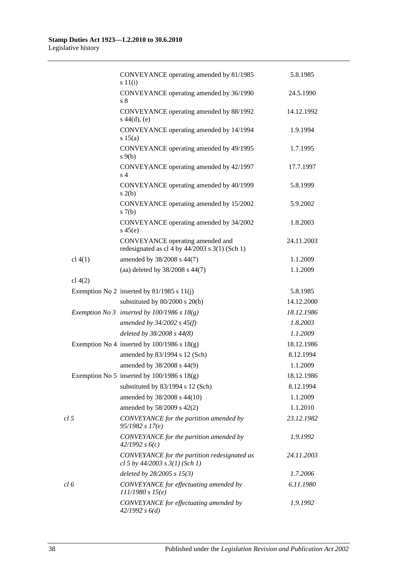|                 | CONVEYANCE operating amended by 81/1985<br>s 11(i)                                   | 5.8.1985   |
|-----------------|--------------------------------------------------------------------------------------|------------|
|                 | CONVEYANCE operating amended by 36/1990<br>s <sub>8</sub>                            | 24.5.1990  |
|                 | CONVEYANCE operating amended by 88/1992<br>$s\ 44(d), (e)$                           | 14.12.1992 |
|                 | CONVEYANCE operating amended by 14/1994<br>s 15(a)                                   | 1.9.1994   |
|                 | CONVEYANCE operating amended by 49/1995<br>$s \theta(b)$                             | 1.7.1995   |
|                 | CONVEYANCE operating amended by 42/1997<br>s <sub>4</sub>                            | 17.7.1997  |
|                 | CONVEYANCE operating amended by 40/1999<br>s(2(b)                                    | 5.8.1999   |
|                 | CONVEYANCE operating amended by 15/2002<br>s(7(b)                                    | 5.9.2002   |
|                 | CONVEYANCE operating amended by 34/2002<br>$s\,45(e)$                                | 1.8.2003   |
|                 | CONVEYANCE operating amended and<br>redesignated as cl 4 by $44/2003$ s 3(1) (Sch 1) | 24.11.2003 |
| cl $4(1)$       | amended by 38/2008 s 44(7)                                                           | 1.1.2009   |
|                 | (aa) deleted by 38/2008 s 44(7)                                                      | 1.1.2009   |
| cl $4(2)$       |                                                                                      |            |
|                 | Exemption No 2 inserted by $81/1985$ s $11(j)$                                       | 5.8.1985   |
|                 | substituted by $80/2000$ s $20(b)$                                                   | 14.12.2000 |
|                 | Exemption No 3 inserted by $100/1986$ s $18(g)$                                      | 18.12.1986 |
|                 | amended by $34/2002$ s $45(f)$                                                       | 1.8.2003   |
|                 | deleted by 38/2008 s 44(8)                                                           | 1.1.2009   |
|                 | Exemption No 4 inserted by $100/1986$ s $18(g)$                                      | 18.12.1986 |
|                 | amended by 83/1994 s 12 (Sch)                                                        | 8.12.1994  |
|                 | amended by 38/2008 s 44(9)                                                           | 1.1.2009   |
|                 | Exemption No 5 inserted by $100/1986$ s $18(g)$                                      | 18.12.1986 |
|                 | substituted by 83/1994 s 12 (Sch)                                                    | 8.12.1994  |
|                 | amended by 38/2008 s 44(10)                                                          | 1.1.2009   |
|                 | amended by 58/2009 s 42(2)                                                           | 1.1.2010   |
| cl <sub>5</sub> | CONVEYANCE for the partition amended by<br>95/1982 s 17(e)                           | 23.12.1982 |
|                 | CONVEYANCE for the partition amended by<br>42/1992 s6(c)                             | 1.9.1992   |
|                 | CONVEYANCE for the partition redesignated as<br>cl 5 by $44/2003$ s $3(1)$ (Sch 1)   | 24.11.2003 |
|                 | deleted by $28/2005 s 15(3)$                                                         | 1.7.2006   |
| cl <sub>6</sub> | CONVEYANCE for effectuating amended by<br>111/1980 s 15(e)                           | 6.11.1980  |
|                 | CONVEYANCE for effectuating amended by<br>42/1992 s 6(d)                             | 1.9.1992   |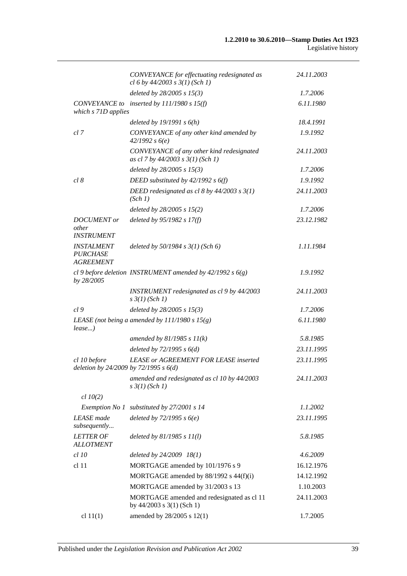|                                                                               | CONVEYANCE for effectuating redesignated as<br>cl 6 by $44/2003$ s $3(1)$ (Sch 1) | 24.11.2003 |
|-------------------------------------------------------------------------------|-----------------------------------------------------------------------------------|------------|
|                                                                               | deleted by $28/2005$ s $15(3)$                                                    | 1.7.2006   |
| which s 71D applies                                                           | CONVEYANCE to inserted by 111/1980 s 15(f)                                        | 6.11.1980  |
|                                                                               | deleted by $19/1991 s 6(h)$                                                       | 18.4.1991  |
| cl 7                                                                          | CONVEYANCE of any other kind amended by<br>42/1992 s6(e)                          | 1.9.1992   |
|                                                                               | CONVEYANCE of any other kind redesignated<br>as cl 7 by 44/2003 s 3(1) (Sch 1)    | 24.11.2003 |
|                                                                               | deleted by 28/2005 s 15(3)                                                        | 1.7.2006   |
| cl 8                                                                          | DEED substituted by $42/1992 s 6(f)$                                              | 1.9.1992   |
|                                                                               | DEED redesignated as cl 8 by $44/2003$ s $3(1)$<br>(Sch 1)                        | 24.11.2003 |
|                                                                               | deleted by $28/2005$ s $15(2)$                                                    | 1.7.2006   |
| <b>DOCUMENT</b> or<br>other                                                   | deleted by $95/1982 s 17(f)$                                                      | 23.12.1982 |
| <b>INSTRUMENT</b><br><b>INSTALMENT</b><br><b>PURCHASE</b><br><b>AGREEMENT</b> | deleted by 50/1984 s 3(1) (Sch 6)                                                 | 1.11.1984  |
| by 28/2005                                                                    | cl 9 before deletion INSTRUMENT amended by $42/1992 s 6(g)$                       | 1.9.1992   |
|                                                                               | INSTRUMENT redesignated as cl 9 by 44/2003<br>$s \frac{3}{1} (Sch 1)$             | 24.11.2003 |
| cl9                                                                           | deleted by 28/2005 s 15(3)                                                        | 1.7.2006   |
| $lease$ )                                                                     | LEASE (not being a amended by $111/1980 s 15(g)$ )                                | 6.11.1980  |
|                                                                               | amended by $81/1985 s 11(k)$                                                      | 5.8.1985   |
|                                                                               | deleted by $72/1995 s 6(d)$                                                       | 23.11.1995 |
| cl 10 before<br>deletion by 24/2009 by 72/1995 s $6(d)$                       | <b>LEASE or AGREEMENT FOR LEASE inserted</b>                                      | 23.11.1995 |
|                                                                               | amended and redesignated as cl 10 by 44/2003<br>$s \frac{3}{1}$ (Sch 1)           | 24.11.2003 |
| $cl$ $10(2)$                                                                  |                                                                                   |            |
| Exemption No 1                                                                | substituted by 27/2001 s 14                                                       | 1.1.2002   |
| <b>LEASE</b> made<br>subsequently                                             | deleted by $72/1995 s 6(e)$                                                       | 23.11.1995 |
| <b>LETTER OF</b><br><b>ALLOTMENT</b>                                          | deleted by $81/1985 s 11(l)$                                                      | 5.8.1985   |
| $cl$ 10                                                                       | deleted by 24/2009 18(1)                                                          | 4.6.2009   |
| cl 11                                                                         | MORTGAGE amended by 101/1976 s 9                                                  | 16.12.1976 |
|                                                                               | MORTGAGE amended by 88/1992 s 44(f)(i)                                            | 14.12.1992 |
|                                                                               | MORTGAGE amended by 31/2003 s 13                                                  | 1.10.2003  |
|                                                                               | MORTGAGE amended and redesignated as cl 11<br>by 44/2003 s 3(1) (Sch 1)           | 24.11.2003 |
| cl $11(1)$                                                                    | amended by 28/2005 s 12(1)                                                        | 1.7.2005   |
|                                                                               |                                                                                   |            |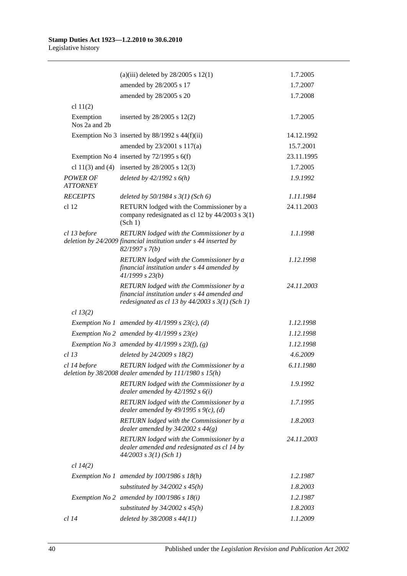|                             | (a)(iii) deleted by $28/2005$ s 12(1)                                                                                                           | 1.7.2005   |
|-----------------------------|-------------------------------------------------------------------------------------------------------------------------------------------------|------------|
|                             | amended by 28/2005 s 17                                                                                                                         | 1.7.2007   |
|                             | amended by 28/2005 s 20                                                                                                                         | 1.7.2008   |
| cl $11(2)$                  |                                                                                                                                                 |            |
| Exemption<br>Nos 2a and 2b  | inserted by $28/2005$ s $12(2)$                                                                                                                 | 1.7.2005   |
|                             | Exemption No 3 inserted by $88/1992$ s $44(f)(ii)$                                                                                              | 14.12.1992 |
|                             | amended by 23/2001 s 117(a)                                                                                                                     | 15.7.2001  |
|                             | Exemption No 4 inserted by $72/1995$ s 6(f)                                                                                                     | 23.11.1995 |
|                             | cl 11(3) and (4) inserted by $28/2005$ s 12(3)                                                                                                  | 1.7.2005   |
| POWER OF<br><b>ATTORNEY</b> | deleted by $42/1992 s 6(h)$                                                                                                                     | 1.9.1992   |
| <b>RECEIPTS</b>             | deleted by $50/1984$ s $3(1)$ (Sch 6)                                                                                                           | 1.11.1984  |
| cl <sub>12</sub>            | RETURN lodged with the Commissioner by a<br>company redesignated as cl 12 by 44/2003 s 3(1)<br>(Sch 1)                                          | 24.11.2003 |
| cl 13 before                | RETURN lodged with the Commissioner by a<br>deletion by 24/2009 financial institution under s 44 inserted by<br>82/1997 s 7(b)                  | 1.1.1998   |
|                             | RETURN lodged with the Commissioner by a<br>financial institution under s 44 amended by<br>41/1999 s 23(b)                                      | 1.12.1998  |
|                             | RETURN lodged with the Commissioner by a<br>financial institution under s 44 amended and<br>redesignated as cl 13 by $44/2003$ s $3(1)$ (Sch 1) | 24.11.2003 |
| cl 13(2)                    |                                                                                                                                                 |            |
|                             | Exemption No 1 amended by $41/1999$ s $23(c)$ , (d)                                                                                             | 1.12.1998  |
|                             | Exemption No 2 amended by $41/1999 s 23(e)$                                                                                                     | 1.12.1998  |
|                             | Exemption No 3 amended by $41/1999$ s $23(f)$ , (g)                                                                                             | 1.12.1998  |
| $cl$ 13                     | deleted by 24/2009 s 18(2)                                                                                                                      | 4.6.2009   |
| cl 14 before                | RETURN lodged with the Commissioner by a<br>deletion by $38/2008$ dealer amended by $111/1980$ s $15(h)$                                        | 6.11.1980  |
|                             | RETURN lodged with the Commissioner by a<br>dealer amended by $42/1992 s 6(i)$                                                                  | 1.9.1992   |
|                             | RETURN lodged with the Commissioner by a<br>dealer amended by $49/1995 s$ 9(c), (d)                                                             | 1.7.1995   |
|                             | RETURN lodged with the Commissioner by a<br>dealer amended by $34/2002$ s $44(g)$                                                               | 1.8.2003   |
|                             | RETURN lodged with the Commissioner by a<br>dealer amended and redesignated as cl 14 by<br>$44/2003$ s $3(1)$ (Sch 1)                           | 24.11.2003 |
| cl 14(2)                    |                                                                                                                                                 |            |
|                             | Exemption No 1 amended by $100/1986$ s $18(h)$                                                                                                  | 1.2.1987   |
|                             | substituted by $34/2002$ s $45(h)$                                                                                                              | 1.8.2003   |
|                             | Exemption No 2 amended by $100/1986$ s $18(i)$                                                                                                  | 1.2.1987   |
|                             | substituted by $34/2002$ s $45(h)$                                                                                                              | 1.8.2003   |
| <i>cl</i> 14                | deleted by 38/2008 s 44(11)                                                                                                                     | 1.1.2009   |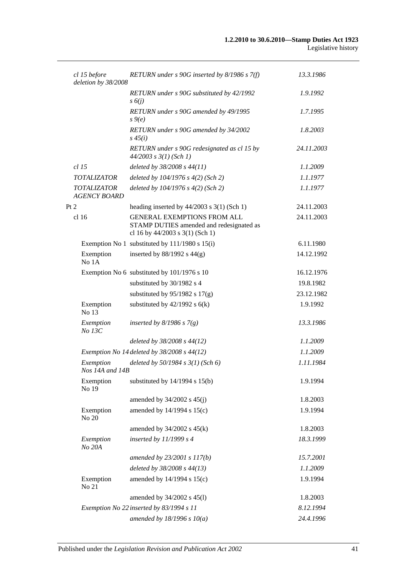| cl 15 before<br>deletion by 38/2008       | RETURN under s 90G inserted by 8/1986 s 7(f)                                                                      | 13.3.1986  |
|-------------------------------------------|-------------------------------------------------------------------------------------------------------------------|------------|
|                                           | RETURN under s 90G substituted by 42/1992<br>$s\delta(j)$                                                         | 1.9.1992   |
|                                           | RETURN under s 90G amended by 49/1995<br>$s \theta(e)$                                                            | 1.7.1995   |
|                                           | RETURN under s 90G amended by 34/2002<br>$s\,45(i)$                                                               | 1.8.2003   |
|                                           | RETURN under s 90G redesignated as cl 15 by<br>$44/2003$ s $3(1)$ (Sch 1)                                         | 24.11.2003 |
| $cl$ 15                                   | deleted by 38/2008 s 44(11)                                                                                       | 1.1.2009   |
| <b>TOTALIZATOR</b>                        | deleted by $104/1976$ s $4(2)$ (Sch 2)                                                                            | 1.1.1977   |
| <b>TOTALIZATOR</b><br><b>AGENCY BOARD</b> | deleted by $104/1976$ s $4(2)$ (Sch 2)                                                                            | 1.1.1977   |
| Pt 2                                      | heading inserted by $44/2003$ s 3(1) (Sch 1)                                                                      | 24.11.2003 |
| cl <sub>16</sub>                          | <b>GENERAL EXEMPTIONS FROM ALL</b><br>STAMP DUTIES amended and redesignated as<br>cl 16 by 44/2003 s 3(1) (Sch 1) | 24.11.2003 |
|                                           | Exemption No 1 substituted by 111/1980 s 15(i)                                                                    | 6.11.1980  |
| Exemption<br>No 1A                        | inserted by $88/1992$ s $44(g)$                                                                                   | 14.12.1992 |
|                                           | Exemption No 6 substituted by 101/1976 s 10                                                                       | 16.12.1976 |
|                                           | substituted by 30/1982 s 4                                                                                        | 19.8.1982  |
|                                           | substituted by $95/1982$ s $17(g)$                                                                                | 23.12.1982 |
| Exemption<br>No 13                        | substituted by $42/1992$ s $6(k)$                                                                                 | 1.9.1992   |
| Exemption<br>No 13C                       | inserted by $8/1986$ s $7(g)$                                                                                     | 13.3.1986  |
|                                           | deleted by $38/2008$ s $44(12)$                                                                                   | 1.1.2009   |
|                                           | Exemption No 14 deleted by $38/2008$ s $44(12)$                                                                   | 1.1.2009   |
| Exemption<br>Nos 14A and 14B              | deleted by $50/1984$ s $3(1)$ (Sch 6)                                                                             | 1.11.1984  |
| Exemption<br>No 19                        | substituted by $14/1994$ s $15(b)$                                                                                | 1.9.1994   |
|                                           | amended by $34/2002$ s $45(j)$                                                                                    | 1.8.2003   |
| Exemption<br>No 20                        | amended by 14/1994 s 15(c)                                                                                        | 1.9.1994   |
|                                           | amended by $34/2002$ s $45(k)$                                                                                    | 1.8.2003   |
| Exemption<br>No 20A                       | inserted by $11/1999 s 4$                                                                                         | 18.3.1999  |
|                                           | amended by 23/2001 s 117(b)                                                                                       | 15.7.2001  |
|                                           | deleted by $38/2008$ s $44(13)$                                                                                   | 1.1.2009   |
| Exemption<br>No 21                        | amended by 14/1994 s 15(c)                                                                                        | 1.9.1994   |
|                                           | amended by 34/2002 s 45(l)                                                                                        | 1.8.2003   |
|                                           | Exemption No 22 inserted by 83/1994 s 11                                                                          | 8.12.1994  |
|                                           | amended by $18/1996 s 10(a)$                                                                                      | 24.4.1996  |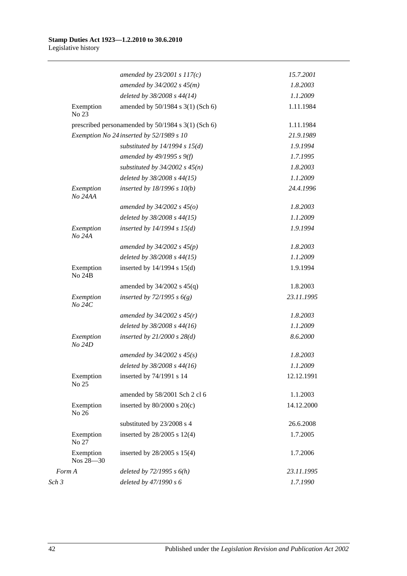|       |                        | amended by $23/2001 s 117(c)$                      | 15.7.2001  |
|-------|------------------------|----------------------------------------------------|------------|
|       |                        | amended by $34/2002 s 45(m)$                       | 1.8.2003   |
|       |                        | deleted by 38/2008 s 44(14)                        | 1.1.2009   |
|       | Exemption<br>No 23     | amended by 50/1984 s 3(1) (Sch 6)                  | 1.11.1984  |
|       |                        | prescribed personamended by 50/1984 s 3(1) (Sch 6) | 1.11.1984  |
|       |                        | Exemption No 24 inserted by 52/1989 s 10           | 21.9.1989  |
|       |                        | substituted by $14/1994$ s $15(d)$                 | 1.9.1994   |
|       |                        | amended by 49/1995 s 9(f)                          | 1.7.1995   |
|       |                        | substituted by $34/2002$ s $45(n)$                 | 1.8.2003   |
|       |                        | deleted by 38/2008 s 44(15)                        | 1.1.2009   |
|       | Exemption<br>No 24AA   | inserted by 18/1996 s 10(b)                        | 24.4.1996  |
|       |                        | amended by $34/2002$ s $45(o)$                     | 1.8.2003   |
|       |                        | deleted by 38/2008 s 44(15)                        | 1.1.2009   |
|       | Exemption<br>No 24A    | inserted by $14/1994$ s $15(d)$                    | 1.9.1994   |
|       |                        | amended by $34/2002$ s $45(p)$                     | 1.8.2003   |
|       |                        | deleted by 38/2008 s 44(15)                        | 1.1.2009   |
|       | Exemption<br>No 24B    | inserted by $14/1994$ s $15(d)$                    | 1.9.1994   |
|       |                        | amended by $34/2002$ s $45(q)$                     | 1.8.2003   |
|       | Exemption<br>No 24C    | inserted by $72/1995 s 6(g)$                       | 23.11.1995 |
|       |                        | amended by $34/2002 s 45(r)$                       | 1.8.2003   |
|       |                        | deleted by 38/2008 s 44(16)                        | 1.1.2009   |
|       | Exemption<br>No 24D    | inserted by $21/2000$ s $28(d)$                    | 8.6.2000   |
|       |                        | amended by $34/2002 s 45(s)$                       | 1.8.2003   |
|       |                        | deleted by 38/2008 s 44(16)                        | 1.1.2009   |
|       | Exemption<br>No 25     | inserted by 74/1991 s 14                           | 12.12.1991 |
|       |                        | amended by 58/2001 Sch 2 cl 6                      | 1.1.2003   |
|       | Exemption<br>No 26     | inserted by $80/2000$ s $20(c)$                    | 14.12.2000 |
|       |                        | substituted by 23/2008 s 4                         | 26.6.2008  |
|       | Exemption<br>No 27     | inserted by 28/2005 s 12(4)                        | 1.7.2005   |
|       | Exemption<br>Nos 28-30 | inserted by 28/2005 s 15(4)                        | 1.7.2006   |
|       | Form A                 | deleted by $72/1995 s 6(h)$                        | 23.11.1995 |
| Sch 3 |                        | deleted by 47/1990 s 6                             | 1.7.1990   |
|       |                        |                                                    |            |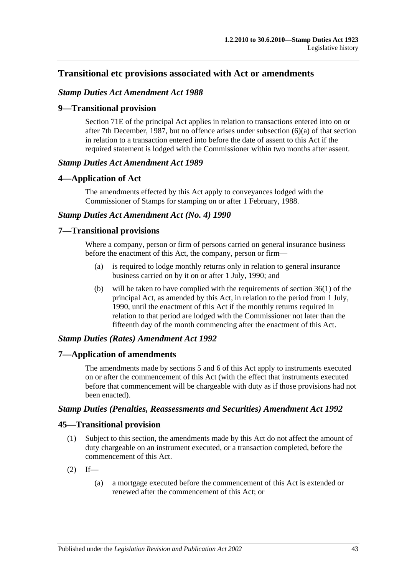## **Transitional etc provisions associated with Act or amendments**

### *Stamp Duties Act Amendment Act 1988*

### **9—Transitional provision**

Section 71E of the principal Act applies in relation to transactions entered into on or after 7th December, 1987, but no offence arises under subsection (6)(a) of that section in relation to a transaction entered into before the date of assent to this Act if the required statement is lodged with the Commissioner within two months after assent.

#### *Stamp Duties Act Amendment Act 1989*

#### **4—Application of Act**

The amendments effected by this Act apply to conveyances lodged with the Commissioner of Stamps for stamping on or after 1 February, 1988.

### *Stamp Duties Act Amendment Act (No. 4) 1990*

#### **7—Transitional provisions**

Where a company, person or firm of persons carried on general insurance business before the enactment of this Act, the company, person or firm—

- (a) is required to lodge monthly returns only in relation to general insurance business carried on by it on or after 1 July, 1990; and
- (b) will be taken to have complied with the requirements of section 36(1) of the principal Act, as amended by this Act, in relation to the period from 1 July, 1990, until the enactment of this Act if the monthly returns required in relation to that period are lodged with the Commissioner not later than the fifteenth day of the month commencing after the enactment of this Act.

#### *Stamp Duties (Rates) Amendment Act 1992*

#### **7—Application of amendments**

The amendments made by sections 5 and 6 of this Act apply to instruments executed on or after the commencement of this Act (with the effect that instruments executed before that commencement will be chargeable with duty as if those provisions had not been enacted).

#### *Stamp Duties (Penalties, Reassessments and Securities) Amendment Act 1992*

#### **45—Transitional provision**

- (1) Subject to this section, the amendments made by this Act do not affect the amount of duty chargeable on an instrument executed, or a transaction completed, before the commencement of this Act.
- $(2)$  If—
	- (a) a mortgage executed before the commencement of this Act is extended or renewed after the commencement of this Act; or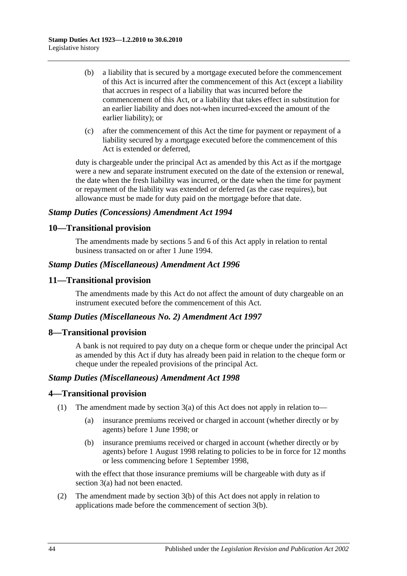- (b) a liability that is secured by a mortgage executed before the commencement of this Act is incurred after the commencement of this Act (except a liability that accrues in respect of a liability that was incurred before the commencement of this Act, or a liability that takes effect in substitution for an earlier liability and does not-when incurred-exceed the amount of the earlier liability); or
- (c) after the commencement of this Act the time for payment or repayment of a liability secured by a mortgage executed before the commencement of this Act is extended or deferred,

duty is chargeable under the principal Act as amended by this Act as if the mortgage were a new and separate instrument executed on the date of the extension or renewal, the date when the fresh liability was incurred, or the date when the time for payment or repayment of the liability was extended or deferred (as the case requires), but allowance must be made for duty paid on the mortgage before that date.

### *Stamp Duties (Concessions) Amendment Act 1994*

## **10—Transitional provision**

The amendments made by sections 5 and 6 of this Act apply in relation to rental business transacted on or after 1 June 1994.

### *Stamp Duties (Miscellaneous) Amendment Act 1996*

### **11—Transitional provision**

The amendments made by this Act do not affect the amount of duty chargeable on an instrument executed before the commencement of this Act.

### *Stamp Duties (Miscellaneous No. 2) Amendment Act 1997*

### **8—Transitional provision**

A bank is not required to pay duty on a cheque form or cheque under the principal Act as amended by this Act if duty has already been paid in relation to the cheque form or cheque under the repealed provisions of the principal Act.

### *Stamp Duties (Miscellaneous) Amendment Act 1998*

### **4—Transitional provision**

- (1) The amendment made by section 3(a) of this Act does not apply in relation to—
	- (a) insurance premiums received or charged in account (whether directly or by agents) before 1 June 1998; or
	- (b) insurance premiums received or charged in account (whether directly or by agents) before 1 August 1998 relating to policies to be in force for 12 months or less commencing before 1 September 1998,

with the effect that those insurance premiums will be chargeable with duty as if section 3(a) had not been enacted.

(2) The amendment made by section 3(b) of this Act does not apply in relation to applications made before the commencement of section 3(b).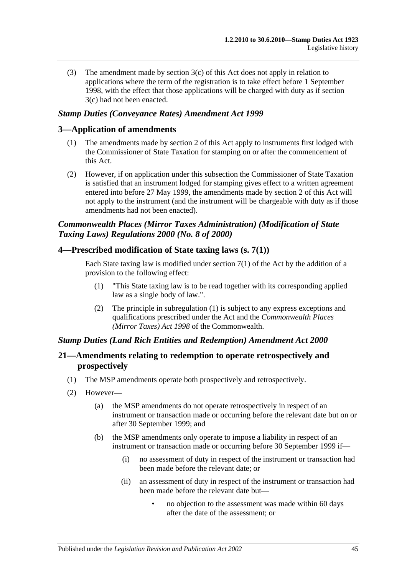(3) The amendment made by section 3(c) of this Act does not apply in relation to applications where the term of the registration is to take effect before 1 September 1998, with the effect that those applications will be charged with duty as if section 3(c) had not been enacted.

### *Stamp Duties (Conveyance Rates) Amendment Act 1999*

### **3—Application of amendments**

- (1) The amendments made by section 2 of this Act apply to instruments first lodged with the Commissioner of State Taxation for stamping on or after the commencement of this Act.
- (2) However, if on application under this subsection the Commissioner of State Taxation is satisfied that an instrument lodged for stamping gives effect to a written agreement entered into before 27 May 1999, the amendments made by section 2 of this Act will not apply to the instrument (and the instrument will be chargeable with duty as if those amendments had not been enacted).

## *Commonwealth Places (Mirror Taxes Administration) (Modification of State Taxing Laws) Regulations 2000 (No. 8 of 2000)*

### **4—Prescribed modification of State taxing laws (s. 7(1))**

Each State taxing law is modified under section  $7(1)$  of the Act by the addition of a provision to the following effect:

- (1) "This State taxing law is to be read together with its corresponding applied law as a single body of law.".
- (2) The principle in subregulation (1) is subject to any express exceptions and qualifications prescribed under the Act and the *Commonwealth Places (Mirror Taxes) Act 1998* of the Commonwealth.

#### *Stamp Duties (Land Rich Entities and Redemption) Amendment Act 2000*

### **21—Amendments relating to redemption to operate retrospectively and prospectively**

- (1) The MSP amendments operate both prospectively and retrospectively.
- (2) However—
	- (a) the MSP amendments do not operate retrospectively in respect of an instrument or transaction made or occurring before the relevant date but on or after 30 September 1999; and
	- (b) the MSP amendments only operate to impose a liability in respect of an instrument or transaction made or occurring before 30 September 1999 if—
		- (i) no assessment of duty in respect of the instrument or transaction had been made before the relevant date; or
		- (ii) an assessment of duty in respect of the instrument or transaction had been made before the relevant date but—
			- no objection to the assessment was made within 60 days after the date of the assessment; or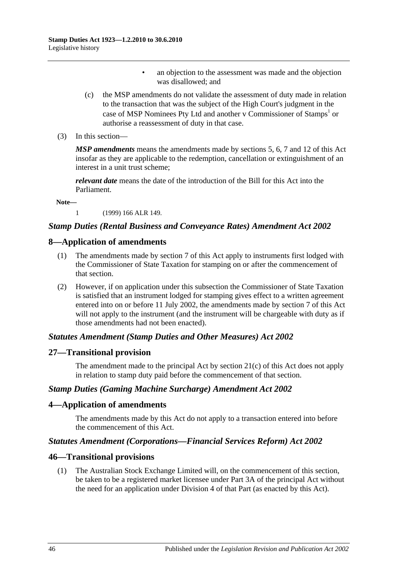- an objection to the assessment was made and the objection was disallowed; and
- (c) the MSP amendments do not validate the assessment of duty made in relation to the transaction that was the subject of the High Court's judgment in the case of MSP Nominees Pty Ltd and another v Commissioner of Stamps<sup>1</sup> or authorise a reassessment of duty in that case.
- (3) In this section—

*MSP amendments* means the amendments made by sections 5, 6, 7 and 12 of this Act insofar as they are applicable to the redemption, cancellation or extinguishment of an interest in a unit trust scheme;

*relevant date* means the date of the introduction of the Bill for this Act into the Parliament.

**Note—**

1 (1999) 166 ALR 149.

### *Stamp Duties (Rental Business and Conveyance Rates) Amendment Act 2002*

#### **8—Application of amendments**

- (1) The amendments made by section 7 of this Act apply to instruments first lodged with the Commissioner of State Taxation for stamping on or after the commencement of that section.
- (2) However, if on application under this subsection the Commissioner of State Taxation is satisfied that an instrument lodged for stamping gives effect to a written agreement entered into on or before 11 July 2002, the amendments made by section 7 of this Act will not apply to the instrument (and the instrument will be chargeable with duty as if those amendments had not been enacted).

#### *Statutes Amendment (Stamp Duties and Other Measures) Act 2002*

#### **27—Transitional provision**

The amendment made to the principal Act by section 21(c) of this Act does not apply in relation to stamp duty paid before the commencement of that section.

#### *Stamp Duties (Gaming Machine Surcharge) Amendment Act 2002*

### **4—Application of amendments**

The amendments made by this Act do not apply to a transaction entered into before the commencement of this Act.

#### *Statutes Amendment (Corporations—Financial Services Reform) Act 2002*

#### **46—Transitional provisions**

(1) The Australian Stock Exchange Limited will, on the commencement of this section, be taken to be a registered market licensee under Part 3A of the principal Act without the need for an application under Division 4 of that Part (as enacted by this Act).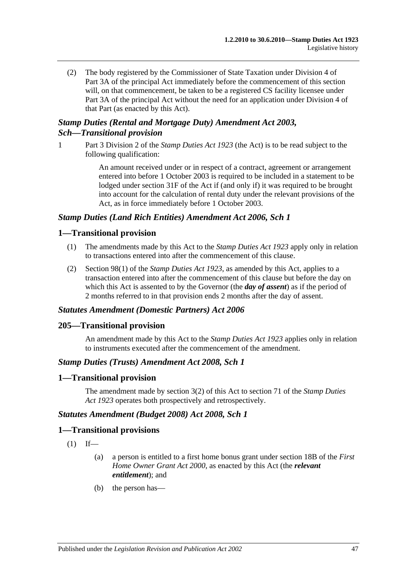(2) The body registered by the Commissioner of State Taxation under Division 4 of Part 3A of the principal Act immediately before the commencement of this section will, on that commencement, be taken to be a registered CS facility licensee under Part 3A of the principal Act without the need for an application under Division 4 of that Part (as enacted by this Act).

# *Stamp Duties (Rental and Mortgage Duty) Amendment Act 2003, Sch—Transitional provision*

1 Part 3 Division 2 of the *[Stamp Duties Act](http://www.legislation.sa.gov.au/index.aspx?action=legref&type=act&legtitle=Stamp%20Duties%20Act%201923) 1923* (the Act) is to be read subject to the following qualification:

> An amount received under or in respect of a contract, agreement or arrangement entered into before 1 October 2003 is required to be included in a statement to be lodged under section 31F of the Act if (and only if) it was required to be brought into account for the calculation of rental duty under the relevant provisions of the Act, as in force immediately before 1 October 2003.

### *Stamp Duties (Land Rich Entities) Amendment Act 2006, Sch 1*

### **1—Transitional provision**

- (1) The amendments made by this Act to the *[Stamp Duties Act](http://www.legislation.sa.gov.au/index.aspx?action=legref&type=act&legtitle=Stamp%20Duties%20Act%201923) 1923* apply only in relation to transactions entered into after the commencement of this clause.
- (2) Section 98(1) of the *[Stamp Duties Act](http://www.legislation.sa.gov.au/index.aspx?action=legref&type=act&legtitle=Stamp%20Duties%20Act%201923) 1923*, as amended by this Act, applies to a transaction entered into after the commencement of this clause but before the day on which this Act is assented to by the Governor (the *day of assent*) as if the period of 2 months referred to in that provision ends 2 months after the day of assent.

### *Statutes Amendment (Domestic Partners) Act 2006*

### **205—Transitional provision**

An amendment made by this Act to the *[Stamp Duties Act](http://www.legislation.sa.gov.au/index.aspx?action=legref&type=act&legtitle=Stamp%20Duties%20Act%201923) 1923* applies only in relation to instruments executed after the commencement of the amendment.

#### *Stamp Duties (Trusts) Amendment Act 2008, Sch 1*

#### **1—Transitional provision**

The amendment made by section 3(2) of this Act to section 71 of the *[Stamp Duties](http://www.legislation.sa.gov.au/index.aspx?action=legref&type=act&legtitle=Stamp%20Duties%20Act%201923)  Act [1923](http://www.legislation.sa.gov.au/index.aspx?action=legref&type=act&legtitle=Stamp%20Duties%20Act%201923)* operates both prospectively and retrospectively.

#### *Statutes Amendment (Budget 2008) Act 2008, Sch 1*

#### **1—Transitional provisions**

- $(1)$  If—
	- (a) a person is entitled to a first home bonus grant under section 18B of the *[First](http://www.legislation.sa.gov.au/index.aspx?action=legref&type=act&legtitle=First%20Home%20Owner%20Grant%20Act%202000)  [Home Owner Grant Act](http://www.legislation.sa.gov.au/index.aspx?action=legref&type=act&legtitle=First%20Home%20Owner%20Grant%20Act%202000) 2000*, as enacted by this Act (the *relevant entitlement*); and
	- (b) the person has—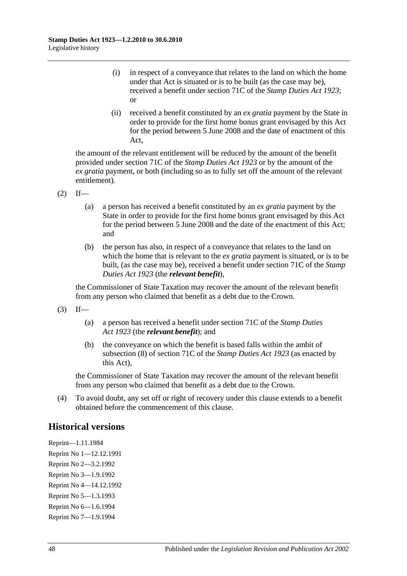- (i) in respect of a conveyance that relates to the land on which the home under that Act is situated or is to be built (as the case may be), received a benefit under section 71C of the *[Stamp Duties Act](http://www.legislation.sa.gov.au/index.aspx?action=legref&type=act&legtitle=Stamp%20Duties%20Act%201923) 1923*; or
- (ii) received a benefit constituted by an *ex gratia* payment by the State in order to provide for the first home bonus grant envisaged by this Act for the period between 5 June 2008 and the date of enactment of this Act,

the amount of the relevant entitlement will be reduced by the amount of the benefit provided under section 71C of the *[Stamp Duties Act](http://www.legislation.sa.gov.au/index.aspx?action=legref&type=act&legtitle=Stamp%20Duties%20Act%201923) 1923* or by the amount of the *ex gratia* payment, or both (including so as to fully set off the amount of the relevant entitlement).

- $(2)$  If—
	- (a) a person has received a benefit constituted by an *ex gratia* payment by the State in order to provide for the first home bonus grant envisaged by this Act for the period between 5 June 2008 and the date of the enactment of this Act; and
	- (b) the person has also, in respect of a conveyance that relates to the land on which the home that is relevant to the *ex gratia* payment is situated, or is to be built, (as the case may be), received a benefit under section 71C of the *[Stamp](http://www.legislation.sa.gov.au/index.aspx?action=legref&type=act&legtitle=Stamp%20Duties%20Act%201923)  [Duties Act](http://www.legislation.sa.gov.au/index.aspx?action=legref&type=act&legtitle=Stamp%20Duties%20Act%201923) 1923* (the *relevant benefit*),

the Commissioner of State Taxation may recover the amount of the relevant benefit from any person who claimed that benefit as a debt due to the Crown.

- $(3)$  If—
	- (a) a person has received a benefit under section 71C of the *[Stamp Duties](http://www.legislation.sa.gov.au/index.aspx?action=legref&type=act&legtitle=Stamp%20Duties%20Act%201923)  Act [1923](http://www.legislation.sa.gov.au/index.aspx?action=legref&type=act&legtitle=Stamp%20Duties%20Act%201923)* (the *relevant benefit*); and
	- (b) the conveyance on which the benefit is based falls within the ambit of subsection (8) of section 71C of the *[Stamp Duties Act](http://www.legislation.sa.gov.au/index.aspx?action=legref&type=act&legtitle=Stamp%20Duties%20Act%201923) 1923* (as enacted by this Act),

the Commissioner of State Taxation may recover the amount of the relevant benefit from any person who claimed that benefit as a debt due to the Crown.

(4) To avoid doubt, any set off or right of recovery under this clause extends to a benefit obtained before the commencement of this clause.

# **Historical versions**

Reprint—1.11.1984 Reprint No 1—12.12.1991 Reprint No 2—3.2.1992 Reprint No 3—1.9.1992 Reprint No 4—14.12.1992 Reprint No 5—1.3.1993 Reprint No 6—1.6.1994 Reprint No 7—1.9.1994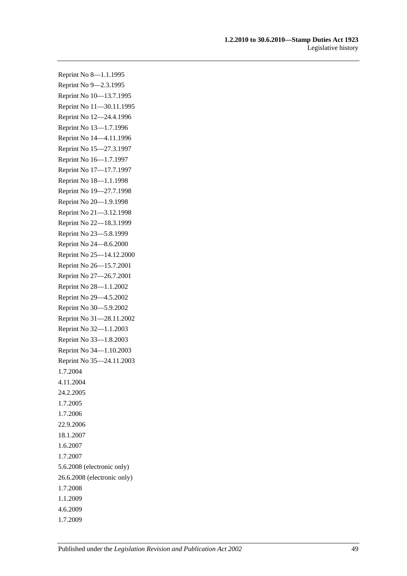Reprint No 8—1.1.1995 Reprint No 9—2.3.1995 Reprint No 10—13.7.1995 Reprint No 11—30.11.1995 Reprint No 12—24.4.1996 Reprint No 13—1.7.1996 Reprint No 14—4.11.1996 Reprint No 15—27.3.1997 Reprint No 16—1.7.1997 Reprint No 17—17.7.1997 Reprint No 18—1.1.1998 Reprint No 19—27.7.1998 Reprint No 20—1.9.1998 Reprint No 21—3.12.1998 Reprint No 22—18.3.1999 Reprint No 23—5.8.1999 Reprint No 24—8.6.2000 Reprint No 25—14.12.2000 Reprint No 26—15.7.2001 Reprint No 27—26.7.2001 Reprint No 28—1.1.2002 Reprint No 29—4.5.2002 Reprint No 30—5.9.2002 Reprint No 31—28.11.2002 Reprint No 32—1.1.2003 Reprint No 33—1.8.2003 Reprint No 34—1.10.2003 Reprint No 35—24.11.2003 1.7.2004 4.11.2004 24.2.2005 1.7.2005 1.7.2006 22.9.2006 18.1.2007 1.6.2007 1.7.2007 5.6.2008 (electronic only) 26.6.2008 (electronic only) 1.7.2008 1.1.2009 4.6.2009 1.7.2009